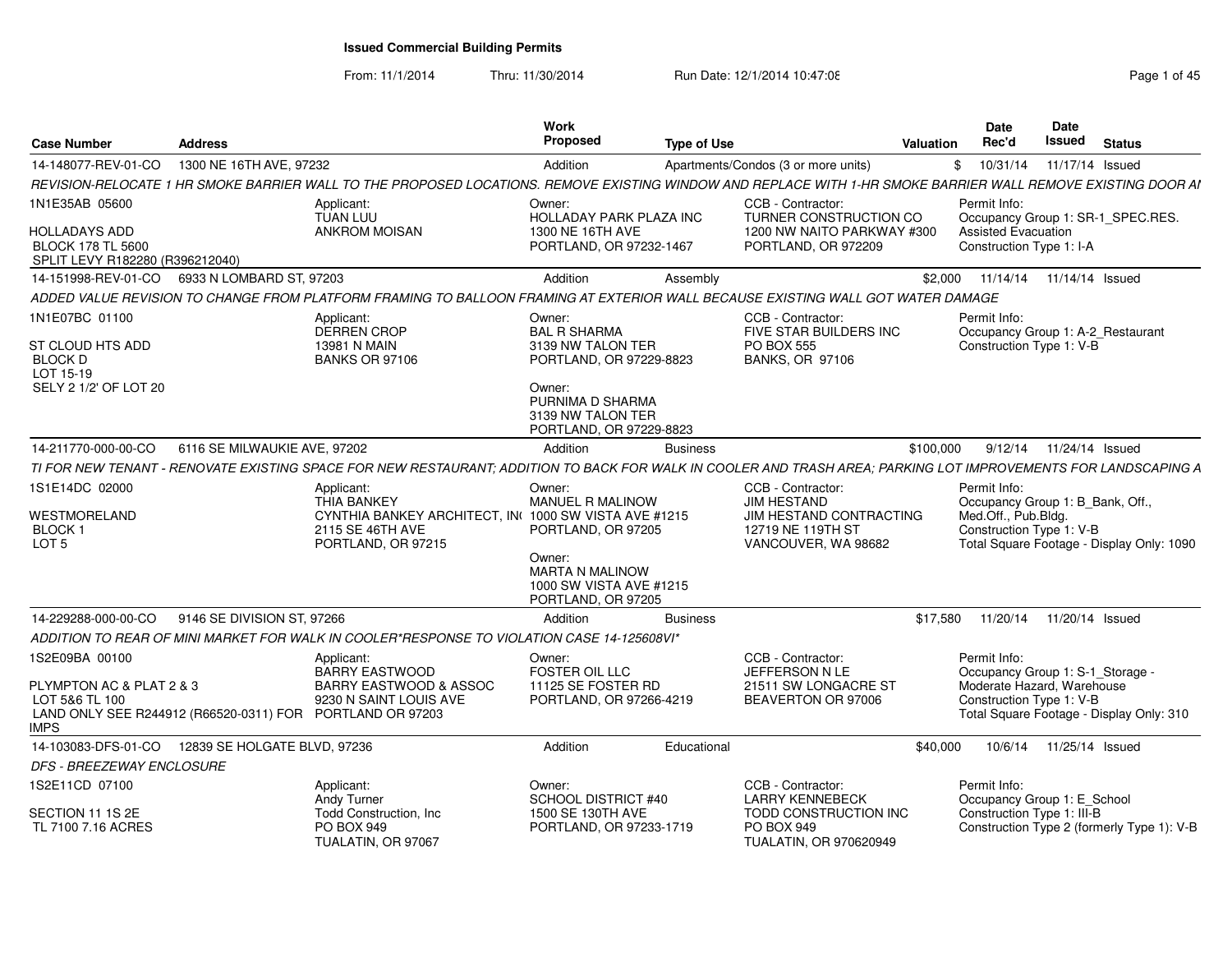From: 11/1/2014

Thru: 11/30/2014 Run Date: 12/1/2014 10:47:08 Rege 1 of 45

| <b>Case Number</b>                                                                                               | <b>Address</b>               |                                                                                                                                                                | Work<br>Proposed                                                           | <b>Type of Use</b> |                                                                                                | <b>Valuation</b> | <b>Date</b><br>Rec'd                                                                       | Date<br>Issued            | <b>Status</b>                              |
|------------------------------------------------------------------------------------------------------------------|------------------------------|----------------------------------------------------------------------------------------------------------------------------------------------------------------|----------------------------------------------------------------------------|--------------------|------------------------------------------------------------------------------------------------|------------------|--------------------------------------------------------------------------------------------|---------------------------|--------------------------------------------|
| 14-148077-REV-01-CO                                                                                              | 1300 NE 16TH AVE, 97232      |                                                                                                                                                                | Addition                                                                   |                    | Apartments/Condos (3 or more units)                                                            | \$               | 10/31/14                                                                                   | 11/17/14 Issued           |                                            |
|                                                                                                                  |                              | REVISION-RELOCATE 1 HR SMOKE BARRIER WALL TO THE PROPOSED LOCATIONS. REMOVE EXISTING WINDOW AND REPLACE WITH 1-HR SMOKE BARRIER WALL REMOVE EXISTING DOOR AI   |                                                                            |                    |                                                                                                |                  |                                                                                            |                           |                                            |
| 1N1E35AB 05600                                                                                                   |                              | Applicant:<br><b>TUAN LUU</b>                                                                                                                                  | Owner:<br>HOLLADAY PARK PLAZA INC                                          |                    | CCB - Contractor:<br>TURNER CONSTRUCTION CO                                                    |                  | Permit Info:                                                                               |                           | Occupancy Group 1: SR-1_SPEC.RES.          |
| <b>HOLLADAYS ADD</b><br><b>BLOCK 178 TL 5600</b><br>SPLIT LEVY R182280 (R396212040)                              |                              | <b>ANKROM MOISAN</b>                                                                                                                                           | 1300 NE 16TH AVE<br>PORTLAND, OR 97232-1467                                |                    | 1200 NW NAITO PARKWAY #300<br>PORTLAND, OR 972209                                              |                  | Assisted Evacuation<br>Construction Type 1: I-A                                            |                           |                                            |
| 14-151998-REV-01-CO                                                                                              | 6933 N LOMBARD ST, 97203     |                                                                                                                                                                | Addition                                                                   | Assembly           |                                                                                                |                  | \$2,000 11/14/14 11/14/14 Issued                                                           |                           |                                            |
|                                                                                                                  |                              | ADDED VALUE REVISION TO CHANGE FROM PLATFORM FRAMING TO BALLOON FRAMING AT EXTERIOR WALL BECAUSE EXISTING WALL GOT WATER DAMAGE                                |                                                                            |                    |                                                                                                |                  |                                                                                            |                           |                                            |
| 1N1E07BC 01100                                                                                                   |                              | Applicant:<br><b>DERREN CROP</b>                                                                                                                               | Owner:<br><b>BAL R SHARMA</b>                                              |                    | CCB - Contractor:<br>FIVE STAR BUILDERS INC                                                    |                  | Permit Info:<br>Occupancy Group 1: A-2_Restaurant                                          |                           |                                            |
| ST CLOUD HTS ADD<br><b>BLOCK D</b><br>LOT 15-19                                                                  |                              | 13981 N MAIN<br><b>BANKS OR 97106</b>                                                                                                                          | 3139 NW TALON TER<br>PORTLAND, OR 97229-8823                               |                    | <b>PO BOX 555</b><br><b>BANKS, OR 97106</b>                                                    |                  | Construction Type 1: V-B                                                                   |                           |                                            |
| SELY 2 1/2' OF LOT 20                                                                                            |                              |                                                                                                                                                                | Owner:<br>PURNIMA D SHARMA<br>3139 NW TALON TER<br>PORTLAND, OR 97229-8823 |                    |                                                                                                |                  |                                                                                            |                           |                                            |
| 14-211770-000-00-CO                                                                                              | 6116 SE MILWAUKIE AVE, 97202 |                                                                                                                                                                | Addition                                                                   | <b>Business</b>    |                                                                                                | \$100,000        |                                                                                            | 9/12/14  11/24/14  Issued |                                            |
|                                                                                                                  |                              | TI FOR NEW TENANT - RENOVATE EXISTING SPACE FOR NEW RESTAURANT; ADDITION TO BACK FOR WALK IN COOLER AND TRASH AREA; PARKING LOT IMPROVEMENTS FOR LANDSCAPING A |                                                                            |                    |                                                                                                |                  |                                                                                            |                           |                                            |
| 1S1E14DC 02000                                                                                                   |                              | Applicant:<br><b>THIA BANKEY</b>                                                                                                                               | Owner:<br>MANUEL R MALINOW                                                 |                    | CCB - Contractor:<br><b>JIM HESTAND</b>                                                        |                  | Permit Info:<br>Occupancy Group 1: B_Bank, Off.,                                           |                           |                                            |
| WESTMORELAND<br>BLOCK 1<br>LOT <sub>5</sub>                                                                      |                              | CYNTHIA BANKEY ARCHITECT, IN(1000 SW VISTA AVE #1215<br>2115 SE 46TH AVE<br>PORTLAND, OR 97215                                                                 | PORTLAND, OR 97205                                                         |                    | JIM HESTAND CONTRACTING<br>12719 NE 119TH ST<br>VANCOUVER, WA 98682                            |                  | Med.Off., Pub.Bldg.<br>Construction Type 1: V-B                                            |                           | Total Square Footage - Display Only: 1090  |
|                                                                                                                  |                              |                                                                                                                                                                | Owner:<br>MARTA N MALINOW<br>1000 SW VISTA AVE #1215<br>PORTLAND, OR 97205 |                    |                                                                                                |                  |                                                                                            |                           |                                            |
| 14-229288-000-00-CO                                                                                              | 9146 SE DIVISION ST, 97266   |                                                                                                                                                                | Addition                                                                   | <b>Business</b>    |                                                                                                | \$17.580         | 11/20/14                                                                                   | 11/20/14 Issued           |                                            |
|                                                                                                                  |                              | ADDITION TO REAR OF MINI MARKET FOR WALK IN COOLER*RESPONSE TO VIOLATION CASE 14-125608VI*                                                                     |                                                                            |                    |                                                                                                |                  |                                                                                            |                           |                                            |
| 1S2E09BA 00100                                                                                                   |                              | Applicant:                                                                                                                                                     | Owner:                                                                     |                    | CCB - Contractor:                                                                              |                  | Permit Info:                                                                               |                           |                                            |
| PLYMPTON AC & PLAT 2 & 3<br>LOT 5&6 TL 100<br>LAND ONLY SEE R244912 (R66520-0311) FOR PORTLAND OR 97203<br>IMPS. |                              | <b>BARRY EASTWOOD</b><br><b>BARRY EASTWOOD &amp; ASSOC</b><br>9230 N SAINT LOUIS AVE                                                                           | <b>FOSTER OIL LLC</b><br>11125 SE FOSTER RD<br>PORTLAND, OR 97266-4219     |                    | JEFFERSON N LE<br>21511 SW LONGACRE ST<br>BEAVERTON OR 97006                                   |                  | Occupancy Group 1: S-1 Storage -<br>Moderate Hazard, Warehouse<br>Construction Type 1: V-B |                           | Total Square Footage - Display Only: 310   |
| 14-103083-DFS-01-CO                                                                                              | 12839 SE HOLGATE BLVD, 97236 |                                                                                                                                                                | Addition                                                                   | Educational        |                                                                                                | \$40,000         | 10/6/14                                                                                    | 11/25/14 Issued           |                                            |
| DFS - BREEZEWAY ENCLOSURE                                                                                        |                              |                                                                                                                                                                |                                                                            |                    |                                                                                                |                  |                                                                                            |                           |                                            |
| 1S2E11CD 07100                                                                                                   |                              | Applicant:                                                                                                                                                     | Owner:                                                                     |                    | CCB - Contractor:                                                                              |                  | Permit Info:                                                                               |                           |                                            |
| SECTION 11 1S 2E<br>TL 7100 7.16 ACRES                                                                           |                              | Andy Turner<br>Todd Construction, Inc.<br>PO BOX 949<br>TUALATIN, OR 97067                                                                                     | SCHOOL DISTRICT #40<br>1500 SE 130TH AVE<br>PORTLAND, OR 97233-1719        |                    | <b>LARRY KENNEBECK</b><br>TODD CONSTRUCTION INC<br>PO BOX 949<br><b>TUALATIN, OR 970620949</b> |                  | Occupancy Group 1: E_School<br>Construction Type 1: III-B                                  |                           | Construction Type 2 (formerly Type 1): V-B |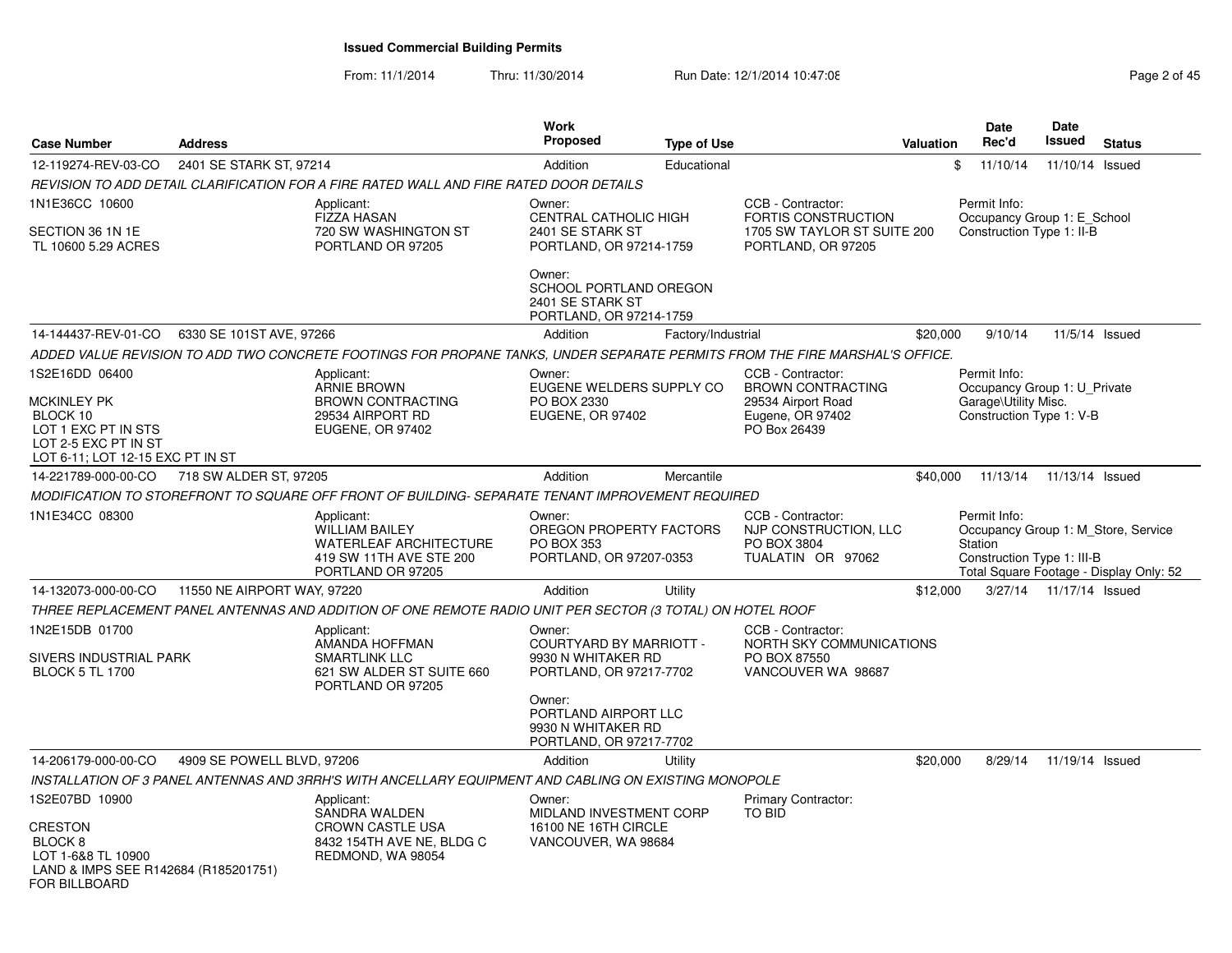From: 11/1/2014Thru: 11/30/2014 Run Date: 12/1/2014 10:47:08 Rege 2 of 45

| <b>Case Number</b>                                                                                                           | <b>Address</b>              |                                                                                                                             | <b>Work</b><br><b>Proposed</b>                                                     | <b>Type of Use</b> |                                                                                                         | Valuation | <b>Date</b><br>Rec'd                                                                             | Date<br>Issued  | <b>Status</b>                           |
|------------------------------------------------------------------------------------------------------------------------------|-----------------------------|-----------------------------------------------------------------------------------------------------------------------------|------------------------------------------------------------------------------------|--------------------|---------------------------------------------------------------------------------------------------------|-----------|--------------------------------------------------------------------------------------------------|-----------------|-----------------------------------------|
| 12-119274-REV-03-CO                                                                                                          | 2401 SE STARK ST, 97214     |                                                                                                                             | Addition                                                                           | Educational        |                                                                                                         |           | \$<br>11/10/14                                                                                   | 11/10/14 Issued |                                         |
|                                                                                                                              |                             | REVISION TO ADD DETAIL CLARIFICATION FOR A FIRE RATED WALL AND FIRE RATED DOOR DETAILS                                      |                                                                                    |                    |                                                                                                         |           |                                                                                                  |                 |                                         |
| 1N1E36CC 10600<br>SECTION 36 1N 1E<br>TL 10600 5.29 ACRES                                                                    |                             | Applicant:<br><b>FIZZA HASAN</b><br>720 SW WASHINGTON ST<br>PORTLAND OR 97205                                               | Owner:<br>CENTRAL CATHOLIC HIGH<br>2401 SE STARK ST<br>PORTLAND, OR 97214-1759     |                    | CCB - Contractor:<br><b>FORTIS CONSTRUCTION</b><br>1705 SW TAYLOR ST SUITE 200<br>PORTLAND, OR 97205    |           | Permit Info:<br>Occupancy Group 1: E School<br>Construction Type 1: II-B                         |                 |                                         |
|                                                                                                                              |                             |                                                                                                                             | Owner:<br>SCHOOL PORTLAND OREGON<br>2401 SE STARK ST<br>PORTLAND, OR 97214-1759    |                    |                                                                                                         |           |                                                                                                  |                 |                                         |
| 14-144437-REV-01-CO                                                                                                          | 6330 SE 101ST AVE, 97266    |                                                                                                                             | Addition                                                                           | Factory/Industrial |                                                                                                         | \$20,000  | 9/10/14                                                                                          |                 | 11/5/14 Issued                          |
|                                                                                                                              |                             | ADDED VALUE REVISION TO ADD TWO CONCRETE FOOTINGS FOR PROPANE TANKS, UNDER SEPARATE PERMITS FROM THE FIRE MARSHAL'S OFFICE. |                                                                                    |                    |                                                                                                         |           |                                                                                                  |                 |                                         |
| 1S2E16DD 06400<br>MCKINLEY PK<br>BLOCK 10<br>LOT 1 EXC PT IN STS<br>LOT 2-5 EXC PT IN ST<br>LOT 6-11; LOT 12-15 EXC PT IN ST |                             | Applicant:<br><b>ARNIE BROWN</b><br><b>BROWN CONTRACTING</b><br>29534 AIRPORT RD<br><b>EUGENE, OR 97402</b>                 | Owner:<br>EUGENE WELDERS SUPPLY CO<br>PO BOX 2330<br><b>EUGENE, OR 97402</b>       |                    | CCB - Contractor:<br><b>BROWN CONTRACTING</b><br>29534 Airport Road<br>Eugene, OR 97402<br>PO Box 26439 |           | Permit Info:<br>Occupancy Group 1: U Private<br>Garage\Utility Misc.<br>Construction Type 1: V-B |                 |                                         |
| 14-221789-000-00-CO                                                                                                          | 718 SW ALDER ST, 97205      |                                                                                                                             | Addition                                                                           | Mercantile         |                                                                                                         | \$40,000  | 11/13/14                                                                                         | 11/13/14 Issued |                                         |
|                                                                                                                              |                             | MODIFICATION TO STOREFRONT TO SQUARE OFF FRONT OF BUILDING- SEPARATE TENANT IMPROVEMENT REQUIRED                            |                                                                                    |                    |                                                                                                         |           |                                                                                                  |                 |                                         |
| 1N1E34CC 08300                                                                                                               |                             | Applicant:<br><b>WILLIAM BAILEY</b><br><b>WATERLEAF ARCHITECTURE</b><br>419 SW 11TH AVE STE 200<br>PORTLAND OR 97205        | Owner:<br>OREGON PROPERTY FACTORS<br><b>PO BOX 353</b><br>PORTLAND, OR 97207-0353  |                    | CCB - Contractor:<br>NJP CONSTRUCTION, LLC<br>PO BOX 3804<br>TUALATIN OR 97062                          |           | Permit Info:<br>Occupancy Group 1: M Store, Service<br>Station<br>Construction Type 1: III-B     |                 | Total Square Footage - Display Only: 52 |
| 14-132073-000-00-CO                                                                                                          | 11550 NE AIRPORT WAY, 97220 |                                                                                                                             | Addition                                                                           | Utility            |                                                                                                         | \$12,000  | 3/27/14                                                                                          | 11/17/14 Issued |                                         |
|                                                                                                                              |                             | THREE REPLACEMENT PANEL ANTENNAS AND ADDITION OF ONE REMOTE RADIO UNIT PER SECTOR (3 TOTAL) ON HOTEL ROOF                   |                                                                                    |                    |                                                                                                         |           |                                                                                                  |                 |                                         |
| 1N2E15DB 01700<br>SIVERS INDUSTRIAL PARK<br><b>BLOCK 5 TL 1700</b>                                                           |                             | Applicant:<br>AMANDA HOFFMAN<br><b>SMARTLINK LLC</b><br>621 SW ALDER ST SUITE 660<br>PORTLAND OR 97205                      | Owner:<br>COURTYARD BY MARRIOTT -<br>9930 N WHITAKER RD<br>PORTLAND, OR 97217-7702 |                    | CCB - Contractor:<br>NORTH SKY COMMUNICATIONS<br>PO BOX 87550<br>VANCOUVER WA 98687                     |           |                                                                                                  |                 |                                         |
|                                                                                                                              |                             |                                                                                                                             | Owner:<br>PORTLAND AIRPORT LLC<br>9930 N WHITAKER RD<br>PORTLAND, OR 97217-7702    |                    |                                                                                                         |           |                                                                                                  |                 |                                         |
| 14-206179-000-00-CO                                                                                                          | 4909 SE POWELL BLVD, 97206  |                                                                                                                             | Addition                                                                           | Utility            |                                                                                                         | \$20,000  | 8/29/14                                                                                          | 11/19/14 Issued |                                         |
|                                                                                                                              |                             | INSTALLATION OF 3 PANEL ANTENNAS AND 3RRH'S WITH ANCELLARY EQUIPMENT AND CABLING ON EXISTING MONOPOLE                       |                                                                                    |                    |                                                                                                         |           |                                                                                                  |                 |                                         |
| 1S2E07BD 10900                                                                                                               |                             | Applicant:<br>SANDRA WALDEN                                                                                                 | Owner:<br>MIDLAND INVESTMENT CORP                                                  |                    | Primary Contractor:<br>TO BID                                                                           |           |                                                                                                  |                 |                                         |
| CRESTON<br>BLOCK 8<br>LOT 1-6&8 TL 10900<br>LAND & IMPS SEE R142684 (R185201751)<br>FOR BILLBOARD                            |                             | <b>CROWN CASTLE USA</b><br>8432 154TH AVE NE, BLDG C<br>REDMOND, WA 98054                                                   | 16100 NE 16TH CIRCLE<br>VANCOUVER, WA 98684                                        |                    |                                                                                                         |           |                                                                                                  |                 |                                         |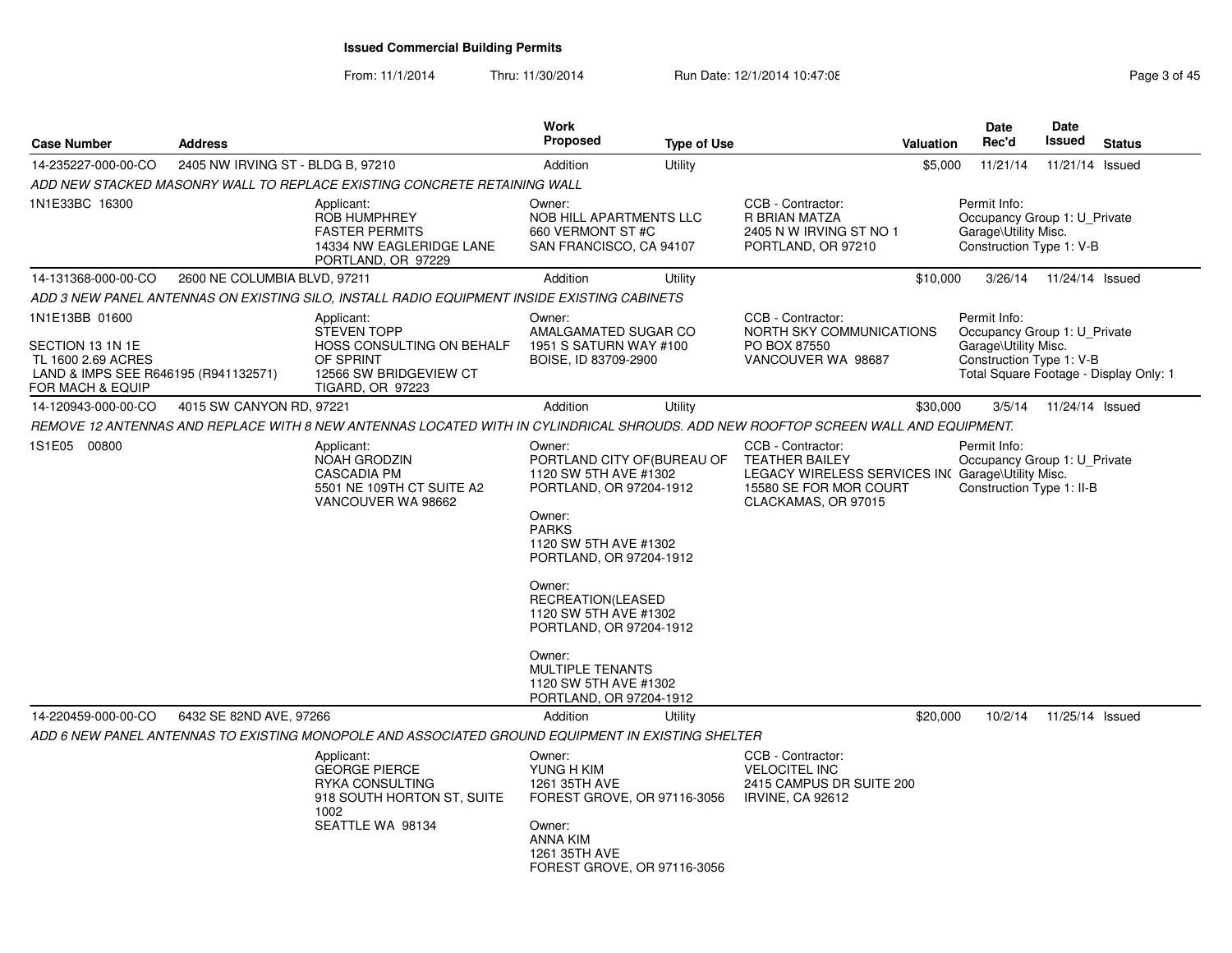From: 11/1/2014

Thru: 11/30/2014 Run Date: 12/1/2014 10:47:08 Rege 3 of 45

| <b>Case Number</b>                                                                                                   | <b>Address</b>                    |                                                                                                                                    | <b>Work</b><br><b>Proposed</b>                                                                                                                                                                                                                                                                                                                      | <b>Type of Use</b> | <b>Valuation</b>                                                                                                                                 | <b>Date</b><br>Rec'd                                                                             | Date<br>Issued  | <b>Status</b>                          |
|----------------------------------------------------------------------------------------------------------------------|-----------------------------------|------------------------------------------------------------------------------------------------------------------------------------|-----------------------------------------------------------------------------------------------------------------------------------------------------------------------------------------------------------------------------------------------------------------------------------------------------------------------------------------------------|--------------------|--------------------------------------------------------------------------------------------------------------------------------------------------|--------------------------------------------------------------------------------------------------|-----------------|----------------------------------------|
| 14-235227-000-00-CO                                                                                                  | 2405 NW IRVING ST - BLDG B, 97210 |                                                                                                                                    | Addition                                                                                                                                                                                                                                                                                                                                            | Utility            | \$5,000                                                                                                                                          | 11/21/14                                                                                         | 11/21/14 Issued |                                        |
|                                                                                                                      |                                   | ADD NEW STACKED MASONRY WALL TO REPLACE EXISTING CONCRETE RETAINING WALL                                                           |                                                                                                                                                                                                                                                                                                                                                     |                    |                                                                                                                                                  |                                                                                                  |                 |                                        |
| 1N1E33BC 16300                                                                                                       |                                   | Applicant:<br><b>ROB HUMPHREY</b><br><b>FASTER PERMITS</b><br>14334 NW EAGLERIDGE LANE<br>PORTLAND, OR 97229                       | Owner:<br>NOB HILL APARTMENTS LLC<br>660 VERMONT ST #C<br>SAN FRANCISCO, CA 94107                                                                                                                                                                                                                                                                   |                    | CCB - Contractor:<br><b>R BRIAN MATZA</b><br>2405 N W IRVING ST NO 1<br>PORTLAND, OR 97210                                                       | Permit Info:<br>Occupancy Group 1: U_Private<br>Garage\Utility Misc.<br>Construction Type 1: V-B |                 |                                        |
| 14-131368-000-00-CO                                                                                                  | 2600 NE COLUMBIA BLVD, 97211      |                                                                                                                                    | Addition                                                                                                                                                                                                                                                                                                                                            | Utility            | \$10,000                                                                                                                                         | 3/26/14                                                                                          | 11/24/14 Issued |                                        |
|                                                                                                                      |                                   | ADD 3 NEW PANEL ANTENNAS ON EXISTING SILO, INSTALL RADIO EQUIPMENT INSIDE EXISTING CABINETS                                        |                                                                                                                                                                                                                                                                                                                                                     |                    |                                                                                                                                                  |                                                                                                  |                 |                                        |
| 1N1E13BB 01600<br>SECTION 13 1N 1E<br>TL 1600 2.69 ACRES<br>LAND & IMPS SEE R646195 (R941132571)<br>FOR MACH & EQUIP |                                   | Applicant:<br><b>STEVEN TOPP</b><br>HOSS CONSULTING ON BEHALF<br>OF SPRINT<br>12566 SW BRIDGEVIEW CT<br>TIGARD, OR 97223           | Owner:<br>AMALGAMATED SUGAR CO<br>1951 S SATURN WAY #100<br>BOISE, ID 83709-2900                                                                                                                                                                                                                                                                    |                    | CCB - Contractor:<br>NORTH SKY COMMUNICATIONS<br>PO BOX 87550<br>VANCOUVER WA 98687                                                              | Permit Info:<br>Occupancy Group 1: U Private<br>Garage\Utility Misc.<br>Construction Type 1: V-B |                 | Total Square Footage - Display Only: 1 |
| 14-120943-000-00-CO                                                                                                  | 4015 SW CANYON RD, 97221          |                                                                                                                                    | Addition                                                                                                                                                                                                                                                                                                                                            | Utility            | \$30,000                                                                                                                                         | 3/5/14                                                                                           | 11/24/14 Issued |                                        |
|                                                                                                                      |                                   | REMOVE 12 ANTENNAS AND REPLACE WITH 8 NEW ANTENNAS LOCATED WITH IN CYLINDRICAL SHROUDS. ADD NEW ROOFTOP SCREEN WALL AND EQUIPMENT. |                                                                                                                                                                                                                                                                                                                                                     |                    |                                                                                                                                                  |                                                                                                  |                 |                                        |
| 1S1E05 00800                                                                                                         |                                   | Applicant:<br>NOAH GRODZIN<br><b>CASCADIA PM</b><br>5501 NE 109TH CT SUITE A2<br>VANCOUVER WA 98662                                | Owner:<br>PORTLAND CITY OF (BUREAU OF<br>1120 SW 5TH AVE #1302<br>PORTLAND, OR 97204-1912<br>Owner:<br><b>PARKS</b><br>1120 SW 5TH AVE #1302<br>PORTLAND, OR 97204-1912<br>Owner:<br>RECREATION(LEASED<br>1120 SW 5TH AVE #1302<br>PORTLAND, OR 97204-1912<br>Owner:<br><b>MULTIPLE TENANTS</b><br>1120 SW 5TH AVE #1302<br>PORTLAND, OR 97204-1912 |                    | CCB - Contractor:<br><b>TEATHER BAILEY</b><br>LEGACY WIRELESS SERVICES IN( Garage\Utility Misc.<br>15580 SE FOR MOR COURT<br>CLACKAMAS, OR 97015 | Permit Info:<br>Occupancy Group 1: U_Private<br>Construction Type 1: II-B                        |                 |                                        |
| 14-220459-000-00-CO                                                                                                  | 6432 SE 82ND AVE, 97266           |                                                                                                                                    | Addition                                                                                                                                                                                                                                                                                                                                            | Utility            | \$20,000                                                                                                                                         | 10/2/14                                                                                          | 11/25/14 Issued |                                        |
|                                                                                                                      |                                   | ADD 6 NEW PANEL ANTENNAS TO EXISTING MONOPOLE AND ASSOCIATED GROUND EQUIPMENT IN EXISTING SHELTER                                  |                                                                                                                                                                                                                                                                                                                                                     |                    |                                                                                                                                                  |                                                                                                  |                 |                                        |
|                                                                                                                      |                                   | Applicant:<br><b>GEORGE PIERCE</b><br>RYKA CONSULTING<br>918 SOUTH HORTON ST, SUITE<br>1002<br>SEATTLE WA 98134                    | Owner:<br>YUNG H KIM<br>1261 35TH AVE<br>FOREST GROVE, OR 97116-3056<br>Owner:<br><b>ANNA KIM</b><br>1261 35TH AVE<br>FOREST GROVE, OR 97116-3056                                                                                                                                                                                                   |                    | CCB - Contractor:<br><b>VELOCITEL INC</b><br>2415 CAMPUS DR SUITE 200<br><b>IRVINE, CA 92612</b>                                                 |                                                                                                  |                 |                                        |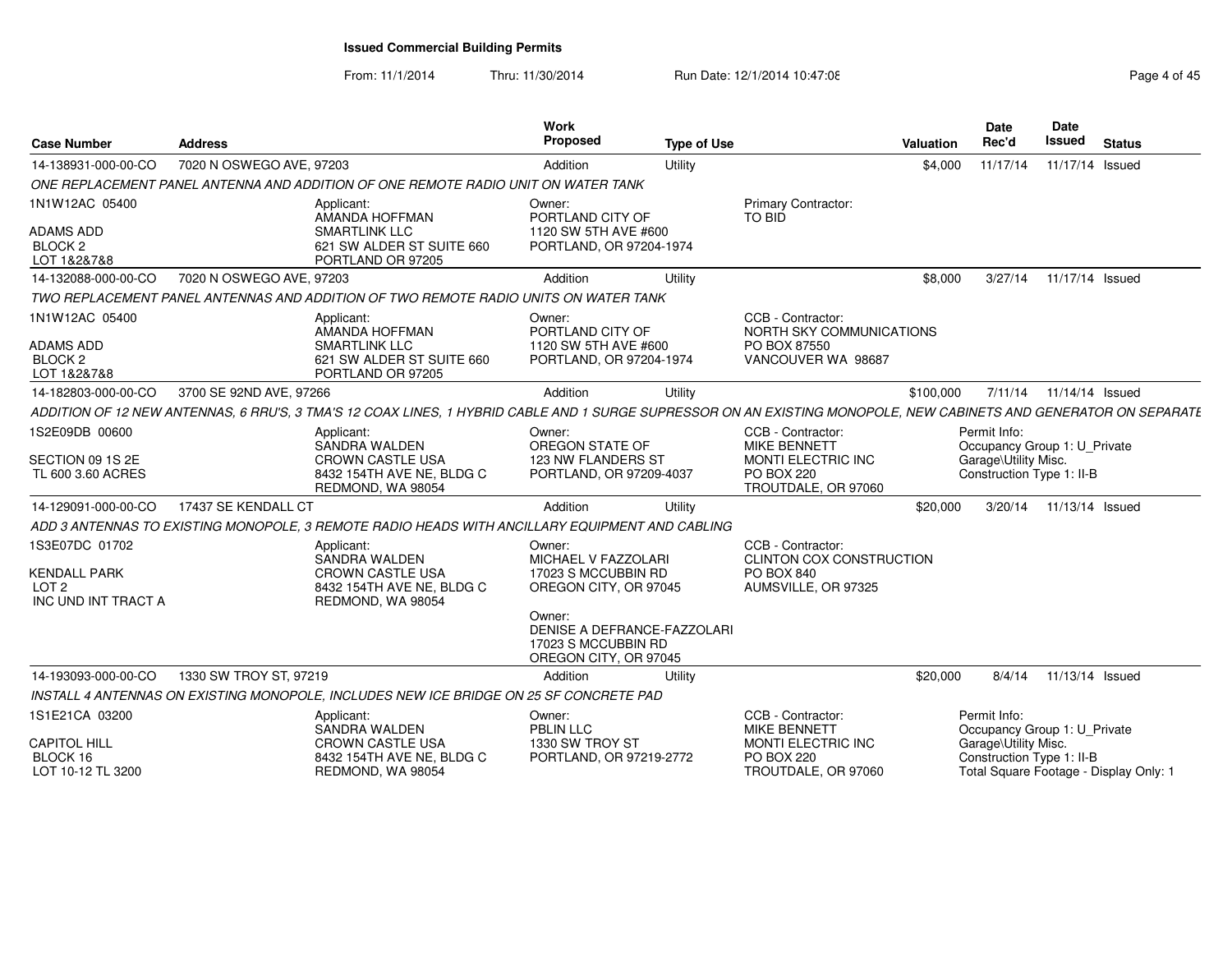From: 11/1/2014Thru: 11/30/2014 Run Date: 12/1/2014 10:47:08 Rege 4 of 45

| <b>Case Number</b>                                      | <b>Address</b>           |                                                                                                                                                                   | Work<br>Proposed                                                                                               | <b>Type of Use</b> |                                                                                                            | <b>Valuation</b> | <b>Date</b><br>Rec'd                                                                              | Date<br><b>Issued</b>   | <b>Status</b>                          |
|---------------------------------------------------------|--------------------------|-------------------------------------------------------------------------------------------------------------------------------------------------------------------|----------------------------------------------------------------------------------------------------------------|--------------------|------------------------------------------------------------------------------------------------------------|------------------|---------------------------------------------------------------------------------------------------|-------------------------|----------------------------------------|
| 14-138931-000-00-CO                                     | 7020 N OSWEGO AVE, 97203 |                                                                                                                                                                   | Addition                                                                                                       | Utility            |                                                                                                            | \$4,000          | 11/17/14                                                                                          | 11/17/14 Issued         |                                        |
|                                                         |                          | ONE REPLACEMENT PANEL ANTENNA AND ADDITION OF ONE REMOTE RADIO UNIT ON WATER TANK                                                                                 |                                                                                                                |                    |                                                                                                            |                  |                                                                                                   |                         |                                        |
| 1N1W12AC 05400<br>ADAMS ADD                             |                          | Applicant:<br>AMANDA HOFFMAN<br><b>SMARTLINK LLC</b>                                                                                                              | Owner:<br>PORTLAND CITY OF<br>1120 SW 5TH AVE #600                                                             |                    | Primary Contractor:<br>TO BID                                                                              |                  |                                                                                                   |                         |                                        |
| BLOCK <sub>2</sub><br>LOT 1&2&7&8                       |                          | 621 SW ALDER ST SUITE 660<br>PORTLAND OR 97205                                                                                                                    | PORTLAND, OR 97204-1974                                                                                        |                    |                                                                                                            |                  |                                                                                                   |                         |                                        |
| 14-132088-000-00-CO                                     | 7020 N OSWEGO AVE, 97203 |                                                                                                                                                                   | Addition                                                                                                       | Utility            |                                                                                                            | \$8,000          | 3/27/14                                                                                           | 11/17/14 Issued         |                                        |
|                                                         |                          | TWO REPLACEMENT PANEL ANTENNAS AND ADDITION OF TWO REMOTE RADIO UNITS ON WATER TANK                                                                               |                                                                                                                |                    |                                                                                                            |                  |                                                                                                   |                         |                                        |
| 1N1W12AC 05400<br>ADAMS ADD                             |                          | Applicant:<br>AMANDA HOFFMAN<br><b>SMARTLINK LLC</b>                                                                                                              | Owner:<br>PORTLAND CITY OF<br>1120 SW 5TH AVE #600                                                             |                    | CCB - Contractor:<br>NORTH SKY COMMUNICATIONS<br>PO BOX 87550                                              |                  |                                                                                                   |                         |                                        |
| BLOCK <sub>2</sub><br>LOT 1&2&7&8                       |                          | 621 SW ALDER ST SUITE 660<br>PORTLAND OR 97205                                                                                                                    | PORTLAND, OR 97204-1974                                                                                        |                    | VANCOUVER WA 98687                                                                                         |                  |                                                                                                   |                         |                                        |
| 14-182803-000-00-CO                                     | 3700 SE 92ND AVE, 97266  |                                                                                                                                                                   | Addition                                                                                                       | Utility            |                                                                                                            | \$100,000        |                                                                                                   | 7/11/14 11/14/14 Issued |                                        |
|                                                         |                          | ADDITION OF 12 NEW ANTENNAS, 6 RRU'S, 3 TMA'S 12 COAX LINES, 1 HYBRID CABLE AND 1 SURGE SUPRESSOR ON AN EXISTING MONOPOLE, NEW CABINETS AND GENERATOR ON SEPARATE |                                                                                                                |                    |                                                                                                            |                  |                                                                                                   |                         |                                        |
| 1S2E09DB 00600<br>SECTION 09 1S 2E<br>TL 600 3.60 ACRES |                          | Applicant:<br>SANDRA WALDEN<br><b>CROWN CASTLE USA</b><br>8432 154TH AVE NE, BLDG C<br>REDMOND, WA 98054                                                          | Owner:<br>OREGON STATE OF<br>123 NW FLANDERS ST<br>PORTLAND, OR 97209-4037                                     |                    | CCB - Contractor:<br><b>MIKE BENNETT</b><br>MONTI ELECTRIC INC<br><b>PO BOX 220</b><br>TROUTDALE, OR 97060 |                  | Permit Info:<br>Occupancy Group 1: U_Private<br>Garage\Utility Misc.<br>Construction Type 1: II-B |                         |                                        |
| 14-129091-000-00-CO                                     | 17437 SE KENDALL CT      |                                                                                                                                                                   | Addition                                                                                                       | Utility            |                                                                                                            | \$20,000         | 3/20/14                                                                                           | 11/13/14 Issued         |                                        |
|                                                         |                          | ADD 3 ANTENNAS TO EXISTING MONOPOLE, 3 REMOTE RADIO HEADS WITH ANCILLARY EQUIPMENT AND CABLING                                                                    |                                                                                                                |                    |                                                                                                            |                  |                                                                                                   |                         |                                        |
| 1S3E07DC 01702<br><b>KENDALL PARK</b>                   |                          | Applicant:<br><b>SANDRA WALDEN</b><br><b>CROWN CASTLE USA</b>                                                                                                     | Owner:<br>MICHAEL V FAZZOLARI<br>17023 S MCCUBBIN RD                                                           |                    | CCB - Contractor:<br><b>CLINTON COX CONSTRUCTION</b><br>PO BOX 840                                         |                  |                                                                                                   |                         |                                        |
| LOT <sub>2</sub><br>INC UND INT TRACT A                 |                          | 8432 154TH AVE NE, BLDG C<br>REDMOND, WA 98054                                                                                                                    | OREGON CITY, OR 97045<br>Owner:<br>DENISE A DEFRANCE-FAZZOLARI<br>17023 S MCCUBBIN RD<br>OREGON CITY, OR 97045 |                    | AUMSVILLE, OR 97325                                                                                        |                  |                                                                                                   |                         |                                        |
| 14-193093-000-00-CO                                     | 1330 SW TROY ST, 97219   |                                                                                                                                                                   | Addition                                                                                                       | Utility            |                                                                                                            | \$20,000         | 8/4/14                                                                                            | 11/13/14 Issued         |                                        |
|                                                         |                          | INSTALL 4 ANTENNAS ON EXISTING MONOPOLE, INCLUDES NEW ICE BRIDGE ON 25 SF CONCRETE PAD                                                                            |                                                                                                                |                    |                                                                                                            |                  |                                                                                                   |                         |                                        |
| 1S1E21CA 03200                                          |                          | Applicant:<br>SANDRA WALDEN                                                                                                                                       | Owner:<br><b>PBLIN LLC</b>                                                                                     |                    | CCB - Contractor:<br><b>MIKE BENNETT</b>                                                                   |                  | Permit Info:<br>Occupancy Group 1: U_Private                                                      |                         |                                        |
| <b>CAPITOL HILL</b><br>BLOCK 16<br>LOT 10-12 TL 3200    |                          | <b>CROWN CASTLE USA</b><br>8432 154TH AVE NE, BLDG C<br>REDMOND, WA 98054                                                                                         | 1330 SW TROY ST<br>PORTLAND, OR 97219-2772                                                                     |                    | MONTI ELECTRIC INC<br><b>PO BOX 220</b><br>TROUTDALE, OR 97060                                             |                  | Garage\Utility Misc.<br>Construction Type 1: II-B                                                 |                         | Total Square Footage - Display Only: 1 |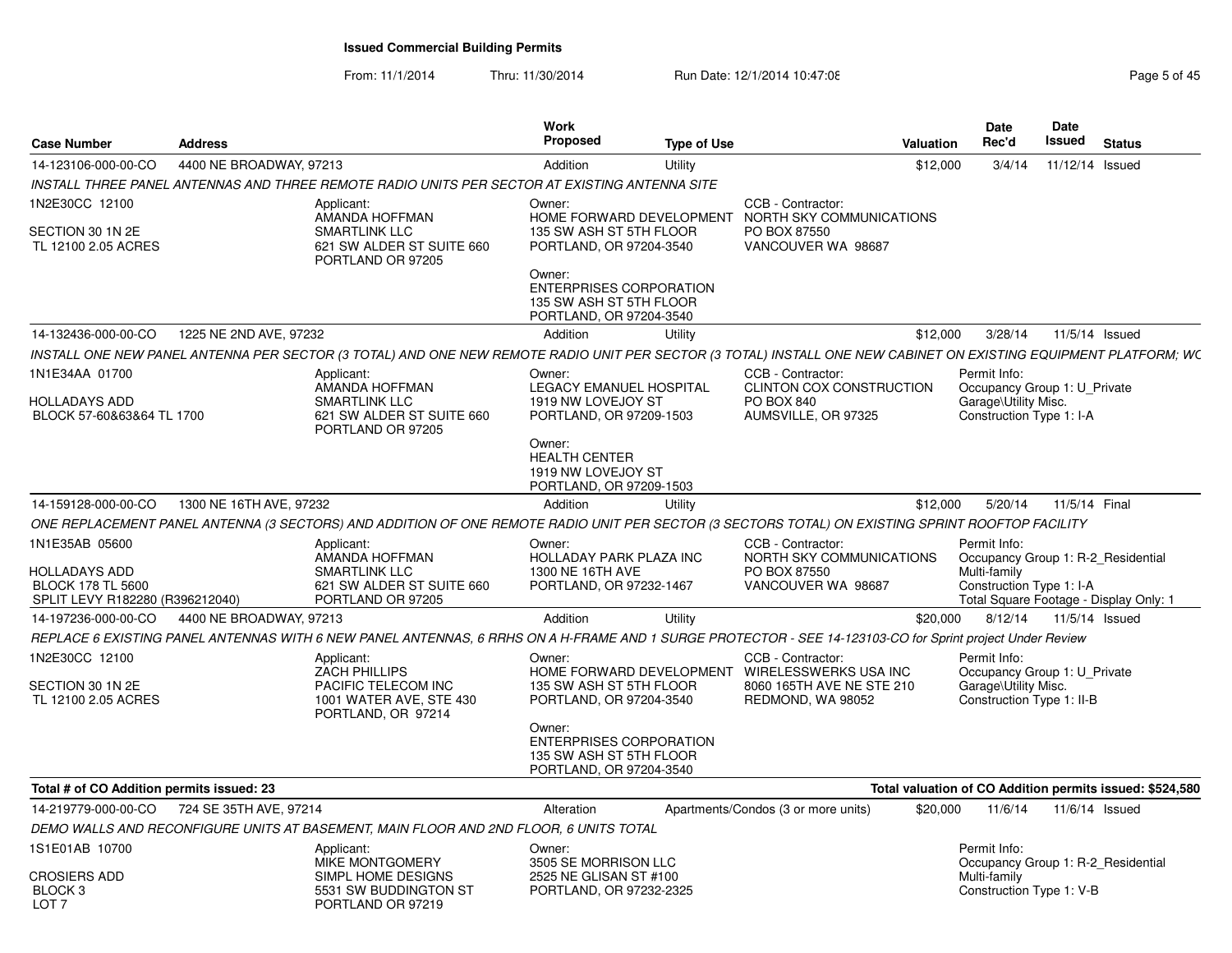From: 11/1/2014Thru: 11/30/2014 Run Date: 12/1/2014 10:47:08 Research 2010 Rage 5 of 45

| 4400 NE BROADWAY, 97213<br>14-123106-000-00-CO<br>Addition<br>Utility<br>\$12,000<br>3/4/14<br>INSTALL THREE PANEL ANTENNAS AND THREE REMOTE RADIO UNITS PER SECTOR AT EXISTING ANTENNA SITE<br>1N2E30CC 12100<br>CCB - Contractor:<br>Applicant:<br>Owner:<br>AMANDA HOFFMAN<br>HOME FORWARD DEVELOPMENT NORTH SKY COMMUNICATIONS<br><b>SMARTLINK LLC</b><br>135 SW ASH ST 5TH FLOOR<br>PO BOX 87550<br>SECTION 30 1N 2E<br>PORTLAND, OR 97204-3540<br>TL 12100 2.05 ACRES<br>621 SW ALDER ST SUITE 660<br>VANCOUVER WA 98687<br>PORTLAND OR 97205<br>Owner:<br><b>ENTERPRISES CORPORATION</b><br>135 SW ASH ST 5TH FLOOR<br>PORTLAND, OR 97204-3540<br>1225 NE 2ND AVE, 97232<br>Addition<br>\$12,000<br>3/28/14<br>14-132436-000-00-CO<br>Utility<br>INSTALL ONE NEW PANEL ANTENNA PER SECTOR (3 TOTAL) AND ONE NEW REMOTE RADIO UNIT PER SECTOR (3 TOTAL) INSTALL ONE NEW CABINET ON EXISTING EQUIPMENT PLATFORM; WC<br>1N1E34AA 01700<br>CCB - Contractor:<br>Permit Info:<br>Applicant:<br>Owner:<br>AMANDA HOFFMAN<br>LEGACY EMANUEL HOSPITAL<br>CLINTON COX CONSTRUCTION<br><b>SMARTLINK LLC</b><br>1919 NW LOVEJOY ST<br>PO BOX 840<br>Garage\Utility Misc.<br><b>HOLLADAYS ADD</b><br>621 SW ALDER ST SUITE 660<br>PORTLAND, OR 97209-1503<br>AUMSVILLE, OR 97325<br>Construction Type 1: I-A<br>BLOCK 57-60&63&64 TL 1700<br>PORTLAND OR 97205 | 11/12/14 Issued<br>11/5/14 Issued<br>Occupancy Group 1: U_Private |
|-----------------------------------------------------------------------------------------------------------------------------------------------------------------------------------------------------------------------------------------------------------------------------------------------------------------------------------------------------------------------------------------------------------------------------------------------------------------------------------------------------------------------------------------------------------------------------------------------------------------------------------------------------------------------------------------------------------------------------------------------------------------------------------------------------------------------------------------------------------------------------------------------------------------------------------------------------------------------------------------------------------------------------------------------------------------------------------------------------------------------------------------------------------------------------------------------------------------------------------------------------------------------------------------------------------------------------------------------------------|-------------------------------------------------------------------|
|                                                                                                                                                                                                                                                                                                                                                                                                                                                                                                                                                                                                                                                                                                                                                                                                                                                                                                                                                                                                                                                                                                                                                                                                                                                                                                                                                           |                                                                   |
|                                                                                                                                                                                                                                                                                                                                                                                                                                                                                                                                                                                                                                                                                                                                                                                                                                                                                                                                                                                                                                                                                                                                                                                                                                                                                                                                                           |                                                                   |
|                                                                                                                                                                                                                                                                                                                                                                                                                                                                                                                                                                                                                                                                                                                                                                                                                                                                                                                                                                                                                                                                                                                                                                                                                                                                                                                                                           |                                                                   |
|                                                                                                                                                                                                                                                                                                                                                                                                                                                                                                                                                                                                                                                                                                                                                                                                                                                                                                                                                                                                                                                                                                                                                                                                                                                                                                                                                           |                                                                   |
|                                                                                                                                                                                                                                                                                                                                                                                                                                                                                                                                                                                                                                                                                                                                                                                                                                                                                                                                                                                                                                                                                                                                                                                                                                                                                                                                                           |                                                                   |
|                                                                                                                                                                                                                                                                                                                                                                                                                                                                                                                                                                                                                                                                                                                                                                                                                                                                                                                                                                                                                                                                                                                                                                                                                                                                                                                                                           |                                                                   |
|                                                                                                                                                                                                                                                                                                                                                                                                                                                                                                                                                                                                                                                                                                                                                                                                                                                                                                                                                                                                                                                                                                                                                                                                                                                                                                                                                           |                                                                   |
|                                                                                                                                                                                                                                                                                                                                                                                                                                                                                                                                                                                                                                                                                                                                                                                                                                                                                                                                                                                                                                                                                                                                                                                                                                                                                                                                                           |                                                                   |
|                                                                                                                                                                                                                                                                                                                                                                                                                                                                                                                                                                                                                                                                                                                                                                                                                                                                                                                                                                                                                                                                                                                                                                                                                                                                                                                                                           |                                                                   |
| Owner:<br><b>HEALTH CENTER</b><br>1919 NW LOVEJOY ST<br>PORTLAND, OR 97209-1503                                                                                                                                                                                                                                                                                                                                                                                                                                                                                                                                                                                                                                                                                                                                                                                                                                                                                                                                                                                                                                                                                                                                                                                                                                                                           |                                                                   |
| 1300 NE 16TH AVE, 97232<br>5/20/14<br>14-159128-000-00-CO<br>Addition<br>Utility<br>\$12,000                                                                                                                                                                                                                                                                                                                                                                                                                                                                                                                                                                                                                                                                                                                                                                                                                                                                                                                                                                                                                                                                                                                                                                                                                                                              | 11/5/14 Final                                                     |
| ONE REPLACEMENT PANEL ANTENNA (3 SECTORS) AND ADDITION OF ONE REMOTE RADIO UNIT PER SECTOR (3 SECTORS TOTAL) ON EXISTING SPRINT ROOFTOP FACILITY                                                                                                                                                                                                                                                                                                                                                                                                                                                                                                                                                                                                                                                                                                                                                                                                                                                                                                                                                                                                                                                                                                                                                                                                          |                                                                   |
| CCB - Contractor:<br>1N1E35AB 05600<br>Owner:<br>Permit Info:<br>Applicant:<br>AMANDA HOFFMAN                                                                                                                                                                                                                                                                                                                                                                                                                                                                                                                                                                                                                                                                                                                                                                                                                                                                                                                                                                                                                                                                                                                                                                                                                                                             |                                                                   |
| HOLLADAY PARK PLAZA INC<br>NORTH SKY COMMUNICATIONS<br>Multi-family<br>1300 NE 16TH AVE<br>PO BOX 87550<br><b>HOLLADAYS ADD</b><br><b>SMARTLINK LLC</b><br><b>BLOCK 178 TL 5600</b><br>621 SW ALDER ST SUITE 660<br>PORTLAND, OR 97232-1467<br>VANCOUVER WA 98687<br>Construction Type 1: I-A                                                                                                                                                                                                                                                                                                                                                                                                                                                                                                                                                                                                                                                                                                                                                                                                                                                                                                                                                                                                                                                             | Occupancy Group 1: R-2_Residential                                |
| SPLIT LEVY R182280 (R396212040)<br>PORTLAND OR 97205<br>4400 NE BROADWAY, 97213<br>Addition<br>\$20,000<br>8/12/14<br>14-197236-000-00-CO<br>Utility                                                                                                                                                                                                                                                                                                                                                                                                                                                                                                                                                                                                                                                                                                                                                                                                                                                                                                                                                                                                                                                                                                                                                                                                      | Total Square Footage - Display Only: 1<br>11/5/14 Issued          |
| REPLACE 6 EXISTING PANEL ANTENNAS WITH 6 NEW PANEL ANTENNAS, 6 RRHS ON A H-FRAME AND 1 SURGE PROTECTOR - SEE 14-123103-CO for Sprint project Under Review                                                                                                                                                                                                                                                                                                                                                                                                                                                                                                                                                                                                                                                                                                                                                                                                                                                                                                                                                                                                                                                                                                                                                                                                 |                                                                   |
| CCB - Contractor:<br>Permit Info:<br>1N2E30CC 12100<br>Applicant:<br>Owner:                                                                                                                                                                                                                                                                                                                                                                                                                                                                                                                                                                                                                                                                                                                                                                                                                                                                                                                                                                                                                                                                                                                                                                                                                                                                               |                                                                   |
| <b>ZACH PHILLIPS</b><br>HOME FORWARD DEVELOPMENT WIRELESSWERKS USA INC<br>PACIFIC TELECOM INC<br>8060 165TH AVE NE STE 210<br>Garage\Utility Misc.<br>SECTION 30 1N 2E<br>135 SW ASH ST 5TH FLOOR<br>1001 WATER AVE, STE 430<br>REDMOND, WA 98052<br>Construction Type 1: II-B<br>TL 12100 2.05 ACRES<br>PORTLAND, OR 97204-3540                                                                                                                                                                                                                                                                                                                                                                                                                                                                                                                                                                                                                                                                                                                                                                                                                                                                                                                                                                                                                          | Occupancy Group 1: U_Private                                      |
| PORTLAND, OR 97214<br>Owner:<br><b>ENTERPRISES CORPORATION</b><br>135 SW ASH ST 5TH FLOOR<br>PORTLAND, OR 97204-3540                                                                                                                                                                                                                                                                                                                                                                                                                                                                                                                                                                                                                                                                                                                                                                                                                                                                                                                                                                                                                                                                                                                                                                                                                                      |                                                                   |
| Total valuation of CO Addition permits issued: \$524,580<br>Total # of CO Addition permits issued: 23                                                                                                                                                                                                                                                                                                                                                                                                                                                                                                                                                                                                                                                                                                                                                                                                                                                                                                                                                                                                                                                                                                                                                                                                                                                     |                                                                   |
| 724 SE 35TH AVE, 97214<br>14-219779-000-00-CO<br>Apartments/Condos (3 or more units)<br>11/6/14<br>Alteration<br>\$20,000                                                                                                                                                                                                                                                                                                                                                                                                                                                                                                                                                                                                                                                                                                                                                                                                                                                                                                                                                                                                                                                                                                                                                                                                                                 | $11/6/14$ Issued                                                  |
| DEMO WALLS AND RECONFIGURE UNITS AT BASEMENT, MAIN FLOOR AND 2ND FLOOR, 6 UNITS TOTAL                                                                                                                                                                                                                                                                                                                                                                                                                                                                                                                                                                                                                                                                                                                                                                                                                                                                                                                                                                                                                                                                                                                                                                                                                                                                     |                                                                   |
| 1S1E01AB 10700<br>Permit Info:<br>Applicant:<br>Owner:<br>MIKE MONTGOMERY<br>3505 SE MORRISON LLC                                                                                                                                                                                                                                                                                                                                                                                                                                                                                                                                                                                                                                                                                                                                                                                                                                                                                                                                                                                                                                                                                                                                                                                                                                                         | Occupancy Group 1: R-2 Residential                                |
| <b>CROSIERS ADD</b><br>SIMPL HOME DESIGNS<br>2525 NE GLISAN ST #100<br>Multi-family<br>BLOCK <sub>3</sub><br>5531 SW BUDDINGTON ST<br>PORTLAND, OR 97232-2325<br>Construction Type 1: V-B<br>PORTLAND OR 97219<br>LOT <sub>7</sub>                                                                                                                                                                                                                                                                                                                                                                                                                                                                                                                                                                                                                                                                                                                                                                                                                                                                                                                                                                                                                                                                                                                        |                                                                   |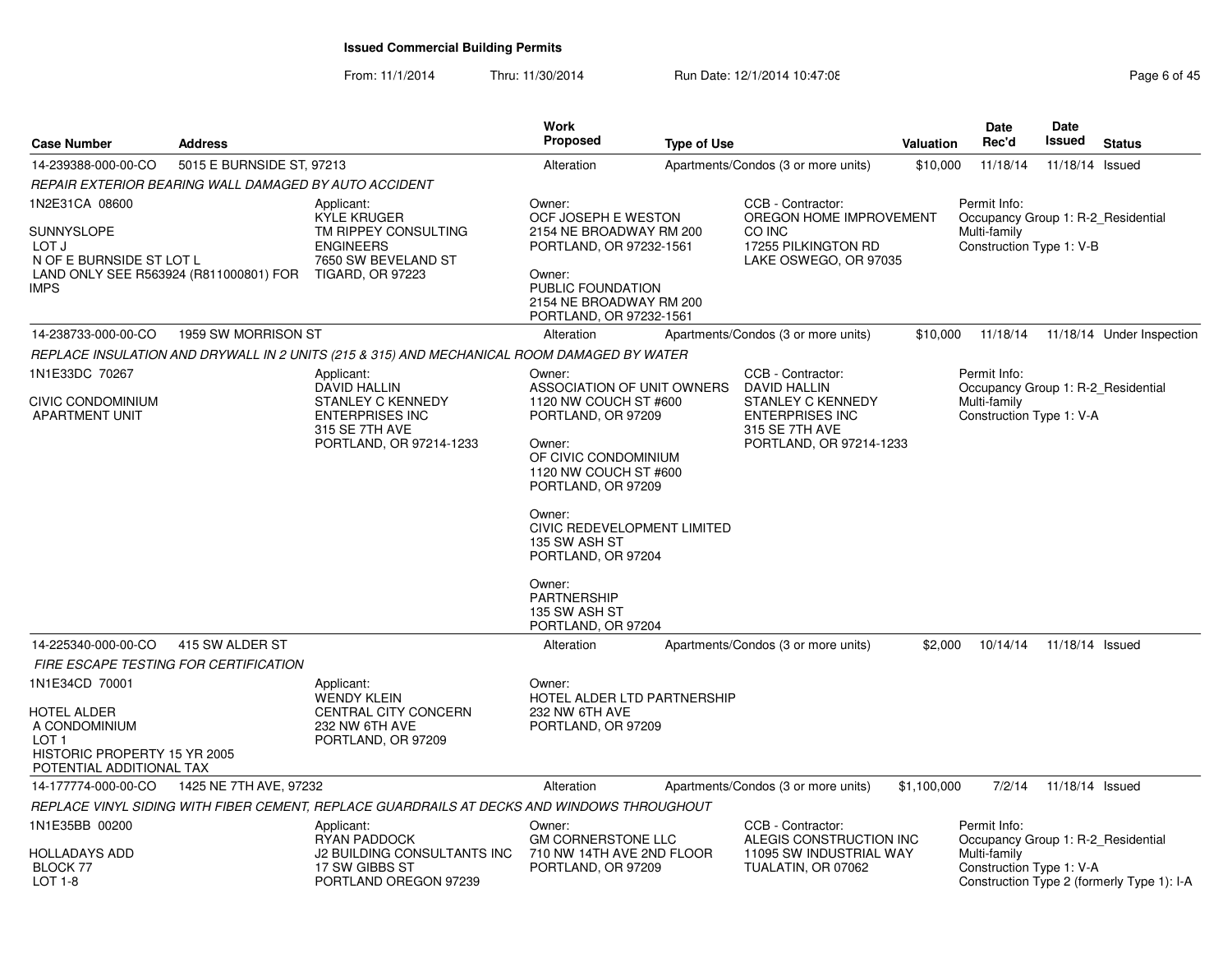From: 11/1/2014

Thru: 11/30/2014 Run Date: 12/1/2014 10:47:08 Research 2010 Rage 6 of 45

| <b>Case Number</b>                                                                                                                    | <b>Address</b>                                          |                                                                                                                 | <b>Work</b><br>Proposed                                                                                                                                                                                                                                                                                           | <b>Type of Use</b> |                                                                                                                 | Valuation   | <b>Date</b><br>Rec'd                                                                           | Date<br><b>Issued</b> | <b>Status</b>                              |
|---------------------------------------------------------------------------------------------------------------------------------------|---------------------------------------------------------|-----------------------------------------------------------------------------------------------------------------|-------------------------------------------------------------------------------------------------------------------------------------------------------------------------------------------------------------------------------------------------------------------------------------------------------------------|--------------------|-----------------------------------------------------------------------------------------------------------------|-------------|------------------------------------------------------------------------------------------------|-----------------------|--------------------------------------------|
| 14-239388-000-00-CO                                                                                                                   | 5015 E BURNSIDE ST, 97213                               |                                                                                                                 | Alteration                                                                                                                                                                                                                                                                                                        |                    | Apartments/Condos (3 or more units)                                                                             | \$10,000    | 11/18/14                                                                                       | 11/18/14              | Issued                                     |
|                                                                                                                                       | REPAIR EXTERIOR BEARING WALL DAMAGED BY AUTO ACCIDENT   |                                                                                                                 |                                                                                                                                                                                                                                                                                                                   |                    |                                                                                                                 |             |                                                                                                |                       |                                            |
| 1N2E31CA 08600<br>SUNNYSLOPE<br>LOT J<br>N OF E BURNSIDE ST LOT L<br><b>IMPS</b>                                                      | LAND ONLY SEE R563924 (R811000801) FOR TIGARD, OR 97223 | Applicant:<br><b>KYLE KRUGER</b><br>TM RIPPEY CONSULTING<br><b>ENGINEERS</b><br>7650 SW BEVELAND ST             | Owner:<br>OCF JOSEPH E WESTON<br>2154 NE BROADWAY RM 200<br>PORTLAND, OR 97232-1561<br>Owner:<br>PUBLIC FOUNDATION<br>2154 NE BROADWAY RM 200<br>PORTLAND, OR 97232-1561                                                                                                                                          |                    | CCB - Contractor:<br>OREGON HOME IMPROVEMENT<br>CO INC<br>17255 PILKINGTON RD<br>LAKE OSWEGO, OR 97035          |             | Permit Info:<br>Occupancy Group 1: R-2 Residential<br>Multi-family<br>Construction Type 1: V-B |                       |                                            |
| 14-238733-000-00-CO                                                                                                                   | 1959 SW MORRISON ST                                     |                                                                                                                 | Alteration                                                                                                                                                                                                                                                                                                        |                    | Apartments/Condos (3 or more units)                                                                             | \$10,000    | 11/18/14                                                                                       |                       | 11/18/14 Under Inspection                  |
|                                                                                                                                       |                                                         | REPLACE INSULATION AND DRYWALL IN 2 UNITS (215 & 315) AND MECHANICAL ROOM DAMAGED BY WATER                      |                                                                                                                                                                                                                                                                                                                   |                    |                                                                                                                 |             |                                                                                                |                       |                                            |
| 1N1E33DC 70267                                                                                                                        |                                                         | Applicant:                                                                                                      | Owner:                                                                                                                                                                                                                                                                                                            |                    | CCB - Contractor:                                                                                               |             | Permit Info:                                                                                   |                       |                                            |
| CIVIC CONDOMINIUM<br>APARTMENT UNIT                                                                                                   |                                                         | DAVID HALLIN<br><b>STANLEY C KENNEDY</b><br><b>ENTERPRISES INC</b><br>315 SE 7TH AVE<br>PORTLAND, OR 97214-1233 | ASSOCIATION OF UNIT OWNERS<br>1120 NW COUCH ST #600<br>PORTLAND, OR 97209<br>Owner:<br>OF CIVIC CONDOMINIUM<br>1120 NW COUCH ST #600<br>PORTLAND, OR 97209<br>Owner:<br>CIVIC REDEVELOPMENT LIMITED<br>135 SW ASH ST<br>PORTLAND, OR 97204<br>Owner:<br><b>PARTNERSHIP</b><br>135 SW ASH ST<br>PORTLAND, OR 97204 |                    | DAVID HALLIN<br><b>STANLEY C KENNEDY</b><br><b>ENTERPRISES INC</b><br>315 SE 7TH AVE<br>PORTLAND, OR 97214-1233 |             | Occupancy Group 1: R-2 Residential<br>Multi-family<br>Construction Type 1: V-A                 |                       |                                            |
| 14-225340-000-00-CO                                                                                                                   | 415 SW ALDER ST                                         |                                                                                                                 | Alteration                                                                                                                                                                                                                                                                                                        |                    | Apartments/Condos (3 or more units)                                                                             | \$2,000     | 10/14/14                                                                                       | 11/18/14 Issued       |                                            |
|                                                                                                                                       | FIRE ESCAPE TESTING FOR CERTIFICATION                   |                                                                                                                 |                                                                                                                                                                                                                                                                                                                   |                    |                                                                                                                 |             |                                                                                                |                       |                                            |
| 1N1E34CD 70001<br><b>HOTEL ALDER</b><br>A CONDOMINIUM<br>LOT <sub>1</sub><br>HISTORIC PROPERTY 15 YR 2005<br>POTENTIAL ADDITIONAL TAX |                                                         | Applicant:<br><b>WENDY KLEIN</b><br>CENTRAL CITY CONCERN<br>232 NW 6TH AVE<br>PORTLAND, OR 97209                | Owner:<br>HOTEL ALDER LTD PARTNERSHIP<br>232 NW 6TH AVE<br>PORTLAND, OR 97209                                                                                                                                                                                                                                     |                    |                                                                                                                 |             |                                                                                                |                       |                                            |
| 14-177774-000-00-CO                                                                                                                   | 1425 NE 7TH AVE, 97232                                  |                                                                                                                 | Alteration                                                                                                                                                                                                                                                                                                        |                    | Apartments/Condos (3 or more units)                                                                             | \$1,100,000 | 7/2/14                                                                                         | 11/18/14 Issued       |                                            |
|                                                                                                                                       |                                                         | REPLACE VINYL SIDING WITH FIBER CEMENT, REPLACE GUARDRAILS AT DECKS AND WINDOWS THROUGHOUT                      |                                                                                                                                                                                                                                                                                                                   |                    |                                                                                                                 |             |                                                                                                |                       |                                            |
| 1N1E35BB 00200<br><b>HOLLADAYS ADD</b><br>BLOCK 77<br>LOT 1-8                                                                         |                                                         | Applicant:<br>RYAN PADDOCK<br>J2 BUILDING CONSULTANTS INC<br>17 SW GIBBS ST<br>PORTLAND OREGON 97239            | Owner:<br><b>GM CORNERSTONE LLC</b><br>710 NW 14TH AVE 2ND FLOOR<br>PORTLAND, OR 97209                                                                                                                                                                                                                            |                    | CCB - Contractor:<br>ALEGIS CONSTRUCTION INC<br>11095 SW INDUSTRIAL WAY<br>TUALATIN, OR 07062                   |             | Permit Info:<br>Occupancy Group 1: R-2 Residential<br>Multi-family<br>Construction Type 1: V-A |                       | Construction Type 2 (formerly Type 1): I-A |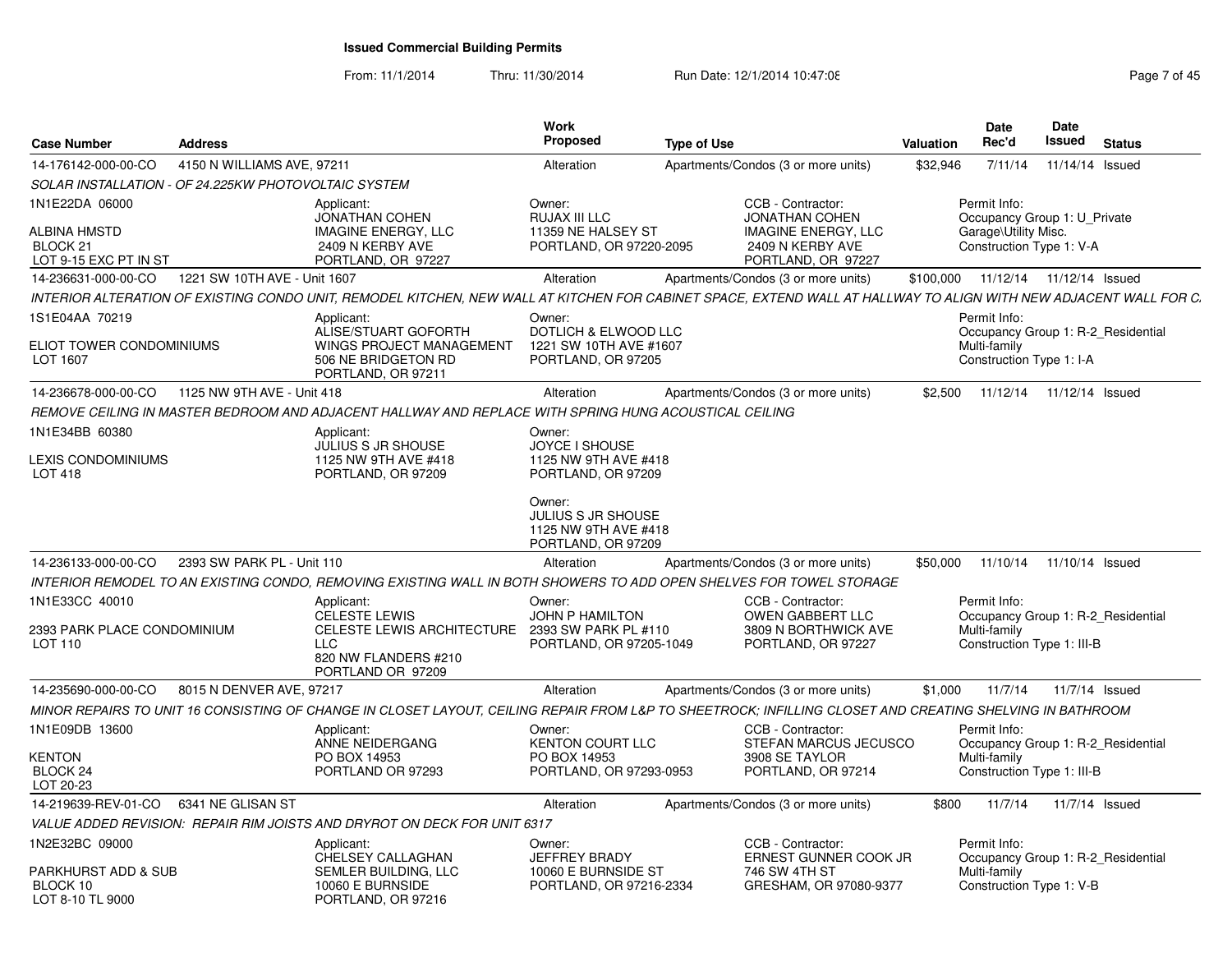From: 11/1/2014Thru: 11/30/2014 Run Date: 12/1/2014 10:47:08 Rege 7 of 45

| <b>Case Number</b>                                           | <b>Address</b>               |                                                                                                            | Work<br><b>Proposed</b>                                                           | <b>Type of Use</b>                                                                                                                                                | Valuation | <b>Date</b><br>Rec'd                                                                             | Date<br>Issued | <b>Status</b>                      |
|--------------------------------------------------------------|------------------------------|------------------------------------------------------------------------------------------------------------|-----------------------------------------------------------------------------------|-------------------------------------------------------------------------------------------------------------------------------------------------------------------|-----------|--------------------------------------------------------------------------------------------------|----------------|------------------------------------|
| 14-176142-000-00-CO                                          | 4150 N WILLIAMS AVE, 97211   |                                                                                                            | Alteration                                                                        | Apartments/Condos (3 or more units)                                                                                                                               | \$32,946  | 7/11/14                                                                                          |                | 11/14/14 Issued                    |
| SOLAR INSTALLATION - OF 24.225KW PHOTOVOLTAIC SYSTEM         |                              |                                                                                                            |                                                                                   |                                                                                                                                                                   |           |                                                                                                  |                |                                    |
| 1N1E22DA 06000<br><b>ALBINA HMSTD</b><br>BLOCK <sub>21</sub> |                              | Applicant:<br>JONATHAN COHEN<br><b>IMAGINE ENERGY, LLC</b><br>2409 N KERBY AVE                             | Owner:<br>RUJAX III LLC<br>11359 NE HALSEY ST<br>PORTLAND, OR 97220-2095          | CCB - Contractor:<br><b>JONATHAN COHEN</b><br><b>IMAGINE ENERGY, LLC</b><br>2409 N KERBY AVE                                                                      |           | Permit Info:<br>Occupancy Group 1: U Private<br>Garage\Utility Misc.<br>Construction Type 1: V-A |                |                                    |
| LOT 9-15 EXC PT IN ST                                        |                              | PORTLAND, OR 97227                                                                                         |                                                                                   | PORTLAND, OR 97227                                                                                                                                                |           |                                                                                                  |                |                                    |
| 14-236631-000-00-CO                                          | 1221 SW 10TH AVE - Unit 1607 |                                                                                                            | Alteration                                                                        | Apartments/Condos (3 or more units)                                                                                                                               | \$100,000 |                                                                                                  |                | 11/12/14  11/12/14  Issued         |
|                                                              |                              |                                                                                                            |                                                                                   | INTERIOR ALTERATION OF EXISTING CONDO UNIT. REMODEL KITCHEN. NEW WALL AT KITCHEN FOR CABINET SPACE. EXTEND WALL AT HALLWAY TO ALIGN WITH NEW ADJACENT WALL FOR C. |           |                                                                                                  |                |                                    |
| 1S1E04AA 70219<br>ELIOT TOWER CONDOMINIUMS<br>LOT 1607       |                              | Applicant<br>ALISE/STUART GOFORTH<br>WINGS PROJECT MANAGEMENT<br>506 NE BRIDGETON RD<br>PORTLAND, OR 97211 | Owner:<br>DOTLICH & ELWOOD LLC<br>1221 SW 10TH AVE #1607<br>PORTLAND, OR 97205    |                                                                                                                                                                   |           | Permit Info:<br>Multi-family<br>Construction Type 1: I-A                                         |                | Occupancy Group 1: R-2 Residential |
| 14-236678-000-00-CO                                          | 1125 NW 9TH AVE - Unit 418   |                                                                                                            | Alteration                                                                        | Apartments/Condos (3 or more units)                                                                                                                               | \$2.500   | 11/12/14  11/12/14  Issued                                                                       |                |                                    |
|                                                              |                              | REMOVE CEILING IN MASTER BEDROOM AND ADJACENT HALLWAY AND REPLACE WITH SPRING HUNG ACOUSTICAL CEILING      |                                                                                   |                                                                                                                                                                   |           |                                                                                                  |                |                                    |
| 1N1E34BB 60380                                               |                              | Applicant:<br><b>JULIUS S JR SHOUSE</b>                                                                    | Owner:<br>JOYCE I SHOUSE                                                          |                                                                                                                                                                   |           |                                                                                                  |                |                                    |
| <b>EXIS CONDOMINIUMS</b><br>LOT 418                          |                              | 1125 NW 9TH AVE #418<br>PORTLAND, OR 97209                                                                 | 1125 NW 9TH AVE #418<br>PORTLAND, OR 97209                                        |                                                                                                                                                                   |           |                                                                                                  |                |                                    |
|                                                              |                              |                                                                                                            | Owner:<br><b>JULIUS S JR SHOUSE</b><br>1125 NW 9TH AVE #418<br>PORTLAND, OR 97209 |                                                                                                                                                                   |           |                                                                                                  |                |                                    |
| 14-236133-000-00-CO                                          | 2393 SW PARK PL - Unit 110   |                                                                                                            | Alteration                                                                        | Apartments/Condos (3 or more units)                                                                                                                               | \$50,000  |                                                                                                  |                | 11/10/14  11/10/14  Issued         |
|                                                              |                              |                                                                                                            |                                                                                   | INTERIOR REMODEL TO AN EXISTING CONDO, REMOVING EXISTING WALL IN BOTH SHOWERS TO ADD OPEN SHELVES FOR TOWEL STORAGE                                               |           |                                                                                                  |                |                                    |
| 1N1E33CC 40010                                               |                              | Applicant:<br><b>CELESTE LEWIS</b>                                                                         | Owner:<br><b>JOHN P HAMILTON</b>                                                  | CCB - Contractor:<br>OWEN GABBERT LLC                                                                                                                             |           | Permit Info:                                                                                     |                | Occupancy Group 1: R-2 Residential |
| 2393 PARK PLACE CONDOMINIUM<br>LOT 110                       |                              | <b>CELESTE LEWIS ARCHITECTURE</b><br><b>LLC</b><br>820 NW FLANDERS #210<br>PORTLAND OR 97209               | 2393 SW PARK PL #110<br>PORTLAND, OR 97205-1049                                   | 3809 N BORTHWICK AVE<br>PORTLAND, OR 97227                                                                                                                        |           | Multi-family<br>Construction Type 1: III-B                                                       |                |                                    |
| 14-235690-000-00-CO                                          | 8015 N DENVER AVE, 97217     |                                                                                                            | Alteration                                                                        | Apartments/Condos (3 or more units)                                                                                                                               | \$1,000   | 11/7/14                                                                                          |                | 11/7/14 Issued                     |
|                                                              |                              |                                                                                                            |                                                                                   | MINOR REPAIRS TO UNIT 16 CONSISTING OF CHANGE IN CLOSET LAYOUT. CEILING REPAIR FROM L&P TO SHEETROCK: INFILLING CLOSET AND CREATING SHELVING IN BATHROOM          |           |                                                                                                  |                |                                    |
| 1N1E09DB 13600                                               |                              | Applicant:<br>ANNE NEIDERGANG                                                                              | Owner:<br><b>KENTON COURT LLC</b>                                                 | CCB - Contractor:<br>STEFAN MARCUS JECUSCO                                                                                                                        |           | Permit Info:                                                                                     |                | Occupancy Group 1: R-2 Residential |
| KENTON<br>BLOCK <sub>24</sub><br>LOT 20-23                   |                              | PO BOX 14953<br>PORTLAND OR 97293                                                                          | PO BOX 14953<br>PORTLAND, OR 97293-0953                                           | 3908 SE TAYLOR<br>PORTLAND, OR 97214                                                                                                                              |           | Multi-family<br>Construction Type 1: III-B                                                       |                |                                    |
| 14-219639-REV-01-CO   6341 NE GLISAN ST                      |                              |                                                                                                            | Alteration                                                                        | Apartments/Condos (3 or more units)                                                                                                                               | \$800     | 11/7/14                                                                                          |                | 11/7/14 Issued                     |
|                                                              |                              | VALUE ADDED REVISION: REPAIR RIM JOISTS AND DRYROT ON DECK FOR UNIT 6317                                   |                                                                                   |                                                                                                                                                                   |           |                                                                                                  |                |                                    |
| 1N2E32BC 09000                                               |                              | Applicant:<br>CHELSEY CALLAGHAN                                                                            | Owner:<br>JEFFREY BRADY                                                           | CCB - Contractor:<br>ERNEST GUNNER COOK JR                                                                                                                        |           | Permit Info:                                                                                     |                | Occupancy Group 1: R-2 Residential |
| PARKHURST ADD & SUB<br>BLOCK 10<br>LOT 8-10 TL 9000          |                              | SEMLER BUILDING. LLC<br>10060 E BURNSIDE<br>PORTLAND, OR 97216                                             | 10060 E BURNSIDE ST<br>PORTLAND, OR 97216-2334                                    | 746 SW 4TH ST<br>GRESHAM, OR 97080-9377                                                                                                                           |           | Multi-family<br>Construction Type 1: V-B                                                         |                |                                    |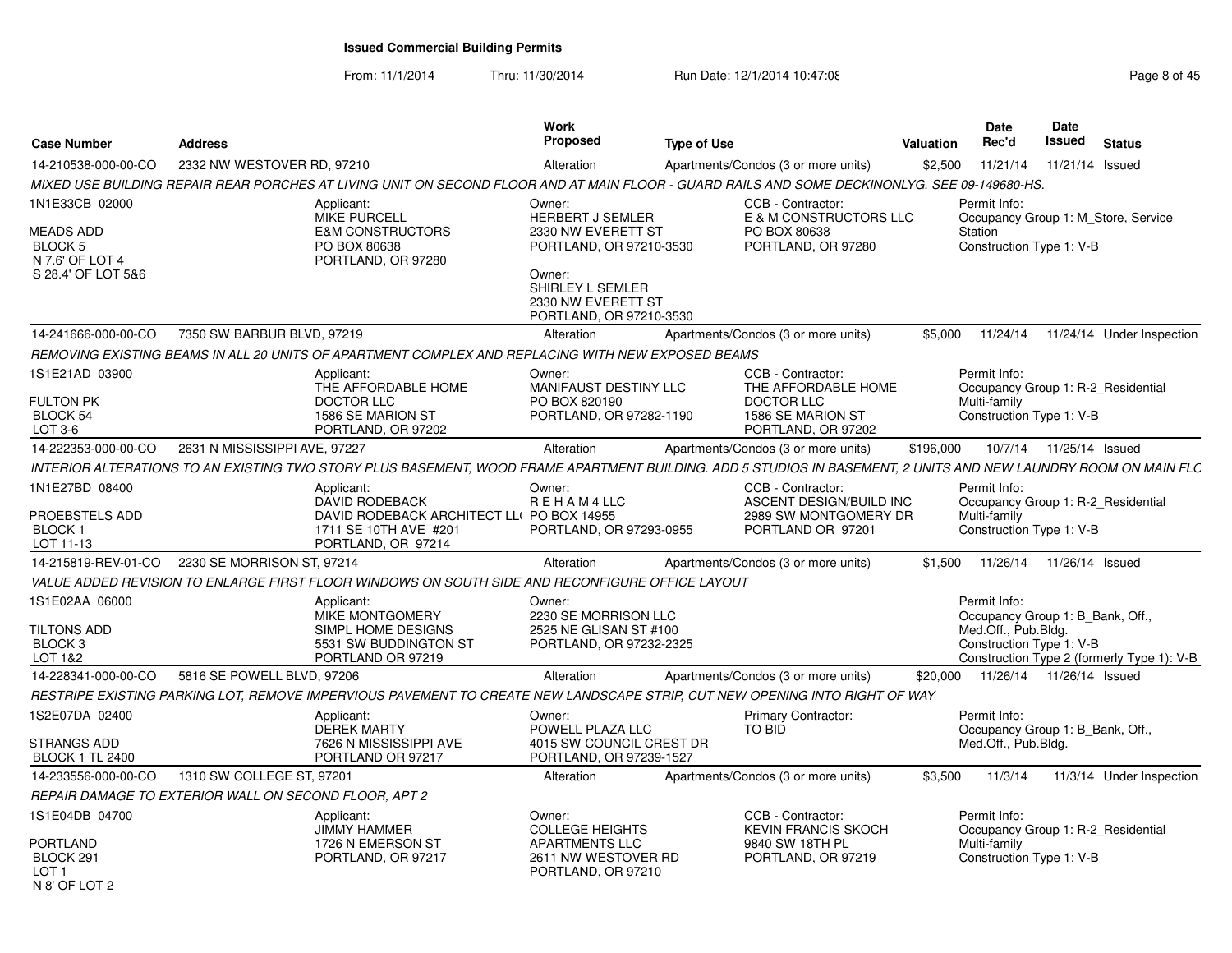From: 11/1/2014Thru: 11/30/2014 Run Date: 12/1/2014 10:47:08 Research 2010 Rage 8 of 45

|                                                                              |                                                                                                                                                                 | <b>Work</b>                                                        |                                                                       | Date<br>Date                                                                   |                                            |
|------------------------------------------------------------------------------|-----------------------------------------------------------------------------------------------------------------------------------------------------------------|--------------------------------------------------------------------|-----------------------------------------------------------------------|--------------------------------------------------------------------------------|--------------------------------------------|
| <b>Case Number</b>                                                           | <b>Address</b>                                                                                                                                                  | <b>Proposed</b><br><b>Type of Use</b>                              |                                                                       | Issued<br>Rec'd<br>Valuation                                                   | <b>Status</b>                              |
| 14-210538-000-00-CO                                                          | 2332 NW WESTOVER RD, 97210                                                                                                                                      | Alteration                                                         | Apartments/Condos (3 or more units)                                   | \$2,500<br>11/21/14                                                            | 11/21/14 Issued                            |
|                                                                              | MIXED USE BUILDING REPAIR REAR PORCHES AT LIVING UNIT ON SECOND FLOOR AND AT MAIN FLOOR - GUARD RAILS AND SOME DECKINONLYG. SEE 09-149680-HS.                   |                                                                    |                                                                       |                                                                                |                                            |
| 1N1E33CB 02000<br><b>MEADS ADD</b>                                           | Applicant:<br><b>MIKE PURCELL</b><br><b>E&amp;M CONSTRUCTORS</b>                                                                                                | Owner:<br><b>HERBERT J SEMLER</b><br>2330 NW EVERETT ST            | CCB - Contractor:<br>E & M CONSTRUCTORS LLC<br>PO BOX 80638           | Permit Info:<br>Occupancy Group 1: M Store, Service<br>Station                 |                                            |
| BLOCK 5<br>N 7.6' OF LOT 4<br>S 28.4' OF LOT 5&6                             | PO BOX 80638<br>PORTLAND, OR 97280                                                                                                                              | PORTLAND, OR 97210-3530<br>Owner:<br>SHIRLEY L SEMLER              | PORTLAND, OR 97280                                                    | Construction Type 1: V-B                                                       |                                            |
|                                                                              |                                                                                                                                                                 | 2330 NW EVERETT ST<br>PORTLAND, OR 97210-3530                      |                                                                       |                                                                                |                                            |
| 14-241666-000-00-CO                                                          | 7350 SW BARBUR BLVD, 97219                                                                                                                                      | Alteration                                                         | Apartments/Condos (3 or more units)                                   | \$5.000<br>11/24/14                                                            | 11/24/14 Under Inspection                  |
|                                                                              | REMOVING EXISTING BEAMS IN ALL 20 UNITS OF APARTMENT COMPLEX AND REPLACING WITH NEW EXPOSED BEAMS                                                               |                                                                    |                                                                       |                                                                                |                                            |
| 1S1E21AD 03900                                                               | Applicant:<br>THE AFFORDABLE HOME                                                                                                                               | Owner:<br><b>MANIFAUST DESTINY LLC</b>                             | CCB - Contractor:<br>THE AFFORDABLE HOME                              | Permit Info:<br>Occupancy Group 1: R-2 Residential                             |                                            |
| <b>FULTON PK</b><br>BLOCK 54<br>$LOT 3-6$                                    | <b>DOCTOR LLC</b><br>1586 SE MARION ST<br>PORTLAND, OR 97202                                                                                                    | PO BOX 820190<br>PORTLAND, OR 97282-1190                           | <b>DOCTOR LLC</b><br>1586 SE MARION ST<br>PORTLAND, OR 97202          | Multi-family<br>Construction Type 1: V-B                                       |                                            |
| 14-222353-000-00-CO                                                          | 2631 N MISSISSIPPI AVE, 97227                                                                                                                                   | Alteration                                                         | Apartments/Condos (3 or more units)                                   | \$196,000<br>10/7/14  11/25/14  Issued                                         |                                            |
|                                                                              | INTERIOR ALTERATIONS TO AN EXISTING TWO STORY PLUS BASEMENT, WOOD FRAME APARTMENT BUILDING. ADD 5 STUDIOS IN BASEMENT, 2 UNITS AND NEW LAUNDRY ROOM ON MAIN FLC |                                                                    |                                                                       |                                                                                |                                            |
| 1N1E27BD 08400                                                               | Applicant:                                                                                                                                                      | Owner:                                                             | CCB - Contractor:                                                     | Permit Info:                                                                   |                                            |
| PROEBSTELS ADD<br><b>BLOCK1</b>                                              | DAVID RODEBACK<br>DAVID RODEBACK ARCHITECT LL( PO BOX 14955<br>1711 SE 10TH AVE #201                                                                            | REHAM4LLC<br>PORTLAND, OR 97293-0955                               | ASCENT DESIGN/BUILD INC<br>2989 SW MONTGOMERY DR<br>PORTLAND OR 97201 | Occupancy Group 1: R-2 Residential<br>Multi-family<br>Construction Type 1: V-B |                                            |
| LOT 11-13                                                                    | PORTLAND, OR 97214<br>14-215819-REV-01-CO 2230 SE MORRISON ST, 97214                                                                                            | Alteration                                                         | Apartments/Condos (3 or more units)                                   | 11/26/14  11/26/14  Issued<br>\$1.500                                          |                                            |
|                                                                              | VALUE ADDED REVISION TO ENLARGE FIRST FLOOR WINDOWS ON SOUTH SIDE AND RECONFIGURE OFFICE LAYOUT                                                                 |                                                                    |                                                                       |                                                                                |                                            |
| 1S1E02AA 06000                                                               | Applicant:<br>MIKE MONTGOMERY                                                                                                                                   | Owner:<br>2230 SE MORRISON LLC                                     |                                                                       | Permit Info:<br>Occupancy Group 1: B Bank, Off.,                               |                                            |
| <b>TILTONS ADD</b><br>BLOCK <sub>3</sub><br>LOT 1&2                          | SIMPL HOME DESIGNS<br>5531 SW BUDDINGTON ST<br>PORTLAND OR 97219                                                                                                | 2525 NE GLISAN ST #100<br>PORTLAND, OR 97232-2325                  |                                                                       | Med.Off., Pub.Blda.<br>Construction Type 1: V-B                                | Construction Type 2 (formerly Type 1): V-B |
| 14-228341-000-00-CO                                                          | 5816 SE POWELL BLVD, 97206                                                                                                                                      | Alteration                                                         | Apartments/Condos (3 or more units)                                   | \$20,000<br>11/26/14  11/26/14  Issued                                         |                                            |
|                                                                              | RESTRIPE EXISTING PARKING LOT. REMOVE IMPERVIOUS PAVEMENT TO CREATE NEW LANDSCAPE STRIP. CUT NEW OPENING INTO RIGHT OF WAY                                      |                                                                    |                                                                       |                                                                                |                                            |
| 1S2E07DA 02400                                                               | Applicant:<br>DEREK MARTY                                                                                                                                       | Owner:<br>POWELL PLAZA LLC                                         | <b>Primary Contractor:</b><br><b>TO BID</b>                           | Permit Info:<br>Occupancy Group 1: B_Bank, Off.,                               |                                            |
| STRANGS ADD<br><b>BLOCK 1 TL 2400</b>                                        | 7626 N MISSISSIPPI AVE<br>PORTLAND OR 97217                                                                                                                     | 4015 SW COUNCIL CREST DR<br>PORTLAND, OR 97239-1527                |                                                                       | Med.Off., Pub.Bldg.                                                            |                                            |
| 14-233556-000-00-CO                                                          | 1310 SW COLLEGE ST, 97201                                                                                                                                       | Alteration                                                         | Apartments/Condos (3 or more units)                                   | \$3.500<br>11/3/14                                                             | 11/3/14 Under Inspection                   |
|                                                                              | <b>REPAIR DAMAGE TO EXTERIOR WALL ON SECOND FLOOR. APT 2</b>                                                                                                    |                                                                    |                                                                       |                                                                                |                                            |
| 1S1E04DB 04700                                                               | Applicant:<br><b>JIMMY HAMMER</b>                                                                                                                               | Owner:<br><b>COLLEGE HEIGHTS</b>                                   | CCB - Contractor:<br><b>KEVIN FRANCIS SKOCH</b>                       | Permit Info:<br>Occupancy Group 1: R-2 Residential                             |                                            |
| <b>PORTLAND</b><br>BLOCK <sub>291</sub><br>LOT <sub>1</sub><br>N 8' OF LOT 2 | 1726 N EMERSON ST<br>PORTLAND, OR 97217                                                                                                                         | <b>APARTMENTS LLC</b><br>2611 NW WESTOVER RD<br>PORTLAND, OR 97210 | 9840 SW 18TH PL<br>PORTLAND, OR 97219                                 | Multi-family<br>Construction Type 1: V-B                                       |                                            |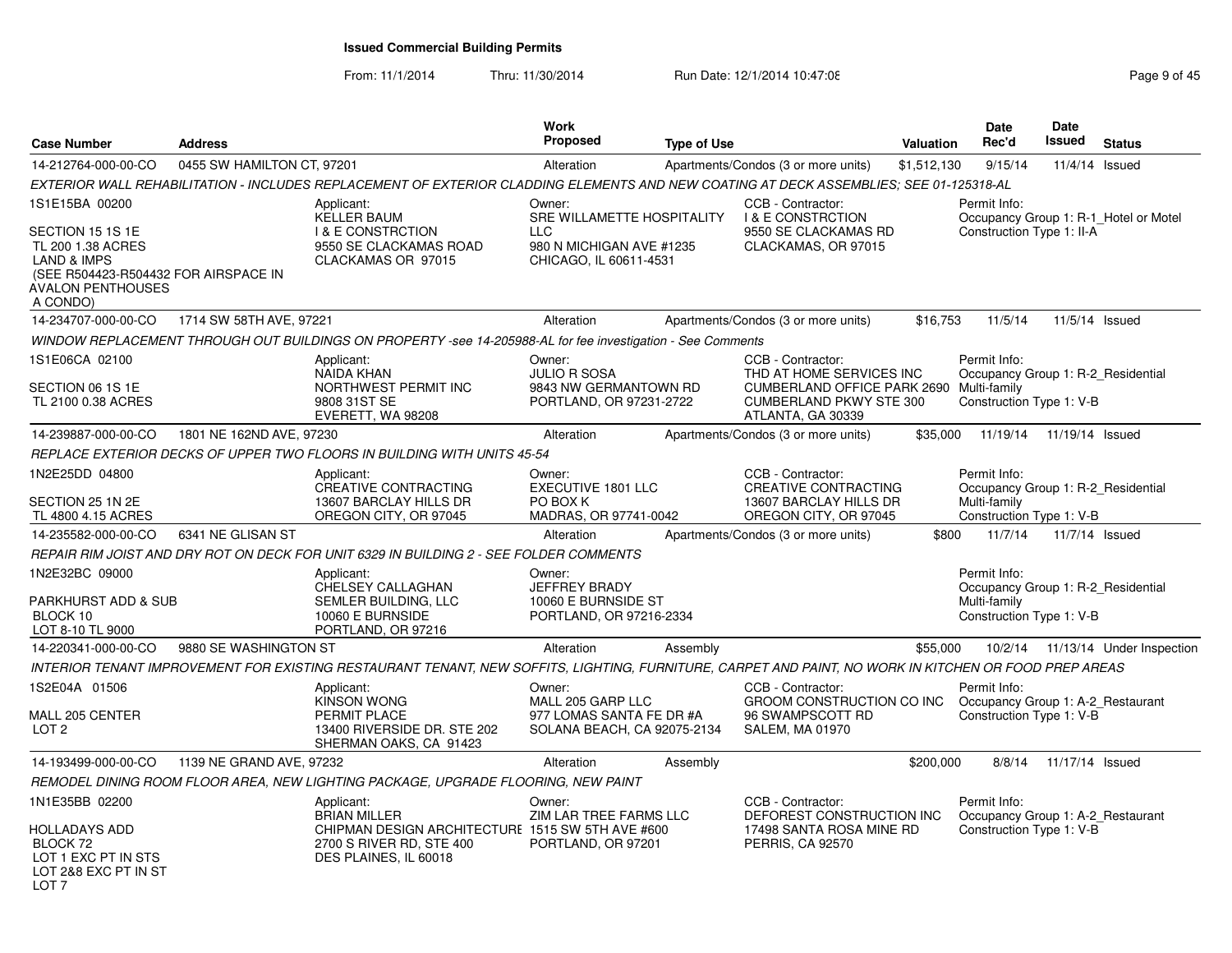From: 11/1/2014Thru: 11/30/2014 Run Date: 12/1/2014 10:47:08 Research 2010 Rage 9 of 45

| <b>Case Number</b>                                                                                                                                                | <b>Address</b>             |                                                                                                                                                       | <b>Work</b><br><b>Proposed</b>                                                                           | <b>Type of Use</b> |                                                                                                                                                  | Valuation   | <b>Date</b><br>Rec'd                                                                           | Date<br><b>Issued</b> | <b>Status</b>                         |
|-------------------------------------------------------------------------------------------------------------------------------------------------------------------|----------------------------|-------------------------------------------------------------------------------------------------------------------------------------------------------|----------------------------------------------------------------------------------------------------------|--------------------|--------------------------------------------------------------------------------------------------------------------------------------------------|-------------|------------------------------------------------------------------------------------------------|-----------------------|---------------------------------------|
| 14-212764-000-00-CO                                                                                                                                               | 0455 SW HAMILTON CT, 97201 |                                                                                                                                                       | Alteration                                                                                               |                    | Apartments/Condos (3 or more units)                                                                                                              | \$1,512,130 | 9/15/14                                                                                        | 11/4/14 Issued        |                                       |
|                                                                                                                                                                   |                            | EXTERIOR WALL REHABILITATION - INCLUDES REPLACEMENT OF EXTERIOR CLADDING ELEMENTS AND NEW COATING AT DECK ASSEMBLIES: SEE 01-125318-AL                |                                                                                                          |                    |                                                                                                                                                  |             |                                                                                                |                       |                                       |
| 1S1E15BA 00200<br>SECTION 15 1S 1E<br>TL 200 1.38 ACRES<br><b>LAND &amp; IMPS</b><br>(SEE R504423-R504432 FOR AIRSPACE IN<br><b>AVALON PENTHOUSES</b><br>A CONDO) |                            | Applicant:<br><b>KELLER BAUM</b><br><b>I &amp; E CONSTRCTION</b><br>9550 SE CLACKAMAS ROAD<br>CLACKAMAS OR 97015                                      | Owner:<br>SRE WILLAMETTE HOSPITALITY<br><b>LLC</b><br>980 N MICHIGAN AVE #1235<br>CHICAGO, IL 60611-4531 |                    | CCB - Contractor:<br><b>I &amp; E CONSTRCTION</b><br>9550 SE CLACKAMAS RD<br>CLACKAMAS, OR 97015                                                 |             | Permit Info:<br>Construction Type 1: II-A                                                      |                       | Occupancy Group 1: R-1 Hotel or Motel |
| 14-234707-000-00-CO                                                                                                                                               | 1714 SW 58TH AVE, 97221    |                                                                                                                                                       | Alteration                                                                                               |                    | Apartments/Condos (3 or more units)                                                                                                              | \$16,753    | 11/5/14                                                                                        | 11/5/14 Issued        |                                       |
|                                                                                                                                                                   |                            | WINDOW REPLACEMENT THROUGH OUT BUILDINGS ON PROPERTY -see 14-205988-AL for fee investigation - See Comments                                           |                                                                                                          |                    |                                                                                                                                                  |             |                                                                                                |                       |                                       |
| 1S1E06CA 02100<br>SECTION 06 1S 1E<br>TL 2100 0.38 ACRES                                                                                                          |                            | Applicant:<br>NAIDA KHAN<br>NORTHWEST PERMIT INC<br>9808 31ST SE<br>EVERETT, WA 98208                                                                 | Owner:<br><b>JULIO R SOSA</b><br>9843 NW GERMANTOWN RD<br>PORTLAND, OR 97231-2722                        |                    | CCB - Contractor:<br>THD AT HOME SERVICES INC<br>CUMBERLAND OFFICE PARK 2690 Multi-family<br><b>CUMBERLAND PKWY STE 300</b><br>ATLANTA, GA 30339 |             | Permit Info:<br>Occupancy Group 1: R-2_Residential<br>Construction Type 1: V-B                 |                       |                                       |
| 14-239887-000-00-CO                                                                                                                                               | 1801 NE 162ND AVE, 97230   |                                                                                                                                                       | Alteration                                                                                               |                    | Apartments/Condos (3 or more units)                                                                                                              | \$35,000    | 11/19/14                                                                                       | 11/19/14 Issued       |                                       |
|                                                                                                                                                                   |                            | REPLACE EXTERIOR DECKS OF UPPER TWO FLOORS IN BUILDING WITH UNITS 45-54                                                                               |                                                                                                          |                    |                                                                                                                                                  |             |                                                                                                |                       |                                       |
| 1N2E25DD 04800<br>SECTION 25 1N 2E<br>TL 4800 4.15 ACRES                                                                                                          |                            | Applicant:<br><b>CREATIVE CONTRACTING</b><br>13607 BARCLAY HILLS DR<br>OREGON CITY, OR 97045                                                          | Owner:<br><b>EXECUTIVE 1801 LLC</b><br>PO BOX K<br>MADRAS, OR 97741-0042                                 |                    | CCB - Contractor:<br><b>CREATIVE CONTRACTING</b><br>13607 BARCLAY HILLS DR<br>OREGON CITY, OR 97045                                              |             | Permit Info:<br>Occupancy Group 1: R-2_Residential<br>Multi-family<br>Construction Type 1: V-B |                       |                                       |
| 14-235582-000-00-CO                                                                                                                                               | 6341 NE GLISAN ST          |                                                                                                                                                       | Alteration                                                                                               |                    | Apartments/Condos (3 or more units)                                                                                                              | \$800       | 11/7/14                                                                                        | 11/7/14 Issued        |                                       |
|                                                                                                                                                                   |                            | REPAIR RIM JOIST AND DRY ROT ON DECK FOR UNIT 6329 IN BUILDING 2 - SEE FOLDER COMMENTS                                                                |                                                                                                          |                    |                                                                                                                                                  |             |                                                                                                |                       |                                       |
| 1N2E32BC 09000<br>PARKHURST ADD & SUB<br>BLOCK 10<br>LOT 8-10 TL 9000                                                                                             |                            | Applicant:<br>CHELSEY CALLAGHAN<br>SEMLER BUILDING, LLC<br>10060 E BURNSIDE<br>PORTLAND, OR 97216                                                     | Owner:<br>JEFFREY BRADY<br>10060 E BURNSIDE ST<br>PORTLAND, OR 97216-2334                                |                    |                                                                                                                                                  |             | Permit Info:<br>Occupancy Group 1: R-2_Residential<br>Multi-family<br>Construction Type 1: V-B |                       |                                       |
| 14-220341-000-00-CO                                                                                                                                               | 9880 SE WASHINGTON ST      |                                                                                                                                                       | Alteration                                                                                               | Assembly           |                                                                                                                                                  | \$55,000    |                                                                                                |                       | 10/2/14  11/13/14  Under Inspection   |
|                                                                                                                                                                   |                            | INTERIOR TENANT IMPROVEMENT FOR EXISTING RESTAURANT TENANT, NEW SOFFITS, LIGHTING, FURNITURE, CARPET AND PAINT, NO WORK IN KITCHEN OR FOOD PREP AREAS |                                                                                                          |                    |                                                                                                                                                  |             |                                                                                                |                       |                                       |
| 1S2E04A 01506<br>MALL 205 CENTER<br>LOT <sub>2</sub>                                                                                                              |                            | Applicant:<br><b>KINSON WONG</b><br>PERMIT PLACE<br>13400 RIVERSIDE DR. STE 202<br>SHERMAN OAKS, CA 91423                                             | Owner:<br>MALL 205 GARP LLC<br>977 LOMAS SANTA FE DR #A<br>SOLANA BEACH, CA 92075-2134                   |                    | CCB - Contractor:<br>GROOM CONSTRUCTION CO INC<br>96 SWAMPSCOTT RD<br><b>SALEM, MA 01970</b>                                                     |             | Permit Info:<br>Occupancy Group 1: A-2_Restaurant<br>Construction Type 1: V-B                  |                       |                                       |
| 14-193499-000-00-CO                                                                                                                                               | 1139 NE GRAND AVE, 97232   |                                                                                                                                                       | Alteration                                                                                               | Assembly           |                                                                                                                                                  | \$200,000   | 8/8/14                                                                                         | 11/17/14 Issued       |                                       |
|                                                                                                                                                                   |                            | REMODEL DINING ROOM FLOOR AREA, NEW LIGHTING PACKAGE, UPGRADE FLOORING, NEW PAINT                                                                     |                                                                                                          |                    |                                                                                                                                                  |             |                                                                                                |                       |                                       |
| 1N1E35BB 02200<br><b>HOLLADAYS ADD</b>                                                                                                                            |                            | Applicant:<br><b>BRIAN MILLER</b><br>CHIPMAN DESIGN ARCHITECTURE 1515 SW 5TH AVE #600                                                                 | Owner:<br>ZIM LAR TREE FARMS LLC                                                                         |                    | CCB - Contractor:<br>DEFOREST CONSTRUCTION INC<br>17498 SANTA ROSA MINE RD                                                                       |             | Permit Info:<br>Occupancy Group 1: A-2 Restaurant<br>Construction Type 1: V-B                  |                       |                                       |
| BLOCK 72<br>LOT 1 EXC PT IN STS<br>LOT 2&8 EXC PT IN ST<br>LOT <sub>7</sub>                                                                                       |                            | 2700 S RIVER RD, STE 400<br>DES PLAINES, IL 60018                                                                                                     | PORTLAND, OR 97201                                                                                       |                    | PERRIS, CA 92570                                                                                                                                 |             |                                                                                                |                       |                                       |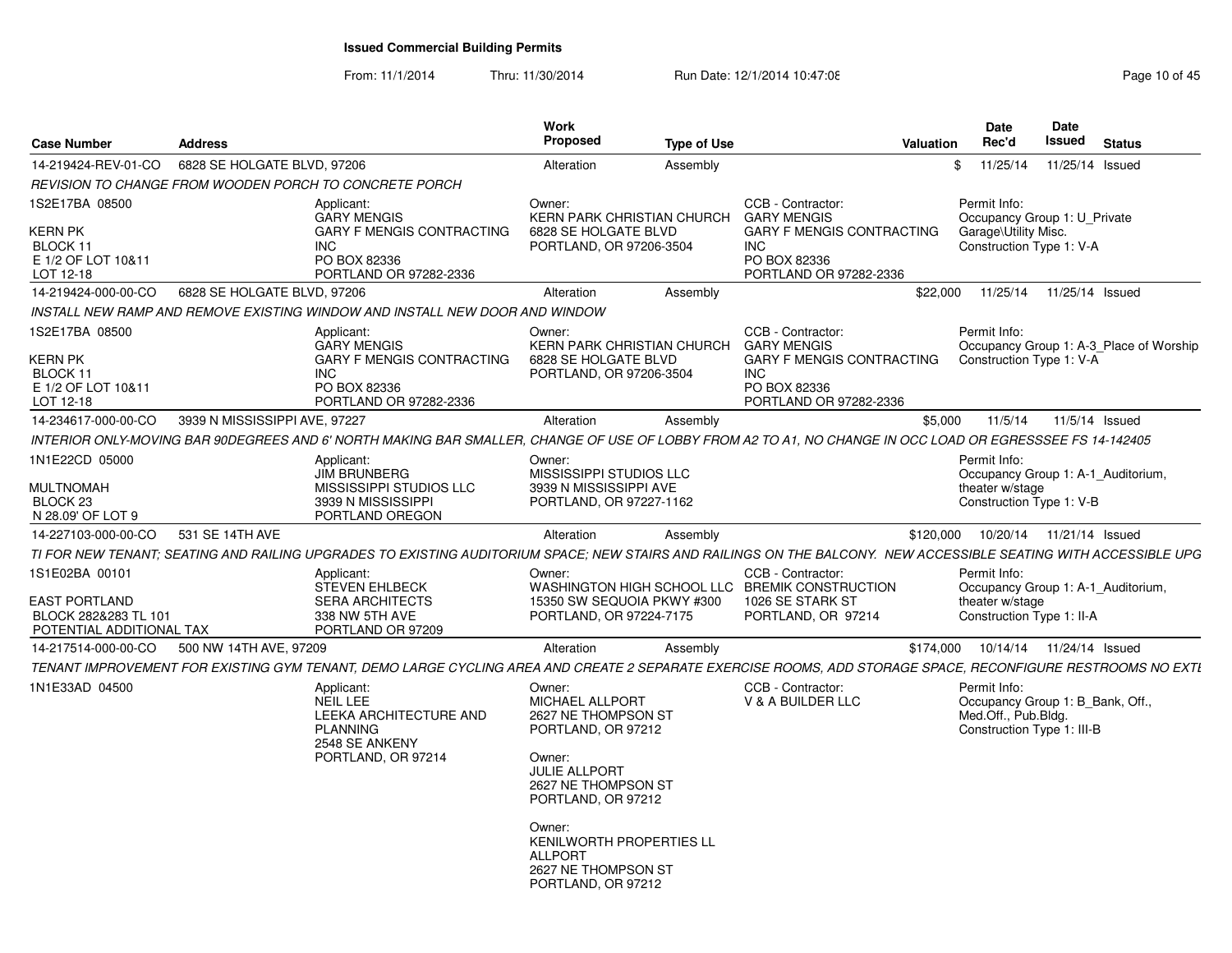From: 11/1/2014Thru: 11/30/2014 Run Date: 12/1/2014 10:47:08 Research 2010 145

| <b>Address</b>  |                                                                                                                    | Work<br><b>Proposed</b>                                                                                                                                                                                                             | <b>Type of Use</b>                                                                        |                                                                                                                                                                                                                                                                                                                                                                                                                                                                                            |                                                                                | Date<br>Rec'd                                                     | <b>Date</b><br><b>Issued</b>                                                             | <b>Status</b>                                                                                                                                                                                                                                                                                                                                                                                                                                                                                                                                                                                                                                                                                                                                                                                                                                                                                                                                                               |
|-----------------|--------------------------------------------------------------------------------------------------------------------|-------------------------------------------------------------------------------------------------------------------------------------------------------------------------------------------------------------------------------------|-------------------------------------------------------------------------------------------|--------------------------------------------------------------------------------------------------------------------------------------------------------------------------------------------------------------------------------------------------------------------------------------------------------------------------------------------------------------------------------------------------------------------------------------------------------------------------------------------|--------------------------------------------------------------------------------|-------------------------------------------------------------------|------------------------------------------------------------------------------------------|-----------------------------------------------------------------------------------------------------------------------------------------------------------------------------------------------------------------------------------------------------------------------------------------------------------------------------------------------------------------------------------------------------------------------------------------------------------------------------------------------------------------------------------------------------------------------------------------------------------------------------------------------------------------------------------------------------------------------------------------------------------------------------------------------------------------------------------------------------------------------------------------------------------------------------------------------------------------------------|
|                 |                                                                                                                    | Alteration                                                                                                                                                                                                                          | Assembly                                                                                  |                                                                                                                                                                                                                                                                                                                                                                                                                                                                                            | \$                                                                             | 11/25/14                                                          | 11/25/14                                                                                 | Issued                                                                                                                                                                                                                                                                                                                                                                                                                                                                                                                                                                                                                                                                                                                                                                                                                                                                                                                                                                      |
|                 |                                                                                                                    |                                                                                                                                                                                                                                     |                                                                                           |                                                                                                                                                                                                                                                                                                                                                                                                                                                                                            |                                                                                |                                                                   |                                                                                          |                                                                                                                                                                                                                                                                                                                                                                                                                                                                                                                                                                                                                                                                                                                                                                                                                                                                                                                                                                             |
|                 | Applicant:<br><b>GARY MENGIS</b><br><b>GARY F MENGIS CONTRACTING</b><br><b>INC</b><br>PO BOX 82336                 | Owner:                                                                                                                                                                                                                              |                                                                                           | CCB - Contractor:<br><b>GARY MENGIS</b><br><b>GARY F MENGIS CONTRACTING</b><br><b>INC</b><br>PO BOX 82336                                                                                                                                                                                                                                                                                                                                                                                  |                                                                                |                                                                   |                                                                                          |                                                                                                                                                                                                                                                                                                                                                                                                                                                                                                                                                                                                                                                                                                                                                                                                                                                                                                                                                                             |
|                 |                                                                                                                    |                                                                                                                                                                                                                                     |                                                                                           |                                                                                                                                                                                                                                                                                                                                                                                                                                                                                            |                                                                                |                                                                   |                                                                                          |                                                                                                                                                                                                                                                                                                                                                                                                                                                                                                                                                                                                                                                                                                                                                                                                                                                                                                                                                                             |
|                 |                                                                                                                    |                                                                                                                                                                                                                                     |                                                                                           |                                                                                                                                                                                                                                                                                                                                                                                                                                                                                            |                                                                                |                                                                   |                                                                                          |                                                                                                                                                                                                                                                                                                                                                                                                                                                                                                                                                                                                                                                                                                                                                                                                                                                                                                                                                                             |
|                 | Applicant:<br><b>GARY MENGIS</b><br><b>GARY F MENGIS CONTRACTING</b><br>INC.<br>PO BOX 82336                       | Owner:                                                                                                                                                                                                                              |                                                                                           | CCB - Contractor:<br><b>GARY MENGIS</b><br><b>GARY F MENGIS CONTRACTING</b><br><b>INC</b><br>PO BOX 82336                                                                                                                                                                                                                                                                                                                                                                                  |                                                                                |                                                                   |                                                                                          |                                                                                                                                                                                                                                                                                                                                                                                                                                                                                                                                                                                                                                                                                                                                                                                                                                                                                                                                                                             |
|                 |                                                                                                                    | Alteration                                                                                                                                                                                                                          |                                                                                           |                                                                                                                                                                                                                                                                                                                                                                                                                                                                                            |                                                                                | 11/5/14                                                           |                                                                                          | 11/5/14 Issued                                                                                                                                                                                                                                                                                                                                                                                                                                                                                                                                                                                                                                                                                                                                                                                                                                                                                                                                                              |
|                 |                                                                                                                    |                                                                                                                                                                                                                                     |                                                                                           |                                                                                                                                                                                                                                                                                                                                                                                                                                                                                            |                                                                                |                                                                   |                                                                                          |                                                                                                                                                                                                                                                                                                                                                                                                                                                                                                                                                                                                                                                                                                                                                                                                                                                                                                                                                                             |
|                 | Applicant:<br><b>JIM BRUNBERG</b><br>MISSISSIPPI STUDIOS LLC<br>3939 N MISSISSIPPI<br>PORTLAND OREGON              | Owner:                                                                                                                                                                                                                              |                                                                                           |                                                                                                                                                                                                                                                                                                                                                                                                                                                                                            |                                                                                |                                                                   |                                                                                          |                                                                                                                                                                                                                                                                                                                                                                                                                                                                                                                                                                                                                                                                                                                                                                                                                                                                                                                                                                             |
| 531 SE 14TH AVE |                                                                                                                    | Alteration                                                                                                                                                                                                                          | Assembly                                                                                  |                                                                                                                                                                                                                                                                                                                                                                                                                                                                                            |                                                                                |                                                                   |                                                                                          |                                                                                                                                                                                                                                                                                                                                                                                                                                                                                                                                                                                                                                                                                                                                                                                                                                                                                                                                                                             |
|                 |                                                                                                                    |                                                                                                                                                                                                                                     |                                                                                           |                                                                                                                                                                                                                                                                                                                                                                                                                                                                                            |                                                                                |                                                                   |                                                                                          |                                                                                                                                                                                                                                                                                                                                                                                                                                                                                                                                                                                                                                                                                                                                                                                                                                                                                                                                                                             |
|                 | Applicant:<br><b>STEVEN EHLBECK</b><br><b>SERA ARCHITECTS</b><br>338 NW 5TH AVE<br>PORTLAND OR 97209               | Owner:                                                                                                                                                                                                                              |                                                                                           | CCB - Contractor:<br><b>BREMIK CONSTRUCTION</b><br>1026 SE STARK ST<br>PORTLAND, OR 97214                                                                                                                                                                                                                                                                                                                                                                                                  |                                                                                |                                                                   |                                                                                          |                                                                                                                                                                                                                                                                                                                                                                                                                                                                                                                                                                                                                                                                                                                                                                                                                                                                                                                                                                             |
|                 |                                                                                                                    | Alteration                                                                                                                                                                                                                          | Assembly                                                                                  |                                                                                                                                                                                                                                                                                                                                                                                                                                                                                            |                                                                                | 10/14/14                                                          | 11/24/14 Issued                                                                          |                                                                                                                                                                                                                                                                                                                                                                                                                                                                                                                                                                                                                                                                                                                                                                                                                                                                                                                                                                             |
|                 |                                                                                                                    |                                                                                                                                                                                                                                     |                                                                                           |                                                                                                                                                                                                                                                                                                                                                                                                                                                                                            |                                                                                |                                                                   |                                                                                          |                                                                                                                                                                                                                                                                                                                                                                                                                                                                                                                                                                                                                                                                                                                                                                                                                                                                                                                                                                             |
|                 | Applicant:<br><b>NEIL LEE</b><br>LEEKA ARCHITECTURE AND<br><b>PLANNING</b><br>2548 SE ANKENY<br>PORTLAND, OR 97214 | Owner:<br>MICHAEL ALLPORT<br>Owner:<br><b>JULIE ALLPORT</b><br>Owner:<br><b>ALLPORT</b><br>PORTLAND, OR 97212                                                                                                                       |                                                                                           | CCB - Contractor:<br>V & A BUILDER LLC                                                                                                                                                                                                                                                                                                                                                                                                                                                     |                                                                                |                                                                   |                                                                                          |                                                                                                                                                                                                                                                                                                                                                                                                                                                                                                                                                                                                                                                                                                                                                                                                                                                                                                                                                                             |
|                 | POTENTIAL ADDITIONAL TAX                                                                                           | 6828 SE HOLGATE BLVD, 97206<br>REVISION TO CHANGE FROM WOODEN PORCH TO CONCRETE PORCH<br>PORTLAND OR 97282-2336<br>6828 SE HOLGATE BLVD, 97206<br>PORTLAND OR 97282-2336<br>3939 N MISSISSIPPI AVE, 97227<br>500 NW 14TH AVE, 97209 | Alteration<br>INSTALL NEW RAMP AND REMOVE EXISTING WINDOW AND INSTALL NEW DOOR AND WINDOW | <b>KERN PARK CHRISTIAN CHURCH</b><br>6828 SE HOLGATE BLVD<br>PORTLAND, OR 97206-3504<br>Assembly<br><b>KERN PARK CHRISTIAN CHURCH</b><br>6828 SE HOLGATE BLVD<br>PORTLAND, OR 97206-3504<br>Assembly<br>MISSISSIPPI STUDIOS LLC<br>3939 N MISSISSIPPI AVE<br>PORTLAND, OR 97227-1162<br>15350 SW SEQUOIA PKWY #300<br>PORTLAND, OR 97224-7175<br>2627 NE THOMPSON ST<br>PORTLAND, OR 97212<br>2627 NE THOMPSON ST<br>PORTLAND, OR 97212<br>KENILWORTH PROPERTIES LL<br>2627 NE THOMPSON ST | PORTLAND OR 97282-2336<br>PORTLAND OR 97282-2336<br>WASHINGTON HIGH SCHOOL LLC | <b>Valuation</b><br>\$22,000<br>\$5.000<br>\$120,000<br>\$174,000 | Permit Info:<br>11/25/14<br>Permit Info:<br>Permit Info:<br>Permit Info:<br>Permit Info: | Occupancy Group 1: U Private<br>Garage\Utility Misc.<br>Construction Type 1: V-A<br>11/25/14 Issued<br>Occupancy Group 1: A-3 Place of Worship<br>Construction Type 1: V-A<br>INTERIOR ONLY-MOVING BAR 90DEGREES AND 6' NORTH MAKING BAR SMALLER, CHANGE OF USE OF LOBBY FROM A2 TO A1, NO CHANGE IN OCC LOAD OR EGRESSSEE FS 14-142405<br>Occupancy Group 1: A-1 Auditorium,<br>theater w/stage<br>Construction Type 1: V-B<br>10/20/14  11/21/14  Issued<br>TI FOR NEW TENANT; SEATING AND RAILING UPGRADES TO EXISTING AUDITORIUM SPACE; NEW STAIRS AND RAILINGS ON THE BALCONY. NEW ACCESSIBLE SEATING WITH ACCESSIBLE UPG<br>Occupancy Group 1: A-1 Auditorium,<br>theater w/stage<br>Construction Type 1: II-A<br>TENANT IMPROVEMENT FOR EXISTING GYM TENANT, DEMO LARGE CYCLING AREA AND CREATE 2 SEPARATE EXERCISE ROOMS, ADD STORAGE SPACE, RECONFIGURE RESTROOMS NO EXTI<br>Occupancy Group 1: B_Bank, Off.,<br>Med.Off., Pub.Bldg.<br>Construction Type 1: III-B |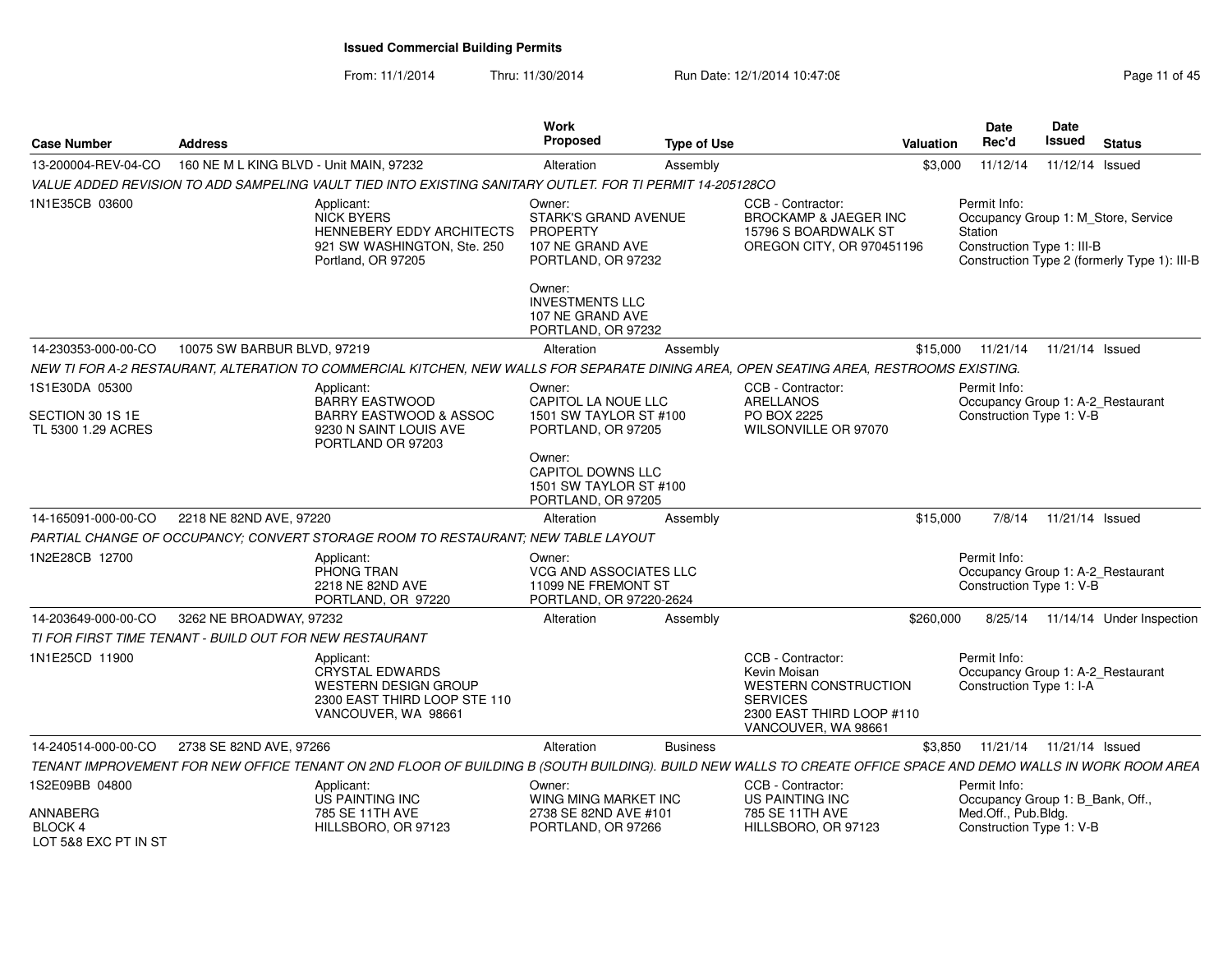From: 11/1/2014Thru: 11/30/2014 Run Date: 12/1/2014 10:47:08 Research 2010 11:05:00

| <b>Case Number</b>                          | <b>Address</b>                                          |                                                                                                                                                               | <b>Work</b><br><b>Proposed</b>                                                                     | <b>Type of Use</b> |                                                                                                                                         | <b>Valuation</b> | <b>Date</b><br>Rec'd                                                          | Date<br>Issued  | <b>Status</b>                                                                       |
|---------------------------------------------|---------------------------------------------------------|---------------------------------------------------------------------------------------------------------------------------------------------------------------|----------------------------------------------------------------------------------------------------|--------------------|-----------------------------------------------------------------------------------------------------------------------------------------|------------------|-------------------------------------------------------------------------------|-----------------|-------------------------------------------------------------------------------------|
| 13-200004-REV-04-CO                         | 160 NE M L KING BLVD - Unit MAIN, 97232                 |                                                                                                                                                               | Alteration                                                                                         | Assembly           |                                                                                                                                         | \$3,000          | 11/12/14                                                                      | 11/12/14 Issued |                                                                                     |
|                                             |                                                         | VALUE ADDED REVISION TO ADD SAMPELING VAULT TIED INTO EXISTING SANITARY OUTLET. FOR TI PERMIT 14-205128CO                                                     |                                                                                                    |                    |                                                                                                                                         |                  |                                                                               |                 |                                                                                     |
| 1N1E35CB 03600                              |                                                         | Applicant:<br><b>NICK BYERS</b><br><b>HENNEBERY EDDY ARCHITECTS</b><br>921 SW WASHINGTON, Ste. 250<br>Portland, OR 97205                                      | Owner:<br><b>STARK'S GRAND AVENUE</b><br><b>PROPERTY</b><br>107 NE GRAND AVE<br>PORTLAND, OR 97232 |                    | CCB - Contractor:<br><b>BROCKAMP &amp; JAEGER INC</b><br>15796 S BOARDWALK ST<br>OREGON CITY, OR 970451196                              |                  | Permit Info:<br>Station<br>Construction Type 1: III-B                         |                 | Occupancy Group 1: M Store, Service<br>Construction Type 2 (formerly Type 1): III-B |
|                                             |                                                         |                                                                                                                                                               | Owner:<br><b>INVESTMENTS LLC</b><br>107 NE GRAND AVE<br>PORTLAND, OR 97232                         |                    |                                                                                                                                         |                  |                                                                               |                 |                                                                                     |
| 14-230353-000-00-CO                         | 10075 SW BARBUR BLVD, 97219                             |                                                                                                                                                               | Alteration                                                                                         | Assembly           |                                                                                                                                         | \$15,000         | 11/21/14                                                                      | 11/21/14 Issued |                                                                                     |
|                                             |                                                         | NEW TI FOR A-2 RESTAURANT, ALTERATION TO COMMERCIAL KITCHEN, NEW WALLS FOR SEPARATE DINING AREA, OPEN SEATING AREA, RESTROOMS EXISTING.                       |                                                                                                    |                    |                                                                                                                                         |                  |                                                                               |                 |                                                                                     |
| 1S1E30DA 05300                              |                                                         | Applicant:<br><b>BARRY EASTWOOD</b>                                                                                                                           | Owner:<br>CAPITOL LA NOUE LLC                                                                      |                    | CCB - Contractor:<br>ARELLANOS                                                                                                          |                  | Permit Info:<br>Occupancy Group 1: A-2_Restaurant                             |                 |                                                                                     |
| SECTION 30 1S 1E<br>TL 5300 1.29 ACRES      |                                                         | <b>BARRY EASTWOOD &amp; ASSOC</b><br>9230 N SAINT LOUIS AVE<br>PORTLAND OR 97203                                                                              | 1501 SW TAYLOR ST #100<br>PORTLAND, OR 97205                                                       |                    | PO BOX 2225<br>WILSONVILLE OR 97070                                                                                                     |                  | Construction Type 1: V-B                                                      |                 |                                                                                     |
|                                             |                                                         |                                                                                                                                                               | Owner:<br>CAPITOL DOWNS LLC<br>1501 SW TAYLOR ST #100<br>PORTLAND, OR 97205                        |                    |                                                                                                                                         |                  |                                                                               |                 |                                                                                     |
| 14-165091-000-00-CO                         | 2218 NE 82ND AVE, 97220                                 |                                                                                                                                                               | Alteration                                                                                         | Assembly           |                                                                                                                                         | \$15,000         | 7/8/14                                                                        | 11/21/14 Issued |                                                                                     |
|                                             |                                                         | PARTIAL CHANGE OF OCCUPANCY: CONVERT STORAGE ROOM TO RESTAURANT: NEW TABLE LAYOUT                                                                             |                                                                                                    |                    |                                                                                                                                         |                  |                                                                               |                 |                                                                                     |
| 1N2E28CB 12700                              |                                                         | Applicant:<br>PHONG TRAN<br>2218 NE 82ND AVE<br>PORTLAND, OR 97220                                                                                            | Owner:<br><b>VCG AND ASSOCIATES LLC</b><br>11099 NE FREMONT ST<br>PORTLAND, OR 97220-2624          |                    |                                                                                                                                         |                  | Permit Info:<br>Occupancy Group 1: A-2 Restaurant<br>Construction Type 1: V-B |                 |                                                                                     |
| 14-203649-000-00-CO                         | 3262 NE BROADWAY, 97232                                 |                                                                                                                                                               | Alteration                                                                                         | Assembly           |                                                                                                                                         | \$260,000        | 8/25/14                                                                       |                 | 11/14/14 Under Inspection                                                           |
|                                             | TI FOR FIRST TIME TENANT - BUILD OUT FOR NEW RESTAURANT |                                                                                                                                                               |                                                                                                    |                    |                                                                                                                                         |                  |                                                                               |                 |                                                                                     |
| 1N1E25CD 11900                              |                                                         | Applicant:<br><b>CRYSTAL EDWARDS</b><br><b>WESTERN DESIGN GROUP</b><br>2300 EAST THIRD LOOP STE 110<br>VANCOUVER, WA 98661                                    |                                                                                                    |                    | CCB - Contractor:<br>Kevin Moisan<br><b>WESTERN CONSTRUCTION</b><br><b>SERVICES</b><br>2300 EAST THIRD LOOP #110<br>VANCOUVER, WA 98661 |                  | Permit Info:<br>Occupancy Group 1: A-2 Restaurant<br>Construction Type 1: I-A |                 |                                                                                     |
| 14-240514-000-00-CO                         | 2738 SE 82ND AVE, 97266                                 |                                                                                                                                                               | Alteration                                                                                         | <b>Business</b>    |                                                                                                                                         | \$3,850          | 11/21/14  11/21/14  Issued                                                    |                 |                                                                                     |
|                                             |                                                         | TENANT IMPROVEMENT FOR NEW OFFICE TENANT ON 2ND FLOOR OF BUILDING B (SOUTH BUILDING). BUILD NEW WALLS TO CREATE OFFICE SPACE AND DEMO WALLS IN WORK ROOM AREA |                                                                                                    |                    |                                                                                                                                         |                  |                                                                               |                 |                                                                                     |
| 1S2E09BB 04800                              |                                                         | Applicant:<br><b>US PAINTING INC</b>                                                                                                                          | Owner:<br>WING MING MARKET INC                                                                     |                    | CCB - Contractor:<br>US PAINTING INC                                                                                                    |                  | Permit Info:<br>Occupancy Group 1: B_Bank, Off.,                              |                 |                                                                                     |
| ANNABERG<br>BLOCK 4<br>LOT 5&8 EXC PT IN ST |                                                         | 785 SE 11TH AVE<br>HILLSBORO, OR 97123                                                                                                                        | 2738 SE 82ND AVE #101<br>PORTLAND, OR 97266                                                        |                    | 785 SE 11TH AVE<br>HILLSBORO, OR 97123                                                                                                  |                  | Med.Off., Pub.Bldg.<br>Construction Type 1: V-B                               |                 |                                                                                     |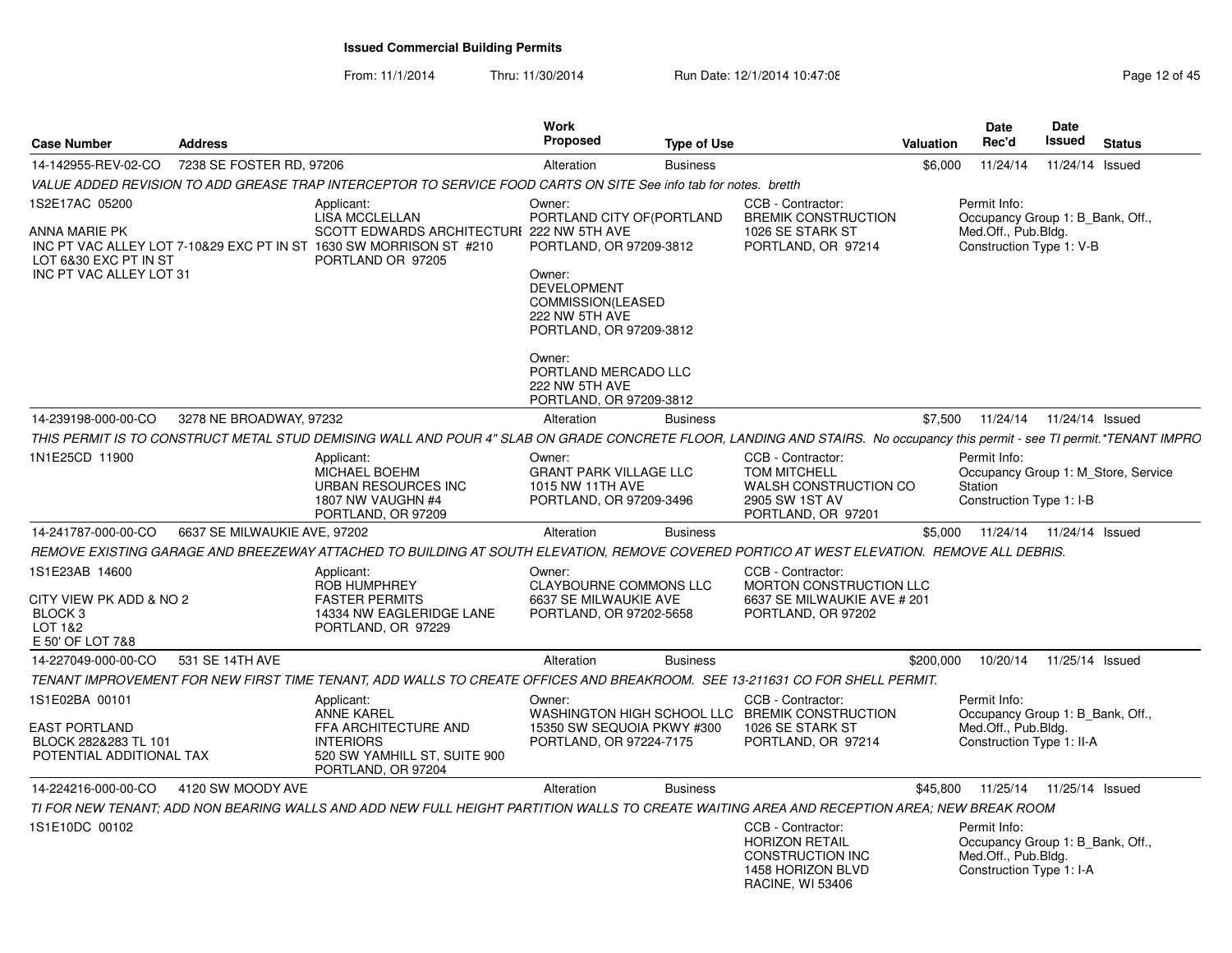From: 11/1/2014

Thru: 11/30/2014 Run Date: 12/1/2014 10:47:08 Research 2010 12:06 Page 12:0f 45

| 7238 SE FOSTER RD, 97206<br>14-142955-REV-02-CO<br>11/24/14 Issued<br>Alteration<br>\$6,000<br>11/24/14<br><b>Business</b><br>VALUE ADDED REVISION TO ADD GREASE TRAP INTERCEPTOR TO SERVICE FOOD CARTS ON SITE See info tab for notes. bretth<br>1S2E17AC 05200<br>CCB - Contractor:<br>Owner:<br>Permit Info:<br>Applicant:<br><b>BREMIK CONSTRUCTION</b><br><b>LISA MCCLELLAN</b><br>PORTLAND CITY OF (PORTLAND<br>Occupancy Group 1: B_Bank, Off.,<br>Med.Off., Pub.Bldg.<br>SCOTT EDWARDS ARCHITECTURI 222 NW 5TH AVE<br>1026 SE STARK ST<br>INC PT VAC ALLEY LOT 7-10&29 EXC PT IN ST 1630 SW MORRISON ST #210<br>Construction Type 1: V-B<br>PORTLAND, OR 97209-3812<br>PORTLAND, OR 97214<br>LOT 6&30 EXC PT IN ST<br>PORTLAND OR 97205<br>INC PT VAC ALLEY LOT 31<br>Owner:<br><b>DEVELOPMENT</b><br>COMMISSION(LEASED<br>222 NW 5TH AVE<br>PORTLAND, OR 97209-3812<br>Owner:<br>PORTLAND MERCADO LLC<br>222 NW 5TH AVE<br>PORTLAND, OR 97209-3812<br>3278 NE BROADWAY, 97232<br>\$7,500<br>11/24/14 Issued<br>14-239198-000-00-CO<br><b>Business</b><br>11/24/14<br>Alteration<br>1N1E25CD 11900<br>CCB - Contractor:<br>Permit Info:<br>Applicant:<br>Owner:<br><b>TOM MITCHELL</b><br><b>MICHAEL BOEHM</b><br><b>GRANT PARK VILLAGE LLC</b><br>Occupancy Group 1: M Store, Service<br>URBAN RESOURCES INC<br>1015 NW 11TH AVE<br>WALSH CONSTRUCTION CO<br>Station<br>1807 NW VAUGHN #4<br>2905 SW 1ST AV<br>PORTLAND, OR 97209-3496<br>Construction Type 1: I-B<br>PORTLAND, OR 97209<br>PORTLAND, OR 97201<br>6637 SE MILWAUKIE AVE, 97202<br>14-241787-000-00-CO<br><b>Business</b><br>\$5.000<br>11/24/14  11/24/14  Issued<br>Alteration<br>REMOVE EXISTING GARAGE AND BREEZEWAY ATTACHED TO BUILDING AT SOUTH ELEVATION. REMOVE COVERED PORTICO AT WEST ELEVATION.  REMOVE ALL DEBRIS.<br>1S1E23AB 14600<br>Owner:<br>CCB - Contractor:<br>Applicant:<br><b>ROB HUMPHREY</b><br>MORTON CONSTRUCTION LLC<br><b>CLAYBOURNE COMMONS LLC</b><br>CITY VIEW PK ADD & NO 2<br><b>FASTER PERMITS</b><br>6637 SE MILWAUKIE AVE<br>6637 SE MILWAUKIE AVE # 201<br>BLOCK <sub>3</sub><br>14334 NW EAGLERIDGE LANE<br>PORTLAND, OR 97202-5658<br>PORTLAND, OR 97202<br>LOT 1&2<br>PORTLAND, OR 97229<br>E 50' OF LOT 7&8<br>531 SE 14TH AVE<br>10/20/14  11/25/14  Issued<br>14-227049-000-00-CO<br>Alteration<br><b>Business</b><br>\$200,000<br>TENANT IMPROVEMENT FOR NEW FIRST TIME TENANT, ADD WALLS TO CREATE OFFICES AND BREAKROOM. SEE 13-211631 CO FOR SHELL PERMIT.<br>1S1E02BA 00101<br>Owner:<br>CCB - Contractor:<br>Permit Info:<br>Applicant:<br><b>ANNE KAREL</b><br>WASHINGTON HIGH SCHOOL LLC<br><b>BREMIK CONSTRUCTION</b><br>Occupancy Group 1: B_Bank, Off.,<br>Med.Off., Pub.Bldg.<br><b>EAST PORTLAND</b><br>FFA ARCHITECTURE AND<br>15350 SW SEQUOIA PKWY #300<br>1026 SE STARK ST<br><b>INTERIORS</b><br>PORTLAND, OR 97224-7175<br>Construction Type 1: II-A<br>BLOCK 282&283 TL 101<br>PORTLAND, OR 97214<br>POTENTIAL ADDITIONAL TAX<br>520 SW YAMHILL ST, SUITE 900 | <b>Case Number</b> | <b>Address</b> |                    | <b>Work</b><br>Proposed | <b>Type of Use</b> | Valuation | Date<br>Rec'd | Date<br><b>Issued</b> | <b>Status</b> |
|-------------------------------------------------------------------------------------------------------------------------------------------------------------------------------------------------------------------------------------------------------------------------------------------------------------------------------------------------------------------------------------------------------------------------------------------------------------------------------------------------------------------------------------------------------------------------------------------------------------------------------------------------------------------------------------------------------------------------------------------------------------------------------------------------------------------------------------------------------------------------------------------------------------------------------------------------------------------------------------------------------------------------------------------------------------------------------------------------------------------------------------------------------------------------------------------------------------------------------------------------------------------------------------------------------------------------------------------------------------------------------------------------------------------------------------------------------------------------------------------------------------------------------------------------------------------------------------------------------------------------------------------------------------------------------------------------------------------------------------------------------------------------------------------------------------------------------------------------------------------------------------------------------------------------------------------------------------------------------------------------------------------------------------------------------------------------------------------------------------------------------------------------------------------------------------------------------------------------------------------------------------------------------------------------------------------------------------------------------------------------------------------------------------------------------------------------------------------------------------------------------------------------------------------------------------------------------------------------------------------------------------------------------------------------------------------------------------------------------------------------------------------------------------------------------------------------------------------------------------------------------------------------------------------------------------------------------------------------------------------------------|--------------------|----------------|--------------------|-------------------------|--------------------|-----------|---------------|-----------------------|---------------|
|                                                                                                                                                                                                                                                                                                                                                                                                                                                                                                                                                                                                                                                                                                                                                                                                                                                                                                                                                                                                                                                                                                                                                                                                                                                                                                                                                                                                                                                                                                                                                                                                                                                                                                                                                                                                                                                                                                                                                                                                                                                                                                                                                                                                                                                                                                                                                                                                                                                                                                                                                                                                                                                                                                                                                                                                                                                                                                                                                                                                       |                    |                |                    |                         |                    |           |               |                       |               |
| ANNA MARIE PK<br>THIS PERMIT IS TO CONSTRUCT METAL STUD DEMISING WALL AND POUR 4" SLAB ON GRADE CONCRETE FLOOR, LANDING AND STAIRS. No occupancy this permit - see TI permit.*TENANT IMPRO                                                                                                                                                                                                                                                                                                                                                                                                                                                                                                                                                                                                                                                                                                                                                                                                                                                                                                                                                                                                                                                                                                                                                                                                                                                                                                                                                                                                                                                                                                                                                                                                                                                                                                                                                                                                                                                                                                                                                                                                                                                                                                                                                                                                                                                                                                                                                                                                                                                                                                                                                                                                                                                                                                                                                                                                            |                    |                |                    |                         |                    |           |               |                       |               |
|                                                                                                                                                                                                                                                                                                                                                                                                                                                                                                                                                                                                                                                                                                                                                                                                                                                                                                                                                                                                                                                                                                                                                                                                                                                                                                                                                                                                                                                                                                                                                                                                                                                                                                                                                                                                                                                                                                                                                                                                                                                                                                                                                                                                                                                                                                                                                                                                                                                                                                                                                                                                                                                                                                                                                                                                                                                                                                                                                                                                       |                    |                |                    |                         |                    |           |               |                       |               |
|                                                                                                                                                                                                                                                                                                                                                                                                                                                                                                                                                                                                                                                                                                                                                                                                                                                                                                                                                                                                                                                                                                                                                                                                                                                                                                                                                                                                                                                                                                                                                                                                                                                                                                                                                                                                                                                                                                                                                                                                                                                                                                                                                                                                                                                                                                                                                                                                                                                                                                                                                                                                                                                                                                                                                                                                                                                                                                                                                                                                       |                    |                |                    |                         |                    |           |               |                       |               |
|                                                                                                                                                                                                                                                                                                                                                                                                                                                                                                                                                                                                                                                                                                                                                                                                                                                                                                                                                                                                                                                                                                                                                                                                                                                                                                                                                                                                                                                                                                                                                                                                                                                                                                                                                                                                                                                                                                                                                                                                                                                                                                                                                                                                                                                                                                                                                                                                                                                                                                                                                                                                                                                                                                                                                                                                                                                                                                                                                                                                       |                    |                |                    |                         |                    |           |               |                       |               |
|                                                                                                                                                                                                                                                                                                                                                                                                                                                                                                                                                                                                                                                                                                                                                                                                                                                                                                                                                                                                                                                                                                                                                                                                                                                                                                                                                                                                                                                                                                                                                                                                                                                                                                                                                                                                                                                                                                                                                                                                                                                                                                                                                                                                                                                                                                                                                                                                                                                                                                                                                                                                                                                                                                                                                                                                                                                                                                                                                                                                       |                    |                |                    |                         |                    |           |               |                       |               |
|                                                                                                                                                                                                                                                                                                                                                                                                                                                                                                                                                                                                                                                                                                                                                                                                                                                                                                                                                                                                                                                                                                                                                                                                                                                                                                                                                                                                                                                                                                                                                                                                                                                                                                                                                                                                                                                                                                                                                                                                                                                                                                                                                                                                                                                                                                                                                                                                                                                                                                                                                                                                                                                                                                                                                                                                                                                                                                                                                                                                       |                    |                |                    |                         |                    |           |               |                       |               |
|                                                                                                                                                                                                                                                                                                                                                                                                                                                                                                                                                                                                                                                                                                                                                                                                                                                                                                                                                                                                                                                                                                                                                                                                                                                                                                                                                                                                                                                                                                                                                                                                                                                                                                                                                                                                                                                                                                                                                                                                                                                                                                                                                                                                                                                                                                                                                                                                                                                                                                                                                                                                                                                                                                                                                                                                                                                                                                                                                                                                       |                    |                |                    |                         |                    |           |               |                       |               |
|                                                                                                                                                                                                                                                                                                                                                                                                                                                                                                                                                                                                                                                                                                                                                                                                                                                                                                                                                                                                                                                                                                                                                                                                                                                                                                                                                                                                                                                                                                                                                                                                                                                                                                                                                                                                                                                                                                                                                                                                                                                                                                                                                                                                                                                                                                                                                                                                                                                                                                                                                                                                                                                                                                                                                                                                                                                                                                                                                                                                       |                    |                |                    |                         |                    |           |               |                       |               |
|                                                                                                                                                                                                                                                                                                                                                                                                                                                                                                                                                                                                                                                                                                                                                                                                                                                                                                                                                                                                                                                                                                                                                                                                                                                                                                                                                                                                                                                                                                                                                                                                                                                                                                                                                                                                                                                                                                                                                                                                                                                                                                                                                                                                                                                                                                                                                                                                                                                                                                                                                                                                                                                                                                                                                                                                                                                                                                                                                                                                       |                    |                |                    |                         |                    |           |               |                       |               |
|                                                                                                                                                                                                                                                                                                                                                                                                                                                                                                                                                                                                                                                                                                                                                                                                                                                                                                                                                                                                                                                                                                                                                                                                                                                                                                                                                                                                                                                                                                                                                                                                                                                                                                                                                                                                                                                                                                                                                                                                                                                                                                                                                                                                                                                                                                                                                                                                                                                                                                                                                                                                                                                                                                                                                                                                                                                                                                                                                                                                       |                    |                |                    |                         |                    |           |               |                       |               |
|                                                                                                                                                                                                                                                                                                                                                                                                                                                                                                                                                                                                                                                                                                                                                                                                                                                                                                                                                                                                                                                                                                                                                                                                                                                                                                                                                                                                                                                                                                                                                                                                                                                                                                                                                                                                                                                                                                                                                                                                                                                                                                                                                                                                                                                                                                                                                                                                                                                                                                                                                                                                                                                                                                                                                                                                                                                                                                                                                                                                       |                    |                |                    |                         |                    |           |               |                       |               |
|                                                                                                                                                                                                                                                                                                                                                                                                                                                                                                                                                                                                                                                                                                                                                                                                                                                                                                                                                                                                                                                                                                                                                                                                                                                                                                                                                                                                                                                                                                                                                                                                                                                                                                                                                                                                                                                                                                                                                                                                                                                                                                                                                                                                                                                                                                                                                                                                                                                                                                                                                                                                                                                                                                                                                                                                                                                                                                                                                                                                       |                    |                |                    |                         |                    |           |               |                       |               |
|                                                                                                                                                                                                                                                                                                                                                                                                                                                                                                                                                                                                                                                                                                                                                                                                                                                                                                                                                                                                                                                                                                                                                                                                                                                                                                                                                                                                                                                                                                                                                                                                                                                                                                                                                                                                                                                                                                                                                                                                                                                                                                                                                                                                                                                                                                                                                                                                                                                                                                                                                                                                                                                                                                                                                                                                                                                                                                                                                                                                       |                    |                |                    |                         |                    |           |               |                       |               |
|                                                                                                                                                                                                                                                                                                                                                                                                                                                                                                                                                                                                                                                                                                                                                                                                                                                                                                                                                                                                                                                                                                                                                                                                                                                                                                                                                                                                                                                                                                                                                                                                                                                                                                                                                                                                                                                                                                                                                                                                                                                                                                                                                                                                                                                                                                                                                                                                                                                                                                                                                                                                                                                                                                                                                                                                                                                                                                                                                                                                       |                    |                | PORTLAND, OR 97204 |                         |                    |           |               |                       |               |
| 4120 SW MOODY AVE<br>14-224216-000-00-CO<br><b>Business</b><br>\$45,800<br>11/25/14  11/25/14  Issued<br>Alteration                                                                                                                                                                                                                                                                                                                                                                                                                                                                                                                                                                                                                                                                                                                                                                                                                                                                                                                                                                                                                                                                                                                                                                                                                                                                                                                                                                                                                                                                                                                                                                                                                                                                                                                                                                                                                                                                                                                                                                                                                                                                                                                                                                                                                                                                                                                                                                                                                                                                                                                                                                                                                                                                                                                                                                                                                                                                                   |                    |                |                    |                         |                    |           |               |                       |               |
| TI FOR NEW TENANT: ADD NON BEARING WALLS AND ADD NEW FULL HEIGHT PARTITION WALLS TO CREATE WAITING AREA AND RECEPTION AREA: NEW BREAK ROOM                                                                                                                                                                                                                                                                                                                                                                                                                                                                                                                                                                                                                                                                                                                                                                                                                                                                                                                                                                                                                                                                                                                                                                                                                                                                                                                                                                                                                                                                                                                                                                                                                                                                                                                                                                                                                                                                                                                                                                                                                                                                                                                                                                                                                                                                                                                                                                                                                                                                                                                                                                                                                                                                                                                                                                                                                                                            |                    |                |                    |                         |                    |           |               |                       |               |
| 1S1E10DC 00102<br>CCB - Contractor:<br>Permit Info:<br><b>HORIZON RETAIL</b><br>Occupancy Group 1: B Bank, Off.,<br>Med.Off., Pub.Bldg.<br><b>CONSTRUCTION INC</b><br>1458 HORIZON BLVD<br>Construction Type 1: I-A<br><b>RACINE, WI 53406</b>                                                                                                                                                                                                                                                                                                                                                                                                                                                                                                                                                                                                                                                                                                                                                                                                                                                                                                                                                                                                                                                                                                                                                                                                                                                                                                                                                                                                                                                                                                                                                                                                                                                                                                                                                                                                                                                                                                                                                                                                                                                                                                                                                                                                                                                                                                                                                                                                                                                                                                                                                                                                                                                                                                                                                        |                    |                |                    |                         |                    |           |               |                       |               |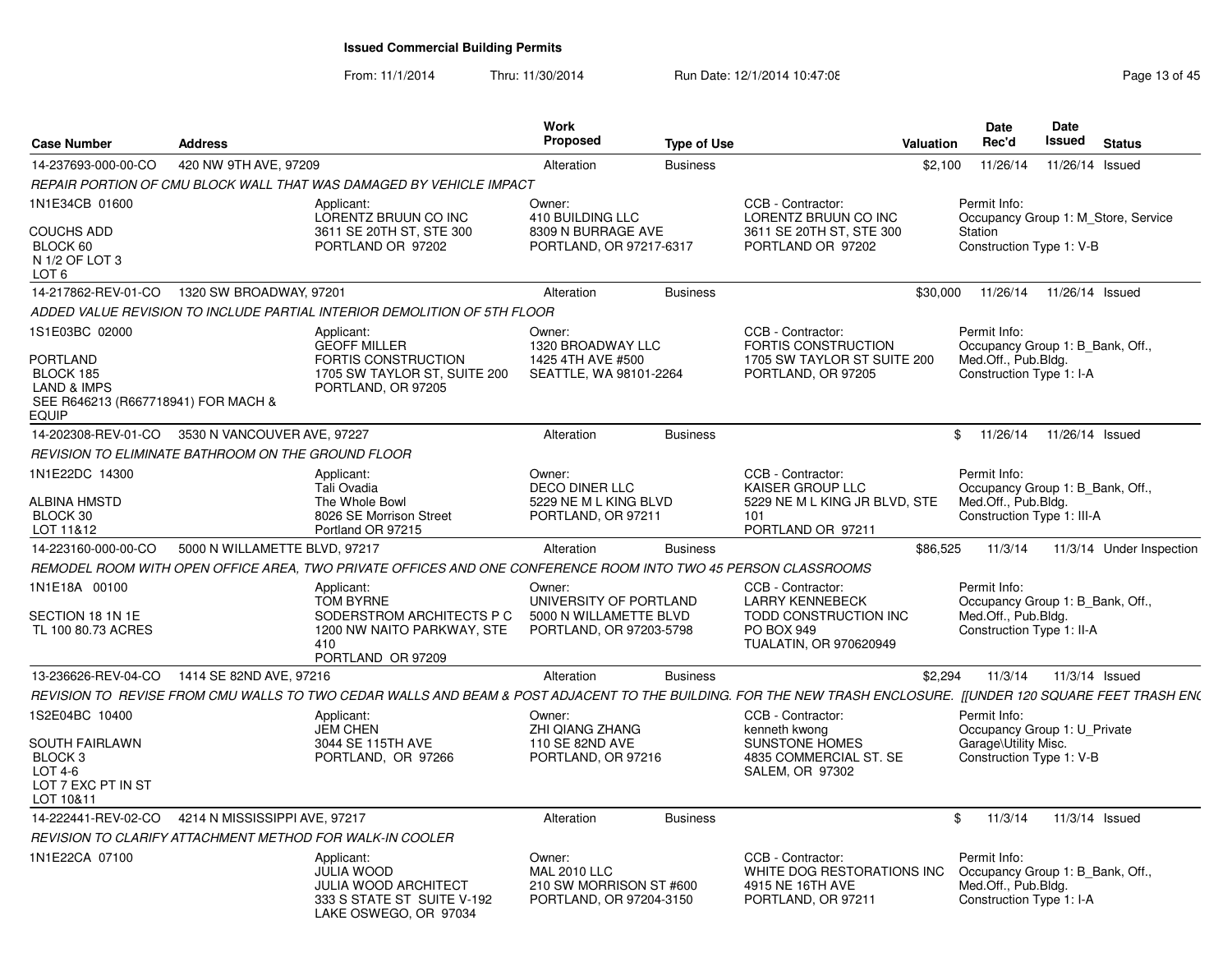From: 11/1/2014Thru: 11/30/2014 Run Date: 12/1/2014 10:47:08 Research 2010 Rage 13 of 45

| <b>Case Number</b>                                                                                                       | <b>Address</b>                |                                                                                                                                                               | Work<br>Proposed                                                                      | <b>Type of Use</b> |                                                                                                                            | <b>Valuation</b> | Date<br>Rec'd                                                                                         | <b>Date</b><br>Issued | <b>Status</b>                       |
|--------------------------------------------------------------------------------------------------------------------------|-------------------------------|---------------------------------------------------------------------------------------------------------------------------------------------------------------|---------------------------------------------------------------------------------------|--------------------|----------------------------------------------------------------------------------------------------------------------------|------------------|-------------------------------------------------------------------------------------------------------|-----------------------|-------------------------------------|
| 14-237693-000-00-CO                                                                                                      | 420 NW 9TH AVE, 97209         |                                                                                                                                                               | Alteration                                                                            | <b>Business</b>    |                                                                                                                            | \$2,100          | 11/26/14                                                                                              | 11/26/14 Issued       |                                     |
|                                                                                                                          |                               | REPAIR PORTION OF CMU BLOCK WALL THAT WAS DAMAGED BY VEHICLE IMPACT                                                                                           |                                                                                       |                    |                                                                                                                            |                  |                                                                                                       |                       |                                     |
| 1N1E34CB 01600<br><b>COUCHS ADD</b><br>BLOCK 60<br>N 1/2 OF LOT 3<br>LOT 6                                               |                               | Applicant:<br>LORENTZ BRUUN CO INC<br>3611 SE 20TH ST, STE 300<br>PORTLAND OR 97202                                                                           | Owner:<br>410 BUILDING LLC<br>8309 N BURRAGE AVE<br>PORTLAND, OR 97217-6317           |                    | CCB - Contractor:<br>LORENTZ BRUUN CO INC<br>3611 SE 20TH ST, STE 300<br>PORTLAND OR 97202                                 |                  | Permit Info:<br>Station<br>Construction Type 1: V-B                                                   |                       | Occupancy Group 1: M_Store, Service |
| 14-217862-REV-01-CO                                                                                                      | 1320 SW BROADWAY, 97201       |                                                                                                                                                               | Alteration                                                                            | <b>Business</b>    |                                                                                                                            | \$30,000         | 11/26/14                                                                                              | 11/26/14 Issued       |                                     |
|                                                                                                                          |                               | ADDED VALUE REVISION TO INCLUDE PARTIAL INTERIOR DEMOLITION OF 5TH FLOOR                                                                                      |                                                                                       |                    |                                                                                                                            |                  |                                                                                                       |                       |                                     |
| 1S1E03BC 02000<br>PORTLAND<br>BLOCK 185<br><b>LAND &amp; IMPS</b><br>SEE R646213 (R667718941) FOR MACH &<br><b>EQUIP</b> |                               | Applicant:<br><b>GEOFF MILLER</b><br>FORTIS CONSTRUCTION<br>1705 SW TAYLOR ST, SUITE 200<br>PORTLAND, OR 97205                                                | Owner:<br>1320 BROADWAY LLC<br>1425 4TH AVE #500<br>SEATTLE, WA 98101-2264            |                    | CCB - Contractor:<br><b>FORTIS CONSTRUCTION</b><br>1705 SW TAYLOR ST SUITE 200<br>PORTLAND, OR 97205                       |                  | Permit Info:<br>Occupancy Group 1: B Bank, Off.,<br>Med.Off., Pub.Bldg.<br>Construction Type 1: I-A   |                       |                                     |
| 14-202308-REV-01-CO 3530 N VANCOUVER AVE, 97227                                                                          |                               |                                                                                                                                                               | Alteration                                                                            | <b>Business</b>    |                                                                                                                            |                  | \$11/26/14                                                                                            | 11/26/14 Issued       |                                     |
| REVISION TO ELIMINATE BATHROOM ON THE GROUND FLOOR                                                                       |                               |                                                                                                                                                               |                                                                                       |                    |                                                                                                                            |                  |                                                                                                       |                       |                                     |
| 1N1E22DC 14300<br><b>ALBINA HMSTD</b><br>BLOCK 30<br>LOT 11&12                                                           |                               | Applicant:<br>Tali Ovadia<br>The Whole Bowl<br>8026 SE Morrison Street<br>Portland OR 97215                                                                   | Owner:<br><b>DECO DINER LLC</b><br>5229 NE M L KING BLVD<br>PORTLAND, OR 97211        |                    | CCB - Contractor:<br><b>KAISER GROUP LLC</b><br>5229 NE M L KING JR BLVD, STE<br>101<br>PORTLAND OR 97211                  |                  | Permit Info:<br>Occupancy Group 1: B_Bank, Off.,<br>Med.Off., Pub.Bldg.<br>Construction Type 1: III-A |                       |                                     |
| 14-223160-000-00-CO                                                                                                      | 5000 N WILLAMETTE BLVD, 97217 |                                                                                                                                                               | Alteration                                                                            | <b>Business</b>    |                                                                                                                            | \$86,525         | 11/3/14                                                                                               |                       | 11/3/14 Under Inspection            |
|                                                                                                                          |                               | REMODEL ROOM WITH OPEN OFFICE AREA, TWO PRIVATE OFFICES AND ONE CONFERENCE ROOM INTO TWO 45 PERSON CLASSROOMS                                                 |                                                                                       |                    |                                                                                                                            |                  |                                                                                                       |                       |                                     |
| 1N1E18A 00100<br>SECTION 18 1N 1E<br>TL 100 80.73 ACRES                                                                  |                               | Applicant:<br><b>TOM BYRNE</b><br>SODERSTROM ARCHITECTS P C<br>1200 NW NAITO PARKWAY, STE<br>410<br>PORTLAND OR 97209                                         | Owner:<br>UNIVERSITY OF PORTLAND<br>5000 N WILLAMETTE BLVD<br>PORTLAND, OR 97203-5798 |                    | CCB - Contractor:<br><b>LARRY KENNEBECK</b><br><b>TODD CONSTRUCTION INC</b><br>PO BOX 949<br><b>TUALATIN, OR 970620949</b> |                  | Permit Info:<br>Occupancy Group 1: B_Bank, Off.,<br>Med.Off., Pub.Bldg.<br>Construction Type 1: II-A  |                       |                                     |
| 13-236626-REV-04-CO                                                                                                      | 1414 SE 82ND AVE, 97216       |                                                                                                                                                               | Alteration                                                                            | <b>Business</b>    |                                                                                                                            | \$2,294          | 11/3/14                                                                                               |                       | 11/3/14 Issued                      |
|                                                                                                                          |                               | REVISION TO REVISE FROM CMU WALLS TO TWO CEDAR WALLS AND BEAM & POST ADJACENT TO THE BUILDING. FOR THE NEW TRASH ENCLOSURE. [[UNDER 120 SQUARE FEET TRASH EN( |                                                                                       |                    |                                                                                                                            |                  |                                                                                                       |                       |                                     |
| 1S2E04BC 10400<br>SOUTH FAIRLAWN<br>BLOCK <sub>3</sub><br>LOT 4-6<br>LOT 7 EXC PT IN ST<br>LOT 10&11                     |                               | Applicant:<br><b>JEM CHEN</b><br>3044 SE 115TH AVE<br>PORTLAND, OR 97266                                                                                      | Owner:<br><b>ZHI QIANG ZHANG</b><br>110 SE 82ND AVE<br>PORTLAND, OR 97216             |                    | CCB - Contractor:<br>kenneth kwong<br>SUNSTONE HOMES<br>4835 COMMERCIAL ST. SE<br>SALEM, OR 97302                          |                  | Permit Info:<br>Occupancy Group 1: U_Private<br>Garage\Utility Misc.<br>Construction Type 1: V-B      |                       |                                     |
| 14-222441-REV-02-CO                                                                                                      | 4214 N MISSISSIPPI AVE, 97217 |                                                                                                                                                               | Alteration                                                                            | <b>Business</b>    |                                                                                                                            |                  | $\mathfrak{S}$<br>11/3/14                                                                             |                       | 11/3/14 Issued                      |
|                                                                                                                          |                               | REVISION TO CLARIFY ATTACHMENT METHOD FOR WALK-IN COOLER                                                                                                      |                                                                                       |                    |                                                                                                                            |                  |                                                                                                       |                       |                                     |
| 1N1E22CA 07100                                                                                                           |                               | Applicant:<br><b>JULIA WOOD</b><br><b>JULIA WOOD ARCHITECT</b><br>333 S STATE ST SUITE V-192<br>LAKE OSWEGO, OR 97034                                         | Owner:<br><b>MAL 2010 LLC</b><br>210 SW MORRISON ST #600<br>PORTLAND, OR 97204-3150   |                    | CCB - Contractor:<br>WHITE DOG RESTORATIONS INC<br>4915 NE 16TH AVE<br>PORTLAND, OR 97211                                  |                  | Permit Info:<br>Occupancy Group 1: B_Bank, Off.,<br>Med.Off., Pub.Bldg.<br>Construction Type 1: I-A   |                       |                                     |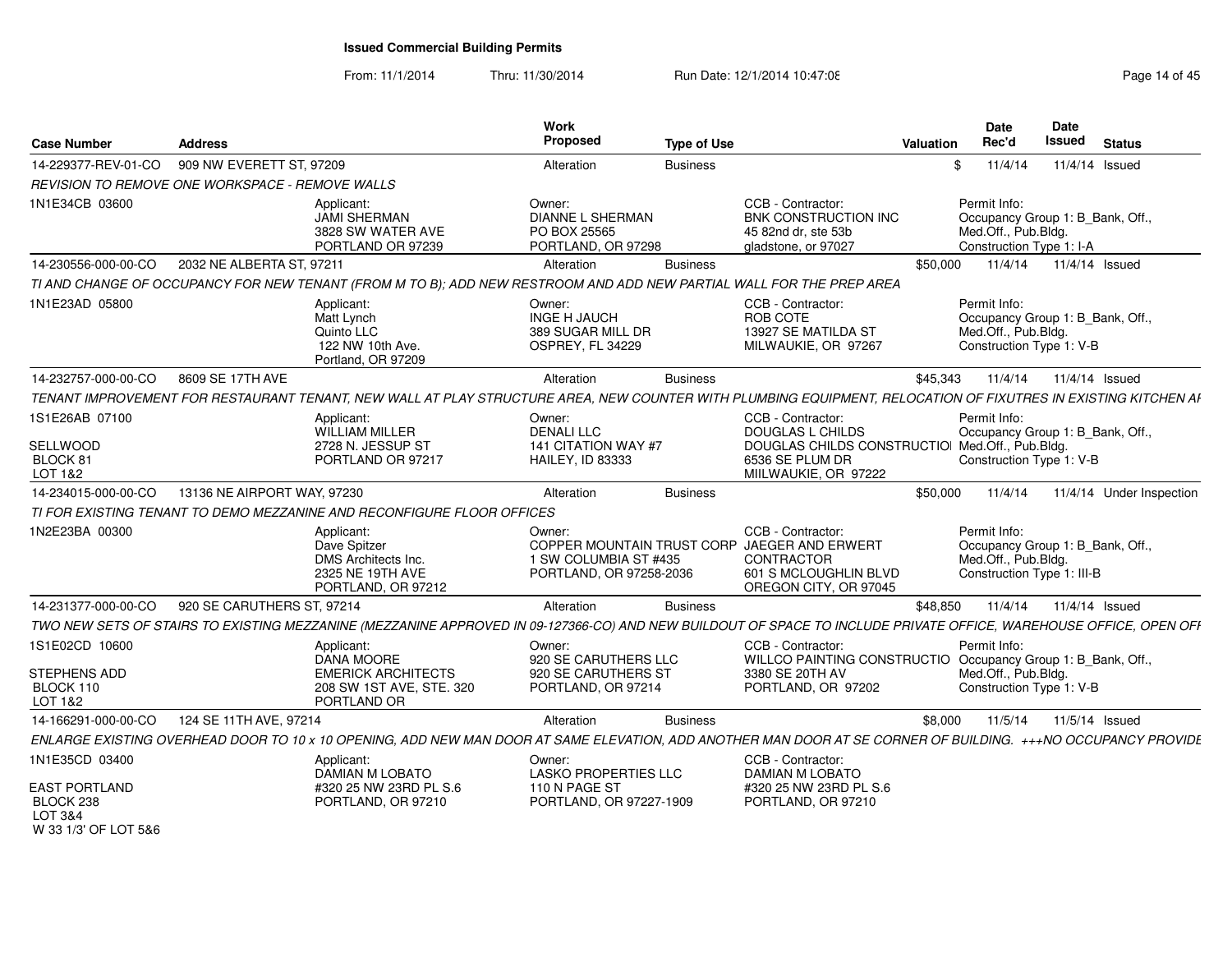From: 11/1/2014Thru: 11/30/2014 Run Date: 12/1/2014 10:47:08 Research 2010 Rage 14 of 45

| <b>Case Number</b>                                     | <b>Address</b>              |                                                                                                                                                                   | Work<br>Proposed                                                        | <b>Type of Use</b> |                                                                                                                                   | Valuation | <b>Date</b>  | Rec'd                                                                                 | <b>Date</b><br>Issued | <b>Status</b>            |
|--------------------------------------------------------|-----------------------------|-------------------------------------------------------------------------------------------------------------------------------------------------------------------|-------------------------------------------------------------------------|--------------------|-----------------------------------------------------------------------------------------------------------------------------------|-----------|--------------|---------------------------------------------------------------------------------------|-----------------------|--------------------------|
| 14-229377-REV-01-CO                                    | 909 NW EVERETT ST, 97209    |                                                                                                                                                                   | Alteration                                                              | <b>Business</b>    |                                                                                                                                   |           | \$           | 11/4/14                                                                               | 11/4/14 Issued        |                          |
| REVISION TO REMOVE ONE WORKSPACE - REMOVE WALLS        |                             |                                                                                                                                                                   |                                                                         |                    |                                                                                                                                   |           |              |                                                                                       |                       |                          |
| 1N1E34CB 03600                                         |                             | Applicant:<br><b>JAMI SHERMAN</b><br>3828 SW WATER AVE<br>PORTLAND OR 97239                                                                                       | Owner:<br><b>DIANNE L SHERMAN</b><br>PO BOX 25565<br>PORTLAND, OR 97298 |                    | CCB - Contractor:<br>BNK CONSTRUCTION INC<br>45 82nd dr. ste 53b<br>gladstone, or 97027                                           |           | Permit Info: | Occupancy Group 1: B Bank, Off.,<br>Med.Off., Pub.Bldg.<br>Construction Type 1: I-A   |                       |                          |
| 14-230556-000-00-CO                                    | 2032 NE ALBERTA ST, 97211   |                                                                                                                                                                   | Alteration                                                              | <b>Business</b>    |                                                                                                                                   | \$50,000  |              | 11/4/14                                                                               | 11/4/14 Issued        |                          |
|                                                        |                             | TI AND CHANGE OF OCCUPANCY FOR NEW TENANT (FROM M TO B); ADD NEW RESTROOM AND ADD NEW PARTIAL WALL FOR THE PREP AREA                                              |                                                                         |                    |                                                                                                                                   |           |              |                                                                                       |                       |                          |
| 1N1E23AD 05800                                         |                             | Applicant:<br>Matt Lynch<br>Quinto LLC<br>122 NW 10th Ave.<br>Portland, OR 97209                                                                                  | Owner:<br><b>INGE H JAUCH</b><br>389 SUGAR MILL DR<br>OSPREY, FL 34229  |                    | CCB - Contractor:<br>ROB COTE<br>13927 SE MATILDA ST<br>MILWAUKIE, OR 97267                                                       |           | Permit Info: | Occupancy Group 1: B Bank, Off.,<br>Med.Off., Pub.Bldg.<br>Construction Type 1: V-B   |                       |                          |
| 14-232757-000-00-CO                                    | 8609 SE 17TH AVE            |                                                                                                                                                                   | Alteration                                                              | <b>Business</b>    |                                                                                                                                   | \$45,343  |              | 11/4/14                                                                               | 11/4/14 Issued        |                          |
|                                                        |                             | TENANT IMPROVEMENT FOR RESTAURANT TENANT, NEW WALL AT PLAY STRUCTURE AREA, NEW COUNTER WITH PLUMBING EQUIPMENT, RELOCATION OF FIXUTRES IN EXISTING KITCHEN AI     |                                                                         |                    |                                                                                                                                   |           |              |                                                                                       |                       |                          |
| 1S1E26AB 07100                                         |                             | Applicant:<br><b>WILLIAM MILLER</b>                                                                                                                               | Owner:<br><b>DENALI LLC</b>                                             |                    | CCB - Contractor:<br><b>DOUGLAS L CHILDS</b>                                                                                      |           | Permit Info: | Occupancy Group 1: B_Bank, Off.,                                                      |                       |                          |
| SELLWOOD<br>BLOCK 81<br>LOT 1&2                        |                             | 2728 N. JESSUP ST<br>PORTLAND OR 97217                                                                                                                            | 141 CITATION WAY #7<br><b>HAILEY, ID 83333</b>                          |                    | DOUGLAS CHILDS CONSTRUCTIO Med.Off., Pub.Bldg.<br>6536 SE PLUM DR<br>MIILWAUKIE, OR 97222                                         |           |              | Construction Type 1: V-B                                                              |                       |                          |
| 14-234015-000-00-CO                                    | 13136 NE AIRPORT WAY, 97230 |                                                                                                                                                                   | Alteration                                                              | <b>Business</b>    |                                                                                                                                   | \$50,000  |              | 11/4/14                                                                               |                       | 11/4/14 Under Inspection |
|                                                        |                             | TI FOR EXISTING TENANT TO DEMO MEZZANINE AND RECONFIGURE FLOOR OFFICES                                                                                            |                                                                         |                    |                                                                                                                                   |           |              |                                                                                       |                       |                          |
| 1N2E23BA 00300                                         |                             | Applicant:<br>Dave Spitzer<br>DMS Architects Inc.<br>2325 NE 19TH AVE<br>PORTLAND, OR 97212                                                                       | Owner:<br>1 SW COLUMBIA ST #435<br>PORTLAND, OR 97258-2036              |                    | CCB - Contractor:<br>COPPER MOUNTAIN TRUST CORP JAEGER AND ERWERT<br>CONTRACTOR<br>601 S MCLOUGHLIN BLVD<br>OREGON CITY, OR 97045 |           | Permit Info: | Occupancy Group 1: B_Bank, Off.,<br>Med.Off., Pub.Bldg.<br>Construction Type 1: III-B |                       |                          |
| 14-231377-000-00-CO                                    | 920 SE CARUTHERS ST, 97214  |                                                                                                                                                                   | Alteration                                                              | <b>Business</b>    |                                                                                                                                   | \$48,850  |              | 11/4/14                                                                               | 11/4/14 Issued        |                          |
|                                                        |                             | TWO NEW SETS OF STAIRS TO EXISTING MEZZANINE (MEZZANINE APPROVED IN 09-127366-CO) AND NEW BUILDOUT OF SPACE TO INCLUDE PRIVATE OFFICE, WAREHOUSE OFFICE, OPEN OFI |                                                                         |                    |                                                                                                                                   |           |              |                                                                                       |                       |                          |
| 1S1E02CD 10600                                         |                             | Applicant:<br>DANA MOORE                                                                                                                                          | Owner:<br>920 SE CARUTHERS LLC                                          |                    | CCB - Contractor:<br>WILLCO PAINTING CONSTRUCTIO Occupancy Group 1: B_Bank, Off.,                                                 |           | Permit Info: |                                                                                       |                       |                          |
| STEPHENS ADD<br>BLOCK 110<br>LOT 1&2                   |                             | <b>EMERICK ARCHITECTS</b><br>208 SW 1ST AVE, STE. 320<br>PORTLAND OR                                                                                              | 920 SE CARUTHERS ST<br>PORTLAND, OR 97214                               |                    | 3380 SE 20TH AV<br>PORTLAND, OR 97202                                                                                             |           |              | Med.Off., Pub.Bldg.<br>Construction Type 1: V-B                                       |                       |                          |
| 14-166291-000-00-CO                                    | 124 SE 11TH AVE, 97214      |                                                                                                                                                                   | Alteration                                                              | <b>Business</b>    |                                                                                                                                   | \$8,000   |              | 11/5/14                                                                               | 11/5/14 Issued        |                          |
|                                                        |                             | ENLARGE EXISTING OVERHEAD DOOR TO 10 x 10 OPENING, ADD NEW MAN DOOR AT SAME ELEVATION, ADD ANOTHER MAN DOOR AT SE CORNER OF BUILDING. +++NO OCCUPANCY PROVIDE     |                                                                         |                    |                                                                                                                                   |           |              |                                                                                       |                       |                          |
| 1N1E35CD 03400                                         |                             | Applicant:<br><b>DAMIAN M LOBATO</b>                                                                                                                              | Owner:<br><b>LASKO PROPERTIES LLC</b>                                   |                    | CCB - Contractor:<br>DAMIAN M LOBATO                                                                                              |           |              |                                                                                       |                       |                          |
| EAST PORTLAND<br>BLOCK 238<br>LOT 3&4<br>$\frac{1}{2}$ |                             | #320 25 NW 23RD PL S.6<br>PORTLAND, OR 97210                                                                                                                      | 110 N PAGE ST<br>PORTLAND, OR 97227-1909                                |                    | #320 25 NW 23RD PL S.6<br>PORTLAND, OR 97210                                                                                      |           |              |                                                                                       |                       |                          |

W 33 1/3' OF LOT 5&6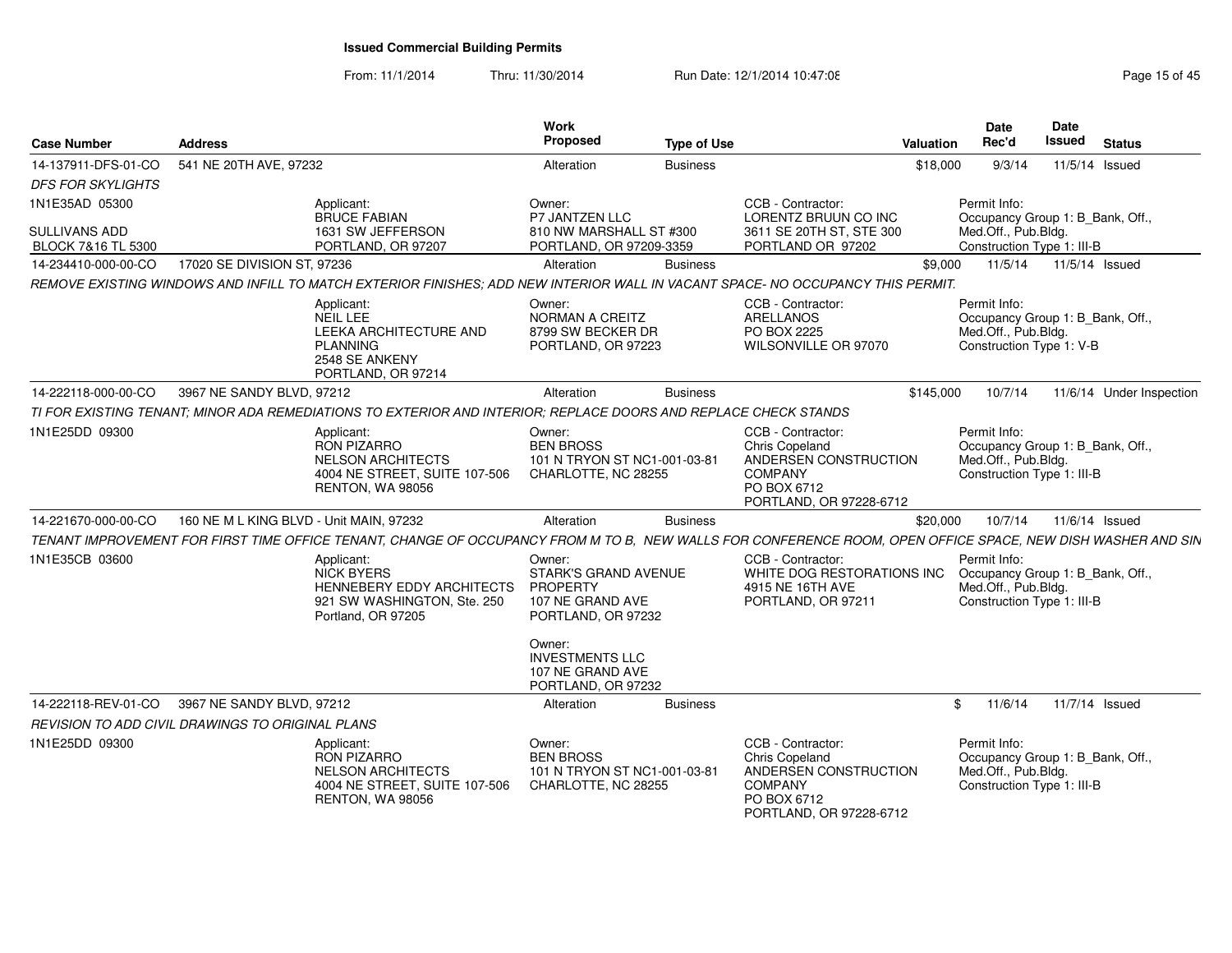From: 11/1/2014Thru: 11/30/2014 Run Date: 12/1/2014 10:47:08 Research 2010 Rage 15 of 45

**Date**

| <b>Case Number</b>                               | <b>Address</b>                          |                                                                                                                                                             | Work<br>Proposed                                                                            | <b>Type of Use</b> |                                                                                                                                 | <b>Valuation</b> | <b>Date</b><br>Rec'd                                                                                  | Date<br><b>Issued</b> | <b>Status</b>            |
|--------------------------------------------------|-----------------------------------------|-------------------------------------------------------------------------------------------------------------------------------------------------------------|---------------------------------------------------------------------------------------------|--------------------|---------------------------------------------------------------------------------------------------------------------------------|------------------|-------------------------------------------------------------------------------------------------------|-----------------------|--------------------------|
| 14-137911-DFS-01-CO                              | 541 NE 20TH AVE, 97232                  |                                                                                                                                                             | Alteration                                                                                  | <b>Business</b>    |                                                                                                                                 | \$18,000         | 9/3/14                                                                                                |                       | 11/5/14 Issued           |
| <b>DFS FOR SKYLIGHTS</b>                         |                                         |                                                                                                                                                             |                                                                                             |                    |                                                                                                                                 |                  |                                                                                                       |                       |                          |
| 1N1E35AD 05300                                   |                                         | Applicant:<br><b>BRUCE FABIAN</b>                                                                                                                           | Owner:<br>P7 JANTZEN LLC                                                                    |                    | CCB - Contractor:<br>LORENTZ BRUUN CO INC                                                                                       |                  | Permit Info:<br>Occupancy Group 1: B Bank, Off.,                                                      |                       |                          |
| <b>SULLIVANS ADD</b><br>BLOCK 7&16 TL 5300       |                                         | 1631 SW JEFFERSON<br>PORTLAND, OR 97207                                                                                                                     | 810 NW MARSHALL ST #300<br>PORTLAND, OR 97209-3359                                          |                    | 3611 SE 20TH ST, STE 300<br>PORTLAND OR 97202                                                                                   |                  | Med.Off., Pub.Bldg.<br>Construction Type 1: III-B                                                     |                       |                          |
| 14-234410-000-00-CO                              | 17020 SE DIVISION ST, 97236             |                                                                                                                                                             | Alteration                                                                                  | <b>Business</b>    |                                                                                                                                 | \$9.000          | 11/5/14                                                                                               |                       | 11/5/14 Issued           |
|                                                  |                                         | REMOVE EXISTING WINDOWS AND INFILL TO MATCH EXTERIOR FINISHES; ADD NEW INTERIOR WALL IN VACANT SPACE- NO OCCUPANCY THIS PERMIT.                             |                                                                                             |                    |                                                                                                                                 |                  |                                                                                                       |                       |                          |
|                                                  |                                         | Applicant:<br>NEIL LEE<br>LEEKA ARCHITECTURE AND<br><b>PLANNING</b><br>2548 SE ANKENY<br>PORTLAND, OR 97214                                                 | Owner:<br>NORMAN A CREITZ<br>8799 SW BECKER DR<br>PORTLAND, OR 97223                        |                    | CCB - Contractor:<br><b>ARELLANOS</b><br>PO BOX 2225<br>WILSONVILLE OR 97070                                                    |                  | Permit Info:<br>Occupancy Group 1: B Bank, Off.,<br>Med.Off., Pub.Bldg.<br>Construction Type 1: V-B   |                       |                          |
| 14-222118-000-00-CO                              | 3967 NE SANDY BLVD, 97212               |                                                                                                                                                             | Alteration                                                                                  | <b>Business</b>    |                                                                                                                                 | \$145,000        | 10/7/14                                                                                               |                       | 11/6/14 Under Inspection |
|                                                  |                                         | TI FOR EXISTING TENANT; MINOR ADA REMEDIATIONS TO EXTERIOR AND INTERIOR; REPLACE DOORS AND REPLACE CHECK STANDS                                             |                                                                                             |                    |                                                                                                                                 |                  |                                                                                                       |                       |                          |
| 1N1E25DD 09300                                   |                                         | Applicant:<br>RON PIZARRO<br><b>NELSON ARCHITECTS</b><br>4004 NE STREET, SUITE 107-506<br>RENTON, WA 98056                                                  | Owner:<br><b>BEN BROSS</b><br>101 N TRYON ST NC1-001-03-81<br>CHARLOTTE, NC 28255           |                    | CCB - Contractor:<br><b>Chris Copeland</b><br>ANDERSEN CONSTRUCTION<br><b>COMPANY</b><br>PO BOX 6712<br>PORTLAND, OR 97228-6712 |                  | Permit Info:<br>Occupancy Group 1: B Bank, Off.,<br>Med.Off., Pub.Bldg.<br>Construction Type 1: III-B |                       |                          |
| 14-221670-000-00-CO                              | 160 NE M L KING BLVD - Unit MAIN, 97232 |                                                                                                                                                             | Alteration                                                                                  | <b>Business</b>    |                                                                                                                                 | \$20,000         | 10/7/14                                                                                               |                       | 11/6/14 Issued           |
|                                                  |                                         | TENANT IMPROVEMENT FOR FIRST TIME OFFICE TENANT, CHANGE OF OCCUPANCY FROM M TO B, NEW WALLS FOR CONFERENCE ROOM, OPEN OFFICE SPACE, NEW DISH WASHER AND SIN |                                                                                             |                    |                                                                                                                                 |                  |                                                                                                       |                       |                          |
| 1N1E35CB 03600                                   |                                         | Applicant:<br><b>NICK BYERS</b><br>HENNEBERY EDDY ARCHITECTS<br>921 SW WASHINGTON, Ste. 250<br>Portland, OR 97205                                           | Owner:<br>STARK'S GRAND AVENUE<br><b>PROPERTY</b><br>107 NE GRAND AVE<br>PORTLAND, OR 97232 |                    | CCB - Contractor:<br>WHITE DOG RESTORATIONS INC<br>4915 NE 16TH AVE<br>PORTLAND, OR 97211                                       |                  | Permit Info:<br>Occupancy Group 1: B_Bank, Off.,<br>Med.Off., Pub.Bldg.<br>Construction Type 1: III-B |                       |                          |
|                                                  |                                         |                                                                                                                                                             | Owner:<br><b>INVESTMENTS LLC</b><br>107 NE GRAND AVE<br>PORTLAND, OR 97232                  |                    |                                                                                                                                 |                  |                                                                                                       |                       |                          |
| 14-222118-REV-01-CO                              | 3967 NE SANDY BLVD, 97212               |                                                                                                                                                             | Alteration                                                                                  | <b>Business</b>    |                                                                                                                                 | \$               | 11/6/14                                                                                               |                       | 11/7/14 Issued           |
| REVISION TO ADD CIVIL DRAWINGS TO ORIGINAL PLANS |                                         |                                                                                                                                                             |                                                                                             |                    |                                                                                                                                 |                  |                                                                                                       |                       |                          |
| 1N1E25DD 09300                                   |                                         | Applicant:<br>RON PIZARRO<br><b>NELSON ARCHITECTS</b><br>4004 NE STREET, SUITE 107-506<br>RENTON, WA 98056                                                  | Owner:<br><b>BEN BROSS</b><br>101 N TRYON ST NC1-001-03-81<br>CHARLOTTE, NC 28255           |                    | CCB - Contractor:<br>Chris Copeland<br>ANDERSEN CONSTRUCTION<br><b>COMPANY</b><br>PO BOX 6712<br>PORTLAND, OR 97228-6712        |                  | Permit Info:<br>Occupancy Group 1: B_Bank, Off.,<br>Med.Off., Pub.Bldg.<br>Construction Type 1: III-B |                       |                          |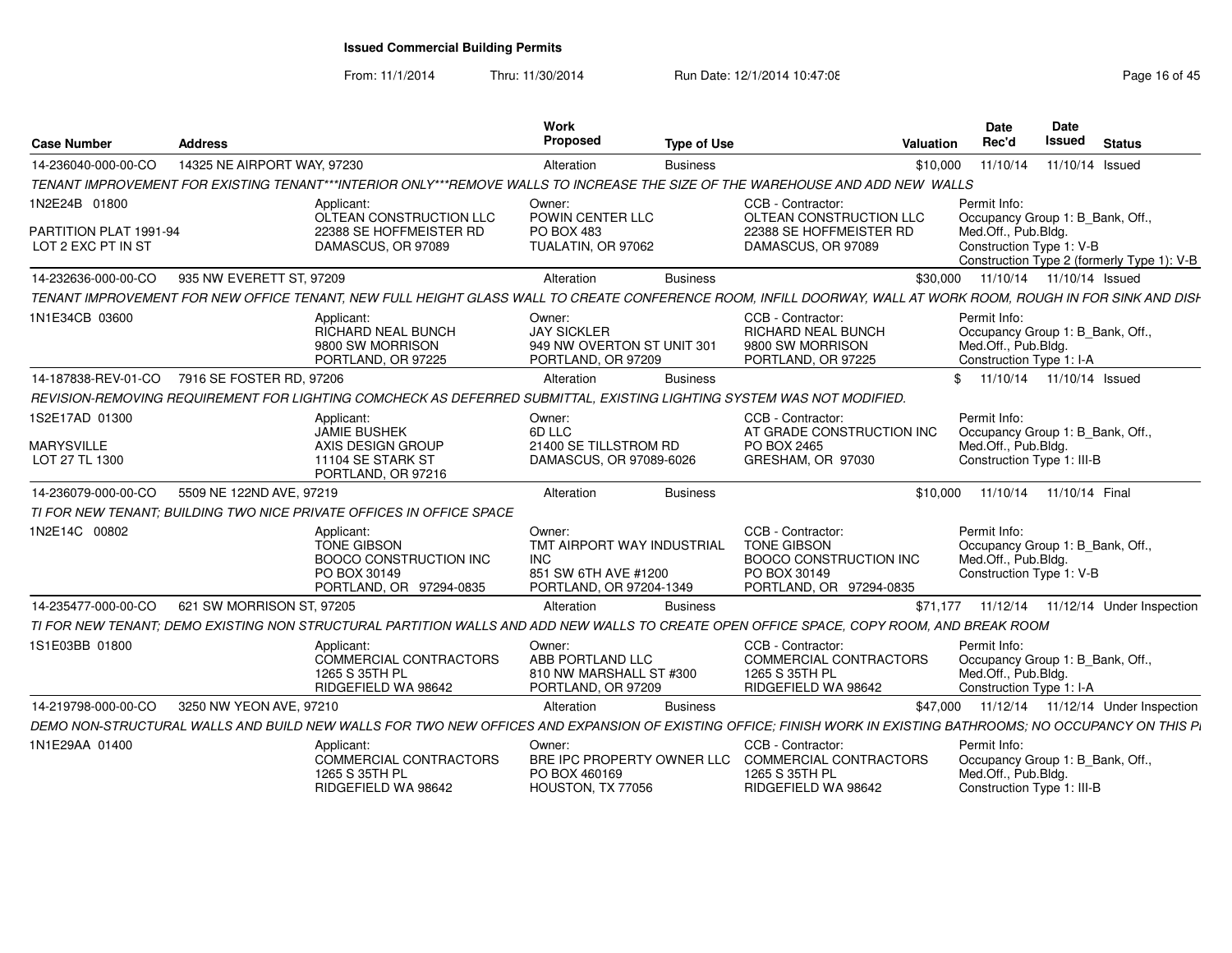From: 11/1/2014

Thru: 11/30/2014 Run Date: 12/1/2014 10:47:08 Research 2010 Rage 16 of 45

| <b>Case Number</b>                                            | <b>Address</b>                                                                                                                                                 | Work<br><b>Proposed</b>                                                                               | <b>Type of Use</b> | <b>Valuation</b>                                                                                                    | <b>Date</b><br>Rec'd                                                                                  | Date<br><b>Issued</b> | <b>Status</b>                                  |
|---------------------------------------------------------------|----------------------------------------------------------------------------------------------------------------------------------------------------------------|-------------------------------------------------------------------------------------------------------|--------------------|---------------------------------------------------------------------------------------------------------------------|-------------------------------------------------------------------------------------------------------|-----------------------|------------------------------------------------|
| 14-236040-000-00-CO                                           | 14325 NE AIRPORT WAY, 97230                                                                                                                                    | Alteration                                                                                            | <b>Business</b>    | \$10,000                                                                                                            | 11/10/14                                                                                              | 11/10/14 Issued       |                                                |
|                                                               | TENANT IMPROVEMENT FOR EXISTING TENANT***INTERIOR ONLY***REMOVE WALLS TO INCREASE THE SIZE OF THE WAREHOUSE AND ADD NEW WALLS                                  |                                                                                                       |                    |                                                                                                                     |                                                                                                       |                       |                                                |
| 1N2E24B 01800<br>PARTITION PLAT 1991-94<br>LOT 2 EXC PT IN ST | Applicant:<br>OLTEAN CONSTRUCTION LLC<br>22388 SE HOFFMEISTER RD<br>DAMASCUS, OR 97089                                                                         | Owner:<br>POWIN CENTER LLC<br>PO BOX 483<br>TUALATIN, OR 97062                                        |                    | CCB - Contractor:<br>OLTEAN CONSTRUCTION LLC<br>22388 SE HOFFMEISTER RD<br>DAMASCUS, OR 97089                       | Permit Info:<br>Occupancy Group 1: B_Bank, Off.,<br>Med.Off., Pub.Bldg.<br>Construction Type 1: V-B   |                       |                                                |
|                                                               |                                                                                                                                                                |                                                                                                       |                    |                                                                                                                     |                                                                                                       |                       | Construction Type 2 (formerly Type 1): V-B     |
| 14-232636-000-00-CO                                           | 935 NW EVERETT ST, 97209                                                                                                                                       | Alteration                                                                                            | <b>Business</b>    | \$30,000                                                                                                            | 11/10/14  11/10/14  Issued                                                                            |                       |                                                |
|                                                               | TENANT IMPROVEMENT FOR NEW OFFICE TENANT, NEW FULL HEIGHT GLASS WALL TO CREATE CONFERENCE ROOM, INFILL DOORWAY, WALL AT WORK ROOM, ROUGH IN FOR SINK AND DISH  |                                                                                                       |                    |                                                                                                                     |                                                                                                       |                       |                                                |
| 1N1E34CB 03600                                                | Applicant:<br>RICHARD NEAL BUNCH<br>9800 SW MORRISON<br>PORTLAND, OR 97225                                                                                     | Owner:<br><b>JAY SICKLER</b><br>949 NW OVERTON ST UNIT 301<br>PORTLAND, OR 97209                      |                    | CCB - Contractor:<br>RICHARD NEAL BUNCH<br>9800 SW MORRISON<br>PORTLAND, OR 97225                                   | Permit Info:<br>Occupancy Group 1: B_Bank, Off.,<br>Med.Off., Pub.Bldg.<br>Construction Type 1: I-A   |                       |                                                |
| 14-187838-REV-01-CO                                           | 7916 SE FOSTER RD, 97206                                                                                                                                       | Alteration                                                                                            | <b>Business</b>    |                                                                                                                     | \$<br>11/10/14  11/10/14  Issued                                                                      |                       |                                                |
|                                                               | REVISION-REMOVING REQUIREMENT FOR LIGHTING COMCHECK AS DEFERRED SUBMITTAL. EXISTING LIGHTING SYSTEM WAS NOT MODIFIED.                                          |                                                                                                       |                    |                                                                                                                     |                                                                                                       |                       |                                                |
| 1S2E17AD 01300<br><b>MARYSVILLE</b>                           | Applicant:<br><b>JAMIE BUSHEK</b><br>AXIS DESIGN GROUP                                                                                                         | Owner:<br>6D LLC<br>21400 SE TILLSTROM RD                                                             |                    | CCB - Contractor:<br>AT GRADE CONSTRUCTION INC<br>PO BOX 2465                                                       | Permit Info:<br>Occupancy Group 1: B_Bank, Off.,<br>Med.Off., Pub.Bldg.                               |                       |                                                |
| LOT 27 TL 1300                                                | 11104 SE STARK ST<br>PORTLAND, OR 97216                                                                                                                        | DAMASCUS, OR 97089-6026                                                                               |                    | GRESHAM, OR 97030                                                                                                   | Construction Type 1: III-B                                                                            |                       |                                                |
| 14-236079-000-00-CO                                           | 5509 NE 122ND AVE, 97219                                                                                                                                       | Alteration                                                                                            | <b>Business</b>    | \$10,000                                                                                                            | 11/10/14 11/10/14 Final                                                                               |                       |                                                |
|                                                               | TI FOR NEW TENANT. BUILDING TWO NICE PRIVATE OFFICES IN OFFICE SPACE                                                                                           |                                                                                                       |                    |                                                                                                                     |                                                                                                       |                       |                                                |
| 1N2E14C 00802                                                 | Applicant:<br><b>TONE GIBSON</b><br><b>BOOCO CONSTRUCTION INC</b><br>PO BOX 30149<br>PORTLAND, OR 97294-0835                                                   | Owner:<br>TMT AIRPORT WAY INDUSTRIAL<br><b>INC</b><br>851 SW 6TH AVE #1200<br>PORTLAND, OR 97204-1349 |                    | CCB - Contractor:<br><b>TONE GIBSON</b><br><b>BOOCO CONSTRUCTION INC</b><br>PO BOX 30149<br>PORTLAND, OR 97294-0835 | Permit Info:<br>Occupancy Group 1: B Bank, Off.,<br>Med.Off., Pub.Bldg.<br>Construction Type 1: V-B   |                       |                                                |
| 14-235477-000-00-CO                                           | 621 SW MORRISON ST, 97205                                                                                                                                      | Alteration                                                                                            | <b>Business</b>    |                                                                                                                     |                                                                                                       |                       | \$71,177  11/12/14  11/12/14  Under Inspection |
|                                                               | TI FOR NEW TENANT; DEMO EXISTING NON STRUCTURAL PARTITION WALLS AND ADD NEW WALLS TO CREATE OPEN OFFICE SPACE, COPY ROOM, AND BREAK ROOM                       |                                                                                                       |                    |                                                                                                                     |                                                                                                       |                       |                                                |
| 1S1E03BB 01800                                                | Applicant:<br>COMMERCIAL CONTRACTORS<br>1265 S 35TH PL<br>RIDGEFIELD WA 98642                                                                                  | Owner:<br>ABB PORTLAND LLC<br>810 NW MARSHALL ST #300<br>PORTLAND, OR 97209                           |                    | CCB - Contractor:<br>COMMERCIAL CONTRACTORS<br>1265 S 35TH PL<br>RIDGEFIELD WA 98642                                | Permit Info:<br>Occupancy Group 1: B_Bank, Off.,<br>Med.Off., Pub.Bldg.<br>Construction Type 1: I-A   |                       |                                                |
| 14-219798-000-00-CO                                           | 3250 NW YEON AVE, 97210                                                                                                                                        | Alteration                                                                                            | <b>Business</b>    | \$47,000                                                                                                            |                                                                                                       |                       | 11/12/14  11/12/14  Under Inspection           |
|                                                               | DEMO NON-STRUCTURAL WALLS AND BUILD NEW WALLS FOR TWO NEW OFFICES AND EXPANSION OF EXISTING OFFICE; FINISH WORK IN EXISTING BATHROOMS; NO OCCUPANCY ON THIS PI |                                                                                                       |                    |                                                                                                                     |                                                                                                       |                       |                                                |
| 1N1E29AA 01400                                                | Applicant:<br>COMMERCIAL CONTRACTORS<br>1265 S 35TH PL<br>RIDGEFIELD WA 98642                                                                                  | Owner:<br>BRE IPC PROPERTY OWNER LLC<br>PO BOX 460169<br>HOUSTON, TX 77056                            |                    | CCB - Contractor:<br><b>COMMERCIAL CONTRACTORS</b><br>1265 S 35TH PL<br>RIDGEFIELD WA 98642                         | Permit Info:<br>Occupancy Group 1: B_Bank, Off.,<br>Med.Off., Pub.Bldg.<br>Construction Type 1: III-B |                       |                                                |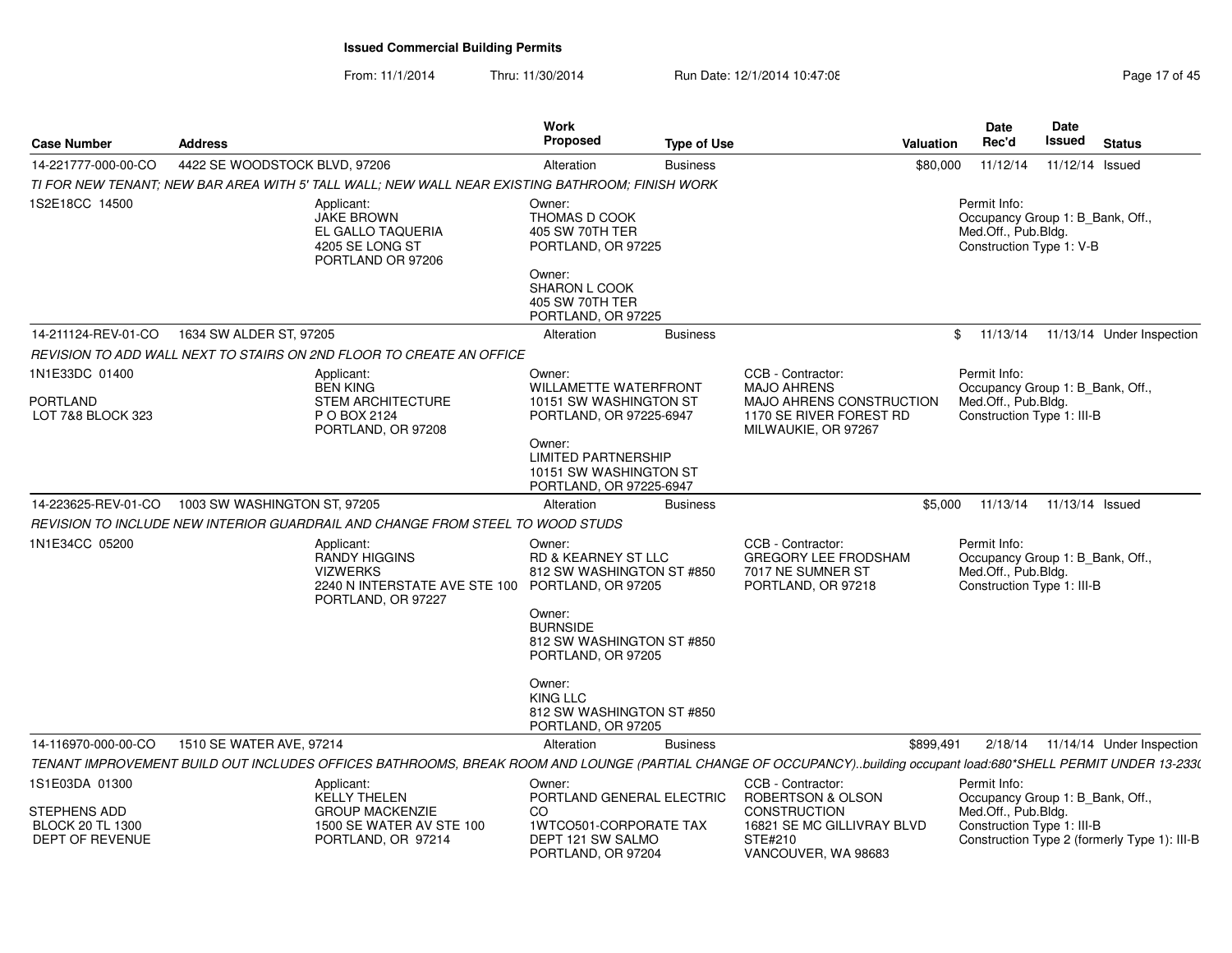From: 11/1/2014Thru: 11/30/2014 Run Date: 12/1/2014 10:47:08 Research 2010 Rage 17 of 45

| <b>Case Number</b>                                        | <b>Address</b>                                                                                                                                                    | Work<br><b>Proposed</b>                                                                                                  | <b>Type of Use</b> | Valuation                                                                                   | <b>Date</b><br>Rec'd                                                                                  | <b>Date</b><br>Issued | <b>Status</b>                                |
|-----------------------------------------------------------|-------------------------------------------------------------------------------------------------------------------------------------------------------------------|--------------------------------------------------------------------------------------------------------------------------|--------------------|---------------------------------------------------------------------------------------------|-------------------------------------------------------------------------------------------------------|-----------------------|----------------------------------------------|
| 14-221777-000-00-CO                                       | 4422 SE WOODSTOCK BLVD, 97206                                                                                                                                     | Alteration                                                                                                               | <b>Business</b>    | \$80,000                                                                                    | 11/12/14                                                                                              | 11/12/14 Issued       |                                              |
|                                                           | TI FOR NEW TENANT: NEW BAR AREA WITH 5' TALL WALL: NEW WALL NEAR EXISTING BATHROOM: FINISH WORK                                                                   |                                                                                                                          |                    |                                                                                             |                                                                                                       |                       |                                              |
| 1S2E18CC 14500                                            | Applicant:<br>JAKE BROWN<br>EL GALLO TAQUERIA<br>4205 SE LONG ST<br>PORTLAND OR 97206                                                                             | Owner:<br>THOMAS D COOK<br>405 SW 70TH TER<br>PORTLAND, OR 97225<br>Owner:<br>SHARON L COOK                              |                    |                                                                                             | Permit Info:<br>Occupancy Group 1: B_Bank, Off.,<br>Med.Off., Pub.Bldg.<br>Construction Type 1: V-B   |                       |                                              |
|                                                           |                                                                                                                                                                   | 405 SW 70TH TER                                                                                                          |                    |                                                                                             |                                                                                                       |                       |                                              |
| 14-211124-REV-01-CO                                       | 1634 SW ALDER ST, 97205                                                                                                                                           | PORTLAND, OR 97225<br>Alteration                                                                                         | <b>Business</b>    |                                                                                             | 11/13/14<br>\$                                                                                        |                       | 11/13/14 Under Inspection                    |
|                                                           | REVISION TO ADD WALL NEXT TO STAIRS ON 2ND FLOOR TO CREATE AN OFFICE                                                                                              |                                                                                                                          |                    |                                                                                             |                                                                                                       |                       |                                              |
| 1N1E33DC 01400                                            | Applicant:<br><b>BEN KING</b>                                                                                                                                     | Owner:<br><b>WILLAMETTE WATERFRONT</b>                                                                                   |                    | CCB - Contractor:<br><b>MAJO AHRENS</b>                                                     | Permit Info:<br>Occupancy Group 1: B_Bank, Off.,                                                      |                       |                                              |
| <b>PORTLAND</b><br>LOT 7&8 BLOCK 323                      | <b>STEM ARCHITECTURE</b><br>P O BOX 2124<br>PORTLAND, OR 97208                                                                                                    | 10151 SW WASHINGTON ST<br>PORTLAND, OR 97225-6947                                                                        |                    | MAJO AHRENS CONSTRUCTION<br>1170 SE RIVER FOREST RD<br>MILWAUKIE, OR 97267                  | Med.Off., Pub.Bldg.<br>Construction Type 1: III-B                                                     |                       |                                              |
|                                                           |                                                                                                                                                                   | Owner:<br><b>LIMITED PARTNERSHIP</b><br>10151 SW WASHINGTON ST<br>PORTLAND, OR 97225-6947                                |                    |                                                                                             |                                                                                                       |                       |                                              |
| 14-223625-REV-01-CO                                       | 1003 SW WASHINGTON ST, 97205                                                                                                                                      | Alteration                                                                                                               | <b>Business</b>    | \$5.000                                                                                     | 11/13/14                                                                                              | 11/13/14 Issued       |                                              |
|                                                           | REVISION TO INCLUDE NEW INTERIOR GUARDRAIL AND CHANGE FROM STEEL TO WOOD STUDS                                                                                    |                                                                                                                          |                    |                                                                                             |                                                                                                       |                       |                                              |
| 1N1E34CC 05200                                            | Applicant:<br>RANDY HIGGINS<br><b>VIZWERKS</b><br>2240 N INTERSTATE AVE STE 100<br>PORTLAND, OR 97227                                                             | Owner:<br><b>RD &amp; KEARNEY ST LLC</b><br>812 SW WASHINGTON ST #850<br>PORTLAND, OR 97205<br>Owner:<br><b>BURNSIDE</b> |                    | CCB - Contractor:<br><b>GREGORY LEE FRODSHAM</b><br>7017 NE SUMNER ST<br>PORTLAND, OR 97218 | Permit Info:<br>Occupancy Group 1: B_Bank, Off.,<br>Med.Off., Pub.Bldg.<br>Construction Type 1: III-B |                       |                                              |
|                                                           |                                                                                                                                                                   | 812 SW WASHINGTON ST #850<br>PORTLAND, OR 97205                                                                          |                    |                                                                                             |                                                                                                       |                       |                                              |
|                                                           |                                                                                                                                                                   | Owner:<br><b>KING LLC</b><br>812 SW WASHINGTON ST #850<br>PORTLAND, OR 97205                                             |                    |                                                                                             |                                                                                                       |                       |                                              |
| 14-116970-000-00-CO                                       | 1510 SE WATER AVE, 97214                                                                                                                                          | Alteration                                                                                                               | <b>Business</b>    | \$899,491                                                                                   |                                                                                                       |                       | $2/18/14$ 11/14/14 Under Inspection          |
|                                                           | TENANT IMPROVEMENT BUILD OUT INCLUDES OFFICES BATHROOMS, BREAK ROOM AND LOUNGE (PARTIAL CHANGE OF OCCUPANCY)building occupant load:680*SHELL PERMIT UNDER 13-233( |                                                                                                                          |                    |                                                                                             |                                                                                                       |                       |                                              |
| 1S1E03DA 01300<br>STEPHENS ADD<br><b>BLOCK 20 TL 1300</b> | Applicant:<br><b>KELLY THELEN</b><br><b>GROUP MACKENZIE</b><br>1500 SE WATER AV STE 100                                                                           | Owner:<br>PORTLAND GENERAL ELECTRIC<br>CO<br>1WTCO501-CORPORATE TAX                                                      |                    | CCB - Contractor:<br>ROBERTSON & OLSON<br><b>CONSTRUCTION</b><br>16821 SE MC GILLIVRAY BLVD | Permit Info:<br>Occupancy Group 1: B_Bank, Off.,<br>Med.Off., Pub.Bldg.<br>Construction Type 1: III-B |                       |                                              |
| DEPT OF REVENUE                                           | PORTLAND, OR 97214                                                                                                                                                | DEPT 121 SW SALMO<br>PORTLAND, OR 97204                                                                                  |                    | STE#210<br>VANCOUVER, WA 98683                                                              |                                                                                                       |                       | Construction Type 2 (formerly Type 1): III-B |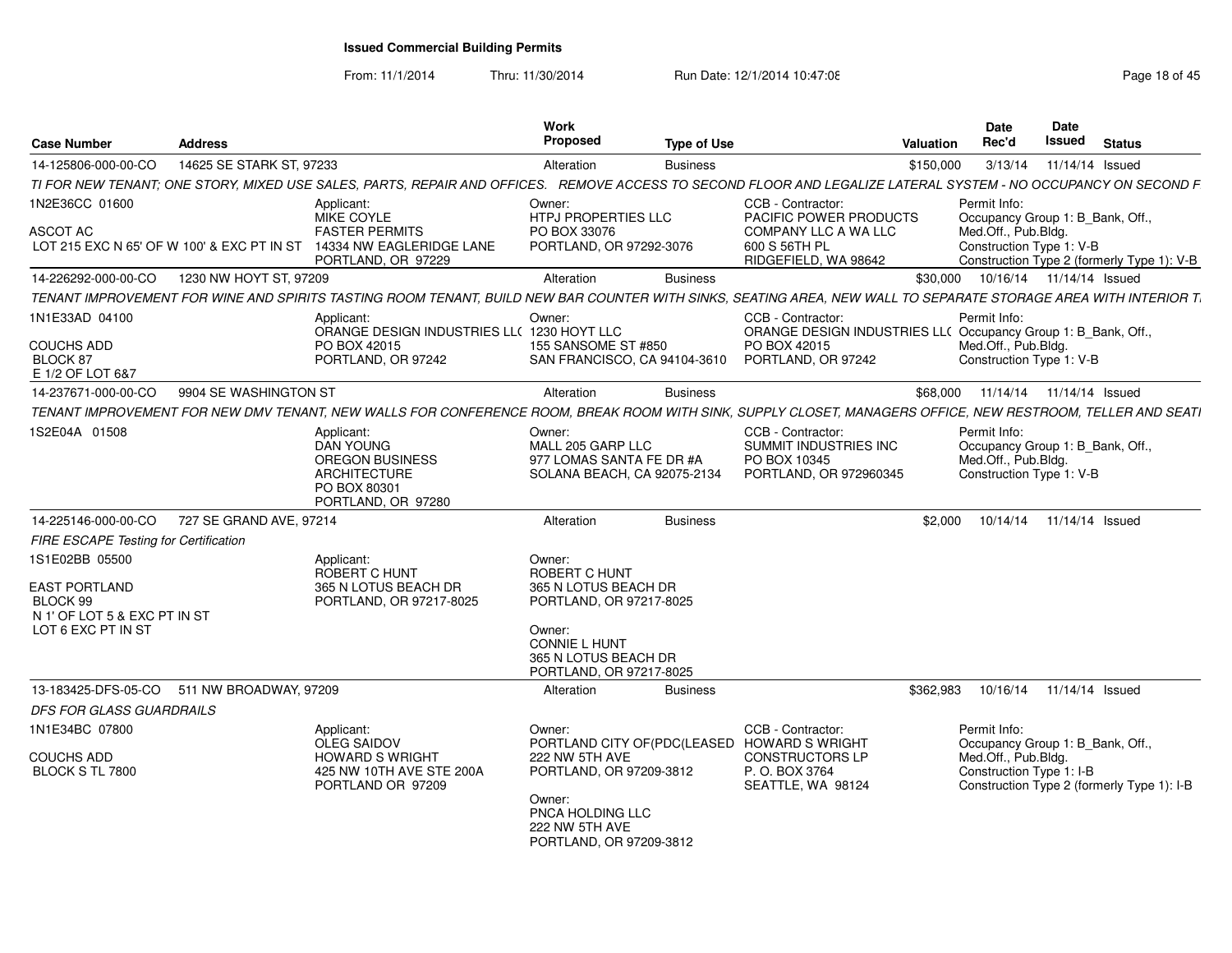From: 11/1/2014

Thru: 11/30/2014 Run Date: 12/1/2014 10:47:08 Research 2010 Rage 18 of 45

| <b>Case Number</b>                                                                                       | <b>Address</b>           |                                                                                                                                                                 | Work<br>Proposed                                                                                                                                         | Type of Use     |                                                                                                                                   | <b>Valuation</b> | <b>Date</b><br>Rec'd                                                                                                                              | Date<br>Issued  | <b>Status</b> |  |
|----------------------------------------------------------------------------------------------------------|--------------------------|-----------------------------------------------------------------------------------------------------------------------------------------------------------------|----------------------------------------------------------------------------------------------------------------------------------------------------------|-----------------|-----------------------------------------------------------------------------------------------------------------------------------|------------------|---------------------------------------------------------------------------------------------------------------------------------------------------|-----------------|---------------|--|
| 14-125806-000-00-CO                                                                                      | 14625 SE STARK ST, 97233 |                                                                                                                                                                 | Alteration                                                                                                                                               | <b>Business</b> |                                                                                                                                   | \$150,000        | 3/13/14                                                                                                                                           | 11/14/14 Issued |               |  |
|                                                                                                          |                          | TI FOR NEW TENANT; ONE STORY, MIXED USE SALES, PARTS, REPAIR AND OFFICES. REMOVE ACCESS TO SECOND FLOOR AND LEGALIZE LATERAL SYSTEM - NO OCCUPANCY ON SECOND F  |                                                                                                                                                          |                 |                                                                                                                                   |                  |                                                                                                                                                   |                 |               |  |
| 1N2E36CC 01600                                                                                           |                          | Applicant:<br>MIKE COYLE                                                                                                                                        | Owner:<br>HTPJ PROPERTIES LLC                                                                                                                            |                 | CCB - Contractor:<br>PACIFIC POWER PRODUCTS                                                                                       |                  | Permit Info:<br>Occupancy Group 1: B_Bank, Off.,                                                                                                  |                 |               |  |
| ASCOT AC                                                                                                 |                          | <b>FASTER PERMITS</b><br>LOT 215 EXC N 65' OF W 100' & EXC PT IN ST 14334 NW EAGLERIDGE LANE<br>PORTLAND, OR 97229                                              | PO BOX 33076<br>PORTLAND, OR 97292-3076                                                                                                                  |                 | COMPANY LLC A WA LLC<br>600 S 56TH PL<br>RIDGEFIELD, WA 98642                                                                     |                  | Med.Off., Pub.Bldg.<br>Construction Type 1: V-B<br>Construction Type 2 (formerly Type 1): V-B                                                     |                 |               |  |
| 14-226292-000-00-CO                                                                                      | 1230 NW HOYT ST, 97209   |                                                                                                                                                                 | Alteration                                                                                                                                               | <b>Business</b> |                                                                                                                                   |                  | \$30,000  10/16/14  11/14/14  Issued                                                                                                              |                 |               |  |
|                                                                                                          |                          | TENANT IMPROVEMENT FOR WINE AND SPIRITS TASTING ROOM TENANT, BUILD NEW BAR COUNTER WITH SINKS, SEATING AREA, NEW WALL TO SEPARATE STORAGE AREA WITH INTERIOR T. |                                                                                                                                                          |                 |                                                                                                                                   |                  |                                                                                                                                                   |                 |               |  |
| 1N1E33AD 04100<br><b>COUCHS ADD</b><br>BLOCK 87<br>E 1/2 OF LOT 6&7                                      |                          | Applicant:<br>ORANGE DESIGN INDUSTRIES LL( 1230 HOYT LLC<br>PO BOX 42015<br>PORTLAND, OR 97242                                                                  | Owner:<br>155 SANSOME ST #850<br>SAN FRANCISCO, CA 94104-3610                                                                                            |                 | CCB - Contractor:<br>ORANGE DESIGN INDUSTRIES LL( Occupancy Group 1: B_Bank, Off.,<br>PO BOX 42015<br>PORTLAND, OR 97242          |                  | Permit Info:<br>Med.Off., Pub.Bldg.<br>Construction Type 1: V-B                                                                                   |                 |               |  |
| 14-237671-000-00-CO                                                                                      | 9904 SE WASHINGTON ST    |                                                                                                                                                                 | Alteration                                                                                                                                               | <b>Business</b> |                                                                                                                                   |                  | \$68,000  11/14/14  11/14/14  Issued                                                                                                              |                 |               |  |
|                                                                                                          |                          | TENANT IMPROVEMENT FOR NEW DMV TENANT, NEW WALLS FOR CONFERENCE ROOM, BREAK ROOM WITH SINK, SUPPLY CLOSET, MANAGERS OFFICE, NEW RESTROOM, TELLER AND SEATI      |                                                                                                                                                          |                 |                                                                                                                                   |                  |                                                                                                                                                   |                 |               |  |
| 1S2E04A 01508                                                                                            |                          | Applicant:<br>DAN YOUNG<br>OREGON BUSINESS<br><b>ARCHITECTURE</b><br>PO BOX 80301<br>PORTLAND, OR 97280                                                         | Owner:<br>MALL 205 GARP LLC<br>977 LOMAS SANTA FE DR #A<br>SOLANA BEACH, CA 92075-2134                                                                   |                 | CCB - Contractor:<br>SUMMIT INDUSTRIES INC<br>PO BOX 10345<br>PORTLAND, OR 972960345                                              |                  | Permit Info:<br>Occupancy Group 1: B_Bank, Off.,<br>Med.Off., Pub.Bldg.<br>Construction Type 1: V-B                                               |                 |               |  |
| 14-225146-000-00-CO                                                                                      | 727 SE GRAND AVE, 97214  |                                                                                                                                                                 | Alteration                                                                                                                                               | <b>Business</b> |                                                                                                                                   | \$2.000          | 10/14/14  11/14/14  Issued                                                                                                                        |                 |               |  |
| FIRE ESCAPE Testing for Certification                                                                    |                          |                                                                                                                                                                 |                                                                                                                                                          |                 |                                                                                                                                   |                  |                                                                                                                                                   |                 |               |  |
| 1S1E02BB 05500<br><b>EAST PORTLAND</b><br>BLOCK 99<br>N 1' OF LOT 5 & EXC PT IN ST<br>LOT 6 EXC PT IN ST |                          | Applicant:<br>ROBERT C HUNT<br>365 N LOTUS BEACH DR<br>PORTLAND, OR 97217-8025                                                                                  | Owner:<br>ROBERT C HUNT<br>365 N LOTUS BEACH DR<br>PORTLAND, OR 97217-8025<br>Owner:<br>CONNIE L HUNT<br>365 N LOTUS BEACH DR<br>PORTLAND, OR 97217-8025 |                 |                                                                                                                                   |                  |                                                                                                                                                   |                 |               |  |
| 13-183425-DFS-05-CO                                                                                      | 511 NW BROADWAY, 97209   |                                                                                                                                                                 | Alteration                                                                                                                                               | <b>Business</b> |                                                                                                                                   | \$362.983        | 10/16/14  11/14/14  Issued                                                                                                                        |                 |               |  |
| <b>DFS FOR GLASS GUARDRAILS</b>                                                                          |                          |                                                                                                                                                                 |                                                                                                                                                          |                 |                                                                                                                                   |                  |                                                                                                                                                   |                 |               |  |
| 1N1E34BC 07800<br><b>COUCHS ADD</b><br>BLOCK S TL 7800                                                   |                          | Applicant:<br><b>OLEG SAIDOV</b><br><b>HOWARD S WRIGHT</b><br>425 NW 10TH AVE STE 200A<br>PORTLAND OR 97209                                                     | Owner:<br>222 NW 5TH AVE<br>PORTLAND, OR 97209-3812<br>Owner:<br>PNCA HOLDING LLC<br>222 NW 5TH AVE<br>PORTLAND, OR 97209-3812                           |                 | CCB - Contractor:<br>PORTLAND CITY OF(PDC(LEASED HOWARD S WRIGHT<br><b>CONSTRUCTORS LP</b><br>P. O. BOX 3764<br>SEATTLE, WA 98124 |                  | Permit Info:<br>Occupancy Group 1: B_Bank, Off.,<br>Med.Off., Pub.Bldg.<br>Construction Type 1: I-B<br>Construction Type 2 (formerly Type 1): I-B |                 |               |  |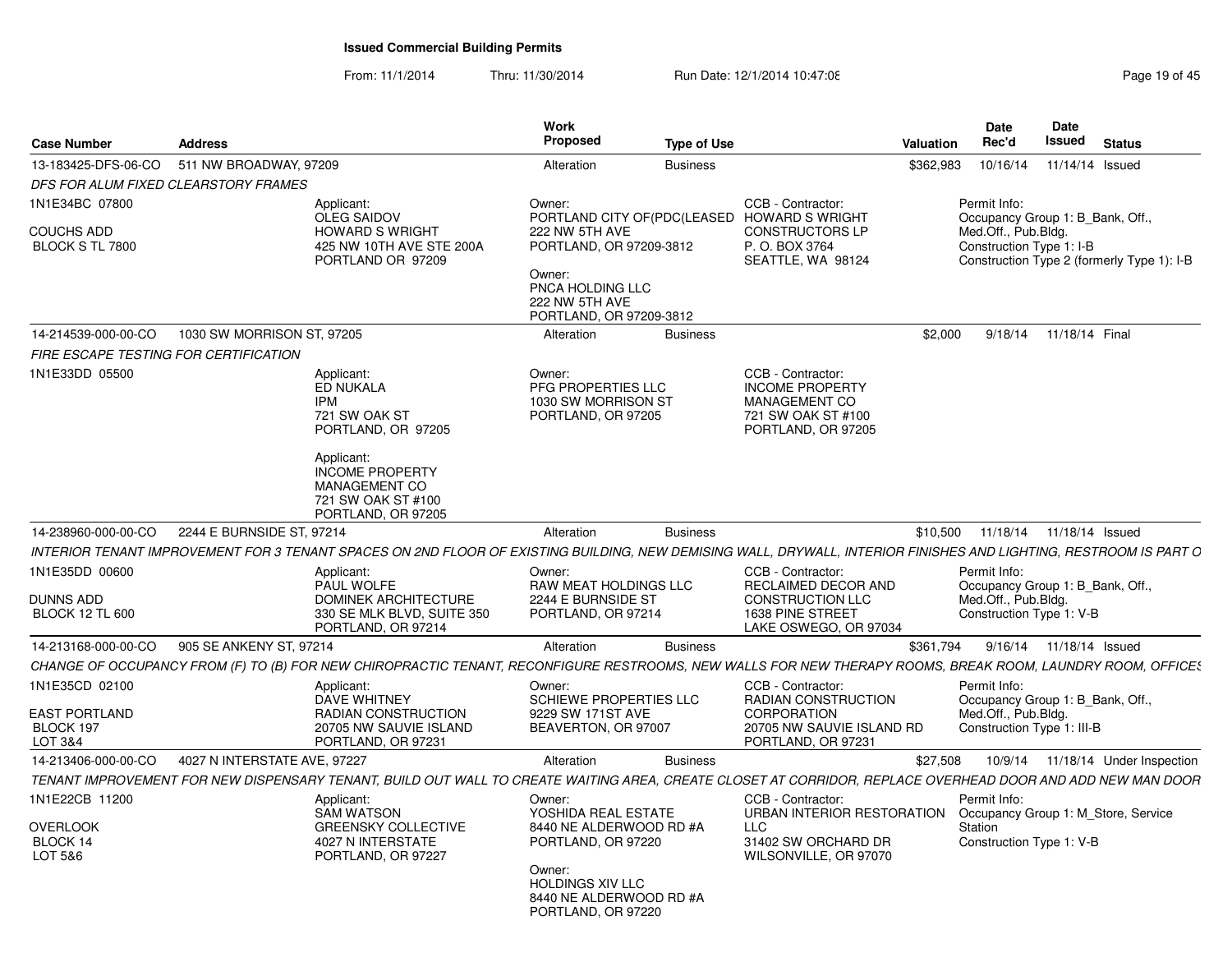From: 11/1/2014Thru: 11/30/2014 Run Date: 12/1/2014 10:47:08 Research 2010 19:05 Rage 19 of 45

| <b>Case Number</b>                              | <b>Address</b>               |                                                                                                                                                                   | Work<br>Proposed                                                                                                                                                | <b>Type of Use</b> |                                                                                                              | Valuation | Date<br>Rec'd                                                                                                                                   | Date<br>Issued |                 | Status |  |
|-------------------------------------------------|------------------------------|-------------------------------------------------------------------------------------------------------------------------------------------------------------------|-----------------------------------------------------------------------------------------------------------------------------------------------------------------|--------------------|--------------------------------------------------------------------------------------------------------------|-----------|-------------------------------------------------------------------------------------------------------------------------------------------------|----------------|-----------------|--------|--|
| 13-183425-DFS-06-CO                             | 511 NW BROADWAY, 97209       |                                                                                                                                                                   | Alteration                                                                                                                                                      | <b>Business</b>    |                                                                                                              | \$362,983 | 10/16/14                                                                                                                                        |                | 11/14/14 Issued |        |  |
| DFS FOR ALUM FIXED CLEARSTORY FRAMES            |                              |                                                                                                                                                                   |                                                                                                                                                                 |                    |                                                                                                              |           |                                                                                                                                                 |                |                 |        |  |
| 1N1E34BC 07800<br>COUCHS ADD<br>BLOCK S TL 7800 |                              | Applicant:<br>OLEG SAIDOV<br><b>HOWARD S WRIGHT</b><br>425 NW 10TH AVE STE 200A<br>PORTLAND OR 97209                                                              | Owner:<br>PORTLAND CITY OF (PDC (LEASED<br>222 NW 5TH AVE<br>PORTLAND, OR 97209-3812<br>Owner:<br>PNCA HOLDING LLC<br>222 NW 5TH AVE<br>PORTLAND, OR 97209-3812 |                    | CCB - Contractor:<br><b>HOWARD S WRIGHT</b><br><b>CONSTRUCTORS LP</b><br>P. O. BOX 3764<br>SEATTLE, WA 98124 |           | Permit Info:<br>Occupancy Group 1: B Bank, Off<br>Med.Off., Pub.Bldg.<br>Construction Type 1: I-B<br>Construction Type 2 (formerly Type 1): I-B |                |                 |        |  |
| 14-214539-000-00-CO                             | 1030 SW MORRISON ST, 97205   |                                                                                                                                                                   | Alteration                                                                                                                                                      | <b>Business</b>    |                                                                                                              | \$2,000   | 9/18/14 11/18/14 Final                                                                                                                          |                |                 |        |  |
| FIRE ESCAPE TESTING FOR CERTIFICATION           |                              |                                                                                                                                                                   |                                                                                                                                                                 |                    |                                                                                                              |           |                                                                                                                                                 |                |                 |        |  |
|                                                 |                              |                                                                                                                                                                   |                                                                                                                                                                 |                    |                                                                                                              |           |                                                                                                                                                 |                |                 |        |  |
| 1N1E33DD 05500                                  |                              | Applicant:<br>ED NUKALA<br><b>IPM</b><br>721 SW OAK ST<br>PORTLAND, OR 97205<br>Applicant:<br><b>INCOME PROPERTY</b><br>MANAGEMENT CO                             | Owner:<br>PFG PROPERTIES LLC<br>1030 SW MORRISON ST<br>PORTLAND, OR 97205                                                                                       |                    | CCB - Contractor:<br><b>INCOME PROPERTY</b><br>MANAGEMENT CO<br>721 SW OAK ST #100<br>PORTLAND, OR 97205     |           |                                                                                                                                                 |                |                 |        |  |
|                                                 |                              | 721 SW OAK ST #100                                                                                                                                                |                                                                                                                                                                 |                    |                                                                                                              |           |                                                                                                                                                 |                |                 |        |  |
|                                                 |                              | PORTLAND, OR 97205                                                                                                                                                |                                                                                                                                                                 |                    |                                                                                                              |           |                                                                                                                                                 |                |                 |        |  |
| 14-238960-000-00-CO 2244 E BURNSIDE ST, 97214   |                              |                                                                                                                                                                   | Alteration                                                                                                                                                      | <b>Business</b>    |                                                                                                              |           | \$10,500  11/18/14  11/18/14  Issued                                                                                                            |                |                 |        |  |
|                                                 |                              | INTERIOR TENANT IMPROVEMENT FOR 3 TENANT SPACES ON 2ND FLOOR OF EXISTING BUILDING, NEW DEMISING WALL, DRYWALL, INTERIOR FINISHES AND LIGHTING, RESTROOM IS PART O |                                                                                                                                                                 |                    |                                                                                                              |           |                                                                                                                                                 |                |                 |        |  |
| 1N1E35DD 00600                                  |                              | Applicant:                                                                                                                                                        | Owner:                                                                                                                                                          |                    | CCB - Contractor:                                                                                            |           | Permit Info:                                                                                                                                    |                |                 |        |  |
|                                                 |                              | PAUL WOLFE                                                                                                                                                        | RAW MEAT HOLDINGS LLC                                                                                                                                           |                    | RECLAIMED DECOR AND                                                                                          |           | Occupancy Group 1: B Bank, Off.,                                                                                                                |                |                 |        |  |
| <b>DUNNS ADD</b>                                |                              | <b>DOMINEK ARCHITECTURE</b>                                                                                                                                       | 2244 E BURNSIDE ST                                                                                                                                              |                    | <b>CONSTRUCTION LLC</b>                                                                                      |           | Med.Off., Pub.Bldg.                                                                                                                             |                |                 |        |  |
| <b>BLOCK 12 TL 600</b>                          |                              | 330 SE MLK BLVD, SUITE 350                                                                                                                                        | PORTLAND, OR 97214                                                                                                                                              |                    | 1638 PINE STREET                                                                                             |           | Construction Type 1: V-B                                                                                                                        |                |                 |        |  |
|                                                 |                              | PORTLAND, OR 97214                                                                                                                                                |                                                                                                                                                                 |                    | LAKE OSWEGO, OR 97034                                                                                        |           |                                                                                                                                                 |                |                 |        |  |
| 14-213168-000-00-CO                             | 905 SE ANKENY ST. 97214      |                                                                                                                                                                   | Alteration                                                                                                                                                      | <b>Business</b>    |                                                                                                              |           | \$361.794 9/16/14 11/18/14 Issued                                                                                                               |                |                 |        |  |
|                                                 |                              | CHANGE OF OCCUPANCY FROM (F) TO (B) FOR NEW CHIROPRACTIC TENANT, RECONFIGURE RESTROOMS, NEW WALLS FOR NEW THERAPY ROOMS, BREAK ROOM, LAUNDRY ROOM, OFFICES        |                                                                                                                                                                 |                    |                                                                                                              |           |                                                                                                                                                 |                |                 |        |  |
| 1N1E35CD 02100                                  |                              | Applicant:                                                                                                                                                        | Owner:                                                                                                                                                          |                    | CCB - Contractor:                                                                                            |           | Permit Info:                                                                                                                                    |                |                 |        |  |
|                                                 |                              | <b>DAVE WHITNEY</b>                                                                                                                                               | <b>SCHIEWE PROPERTIES LLC</b>                                                                                                                                   |                    | <b>RADIAN CONSTRUCTION</b>                                                                                   |           | Occupancy Group 1: B Bank, Off.,                                                                                                                |                |                 |        |  |
| <b>EAST PORTLAND</b><br>BLOCK 197               |                              | RADIAN CONSTRUCTION<br>20705 NW SAUVIE ISLAND                                                                                                                     | 9229 SW 171ST AVE<br>BEAVERTON, OR 97007                                                                                                                        |                    | CORPORATION<br>20705 NW SAUVIE ISLAND RD                                                                     |           | Med.Off., Pub.Bldg.<br>Construction Type 1: III-B                                                                                               |                |                 |        |  |
| LOT 3&4                                         |                              | PORTLAND, OR 97231                                                                                                                                                |                                                                                                                                                                 |                    | PORTLAND, OR 97231                                                                                           |           |                                                                                                                                                 |                |                 |        |  |
| 14-213406-000-00-CO                             | 4027 N INTERSTATE AVE, 97227 |                                                                                                                                                                   | Alteration                                                                                                                                                      | <b>Business</b>    |                                                                                                              | \$27,508  | 10/9/14  11/18/14  Under Inspection                                                                                                             |                |                 |        |  |
|                                                 |                              | TENANT IMPROVEMENT FOR NEW DISPENSARY TENANT, BUILD OUT WALL TO CREATE WAITING AREA, CREATE CLOSET AT CORRIDOR, REPLACE OVERHEAD DOOR AND ADD NEW MAN DOOR        |                                                                                                                                                                 |                    |                                                                                                              |           |                                                                                                                                                 |                |                 |        |  |
|                                                 |                              |                                                                                                                                                                   |                                                                                                                                                                 |                    |                                                                                                              |           |                                                                                                                                                 |                |                 |        |  |
| 1N1E22CB 11200                                  |                              | Applicant:                                                                                                                                                        | Owner:                                                                                                                                                          |                    | CCB - Contractor:                                                                                            |           | Permit Info:                                                                                                                                    |                |                 |        |  |
| <b>OVERLOOK</b>                                 |                              | <b>SAM WATSON</b><br><b>GREENSKY COLLECTIVE</b>                                                                                                                   | YOSHIDA REAL ESTATE<br>8440 NE ALDERWOOD RD #A                                                                                                                  |                    | URBAN INTERIOR RESTORATION<br>LLC                                                                            |           | Occupancy Group 1: M_Store, Service<br>Station                                                                                                  |                |                 |        |  |
| BLOCK 14                                        |                              | 4027 N INTERSTATE                                                                                                                                                 | PORTLAND, OR 97220                                                                                                                                              |                    | 31402 SW ORCHARD DR                                                                                          |           | Construction Type 1: V-B                                                                                                                        |                |                 |        |  |
| LOT 5&6                                         |                              | PORTLAND, OR 97227                                                                                                                                                |                                                                                                                                                                 |                    | WILSONVILLE, OR 97070                                                                                        |           |                                                                                                                                                 |                |                 |        |  |
|                                                 |                              |                                                                                                                                                                   | Owner:                                                                                                                                                          |                    |                                                                                                              |           |                                                                                                                                                 |                |                 |        |  |
|                                                 |                              |                                                                                                                                                                   | <b>HOLDINGS XIV LLC</b><br>8440 NE ALDERWOOD RD #A<br>PORTLAND, OR 97220                                                                                        |                    |                                                                                                              |           |                                                                                                                                                 |                |                 |        |  |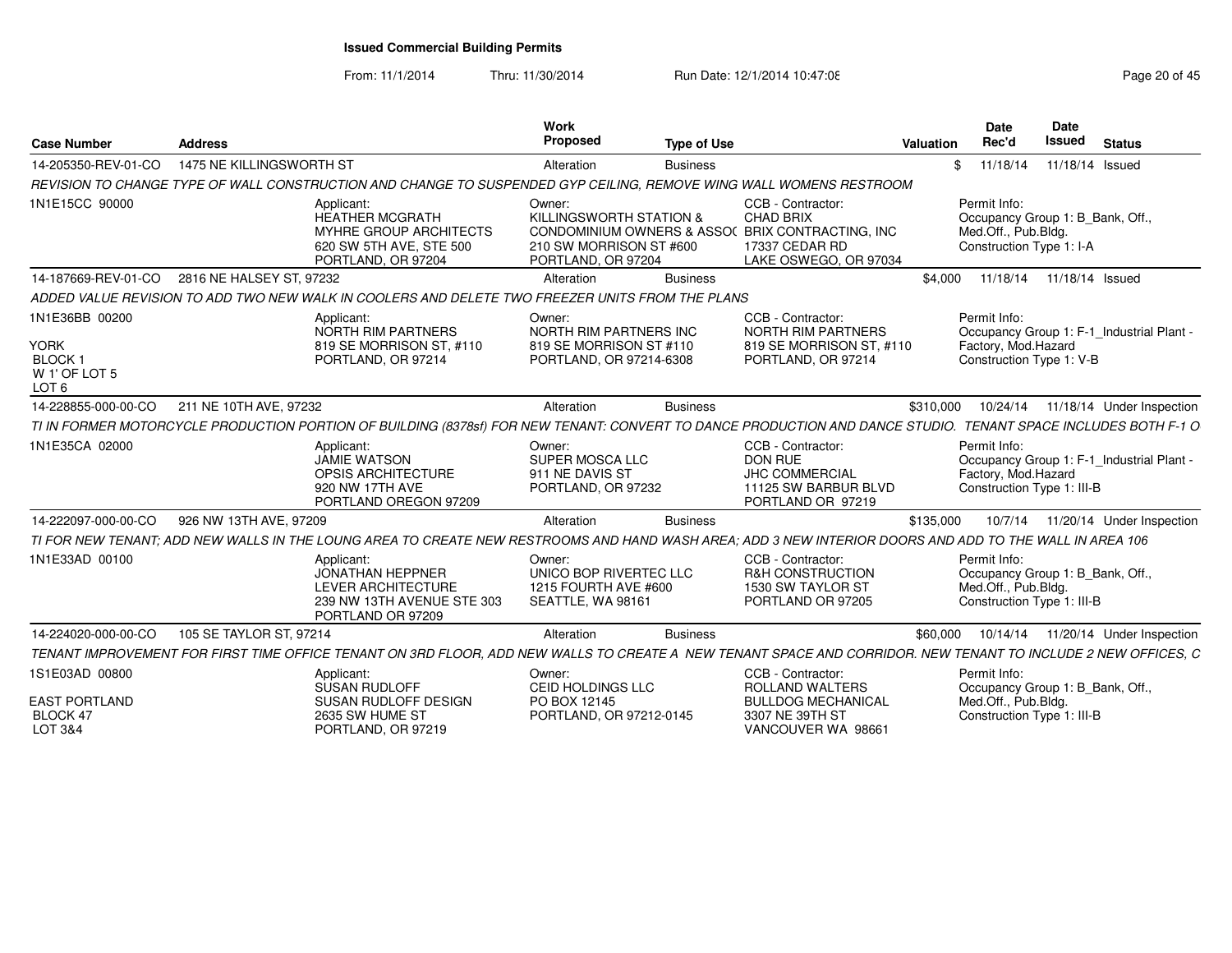From: 11/1/2014

Thru: 11/30/2014 Run Date: 12/1/2014 10:47:08 Research 20 of 45

| <b>Case Number</b>                                                                  | <b>Address</b>                               |                                                                                                                                                                | Work<br>Proposed                                                                       | <b>Type of Use</b> |                                                                                                                                      | Valuation | <b>Date</b><br>Rec'd                                                                                           | Date<br><b>Issued</b>      | <b>Status</b>             |
|-------------------------------------------------------------------------------------|----------------------------------------------|----------------------------------------------------------------------------------------------------------------------------------------------------------------|----------------------------------------------------------------------------------------|--------------------|--------------------------------------------------------------------------------------------------------------------------------------|-----------|----------------------------------------------------------------------------------------------------------------|----------------------------|---------------------------|
| 14-205350-REV-01-CO                                                                 | 1475 NE KILLINGSWORTH ST                     |                                                                                                                                                                | Alteration                                                                             | <b>Business</b>    |                                                                                                                                      |           | \$11/18/14                                                                                                     | 11/18/14 Issued            |                           |
|                                                                                     |                                              | REVISION TO CHANGE TYPE OF WALL CONSTRUCTION AND CHANGE TO SUSPENDED GYP CEILING. REMOVE WING WALL WOMENS RESTROOM                                             |                                                                                        |                    |                                                                                                                                      |           |                                                                                                                |                            |                           |
| 1N1E15CC 90000                                                                      |                                              | Applicant:<br><b>HEATHER MCGRATH</b><br>MYHRE GROUP ARCHITECTS<br>620 SW 5TH AVE, STE 500<br>PORTLAND, OR 97204                                                | Owner:<br>KILLINGSWORTH STATION &<br>210 SW MORRISON ST #600<br>PORTLAND, OR 97204     |                    | CCB - Contractor:<br><b>CHAD BRIX</b><br>CONDOMINIUM OWNERS & ASSO( BRIX CONTRACTING, INC<br>17337 CEDAR RD<br>LAKE OSWEGO, OR 97034 |           | Permit Info:<br>Occupancy Group 1: B Bank, Off.,<br>Med.Off., Pub.Bldg.<br>Construction Type 1: I-A            |                            |                           |
|                                                                                     | 14-187669-REV-01-CO 2816 NE HALSEY ST. 97232 |                                                                                                                                                                | Alteration                                                                             | <b>Business</b>    |                                                                                                                                      | \$4,000   |                                                                                                                | 11/18/14  11/18/14  Issued |                           |
|                                                                                     |                                              | ADDED VALUE REVISION TO ADD TWO NEW WALK IN COOLERS AND DELETE TWO FREEZER UNITS FROM THE PLANS                                                                |                                                                                        |                    |                                                                                                                                      |           |                                                                                                                |                            |                           |
| 1N1E36BB 00200<br><b>YORK</b><br><b>BLOCK1</b><br>W 1' OF LOT 5<br>LOT <sub>6</sub> |                                              | Applicant:<br>NORTH RIM PARTNERS<br>819 SE MORRISON ST, #110<br>PORTLAND, OR 97214                                                                             | Owner:<br>NORTH RIM PARTNERS INC<br>819 SE MORRISON ST #110<br>PORTLAND, OR 97214-6308 |                    | CCB - Contractor:<br>NORTH RIM PARTNERS<br>819 SE MORRISON ST. #110<br>PORTLAND, OR 97214                                            |           | Permit Info:<br>Occupancy Group 1: F-1 Industrial Plant -<br>Factory, Mod.Hazard<br>Construction Type 1: V-B   |                            |                           |
| 14-228855-000-00-CO                                                                 | 211 NE 10TH AVE, 97232                       |                                                                                                                                                                | Alteration                                                                             | <b>Business</b>    |                                                                                                                                      | \$310,000 | 10/24/14                                                                                                       |                            | 11/18/14 Under Inspection |
|                                                                                     |                                              | TI IN FORMER MOTORCYCLE PRODUCTION PORTION OF BUILDING (8378sf) FOR NEW TENANT: CONVERT TO DANCE PRODUCTION AND DANCE STUDIO. TENANT SPACE INCLUDES BOTH F-1 O |                                                                                        |                    |                                                                                                                                      |           |                                                                                                                |                            |                           |
| 1N1E35CA 02000                                                                      |                                              | Applicant:<br>JAMIE WATSON<br>OPSIS ARCHITECTURE<br>920 NW 17TH AVE<br>PORTLAND OREGON 97209                                                                   | Owner:<br>SUPER MOSCA LLC<br>911 NE DAVIS ST<br>PORTLAND, OR 97232                     |                    | CCB - Contractor:<br>DON RUE<br><b>JHC COMMERCIAL</b><br>11125 SW BARBUR BLVD<br>PORTLAND OR 97219                                   |           | Permit Info:<br>Occupancy Group 1: F-1 Industrial Plant -<br>Factory, Mod.Hazard<br>Construction Type 1: III-B |                            |                           |
| 14-222097-000-00-CO                                                                 | 926 NW 13TH AVE, 97209                       |                                                                                                                                                                | Alteration                                                                             | <b>Business</b>    |                                                                                                                                      | \$135,000 | 10/7/14                                                                                                        |                            | 11/20/14 Under Inspection |
|                                                                                     |                                              | TI FOR NEW TENANT: ADD NEW WALLS IN THE LOUNG AREA TO CREATE NEW RESTROOMS AND HAND WASH AREA: ADD 3 NEW INTERIOR DOORS AND ADD TO THE WALL IN AREA 106        |                                                                                        |                    |                                                                                                                                      |           |                                                                                                                |                            |                           |
| 1N1E33AD 00100                                                                      |                                              | Applicant:<br><b>JONATHAN HEPPNER</b><br><b>LEVER ARCHITECTURE</b><br>239 NW 13TH AVENUE STE 303<br>PORTLAND OR 97209                                          | Owner:<br>UNICO BOP RIVERTEC LLC<br>1215 FOURTH AVE #600<br>SEATTLE, WA 98161          |                    | CCB - Contractor:<br>R&H CONSTRUCTION<br>1530 SW TAYLOR ST<br>PORTLAND OR 97205                                                      |           | Permit Info:<br>Occupancy Group 1: B_Bank, Off.,<br>Med.Off., Pub.Bldg.<br>Construction Type 1: III-B          |                            |                           |
| 14-224020-000-00-CO                                                                 | 105 SE TAYLOR ST, 97214                      |                                                                                                                                                                | Alteration                                                                             | <b>Business</b>    |                                                                                                                                      | \$60,000  | 10/14/14                                                                                                       |                            | 11/20/14 Under Inspection |
|                                                                                     |                                              | TENANT IMPROVEMENT FOR FIRST TIME OFFICE TENANT ON 3RD FLOOR, ADD NEW WALLS TO CREATE A NEW TENANT SPACE AND CORRIDOR. NEW TENANT TO INCLUDE 2 NEW OFFICES, C  |                                                                                        |                    |                                                                                                                                      |           |                                                                                                                |                            |                           |
| 1S1E03AD 00800<br><b>EAST PORTLAND</b><br>BLOCK 47                                  |                                              | Applicant:<br>SUSAN RUDLOFF<br>SUSAN RUDLOFF DESIGN<br>2635 SW HUME ST                                                                                         | Owner:<br>CEID HOLDINGS LLC<br>PO BOX 12145<br>PORTLAND, OR 97212-0145                 |                    | CCB - Contractor:<br>ROLLAND WALTERS<br><b>BULLDOG MECHANICAL</b><br>3307 NE 39TH ST                                                 |           | Permit Info:<br>Occupancy Group 1: B_Bank, Off.,<br>Med.Off., Pub.Bldg.<br>Construction Type 1: III-B          |                            |                           |
| LOT 3&4                                                                             |                                              | PORTLAND, OR 97219                                                                                                                                             |                                                                                        |                    | VANCOUVER WA 98661                                                                                                                   |           |                                                                                                                |                            |                           |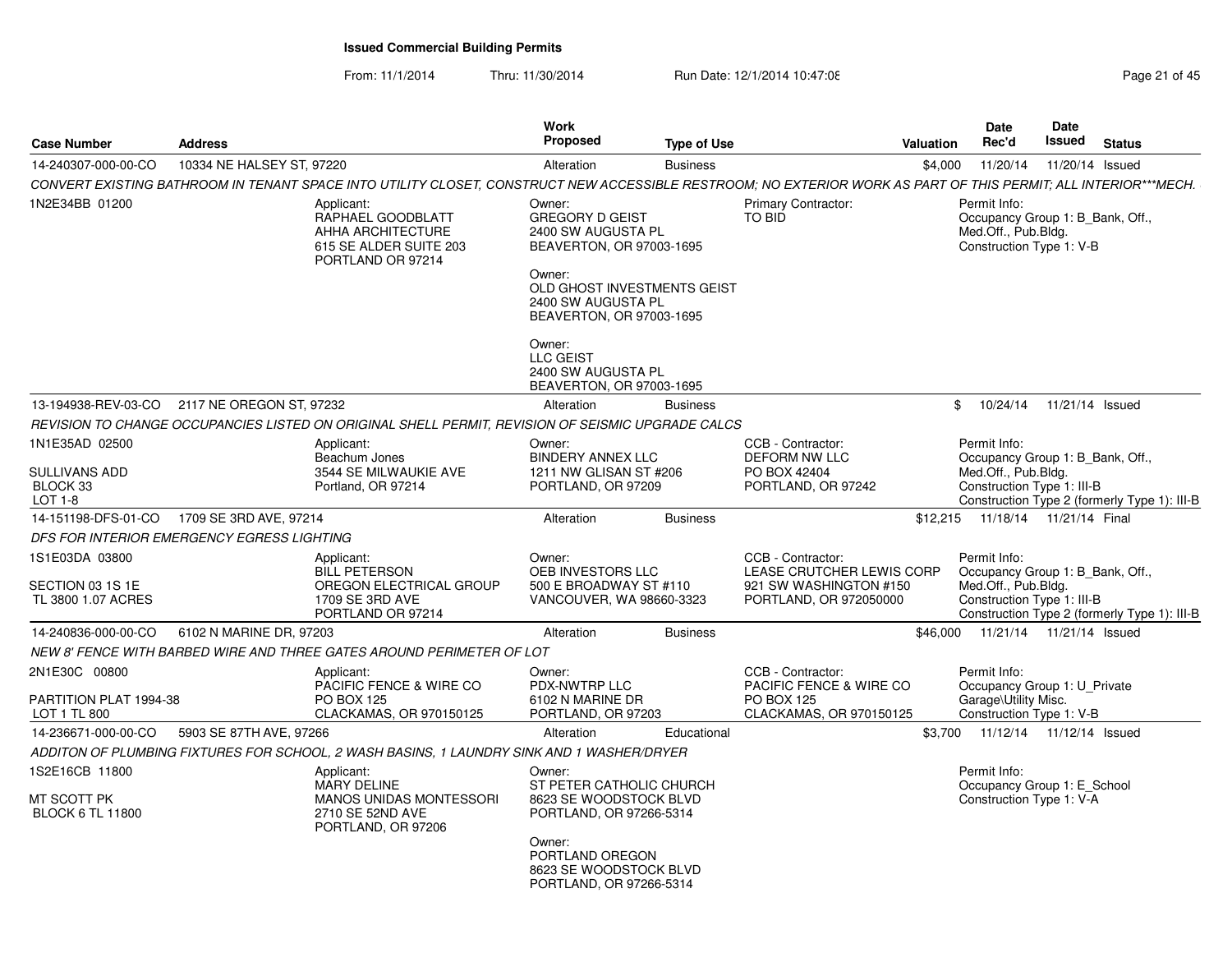From: 11/1/2014Thru: 11/30/2014 Run Date: 12/1/2014 10:47:08

| <b>Case Number</b>                                       | <b>Address</b>            |                                                                                                                                                                 | Work<br><b>Proposed</b>                                                                                                                                                       | <b>Type of Use</b> |                                                                                                    | <b>Valuation</b> | Date<br>Rec'd                                                                                         | <b>Date</b><br><b>Issued</b> | <b>Status</b>                                |
|----------------------------------------------------------|---------------------------|-----------------------------------------------------------------------------------------------------------------------------------------------------------------|-------------------------------------------------------------------------------------------------------------------------------------------------------------------------------|--------------------|----------------------------------------------------------------------------------------------------|------------------|-------------------------------------------------------------------------------------------------------|------------------------------|----------------------------------------------|
| 14-240307-000-00-CO                                      | 10334 NE HALSEY ST, 97220 |                                                                                                                                                                 | Alteration                                                                                                                                                                    | <b>Business</b>    |                                                                                                    | \$4,000          | 11/20/14                                                                                              | 11/20/14 Issued              |                                              |
|                                                          |                           | CONVERT EXISTING BATHROOM IN TENANT SPACE INTO UTILITY CLOSET, CONSTRUCT NEW ACCESSIBLE RESTROOM; NO EXTERIOR WORK AS PART OF THIS PERMIT; ALL INTERIOR***MECH. |                                                                                                                                                                               |                    |                                                                                                    |                  |                                                                                                       |                              |                                              |
| 1N2E34BB 01200                                           |                           | Applicant:<br>RAPHAEL GOODBLATT<br><b>AHHA ARCHITECTURE</b><br>615 SE ALDER SUITE 203<br>PORTLAND OR 97214                                                      | Owner:<br><b>GREGORY D GEIST</b><br>2400 SW AUGUSTA PL<br>BEAVERTON, OR 97003-1695<br>Owner:<br>OLD GHOST INVESTMENTS GEIST<br>2400 SW AUGUSTA PL<br>BEAVERTON, OR 97003-1695 |                    | Primary Contractor:<br>TO BID                                                                      |                  | Permit Info:<br>Occupancy Group 1: B Bank, Off.,<br>Med.Off., Pub.Bldg.<br>Construction Type 1: V-B   |                              |                                              |
|                                                          |                           |                                                                                                                                                                 | Owner:<br><b>LLC GEIST</b><br>2400 SW AUGUSTA PL<br>BEAVERTON, OR 97003-1695                                                                                                  |                    |                                                                                                    |                  |                                                                                                       |                              |                                              |
| 13-194938-REV-03-CO                                      | 2117 NE OREGON ST, 97232  |                                                                                                                                                                 | Alteration                                                                                                                                                                    | <b>Business</b>    |                                                                                                    | \$               |                                                                                                       | 10/24/14  11/21/14  Issued   |                                              |
|                                                          |                           | REVISION TO CHANGE OCCUPANCIES LISTED ON ORIGINAL SHELL PERMIT, REVISION OF SEISMIC UPGRADE CALCS                                                               |                                                                                                                                                                               |                    |                                                                                                    |                  |                                                                                                       |                              |                                              |
| 1N1E35AD 02500<br><b>SULLIVANS ADD</b>                   |                           | Applicant:<br>Beachum Jones<br>3544 SE MILWAUKIE AVE                                                                                                            | Owner:<br><b>BINDERY ANNEX LLC</b><br>1211 NW GLISAN ST #206                                                                                                                  |                    | CCB - Contractor:<br>DEFORM NW LLC<br>PO BOX 42404                                                 |                  | Permit Info:<br>Occupancy Group 1: B_Bank, Off.,<br>Med.Off., Pub.Bldg.                               |                              |                                              |
| BLOCK 33<br>LOT 1-8                                      |                           | Portland, OR 97214                                                                                                                                              | PORTLAND, OR 97209                                                                                                                                                            |                    | PORTLAND, OR 97242                                                                                 |                  | Construction Type 1: III-B                                                                            |                              | Construction Type 2 (formerly Type 1): III-B |
| 14-151198-DFS-01-CO                                      | 1709 SE 3RD AVE, 97214    |                                                                                                                                                                 | Alteration                                                                                                                                                                    | <b>Business</b>    |                                                                                                    | \$12,215         | 11/18/14  11/21/14  Final                                                                             |                              |                                              |
| DFS FOR INTERIOR EMERGENCY EGRESS LIGHTING               |                           |                                                                                                                                                                 |                                                                                                                                                                               |                    |                                                                                                    |                  |                                                                                                       |                              |                                              |
| 1S1E03DA 03800<br>SECTION 03 1S 1E<br>TL 3800 1.07 ACRES |                           | Applicant:<br><b>BILL PETERSON</b><br>OREGON ELECTRICAL GROUP<br>1709 SE 3RD AVE<br>PORTLAND OR 97214                                                           | Owner:<br>OEB INVESTORS LLC<br>500 E BROADWAY ST #110<br>VANCOUVER, WA 98660-3323                                                                                             |                    | CCB - Contractor:<br>LEASE CRUTCHER LEWIS CORP<br>921 SW WASHINGTON #150<br>PORTLAND, OR 972050000 |                  | Permit Info:<br>Occupancy Group 1: B_Bank, Off.,<br>Med.Off., Pub.Bldg.<br>Construction Type 1: III-B |                              | Construction Type 2 (formerly Type 1): III-B |
| 14-240836-000-00-CO                                      | 6102 N MARINE DR. 97203   |                                                                                                                                                                 | Alteration                                                                                                                                                                    | <b>Business</b>    |                                                                                                    | \$46,000         | 11/21/14  11/21/14  Issued                                                                            |                              |                                              |
|                                                          |                           | NEW 8' FENCE WITH BARBED WIRE AND THREE GATES AROUND PERIMETER OF LOT                                                                                           |                                                                                                                                                                               |                    |                                                                                                    |                  |                                                                                                       |                              |                                              |
| 2N1E30C 00800<br>PARTITION PLAT 1994-38<br>LOT 1 TL 800  |                           | Applicant:<br>PACIFIC FENCE & WIRE CO<br><b>PO BOX 125</b><br>CLACKAMAS, OR 970150125                                                                           | Owner:<br>PDX-NWTRP LLC<br>6102 N MARINE DR<br>PORTLAND, OR 97203                                                                                                             |                    | CCB - Contractor:<br>PACIFIC FENCE & WIRE CO<br><b>PO BOX 125</b><br>CLACKAMAS, OR 970150125       |                  | Permit Info:<br>Occupancy Group 1: U Private<br>Garage\Utility Misc.<br>Construction Type 1: V-B      |                              |                                              |
| 14-236671-000-00-CO                                      | 5903 SE 87TH AVE, 97266   |                                                                                                                                                                 | Alteration                                                                                                                                                                    | Educational        |                                                                                                    | \$3,700          | 11/12/14  11/12/14  Issued                                                                            |                              |                                              |
|                                                          |                           | ADDITON OF PLUMBING FIXTURES FOR SCHOOL. 2 WASH BASINS. 1 LAUNDRY SINK AND 1 WASHER/DRYER                                                                       |                                                                                                                                                                               |                    |                                                                                                    |                  |                                                                                                       |                              |                                              |
| 1S2E16CB 11800                                           |                           | Applicant:                                                                                                                                                      | Owner:                                                                                                                                                                        |                    |                                                                                                    |                  | Permit Info:                                                                                          |                              |                                              |
| MT SCOTT PK<br><b>BLOCK 6 TL 11800</b>                   |                           | <b>MARY DELINE</b><br><b>MANOS UNIDAS MONTESSORI</b><br>2710 SE 52ND AVE<br>PORTLAND, OR 97206                                                                  | ST PETER CATHOLIC CHURCH<br>8623 SE WOODSTOCK BLVD<br>PORTLAND, OR 97266-5314                                                                                                 |                    |                                                                                                    |                  | Occupancy Group 1: E_School<br>Construction Type 1: V-A                                               |                              |                                              |
|                                                          |                           |                                                                                                                                                                 | Owner:<br>PORTLAND OREGON<br>8623 SE WOODSTOCK BLVD<br>PORTLAND, OR 97266-5314                                                                                                |                    |                                                                                                    |                  |                                                                                                       |                              |                                              |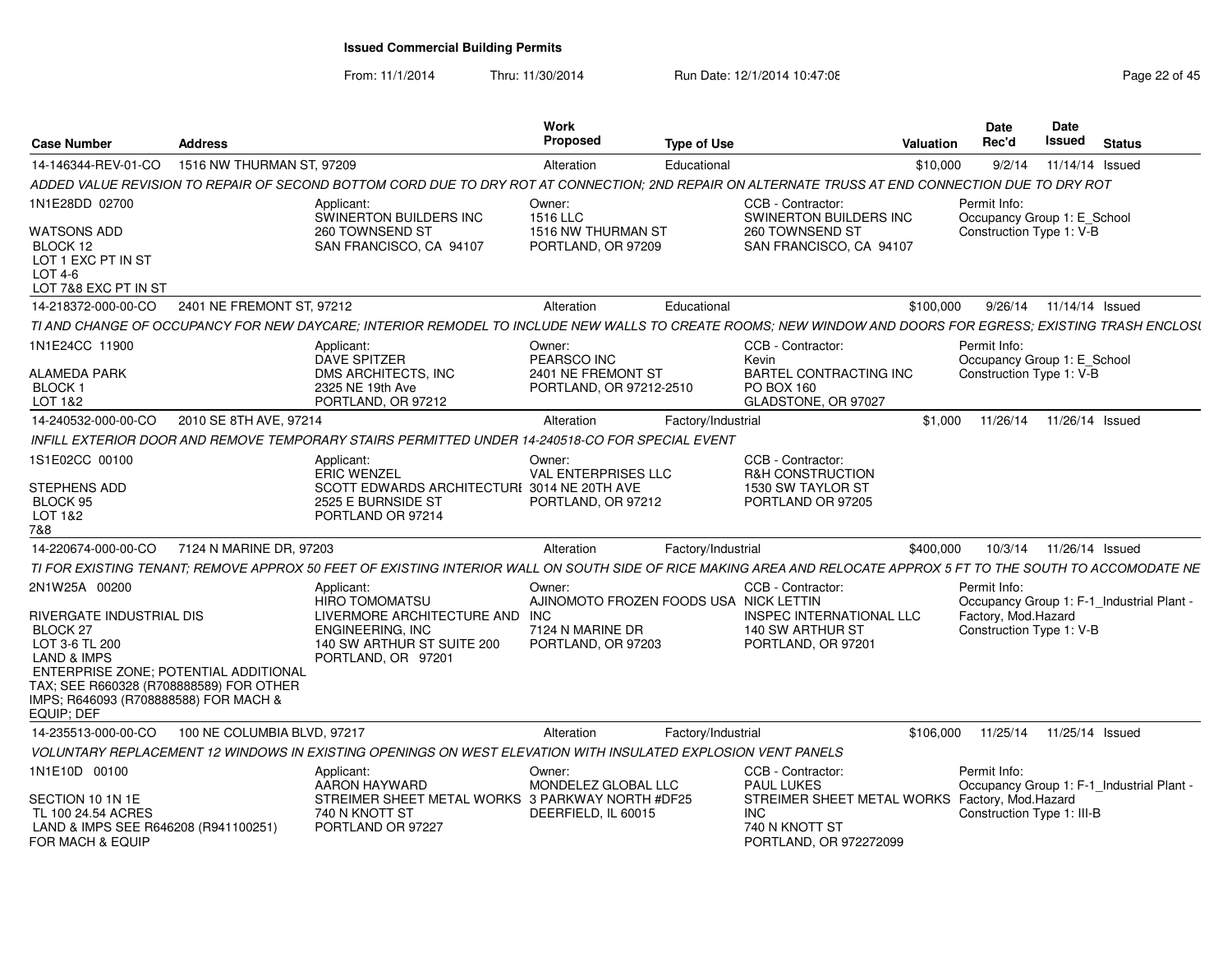From: 11/1/2014Thru: 11/30/2014 Run Date: 12/1/2014 10:47:08 Research 2010 Rage 22 of 45

| <b>Case Number</b>                                                                                                                      | <b>Address</b>              |                                                                                                                                                            | Work<br><b>Proposed</b>                                                | <b>Type of Use</b> |                                                                                                          | <b>Valuation</b> | Date<br>Rec'd                                                           | Date<br>Issued            | <b>Status</b>   |  |
|-----------------------------------------------------------------------------------------------------------------------------------------|-----------------------------|------------------------------------------------------------------------------------------------------------------------------------------------------------|------------------------------------------------------------------------|--------------------|----------------------------------------------------------------------------------------------------------|------------------|-------------------------------------------------------------------------|---------------------------|-----------------|--|
| 14-146344-REV-01-CO                                                                                                                     | 1516 NW THURMAN ST, 97209   |                                                                                                                                                            | Alteration                                                             | Educational        |                                                                                                          | \$10,000         | 9/2/14                                                                  |                           | 11/14/14 Issued |  |
|                                                                                                                                         |                             | ADDED VALUE REVISION TO REPAIR OF SECOND BOTTOM CORD DUE TO DRY ROT AT CONNECTION; 2ND REPAIR ON ALTERNATE TRUSS AT END CONNECTION DUE TO DRY ROT          |                                                                        |                    |                                                                                                          |                  |                                                                         |                           |                 |  |
| 1N1E28DD 02700<br><b>WATSONS ADD</b><br>BLOCK 12<br>LOT 1 EXC PT IN ST<br>LOT 4-6<br>LOT 7&8 EXC PT IN ST                               |                             | Applicant<br>SWINERTON BUILDERS INC<br>260 TOWNSEND ST<br>SAN FRANCISCO, CA 94107                                                                          | Owner:<br>1516 LLC<br>1516 NW THURMAN ST<br>PORTLAND, OR 97209         |                    | CCB - Contractor:<br>SWINERTON BUILDERS INC<br>260 TOWNSEND ST<br>SAN FRANCISCO, CA 94107                |                  | Permit Info:<br>Occupancy Group 1: E_School<br>Construction Type 1: V-B |                           |                 |  |
| 14-218372-000-00-CO                                                                                                                     | 2401 NE FREMONT ST, 97212   |                                                                                                                                                            | Alteration                                                             | Educational        |                                                                                                          | \$100,000        |                                                                         | 9/26/14  11/14/14  Issued |                 |  |
|                                                                                                                                         |                             | TI AND CHANGE OF OCCUPANCY FOR NEW DAYCARE: INTERIOR REMODEL TO INCLUDE NEW WALLS TO CREATE ROOMS: NEW WINDOW AND DOORS FOR EGRESS: EXISTING TRASH ENCLOSI |                                                                        |                    |                                                                                                          |                  |                                                                         |                           |                 |  |
| 1N1E24CC 11900<br><b>ALAMEDA PARK</b><br><b>BLOCK1</b><br>LOT 1&2                                                                       |                             | Applicant<br><b>DAVE SPITZER</b><br>DMS ARCHITECTS. INC<br>2325 NE 19th Ave<br>PORTLAND, OR 97212                                                          | Owner:<br>PEARSCO INC<br>2401 NE FREMONT ST<br>PORTLAND, OR 97212-2510 |                    | CCB - Contractor:<br>Kevin<br>BARTEL CONTRACTING INC<br><b>PO BOX 160</b><br>GLADSTONE, OR 97027         |                  | Permit Info:<br>Occupancy Group 1: E School<br>Construction Type 1: V-B |                           |                 |  |
| 14-240532-000-00-CO                                                                                                                     | 2010 SE 8TH AVE, 97214      |                                                                                                                                                            | Alteration                                                             | Factory/Industrial |                                                                                                          | \$1,000          | 11/26/14                                                                |                           | 11/26/14 Issued |  |
|                                                                                                                                         |                             | INFILL EXTERIOR DOOR AND REMOVE TEMPORARY STAIRS PERMITTED UNDER 14-240518-CO FOR SPECIAL EVENT                                                            |                                                                        |                    |                                                                                                          |                  |                                                                         |                           |                 |  |
| 1S1E02CC 00100<br>STEPHENS ADD                                                                                                          |                             | Applicant<br>ERIC WENZEL<br>SCOTT EDWARDS ARCHITECTURI 3014 NE 20TH AVE                                                                                    | Owner:<br><b>VAL ENTERPRISES LLC</b>                                   |                    | CCB - Contractor:<br>R&H CONSTRUCTION<br>1530 SW TAYLOR ST                                               |                  |                                                                         |                           |                 |  |
| BLOCK 95<br>LOT 1&2<br>7&8                                                                                                              |                             | 2525 E BURNSIDE ST<br>PORTLAND OR 97214                                                                                                                    | PORTLAND, OR 97212                                                     |                    | PORTLAND OR 97205                                                                                        |                  |                                                                         |                           |                 |  |
| 14-220674-000-00-CO                                                                                                                     | 7124 N MARINE DR, 97203     |                                                                                                                                                            | Alteration                                                             | Factory/Industrial |                                                                                                          | \$400,000        | 10/3/14                                                                 |                           | 11/26/14 Issued |  |
|                                                                                                                                         |                             | TI FOR EXISTING TENANT: REMOVE APPROX 50 FEET OF EXISTING INTERIOR WALL                                                                                    |                                                                        |                    | . ON SOUTH SIDE OF RICE MAKING AREA AND RELOCATE APPROX 5 FT TO THE SOUTH TO ACCOMODATE NE               |                  |                                                                         |                           |                 |  |
| 2N1W25A 00200                                                                                                                           |                             | Applicant:<br><b>HIRO TOMOMATSU</b>                                                                                                                        | Owner:<br>AJINOMOTO FROZEN FOODS USA NICK LETTIN                       |                    | CCB - Contractor:                                                                                        |                  | Permit Info:<br>Occupancy Group 1: F-1_Industrial Plant -               |                           |                 |  |
| RIVERGATE INDUSTRIAL DIS<br>BLOCK <sub>27</sub>                                                                                         |                             | LIVERMORE ARCHITECTURE AND INC<br>ENGINEERING, INC                                                                                                         | 7124 N MARINE DR                                                       |                    | <b>INSPEC INTERNATIONAL LLC</b><br>140 SW ARTHUR ST                                                      |                  | Factory, Mod.Hazard<br>Construction Type 1: V-B                         |                           |                 |  |
| LOT 3-6 TL 200<br><b>LAND &amp; IMPS</b>                                                                                                |                             | 140 SW ARTHUR ST SUITE 200<br>PORTLAND, OR 97201                                                                                                           | PORTLAND, OR 97203                                                     |                    | PORTLAND, OR 97201                                                                                       |                  |                                                                         |                           |                 |  |
| ENTERPRISE ZONE: POTENTIAL ADDITIONAL<br>TAX; SEE R660328 (R708888589) FOR OTHER<br>IMPS; R646093 (R708888588) FOR MACH &<br>EQUIP; DEF |                             |                                                                                                                                                            |                                                                        |                    |                                                                                                          |                  |                                                                         |                           |                 |  |
| 14-235513-000-00-CO                                                                                                                     | 100 NE COLUMBIA BLVD, 97217 |                                                                                                                                                            | Alteration                                                             | Factory/Industrial |                                                                                                          | \$106,000        | 11/25/14                                                                |                           | 11/25/14 Issued |  |
|                                                                                                                                         |                             | VOLUNTARY REPLACEMENT 12 WINDOWS IN EXISTING OPENINGS ON WEST ELEVATION WITH INSULATED EXPLOSION VENT PANELS                                               |                                                                        |                    |                                                                                                          |                  |                                                                         |                           |                 |  |
| 1N1E10D 00100                                                                                                                           |                             | Applicant:<br>AARON HAYWARD                                                                                                                                | Owner:<br>MONDELEZ GLOBAL LLC                                          |                    | CCB - Contractor:<br><b>PAUL LUKES</b>                                                                   |                  | Permit Info:<br>Occupancy Group 1: F-1 Industrial Plant -               |                           |                 |  |
| SECTION 10 1N 1E<br>TL 100 24.54 ACRES<br>LAND & IMPS SEE R646208 (R941100251)<br>FOR MACH & EQUIP                                      |                             | STREIMER SHEET METAL WORKS 3 PARKWAY NORTH #DF25<br>740 N KNOTT ST<br>PORTLAND OR 97227                                                                    | DEERFIELD, IL 60015                                                    |                    | STREIMER SHEET METAL WORKS Factory, Mod.Hazard<br><b>INC</b><br>740 N KNOTT ST<br>PORTLAND, OR 972272099 |                  | Construction Type 1: III-B                                              |                           |                 |  |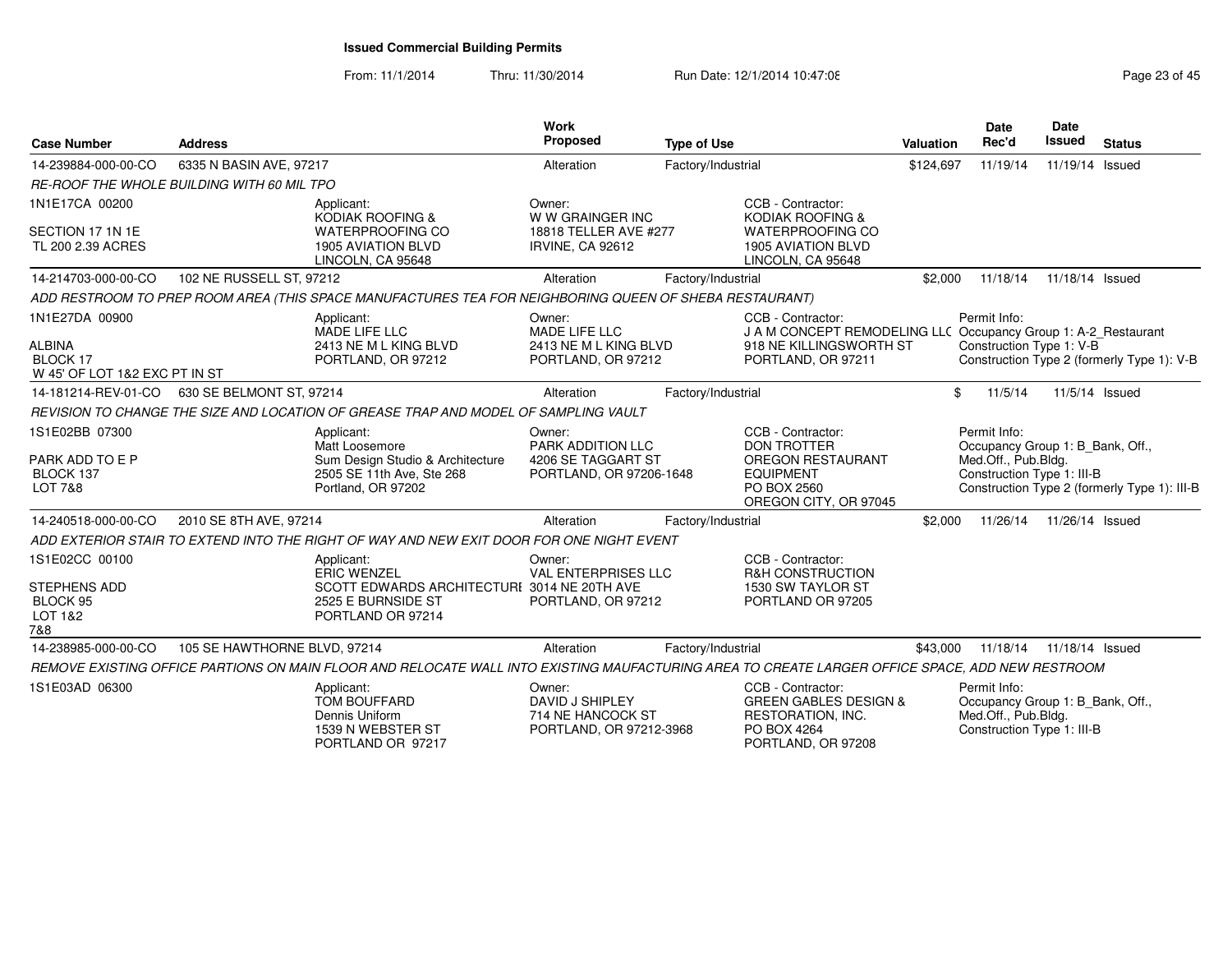From: 11/1/2014Thru: 11/30/2014 Run Date: 12/1/2014 10:47:08 Research 2010 Rage 23 of 45

| <b>Case Number</b>                                                           | <b>Address</b>                                    |                                                                                                                                                 | Work<br><b>Proposed</b>                                                      | <b>Type of Use</b> |                                                                                                                                      | <b>Valuation</b> | Date<br>Rec'd                                                                                         | Date<br><b>Issued</b> | <b>Status</b>                                |
|------------------------------------------------------------------------------|---------------------------------------------------|-------------------------------------------------------------------------------------------------------------------------------------------------|------------------------------------------------------------------------------|--------------------|--------------------------------------------------------------------------------------------------------------------------------------|------------------|-------------------------------------------------------------------------------------------------------|-----------------------|----------------------------------------------|
| 14-239884-000-00-CO                                                          | 6335 N BASIN AVE, 97217                           |                                                                                                                                                 | Alteration                                                                   | Factory/Industrial |                                                                                                                                      | \$124,697        | 11/19/14                                                                                              | 11/19/14 Issued       |                                              |
|                                                                              | <b>RE-ROOF THE WHOLE BUILDING WITH 60 MIL TPO</b> |                                                                                                                                                 |                                                                              |                    |                                                                                                                                      |                  |                                                                                                       |                       |                                              |
| 1N1E17CA 00200<br>SECTION 17 1N 1E<br>TL 200 2.39 ACRES                      |                                                   | Applicant:<br>KODIAK ROOFING &<br><b>WATERPROOFING CO</b><br><b>1905 AVIATION BLVD</b><br>LINCOLN, CA 95648                                     | Owner:<br>W W GRAINGER INC<br>18818 TELLER AVE #277<br>IRVINE, CA 92612      |                    | CCB - Contractor:<br><b>KODIAK ROOFING &amp;</b><br><b>WATERPROOFING CO</b><br><b>1905 AVIATION BLVD</b><br>LINCOLN, CA 95648        |                  |                                                                                                       |                       |                                              |
| 14-214703-000-00-CO                                                          | 102 NE RUSSELL ST, 97212                          |                                                                                                                                                 | Alteration                                                                   | Factory/Industrial |                                                                                                                                      | \$2,000          | 11/18/14                                                                                              | 11/18/14 Issued       |                                              |
|                                                                              |                                                   | ADD RESTROOM TO PREP ROOM AREA (THIS SPACE MANUFACTURES TEA FOR NEIGHBORING QUEEN OF SHEBA RESTAURANT)                                          |                                                                              |                    |                                                                                                                                      |                  |                                                                                                       |                       |                                              |
| 1N1E27DA 00900<br><b>ALBINA</b><br>BLOCK 17<br>W 45' OF LOT 1&2 EXC PT IN ST |                                                   | Applicant:<br>MADE LIFE LLC<br>2413 NE M L KING BLVD<br>PORTLAND, OR 97212                                                                      | Owner:<br>MADE LIFE LLC<br>2413 NE M L KING BLVD<br>PORTLAND, OR 97212       |                    | CCB - Contractor:<br>J A M CONCEPT REMODELING LLC Occupancy Group 1: A-2_Restaurant<br>918 NE KILLINGSWORTH ST<br>PORTLAND, OR 97211 |                  | Permit Info:<br>Construction Type 1: V-B                                                              |                       | Construction Type 2 (formerly Type 1): V-B   |
| 14-181214-REV-01-CO                                                          | 630 SE BELMONT ST, 97214                          |                                                                                                                                                 | Alteration                                                                   | Factory/Industrial |                                                                                                                                      |                  | \$<br>11/5/14                                                                                         | 11/5/14 Issued        |                                              |
|                                                                              |                                                   | REVISION TO CHANGE THE SIZE AND LOCATION OF GREASE TRAP AND MODEL OF SAMPLING VAULT                                                             |                                                                              |                    |                                                                                                                                      |                  |                                                                                                       |                       |                                              |
| 1S1E02BB 07300<br>PARK ADD TO E P<br>BLOCK 137<br><b>LOT 7&amp;8</b>         |                                                   | Applicant:<br>Matt Loosemore<br>Sum Design Studio & Architecture<br>2505 SE 11th Ave, Ste 268<br>Portland, OR 97202                             | Owner:<br>PARK ADDITION LLC<br>4206 SE TAGGART ST<br>PORTLAND, OR 97206-1648 |                    | CCB - Contractor:<br><b>DON TROTTER</b><br>OREGON RESTAURANT<br><b>EQUIPMENT</b><br>PO BOX 2560<br>OREGON CITY, OR 97045             |                  | Permit Info:<br>Occupancy Group 1: B_Bank, Off.,<br>Med.Off., Pub.Bldg.<br>Construction Type 1: III-B |                       | Construction Type 2 (formerly Type 1): III-B |
| 14-240518-000-00-CO                                                          | 2010 SE 8TH AVE, 97214                            |                                                                                                                                                 | Alteration                                                                   | Factory/Industrial |                                                                                                                                      | \$2,000          | 11/26/14                                                                                              | 11/26/14 Issued       |                                              |
|                                                                              |                                                   | ADD EXTERIOR STAIR TO EXTEND INTO THE RIGHT OF WAY AND NEW EXIT DOOR FOR ONE NIGHT EVENT                                                        |                                                                              |                    |                                                                                                                                      |                  |                                                                                                       |                       |                                              |
| 1S1E02CC 00100<br><b>STEPHENS ADD</b><br>BLOCK 95<br>LOT 1&2<br>7&8          |                                                   | Applicant:<br><b>ERIC WENZEL</b><br>SCOTT EDWARDS ARCHITECTURI 3014 NE 20TH AVE<br>2525 E BURNSIDE ST<br>PORTLAND OR 97214                      | Owner:<br><b>VAL ENTERPRISES LLC</b><br>PORTLAND, OR 97212                   |                    | CCB - Contractor:<br><b>R&amp;H CONSTRUCTION</b><br>1530 SW TAYLOR ST<br>PORTLAND OR 97205                                           |                  |                                                                                                       |                       |                                              |
| 14-238985-000-00-CO                                                          | 105 SE HAWTHORNE BLVD, 97214                      |                                                                                                                                                 | Alteration                                                                   | Factory/Industrial |                                                                                                                                      | \$43,000         | 11/18/14                                                                                              | 11/18/14 Issued       |                                              |
|                                                                              |                                                   | REMOVE EXISTING OFFICE PARTIONS ON MAIN FLOOR AND RELOCATE WALL INTO EXISTING MAUFACTURING AREA TO CREATE LARGER OFFICE SPACE. ADD NEW RESTROOM |                                                                              |                    |                                                                                                                                      |                  |                                                                                                       |                       |                                              |
| 1S1E03AD 06300                                                               |                                                   | Applicant:<br><b>TOM BOUFFARD</b><br>Dennis Uniform<br>1539 N WEBSTER ST<br>PORTLAND OR 97217                                                   | Owner:<br>DAVID J SHIPLEY<br>714 NE HANCOCK ST<br>PORTLAND, OR 97212-3968    |                    | CCB - Contractor:<br><b>GREEN GABLES DESIGN &amp;</b><br>RESTORATION, INC.<br>PO BOX 4264<br>PORTLAND, OR 97208                      |                  | Permit Info:<br>Occupancy Group 1: B_Bank, Off.,<br>Med.Off., Pub.Bldg.<br>Construction Type 1: III-B |                       |                                              |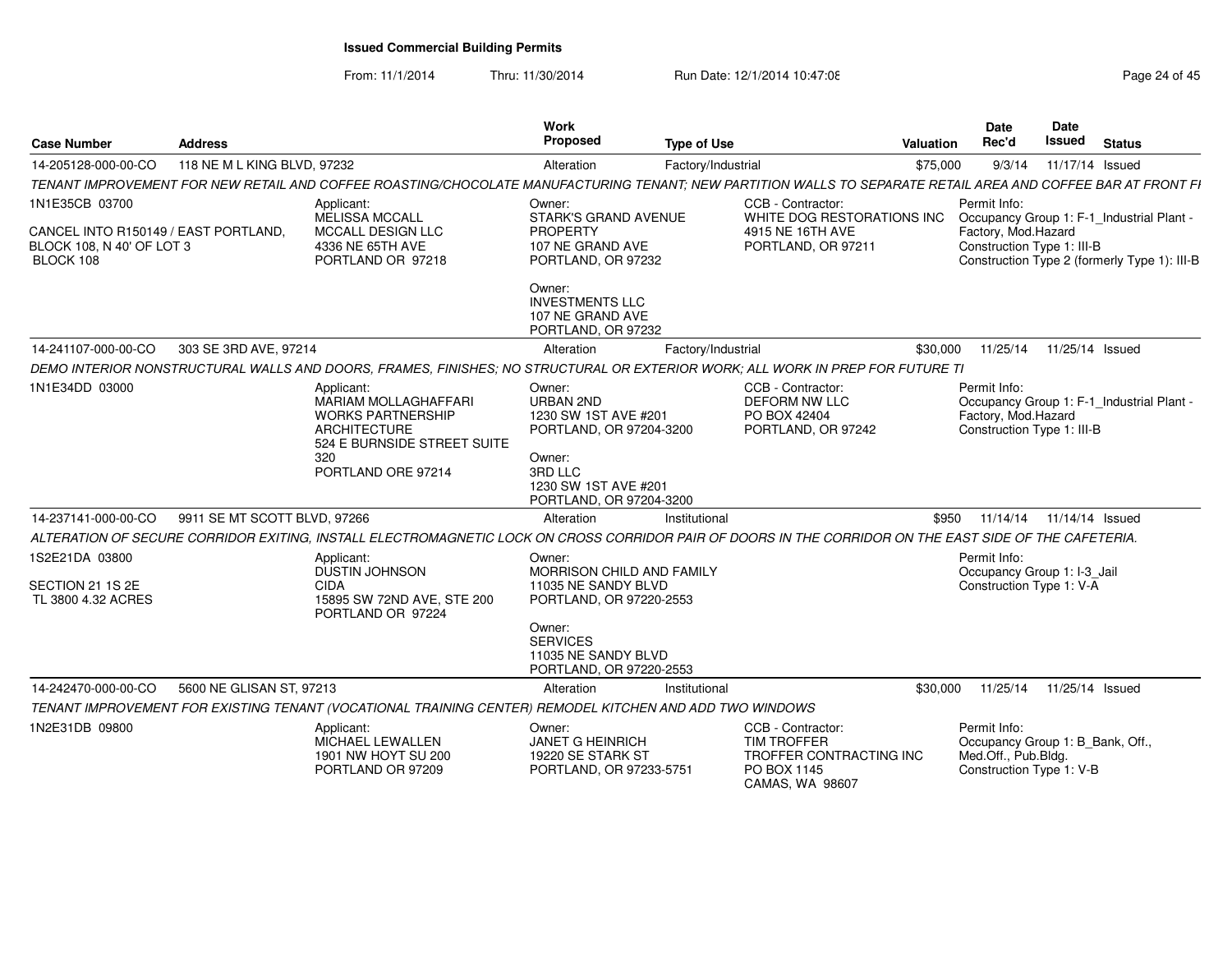From: 11/1/2014

Thru: 11/30/2014 Run Date: 12/1/2014 10:47:08 Research 2010 Rage 24 of 45

| <b>Case Number</b>                                                             | <b>Address</b>               |                                                                                                                                                              | Work<br>Proposed                                                                                                                                      | <b>Type of Use</b> |                                                                                                      | <b>Valuation</b> | <b>Date</b><br>Rec'd                                                                                                                           | Date<br>Issued  | <b>Status</b> |  |
|--------------------------------------------------------------------------------|------------------------------|--------------------------------------------------------------------------------------------------------------------------------------------------------------|-------------------------------------------------------------------------------------------------------------------------------------------------------|--------------------|------------------------------------------------------------------------------------------------------|------------------|------------------------------------------------------------------------------------------------------------------------------------------------|-----------------|---------------|--|
| 14-205128-000-00-CO                                                            | 118 NE M L KING BLVD, 97232  |                                                                                                                                                              | Alteration                                                                                                                                            | Factory/Industrial |                                                                                                      | \$75,000         | 9/3/14                                                                                                                                         | 11/17/14 Issued |               |  |
|                                                                                |                              | TENANT IMPROVEMENT FOR NEW RETAIL AND COFFEE ROASTING/CHOCOLATE MANUFACTURING TENANT: NEW PARTITION WALLS TO SEPARATE RETAIL AREA AND COFFEE BAR AT FRONT FI |                                                                                                                                                       |                    |                                                                                                      |                  |                                                                                                                                                |                 |               |  |
| 1N1E35CB 03700                                                                 |                              | Applicant:                                                                                                                                                   | Owner:                                                                                                                                                |                    | CCB - Contractor:                                                                                    |                  | Permit Info:                                                                                                                                   |                 |               |  |
| CANCEL INTO R150149 / EAST PORTLAND.<br>BLOCK 108, N 40' OF LOT 3<br>BLOCK 108 |                              | MELISSA MCCALL<br><b>MCCALL DESIGN LLC</b><br>4336 NE 65TH AVE<br>PORTLAND OR 97218                                                                          | STARK'S GRAND AVENUE<br>PROPERTY<br>107 NE GRAND AVE<br>PORTLAND, OR 97232                                                                            |                    | WHITE DOG RESTORATIONS INC<br>4915 NE 16TH AVE<br>PORTLAND, OR 97211                                 |                  | Occupancy Group 1: F-1_Industrial Plant -<br>Factory, Mod.Hazard<br>Construction Type 1: III-B<br>Construction Type 2 (formerly Type 1): III-B |                 |               |  |
|                                                                                |                              |                                                                                                                                                              | Owner:<br><b>INVESTMENTS LLC</b><br>107 NE GRAND AVE<br>PORTLAND, OR 97232                                                                            |                    |                                                                                                      |                  |                                                                                                                                                |                 |               |  |
| 14-241107-000-00-CO                                                            | 303 SE 3RD AVE, 97214        |                                                                                                                                                              | Alteration                                                                                                                                            | Factory/Industrial |                                                                                                      | \$30,000         | 11/25/14                                                                                                                                       | 11/25/14 Issued |               |  |
|                                                                                |                              | DEMO INTERIOR NONSTRUCTURAL WALLS AND DOORS. FRAMES. FINISHES: NO STRUCTURAL OR EXTERIOR WORK: ALL WORK IN PREP FOR FUTURE TI                                |                                                                                                                                                       |                    |                                                                                                      |                  |                                                                                                                                                |                 |               |  |
| 1N1E34DD 03000                                                                 |                              | Applicant:<br><b>MARIAM MOLLAGHAFFARI</b><br><b>WORKS PARTNERSHIP</b><br><b>ARCHITECTURE</b><br>524 E BURNSIDE STREET SUITE<br>320<br>PORTLAND ORE 97214     | Owner:<br><b>URBAN 2ND</b><br>1230 SW 1ST AVE #201<br>PORTLAND, OR 97204-3200<br>Owner:<br>3RD LLC<br>1230 SW 1ST AVE #201<br>PORTLAND, OR 97204-3200 |                    | CCB - Contractor:<br><b>DEFORM NW LLC</b><br>PO BOX 42404<br>PORTLAND, OR 97242                      |                  | Permit Info:<br>Occupancy Group 1: F-1_Industrial Plant -<br>Factory, Mod.Hazard<br>Construction Type 1: III-B                                 |                 |               |  |
| 14-237141-000-00-CO                                                            | 9911 SE MT SCOTT BLVD, 97266 |                                                                                                                                                              | Alteration                                                                                                                                            | Institutional      |                                                                                                      | \$950            | 11/14/14  11/14/14  Issued                                                                                                                     |                 |               |  |
|                                                                                |                              | ALTERATION OF SECURE CORRIDOR EXITING, INSTALL ELECTROMAGNETIC LOCK ON CROSS CORRIDOR PAIR OF DOORS IN THE CORRIDOR ON THE EAST SIDE OF THE CAFETERIA.       |                                                                                                                                                       |                    |                                                                                                      |                  |                                                                                                                                                |                 |               |  |
| 1S2E21DA 03800                                                                 |                              | Applicant:<br>DUSTIN JOHNSON                                                                                                                                 | Owner:<br>MORRISON CHILD AND FAMILY                                                                                                                   |                    |                                                                                                      |                  | Permit Info:<br>Occupancy Group 1: I-3_Jail                                                                                                    |                 |               |  |
| SECTION 21 1S 2E<br>TL 3800 4.32 ACRES                                         |                              | <b>CIDA</b><br>15895 SW 72ND AVE, STE 200<br>PORTLAND OR 97224                                                                                               | 11035 NE SANDY BLVD<br>PORTLAND, OR 97220-2553                                                                                                        |                    |                                                                                                      |                  | Construction Type 1: V-A                                                                                                                       |                 |               |  |
|                                                                                |                              |                                                                                                                                                              | Owner:<br><b>SERVICES</b><br>11035 NE SANDY BLVD<br>PORTLAND, OR 97220-2553                                                                           |                    |                                                                                                      |                  |                                                                                                                                                |                 |               |  |
| 14-242470-000-00-CO                                                            | 5600 NE GLISAN ST, 97213     |                                                                                                                                                              | Alteration                                                                                                                                            | Institutional      |                                                                                                      | \$30,000         | 11/25/14  11/25/14  Issued                                                                                                                     |                 |               |  |
|                                                                                |                              | TENANT IMPROVEMENT FOR EXISTING TENANT (VOCATIONAL TRAINING CENTER) REMODEL KITCHEN AND ADD TWO WINDOWS                                                      |                                                                                                                                                       |                    |                                                                                                      |                  |                                                                                                                                                |                 |               |  |
| 1N2E31DB 09800                                                                 |                              | Applicant:<br>MICHAEL LEWALLEN<br>1901 NW HOYT SU 200<br>PORTLAND OR 97209                                                                                   | Owner:<br><b>JANET G HEINRICH</b><br>19220 SE STARK ST<br>PORTLAND, OR 97233-5751                                                                     |                    | CCB - Contractor:<br><b>TIM TROFFER</b><br>TROFFER CONTRACTING INC<br>PO BOX 1145<br>CAMAS, WA 98607 |                  | Permit Info:<br>Occupancy Group 1: B Bank, Off.,<br>Med.Off., Pub.Bldg.<br>Construction Type 1: V-B                                            |                 |               |  |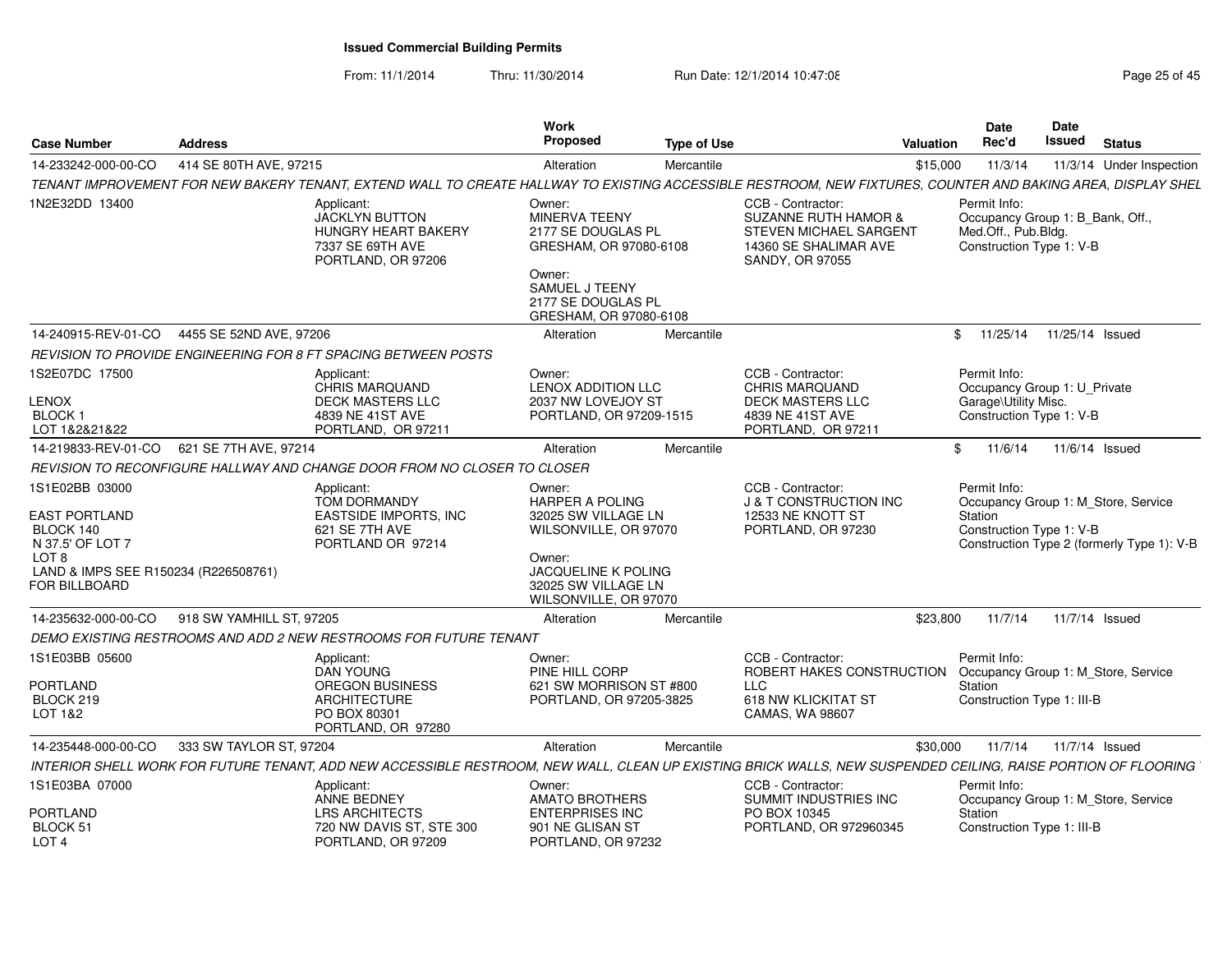From: 11/1/2014Thru: 11/30/2014 Run Date: 12/1/2014 10:47:08 Research 2010 Rage 25 of 45

| <b>Case Number</b>                                                                                                                                   | <b>Address</b>                                                                                                                                                |                                                                                               | Work<br><b>Proposed</b>                                                                                                                                                  | <b>Type of Use</b> |                                                                                                                                   | <b>Valuation</b> | Date<br>Rec'd                                                                                       | Date<br>Issued  | <b>Status</b>                                                                     |
|------------------------------------------------------------------------------------------------------------------------------------------------------|---------------------------------------------------------------------------------------------------------------------------------------------------------------|-----------------------------------------------------------------------------------------------|--------------------------------------------------------------------------------------------------------------------------------------------------------------------------|--------------------|-----------------------------------------------------------------------------------------------------------------------------------|------------------|-----------------------------------------------------------------------------------------------------|-----------------|-----------------------------------------------------------------------------------|
| 14-233242-000-00-CO                                                                                                                                  | 414 SE 80TH AVE, 97215                                                                                                                                        |                                                                                               | Alteration                                                                                                                                                               | Mercantile         |                                                                                                                                   | \$15,000         | 11/3/14                                                                                             |                 | 11/3/14 Under Inspection                                                          |
|                                                                                                                                                      | TENANT IMPROVEMENT FOR NEW BAKERY TENANT, EXTEND WALL TO CREATE HALLWAY TO EXISTING ACCESSIBLE RESTROOM, NEW FIXTURES, COUNTER AND BAKING AREA, DISPLAY SHEL  |                                                                                               |                                                                                                                                                                          |                    |                                                                                                                                   |                  |                                                                                                     |                 |                                                                                   |
| 1N2E32DD 13400                                                                                                                                       | Applicant:                                                                                                                                                    | <b>JACKLYN BUTTON</b><br><b>HUNGRY HEART BAKERY</b><br>7337 SE 69TH AVE<br>PORTLAND, OR 97206 | Owner:<br>MINERVA TEENY<br>2177 SE DOUGLAS PL<br>GRESHAM, OR 97080-6108<br>Owner:<br>SAMUEL J TEENY<br>2177 SE DOUGLAS PL<br>GRESHAM, OR 97080-6108                      |                    | CCB - Contractor:<br><b>SUZANNE RUTH HAMOR &amp;</b><br><b>STEVEN MICHAEL SARGENT</b><br>14360 SE SHALIMAR AVE<br>SANDY, OR 97055 |                  | Permit Info:<br>Occupancy Group 1: B_Bank, Off.,<br>Med.Off., Pub.Bldg.<br>Construction Type 1: V-B |                 |                                                                                   |
| 14-240915-REV-01-CO                                                                                                                                  | 4455 SE 52ND AVE, 97206                                                                                                                                       |                                                                                               | Alteration                                                                                                                                                               | Mercantile         |                                                                                                                                   | \$.              | 11/25/14                                                                                            | 11/25/14 Issued |                                                                                   |
|                                                                                                                                                      | REVISION TO PROVIDE ENGINEERING FOR 8 FT SPACING BETWEEN POSTS                                                                                                |                                                                                               |                                                                                                                                                                          |                    |                                                                                                                                   |                  |                                                                                                     |                 |                                                                                   |
| 1S2E07DC 17500<br><b>LENOX</b><br><b>BLOCK1</b><br>LOT 1&2&21&22                                                                                     | Applicant:                                                                                                                                                    | <b>CHRIS MARQUAND</b><br>DECK MASTERS LLC<br>4839 NE 41ST AVE<br>PORTLAND, OR 97211           | Owner:<br><b>LENOX ADDITION LLC</b><br>2037 NW LOVEJOY ST<br>PORTLAND, OR 97209-1515                                                                                     |                    | CCB - Contractor:<br><b>CHRIS MARQUAND</b><br><b>DECK MASTERS LLC</b><br>4839 NE 41ST AVE<br>PORTLAND, OR 97211                   |                  | Permit Info:<br>Occupancy Group 1: U_Private<br>Garage\Utility Misc.<br>Construction Type 1: V-B    |                 |                                                                                   |
| 14-219833-REV-01-CO                                                                                                                                  | 621 SE 7TH AVE, 97214                                                                                                                                         |                                                                                               | Alteration                                                                                                                                                               | Mercantile         |                                                                                                                                   | \$               | 11/6/14                                                                                             |                 | 11/6/14 Issued                                                                    |
|                                                                                                                                                      | REVISION TO RECONFIGURE HALLWAY AND CHANGE DOOR FROM NO CLOSER TO CLOSER                                                                                      |                                                                                               |                                                                                                                                                                          |                    |                                                                                                                                   |                  |                                                                                                     |                 |                                                                                   |
| 1S1E02BB 03000<br><b>EAST PORTLAND</b><br>BLOCK 140<br>N 37.5' OF LOT 7<br>LOT <sub>8</sub><br>LAND & IMPS SEE R150234 (R226508761)<br>FOR BILLBOARD | Applicant:<br>621 SE 7TH AVE                                                                                                                                  | TOM DORMANDY<br>EASTSIDE IMPORTS, INC<br>PORTLAND OR 97214                                    | Owner:<br><b>HARPER A POLING</b><br>32025 SW VILLAGE LN<br>WILSONVILLE, OR 97070<br>Owner:<br><b>JACQUELINE K POLING</b><br>32025 SW VILLAGE LN<br>WILSONVILLE, OR 97070 |                    | CCB - Contractor:<br>J & T CONSTRUCTION INC<br>12533 NE KNOTT ST<br>PORTLAND, OR 97230                                            |                  | Permit Info:<br>Station<br>Construction Type 1: V-B                                                 |                 | Occupancy Group 1: M Store, Service<br>Construction Type 2 (formerly Type 1): V-B |
| 14-235632-000-00-CO                                                                                                                                  | 918 SW YAMHILL ST, 97205                                                                                                                                      |                                                                                               | Alteration                                                                                                                                                               | Mercantile         |                                                                                                                                   | \$23,800         | 11/7/14                                                                                             |                 | 11/7/14 Issued                                                                    |
|                                                                                                                                                      | DEMO EXISTING RESTROOMS AND ADD 2 NEW RESTROOMS FOR FUTURE TENANT                                                                                             |                                                                                               |                                                                                                                                                                          |                    |                                                                                                                                   |                  |                                                                                                     |                 |                                                                                   |
| 1S1E03BB 05600<br>PORTLAND<br>BLOCK 219<br>LOT 1&2                                                                                                   | Applicant:<br>DAN YOUNG<br><b>ARCHITECTURE</b><br>PO BOX 80301                                                                                                | OREGON BUSINESS<br>PORTLAND, OR 97280                                                         | Owner:<br>PINE HILL CORP<br>621 SW MORRISON ST #800<br>PORTLAND, OR 97205-3825                                                                                           |                    | CCB - Contractor:<br>ROBERT HAKES CONSTRUCTION<br><b>LLC</b><br>618 NW KLICKITAT ST<br>CAMAS, WA 98607                            |                  | Permit Info:<br>Station<br>Construction Type 1: III-B                                               |                 | Occupancy Group 1: M Store, Service                                               |
| 14-235448-000-00-CO                                                                                                                                  | 333 SW TAYLOR ST, 97204                                                                                                                                       |                                                                                               | Alteration                                                                                                                                                               | Mercantile         |                                                                                                                                   | \$30,000         | 11/7/14                                                                                             |                 | 11/7/14 Issued                                                                    |
|                                                                                                                                                      | INTERIOR SHELL WORK FOR FUTURE TENANT, ADD NEW ACCESSIBLE RESTROOM, NEW WALL, CLEAN UP EXISTING BRICK WALLS, NEW SUSPENDED CEILING, RAISE PORTION OF FLOORING |                                                                                               |                                                                                                                                                                          |                    |                                                                                                                                   |                  |                                                                                                     |                 |                                                                                   |
| 1S1E03BA 07000<br>PORTLAND<br>BLOCK 51                                                                                                               | Applicant:<br><b>ANNE BEDNEY</b>                                                                                                                              | <b>LRS ARCHITECTS</b><br>720 NW DAVIS ST. STE 300                                             | Owner:<br><b>AMATO BROTHERS</b><br><b>ENTERPRISES INC</b><br>901 NE GLISAN ST                                                                                            |                    | CCB - Contractor:<br>SUMMIT INDUSTRIES INC<br>PO BOX 10345<br>PORTLAND, OR 972960345                                              |                  | Permit Info:<br>Station<br>Construction Type 1: III-B                                               |                 | Occupancy Group 1: M Store, Service                                               |
| LOT <sub>4</sub>                                                                                                                                     |                                                                                                                                                               | PORTLAND, OR 97209                                                                            | PORTLAND, OR 97232                                                                                                                                                       |                    |                                                                                                                                   |                  |                                                                                                     |                 |                                                                                   |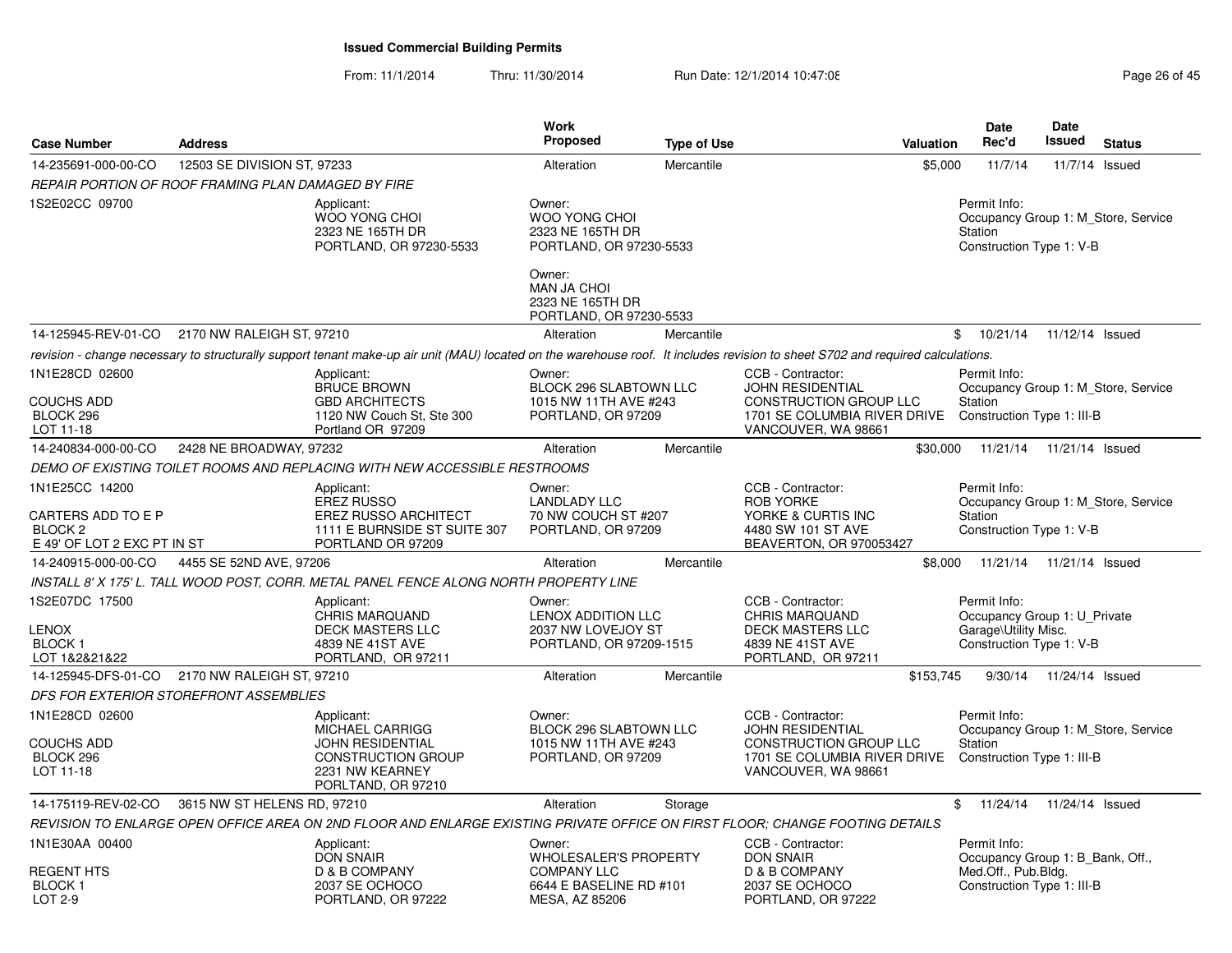From: 11/1/2014Thru: 11/30/2014 Run Date: 12/1/2014 10:47:08 Research 2010 Rage 26 of 45

| <b>Case Number</b>                                                                        | <b>Address</b>                                      |                                                                                                                                                                                | <b>Work</b><br>Proposed                                                                 | <b>Type of Use</b> | <b>Valuation</b>                                                                                                                     | Date<br>Rec'd                                                                                         | Date<br>Issued             | <b>Status</b>                       |
|-------------------------------------------------------------------------------------------|-----------------------------------------------------|--------------------------------------------------------------------------------------------------------------------------------------------------------------------------------|-----------------------------------------------------------------------------------------|--------------------|--------------------------------------------------------------------------------------------------------------------------------------|-------------------------------------------------------------------------------------------------------|----------------------------|-------------------------------------|
| 14-235691-000-00-CO                                                                       | 12503 SE DIVISION ST, 97233                         |                                                                                                                                                                                | Alteration                                                                              | Mercantile         |                                                                                                                                      | \$5,000<br>11/7/14                                                                                    |                            | 11/7/14 Issued                      |
|                                                                                           | REPAIR PORTION OF ROOF FRAMING PLAN DAMAGED BY FIRE |                                                                                                                                                                                |                                                                                         |                    |                                                                                                                                      |                                                                                                       |                            |                                     |
| 1S2E02CC 09700                                                                            |                                                     | Applicant:<br><b>WOO YONG CHOI</b><br>2323 NE 165TH DR<br>PORTLAND, OR 97230-5533                                                                                              | Owner:<br>WOO YONG CHOI<br>2323 NE 165TH DR<br>PORTLAND, OR 97230-5533                  |                    |                                                                                                                                      | Permit Info:<br>Station<br>Construction Type 1: V-B                                                   |                            | Occupancy Group 1: M Store, Service |
|                                                                                           |                                                     |                                                                                                                                                                                | Owner:<br>MAN JA CHOI<br>2323 NE 165TH DR<br>PORTLAND, OR 97230-5533                    |                    |                                                                                                                                      |                                                                                                       |                            |                                     |
|                                                                                           | 14-125945-REV-01-CO 2170 NW RALEIGH ST, 97210       |                                                                                                                                                                                | Alteration                                                                              | Mercantile         |                                                                                                                                      | $\mathfrak{S}$<br>10/21/14                                                                            | 11/12/14 Issued            |                                     |
|                                                                                           |                                                     | revision - change necessary to structurally support tenant make-up air unit (MAU) located on the warehouse roof. It includes revision to sheet S702 and required calculations. |                                                                                         |                    |                                                                                                                                      |                                                                                                       |                            |                                     |
| 1N1E28CD 02600<br><b>COUCHS ADD</b><br>BLOCK 296<br>LOT 11-18                             |                                                     | Applicant:<br><b>BRUCE BROWN</b><br><b>GBD ARCHITECTS</b><br>1120 NW Couch St, Ste 300<br>Portland OR 97209                                                                    | Owner:<br><b>BLOCK 296 SLABTOWN LLC</b><br>1015 NW 11TH AVE #243<br>PORTLAND, OR 97209  |                    | CCB - Contractor:<br><b>JOHN RESIDENTIAL</b><br>CONSTRUCTION GROUP LLC<br>1701 SE COLUMBIA RIVER DRIVE<br>VANCOUVER, WA 98661        | Permit Info:<br><b>Station</b><br>Construction Type 1: III-B                                          |                            | Occupancy Group 1: M_Store, Service |
| 14-240834-000-00-CO                                                                       | 2428 NE BROADWAY, 97232                             |                                                                                                                                                                                | Alteration                                                                              | Mercantile         |                                                                                                                                      | \$30,000                                                                                              | 11/21/14  11/21/14  Issued |                                     |
|                                                                                           |                                                     | DEMO OF EXISTING TOILET ROOMS AND REPLACING WITH NEW ACCESSIBLE RESTROOMS                                                                                                      |                                                                                         |                    |                                                                                                                                      |                                                                                                       |                            |                                     |
| 1N1E25CC 14200<br>CARTERS ADD TO E P<br>BLOCK <sub>2</sub><br>E 49' OF LOT 2 EXC PT IN ST |                                                     | Applicant:<br><b>EREZ RUSSO</b><br>EREZ RUSSO ARCHITECT<br>1111 E BURNSIDE ST SUITE 307<br>PORTLAND OR 97209                                                                   | Owner:<br><b>LANDLADY LLC</b><br>70 NW COUCH ST #207<br>PORTLAND, OR 97209              |                    | CCB - Contractor:<br><b>ROB YORKE</b><br>YORKE & CURTIS INC<br>4480 SW 101 ST AVE<br>BEAVERTON, OR 970053427                         | Permit Info:<br><b>Station</b><br>Construction Type 1: V-B                                            |                            | Occupancy Group 1: M_Store, Service |
| 14-240915-000-00-CO                                                                       | 4455 SE 52ND AVE, 97206                             |                                                                                                                                                                                | Alteration                                                                              | Mercantile         |                                                                                                                                      | \$8,000<br>11/21/14                                                                                   | 11/21/14 Issued            |                                     |
|                                                                                           |                                                     | INSTALL 8' X 175' L. TALL WOOD POST, CORR. METAL PANEL FENCE ALONG NORTH PROPERTY LINE                                                                                         |                                                                                         |                    |                                                                                                                                      |                                                                                                       |                            |                                     |
| 1S2E07DC 17500<br><b>LENOX</b><br>BLOCK <sub>1</sub><br>LOT 1&2&21&22                     |                                                     | Applicant:<br><b>CHRIS MARQUAND</b><br><b>DECK MASTERS LLC</b><br>4839 NE 41ST AVE<br>PORTLAND, OR 97211                                                                       | Owner:<br>LENOX ADDITION LLC<br>2037 NW LOVEJOY ST<br>PORTLAND, OR 97209-1515           |                    | CCB - Contractor:<br><b>CHRIS MARQUAND</b><br><b>DECK MASTERS LLC</b><br>4839 NE 41ST AVE<br>PORTLAND, OR 97211                      | Permit Info:<br>Occupancy Group 1: U_Private<br>Garage\Utility Misc.<br>Construction Type 1: V-B      |                            |                                     |
|                                                                                           | 14-125945-DFS-01-CO 2170 NW RALEIGH ST, 97210       |                                                                                                                                                                                | Alteration                                                                              | Mercantile         | \$153,745                                                                                                                            | 9/30/14                                                                                               | 11/24/14 Issued            |                                     |
|                                                                                           | DFS FOR EXTERIOR STOREFRONT ASSEMBLIES              |                                                                                                                                                                                |                                                                                         |                    |                                                                                                                                      |                                                                                                       |                            |                                     |
| 1N1E28CD 02600<br><b>COUCHS ADD</b><br>BLOCK 296<br>LOT 11-18                             |                                                     | Applicant:<br><b>MICHAEL CARRIGG</b><br><b>JOHN RESIDENTIAL</b><br><b>CONSTRUCTION GROUP</b><br>2231 NW KEARNEY<br>PORLTAND, OR 97210                                          | Owner:<br>BLOCK 296 SLABTOWN LLC<br>1015 NW 11TH AVE #243<br>PORTLAND, OR 97209         |                    | CCB - Contractor:<br><b>JOHN RESIDENTIAL</b><br><b>CONSTRUCTION GROUP LLC</b><br>1701 SE COLUMBIA RIVER DRIVE<br>VANCOUVER, WA 98661 | Permit Info:<br><b>Station</b><br>Construction Type 1: III-B                                          |                            | Occupancy Group 1: M Store, Service |
| 14-175119-REV-02-CO                                                                       | 3615 NW ST HELENS RD, 97210                         |                                                                                                                                                                                | Alteration                                                                              | Storage            |                                                                                                                                      | \$11/24/14                                                                                            | 11/24/14 Issued            |                                     |
|                                                                                           |                                                     | REVISION TO ENLARGE OPEN OFFICE AREA ON 2ND FLOOR AND ENLARGE EXISTING PRIVATE OFFICE ON FIRST FLOOR; CHANGE FOOTING DETAILS                                                   |                                                                                         |                    |                                                                                                                                      |                                                                                                       |                            |                                     |
| 1N1E30AA 00400<br><b>REGENT HTS</b><br><b>BLOCK1</b>                                      |                                                     | Applicant:<br><b>DON SNAIR</b><br>D & B COMPANY<br>2037 SE OCHOCO                                                                                                              | Owner:<br><b>WHOLESALER'S PROPERTY</b><br><b>COMPANY LLC</b><br>6644 E BASELINE RD #101 |                    | CCB - Contractor:<br><b>DON SNAIR</b><br>D & B COMPANY<br>2037 SE OCHOCO                                                             | Permit Info:<br>Occupancy Group 1: B Bank, Off.,<br>Med.Off., Pub.Bldg.<br>Construction Type 1: III-B |                            |                                     |
| LOT 2-9                                                                                   |                                                     | PORTLAND, OR 97222                                                                                                                                                             | MESA, AZ 85206                                                                          |                    | PORTLAND, OR 97222                                                                                                                   |                                                                                                       |                            |                                     |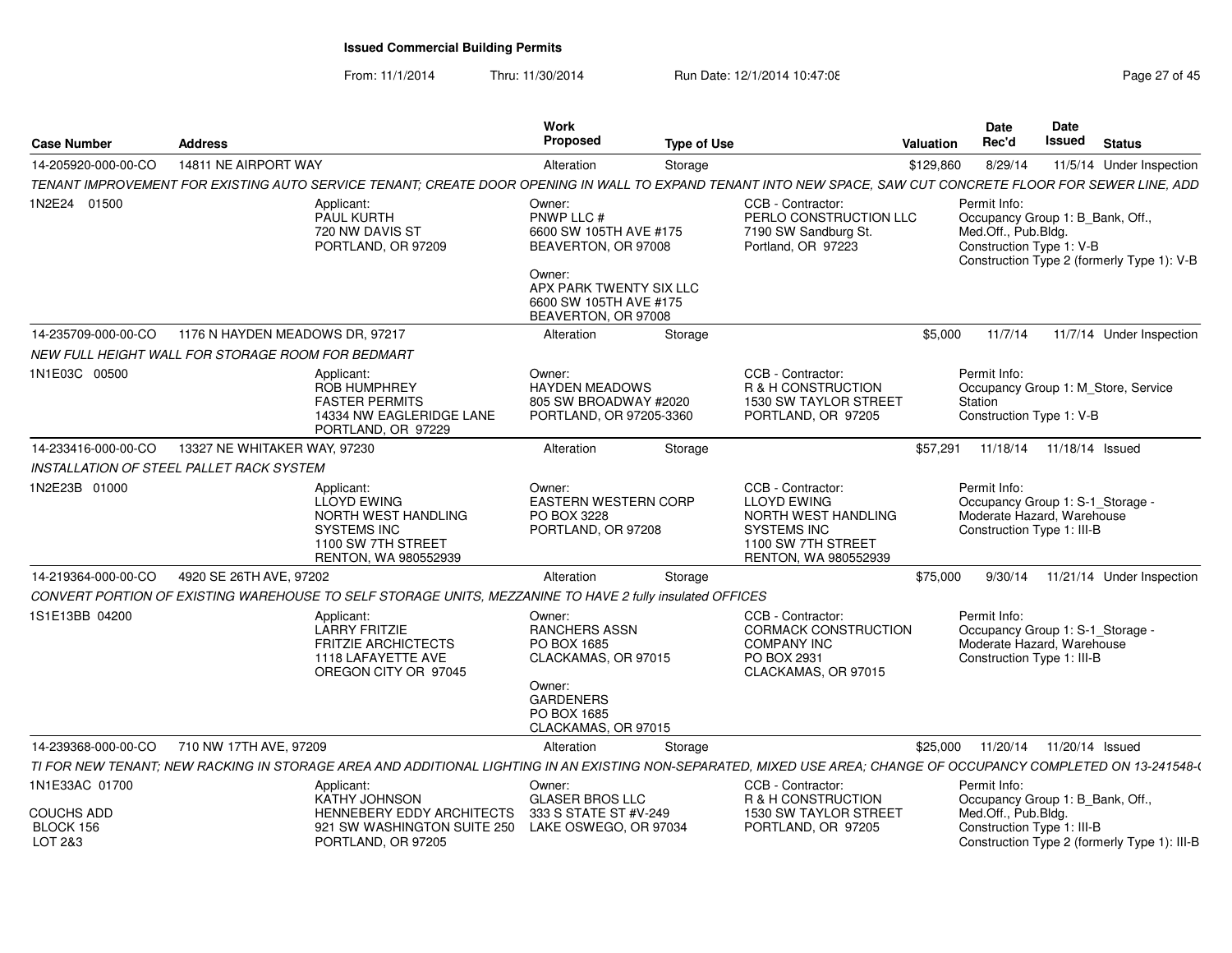From: 11/1/2014Thru: 11/30/2014 Run Date: 12/1/2014 10:47:08 Research 2010 Rage 27 of 45

| <b>Case Number</b>                        | <b>Address</b>                                                                                                                                                    | <b>Work</b><br>Proposed<br><b>Type of Use</b>                                                                                                               |                                                                                                                                           | Date<br>Rec'd<br>Valuation                                                                                   | Date<br><b>Issued</b>      | <b>Status</b>                                |
|-------------------------------------------|-------------------------------------------------------------------------------------------------------------------------------------------------------------------|-------------------------------------------------------------------------------------------------------------------------------------------------------------|-------------------------------------------------------------------------------------------------------------------------------------------|--------------------------------------------------------------------------------------------------------------|----------------------------|----------------------------------------------|
| 14-205920-000-00-CO                       | 14811 NE AIRPORT WAY                                                                                                                                              | Alteration<br>Storage                                                                                                                                       |                                                                                                                                           | 8/29/14<br>\$129,860                                                                                         |                            | 11/5/14 Under Inspection                     |
|                                           | TENANT IMPROVEMENT FOR EXISTING AUTO SERVICE TENANT; CREATE DOOR OPENING IN WALL TO EXPAND TENANT INTO NEW SPACE, SAW CUT CONCRETE FLOOR FOR SEWER LINE, ADD      |                                                                                                                                                             |                                                                                                                                           |                                                                                                              |                            |                                              |
| 1N2E24 01500                              | Applicant:<br>PAUL KURTH<br>720 NW DAVIS ST<br>PORTLAND, OR 97209                                                                                                 | Owner:<br>PNWP LLC #<br>6600 SW 105TH AVE #175<br>BEAVERTON, OR 97008<br>Owner:<br>APX PARK TWENTY SIX LLC<br>6600 SW 105TH AVE #175<br>BEAVERTON, OR 97008 | CCB - Contractor:<br>PERLO CONSTRUCTION LLC<br>7190 SW Sandburg St.<br>Portland, OR 97223                                                 | Permit Info:<br>Occupancy Group 1: B_Bank, Off.,<br>Med.Off., Pub.Bldg.<br>Construction Type 1: V-B          |                            | Construction Type 2 (formerly Type 1): V-B   |
| 14-235709-000-00-CO                       | 1176 N HAYDEN MEADOWS DR, 97217                                                                                                                                   | Alteration<br>Storage                                                                                                                                       |                                                                                                                                           | \$5,000<br>11/7/14                                                                                           |                            | 11/7/14 Under Inspection                     |
|                                           | NEW FULL HEIGHT WALL FOR STORAGE ROOM FOR BEDMART                                                                                                                 |                                                                                                                                                             |                                                                                                                                           |                                                                                                              |                            |                                              |
| 1N1E03C 00500                             | Applicant:<br><b>ROB HUMPHREY</b><br><b>FASTER PERMITS</b><br>14334 NW EAGLERIDGE LANE<br>PORTLAND, OR 97229                                                      | Owner:<br><b>HAYDEN MEADOWS</b><br>805 SW BROADWAY #2020<br>PORTLAND, OR 97205-3360                                                                         | CCB - Contractor:<br>R & H CONSTRUCTION<br><b>1530 SW TAYLOR STREET</b><br>PORTLAND, OR 97205                                             | Permit Info:<br>Station<br>Construction Type 1: V-B                                                          |                            | Occupancy Group 1: M Store, Service          |
| 14-233416-000-00-CO                       | 13327 NE WHITAKER WAY, 97230                                                                                                                                      | Alteration<br>Storage                                                                                                                                       |                                                                                                                                           | \$57.291                                                                                                     | 11/18/14  11/18/14  Issued |                                              |
|                                           | INSTALLATION OF STEEL PALLET RACK SYSTEM                                                                                                                          |                                                                                                                                                             |                                                                                                                                           |                                                                                                              |                            |                                              |
| 1N2E23B 01000                             | Applicant:<br>LLOYD EWING<br>NORTH WEST HANDLING<br><b>SYSTEMS INC</b><br>1100 SW 7TH STREET<br>RENTON, WA 980552939                                              | Owner:<br><b>EASTERN WESTERN CORP</b><br>PO BOX 3228<br>PORTLAND, OR 97208                                                                                  | CCB - Contractor:<br><b>LLOYD EWING</b><br>NORTH WEST HANDLING<br><b>SYSTEMS INC</b><br>1100 SW 7TH STREET<br><b>RENTON, WA 980552939</b> | Permit Info:<br>Occupancy Group 1: S-1 Storage -<br>Moderate Hazard, Warehouse<br>Construction Type 1: III-B |                            |                                              |
| 14-219364-000-00-CO                       | 4920 SE 26TH AVE, 97202                                                                                                                                           | Alteration<br>Storage                                                                                                                                       |                                                                                                                                           | \$75,000<br>9/30/14                                                                                          |                            | 11/21/14 Under Inspection                    |
|                                           | CONVERT PORTION OF EXISTING WAREHOUSE TO SELF STORAGE UNITS, MEZZANINE TO HAVE 2 fully insulated OFFICES                                                          |                                                                                                                                                             |                                                                                                                                           |                                                                                                              |                            |                                              |
| 1S1E13BB 04200                            | Applicant:<br>LARRY FRITZIE<br><b>FRITZIE ARCHICTECTS</b><br>1118 LAFAYETTE AVE<br>OREGON CITY OR 97045                                                           | Owner:<br><b>RANCHERS ASSN</b><br>PO BOX 1685<br>CLACKAMAS, OR 97015<br>Owner:                                                                              | CCB - Contractor:<br>CORMACK CONSTRUCTION<br><b>COMPANY INC</b><br>PO BOX 2931<br>CLACKAMAS, OR 97015                                     | Permit Info:<br>Occupancy Group 1: S-1 Storage -<br>Moderate Hazard, Warehouse<br>Construction Type 1: III-B |                            |                                              |
|                                           |                                                                                                                                                                   | <b>GARDENERS</b><br>PO BOX 1685<br>CLACKAMAS, OR 97015                                                                                                      |                                                                                                                                           |                                                                                                              |                            |                                              |
| 14-239368-000-00-CO                       | 710 NW 17TH AVE, 97209                                                                                                                                            | Alteration<br>Storage                                                                                                                                       |                                                                                                                                           | \$25,000<br>11/20/14                                                                                         | 11/20/14 Issued            |                                              |
|                                           | TI FOR NEW TENANT; NEW RACKING IN STORAGE AREA AND ADDITIONAL LIGHTING IN AN EXISTING NON-SEPARATED, MIXED USE AREA; CHANGE OF OCCUPANCY COMPLETED ON 13-241548-0 |                                                                                                                                                             |                                                                                                                                           |                                                                                                              |                            |                                              |
| 1N1E33AC 01700                            | Applicant:<br><b>KATHY JOHNSON</b>                                                                                                                                | Owner:<br><b>GLASER BROS LLC</b>                                                                                                                            | CCB - Contractor:<br>R & H CONSTRUCTION                                                                                                   | Permit Info:<br>Occupancy Group 1: B_Bank, Off.,                                                             |                            |                                              |
| <b>COUCHS ADD</b><br>BLOCK 156<br>LOT 2&3 | HENNEBERY EDDY ARCHITECTS<br>921 SW WASHINGTON SUITE 250<br>PORTLAND, OR 97205                                                                                    | 333 S STATE ST #V-249<br>LAKE OSWEGO, OR 97034                                                                                                              | <b>1530 SW TAYLOR STREET</b><br>PORTLAND, OR 97205                                                                                        | Med.Off., Pub.Bldg.<br>Construction Type 1: III-B                                                            |                            | Construction Type 2 (formerly Type 1): III-B |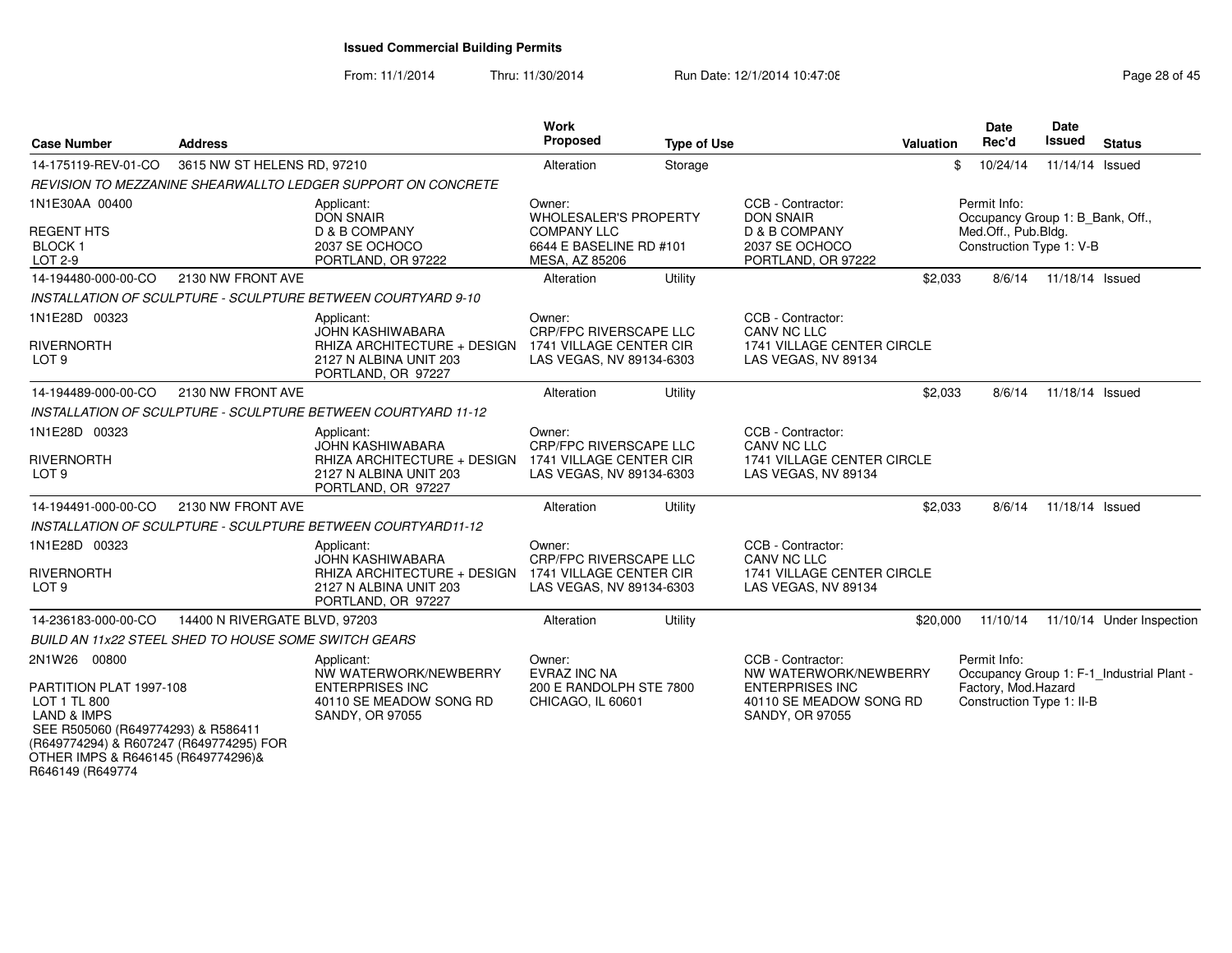From: 11/1/2014Thru: 11/30/2014 Run Date: 12/1/2014 10:47:08 Research 2010 Rage 28 of 45

| <b>Case Number</b>                                                                                                                                                                                                           | <b>Address</b>                |                                                                                                                      | Work<br><b>Proposed</b>                                                                                   | <b>Type of Use</b> |                                                                                                                           | Valuation | <b>Date</b><br>Rec'd                                                                                | Date<br><b>Issued</b> | <b>Status</b>                             |
|------------------------------------------------------------------------------------------------------------------------------------------------------------------------------------------------------------------------------|-------------------------------|----------------------------------------------------------------------------------------------------------------------|-----------------------------------------------------------------------------------------------------------|--------------------|---------------------------------------------------------------------------------------------------------------------------|-----------|-----------------------------------------------------------------------------------------------------|-----------------------|-------------------------------------------|
| 14-175119-REV-01-CO                                                                                                                                                                                                          | 3615 NW ST HELENS RD, 97210   |                                                                                                                      | Alteration                                                                                                | Storage            |                                                                                                                           |           | 10/24/14<br>\$                                                                                      | 11/14/14 Issued       |                                           |
|                                                                                                                                                                                                                              |                               | REVISION TO MEZZANINE SHEARWALLTO LEDGER SUPPORT ON CONCRETE                                                         |                                                                                                           |                    |                                                                                                                           |           |                                                                                                     |                       |                                           |
| 1N1E30AA 00400<br><b>REGENT HTS</b><br>BLOCK <sub>1</sub><br>LOT 2-9                                                                                                                                                         |                               | Applicant:<br><b>DON SNAIR</b><br>D & B COMPANY<br>2037 SE OCHOCO<br>PORTLAND, OR 97222                              | Owner:<br><b>WHOLESALER'S PROPERTY</b><br><b>COMPANY LLC</b><br>6644 E BASELINE RD #101<br>MESA, AZ 85206 |                    | CCB - Contractor:<br><b>DON SNAIR</b><br>D & B COMPANY<br>2037 SE OCHOCO<br>PORTLAND, OR 97222                            |           | Permit Info:<br>Occupancy Group 1: B Bank, Off.,<br>Med.Off., Pub.Bldg.<br>Construction Type 1: V-B |                       |                                           |
| 14-194480-000-00-CO                                                                                                                                                                                                          | 2130 NW FRONT AVE             |                                                                                                                      | Alteration                                                                                                | Utility            |                                                                                                                           | \$2,033   | 8/6/14                                                                                              | 11/18/14 Issued       |                                           |
|                                                                                                                                                                                                                              |                               | INSTALLATION OF SCULPTURE - SCULPTURE BETWEEN COURTYARD 9-10                                                         |                                                                                                           |                    |                                                                                                                           |           |                                                                                                     |                       |                                           |
| 1N1E28D 00323<br><b>RIVERNORTH</b><br>LOT <sub>9</sub>                                                                                                                                                                       |                               | Applicant:<br><b>JOHN KASHIWABARA</b><br>RHIZA ARCHITECTURE + DESIGN<br>2127 N ALBINA UNIT 203<br>PORTLAND, OR 97227 | Owner:<br><b>CRP/FPC RIVERSCAPE LLC</b><br>1741 VILLAGE CENTER CIR<br>LAS VEGAS, NV 89134-6303            |                    | CCB - Contractor:<br>CANV NC LLC<br>1741 VILLAGE CENTER CIRCLE<br>LAS VEGAS, NV 89134                                     |           |                                                                                                     |                       |                                           |
| 14-194489-000-00-CO                                                                                                                                                                                                          | 2130 NW FRONT AVE             |                                                                                                                      | Alteration                                                                                                | Utility            |                                                                                                                           | \$2,033   | 8/6/14                                                                                              | 11/18/14 Issued       |                                           |
|                                                                                                                                                                                                                              |                               | INSTALLATION OF SCULPTURE - SCULPTURE BETWEEN COURTYARD 11-12                                                        |                                                                                                           |                    |                                                                                                                           |           |                                                                                                     |                       |                                           |
| 1N1E28D 00323<br><b>RIVERNORTH</b><br>LOT <sub>9</sub>                                                                                                                                                                       |                               | Applicant:<br><b>JOHN KASHIWABARA</b><br>RHIZA ARCHITECTURE + DESIGN<br>2127 N ALBINA UNIT 203<br>PORTLAND, OR 97227 | Owner:<br><b>CRP/FPC RIVERSCAPE LLC</b><br>1741 VILLAGE CENTER CIR<br>LAS VEGAS, NV 89134-6303            |                    | CCB - Contractor:<br>CANV NC LLC<br>1741 VILLAGE CENTER CIRCLE<br>LAS VEGAS, NV 89134                                     |           |                                                                                                     |                       |                                           |
| 14-194491-000-00-CO                                                                                                                                                                                                          | 2130 NW FRONT AVE             |                                                                                                                      | Alteration                                                                                                | Utility            |                                                                                                                           | \$2,033   | 8/6/14                                                                                              | 11/18/14 Issued       |                                           |
|                                                                                                                                                                                                                              |                               | INSTALLATION OF SCULPTURE - SCULPTURE BETWEEN COURTYARD11-12                                                         |                                                                                                           |                    |                                                                                                                           |           |                                                                                                     |                       |                                           |
| 1N1E28D 00323<br><b>RIVERNORTH</b><br>LOT <sub>9</sub>                                                                                                                                                                       |                               | Applicant:<br><b>JOHN KASHIWABARA</b><br>RHIZA ARCHITECTURE + DESIGN<br>2127 N ALBINA UNIT 203<br>PORTLAND, OR 97227 | Owner:<br><b>CRP/FPC RIVERSCAPE LLC</b><br>1741 VILLAGE CENTER CIR<br>LAS VEGAS, NV 89134-6303            |                    | CCB - Contractor:<br><b>CANV NC LLC</b><br>1741 VILLAGE CENTER CIRCLE<br>LAS VEGAS, NV 89134                              |           |                                                                                                     |                       |                                           |
| 14-236183-000-00-CO                                                                                                                                                                                                          | 14400 N RIVERGATE BLVD, 97203 |                                                                                                                      | Alteration                                                                                                | Utility            |                                                                                                                           | \$20,000  | 11/10/14                                                                                            |                       | 11/10/14 Under Inspection                 |
| <b>BUILD AN 11x22 STEEL SHED TO HOUSE SOME SWITCH GEARS</b>                                                                                                                                                                  |                               |                                                                                                                      |                                                                                                           |                    |                                                                                                                           |           |                                                                                                     |                       |                                           |
| 2N1W26 00800<br>PARTITION PLAT 1997-108<br>LOT 1 TL 800<br><b>LAND &amp; IMPS</b><br>SEE R505060 (R649774293) & R586411<br>(R649774294) & R607247 (R649774295) FOR<br>OTHER IMPS & R646145 (R649774296)&<br>R646149 (R649774 |                               | Applicant:<br>NW WATERWORK/NEWBERRY<br><b>ENTERPRISES INC</b><br>40110 SE MEADOW SONG RD<br><b>SANDY, OR 97055</b>   | Owner:<br>EVRAZ INC NA<br>200 E RANDOLPH STE 7800<br>CHICAGO, IL 60601                                    |                    | CCB - Contractor:<br>NW WATERWORK/NEWBERRY<br><b>ENTERPRISES INC</b><br>40110 SE MEADOW SONG RD<br><b>SANDY, OR 97055</b> |           | Permit Info:<br>Factory, Mod.Hazard<br>Construction Type 1: II-B                                    |                       | Occupancy Group 1: F-1 Industrial Plant - |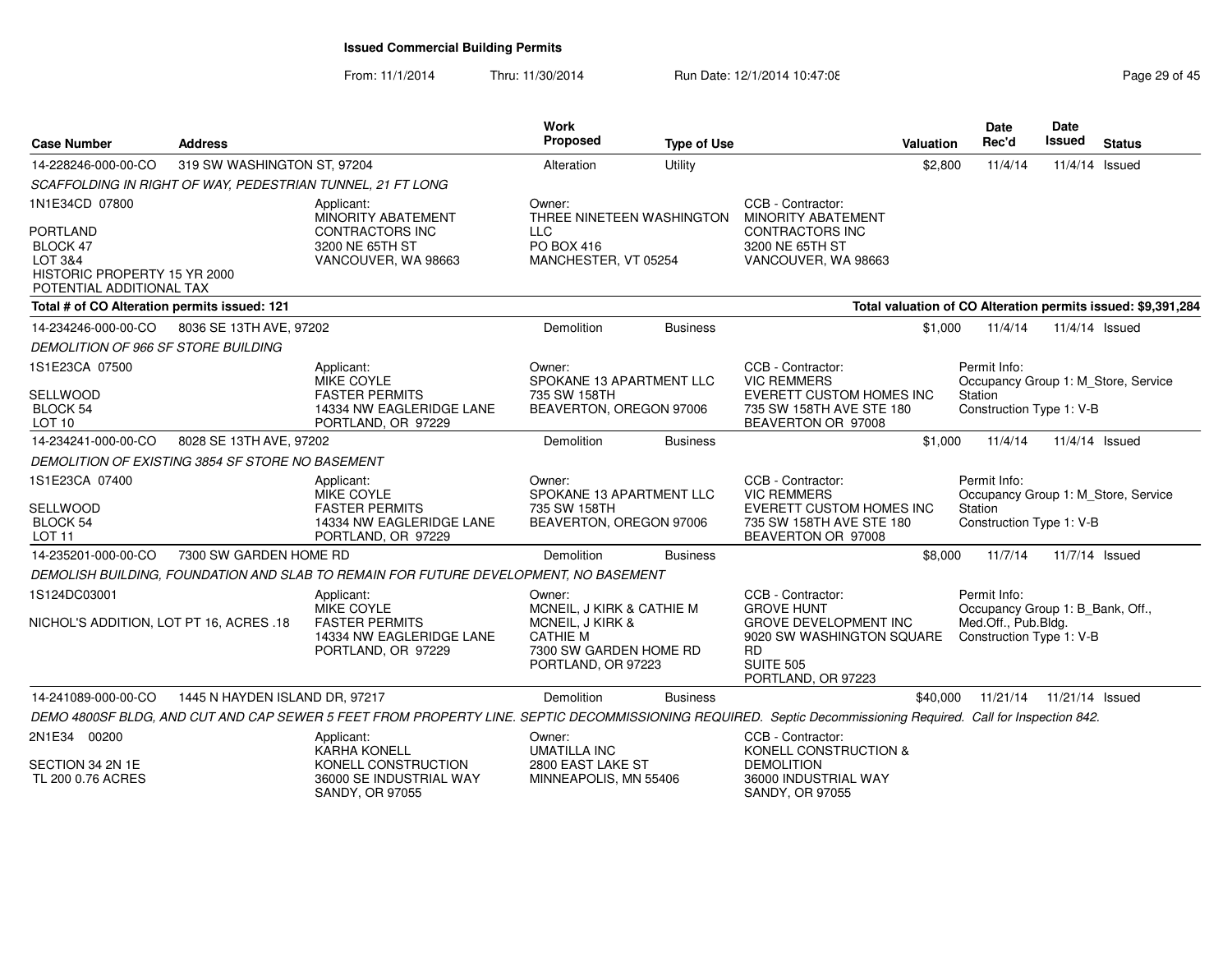From: 11/1/2014Thru: 11/30/2014 Run Date: 12/1/2014 10:47:08 Research 2010 Rage 29 of 45

| <b>Case Number</b>                                                                                 | <b>Address</b>                 |                                                                                                                                                               | Work<br>Proposed                                                                                                           | <b>Type of Use</b> |                                                                                                                                                            | Valuation | <b>Date</b><br>Rec'd                                                                                | Date<br>Issued  | <b>Status</b>                                                |
|----------------------------------------------------------------------------------------------------|--------------------------------|---------------------------------------------------------------------------------------------------------------------------------------------------------------|----------------------------------------------------------------------------------------------------------------------------|--------------------|------------------------------------------------------------------------------------------------------------------------------------------------------------|-----------|-----------------------------------------------------------------------------------------------------|-----------------|--------------------------------------------------------------|
| 14-228246-000-00-CO                                                                                | 319 SW WASHINGTON ST, 97204    |                                                                                                                                                               | Alteration                                                                                                                 | Utility            |                                                                                                                                                            | \$2,800   | 11/4/14                                                                                             | 11/4/14 Issued  |                                                              |
|                                                                                                    |                                | SCAFFOLDING IN RIGHT OF WAY, PEDESTRIAN TUNNEL, 21 FT LONG                                                                                                    |                                                                                                                            |                    |                                                                                                                                                            |           |                                                                                                     |                 |                                                              |
| 1N1E34CD 07800                                                                                     |                                | Applicant:<br><b>MINORITY ABATEMENT</b>                                                                                                                       | Owner:<br>THREE NINETEEN WASHINGTON                                                                                        |                    | CCB - Contractor:<br><b>MINORITY ABATEMENT</b>                                                                                                             |           |                                                                                                     |                 |                                                              |
| <b>PORTLAND</b><br>BLOCK 47<br>LOT 3&4<br>HISTORIC PROPERTY 15 YR 2000<br>POTENTIAL ADDITIONAL TAX |                                | <b>CONTRACTORS INC</b><br>3200 NE 65TH ST<br>VANCOUVER, WA 98663                                                                                              | <b>LLC</b><br>PO BOX 416<br>MANCHESTER, VT 05254                                                                           |                    | <b>CONTRACTORS INC</b><br>3200 NE 65TH ST<br>VANCOUVER, WA 98663                                                                                           |           |                                                                                                     |                 |                                                              |
| Total # of CO Alteration permits issued: 121                                                       |                                |                                                                                                                                                               |                                                                                                                            |                    |                                                                                                                                                            |           |                                                                                                     |                 | Total valuation of CO Alteration permits issued: \$9,391,284 |
| 14-234246-000-00-CO                                                                                | 8036 SE 13TH AVE, 97202        |                                                                                                                                                               | Demolition                                                                                                                 | <b>Business</b>    |                                                                                                                                                            | \$1,000   | 11/4/14                                                                                             | 11/4/14 Issued  |                                                              |
| DEMOLITION OF 966 SF STORE BUILDING                                                                |                                |                                                                                                                                                               |                                                                                                                            |                    |                                                                                                                                                            |           |                                                                                                     |                 |                                                              |
| 1S1E23CA 07500                                                                                     |                                | Applicant:<br><b>MIKE COYLE</b>                                                                                                                               | Owner:<br>SPOKANE 13 APARTMENT LLC                                                                                         |                    | CCB - Contractor:<br><b>VIC REMMERS</b>                                                                                                                    |           | Permit Info:<br>Occupancy Group 1: M Store, Service                                                 |                 |                                                              |
| SELLWOOD<br>BLOCK 54<br>LOT <sub>10</sub>                                                          |                                | <b>FASTER PERMITS</b><br>14334 NW EAGLERIDGE LANE<br>PORTLAND, OR 97229                                                                                       | 735 SW 158TH<br>BEAVERTON, OREGON 97006                                                                                    |                    | EVERETT CUSTOM HOMES INC<br>735 SW 158TH AVE STE 180<br>BEAVERTON OR 97008                                                                                 |           | Station<br>Construction Type 1: V-B                                                                 |                 |                                                              |
| 14-234241-000-00-CO                                                                                | 8028 SE 13TH AVE, 97202        |                                                                                                                                                               | Demolition                                                                                                                 | <b>Business</b>    |                                                                                                                                                            | \$1,000   | 11/4/14                                                                                             | 11/4/14 Issued  |                                                              |
| DEMOLITION OF EXISTING 3854 SF STORE NO BASEMENT                                                   |                                |                                                                                                                                                               |                                                                                                                            |                    |                                                                                                                                                            |           |                                                                                                     |                 |                                                              |
| 1S1E23CA 07400                                                                                     |                                | Applicant:<br>MIKE COYLE                                                                                                                                      | Owner:<br>SPOKANE 13 APARTMENT LLC                                                                                         |                    | CCB - Contractor:<br><b>VIC REMMERS</b>                                                                                                                    |           | Permit Info:<br>Occupancy Group 1: M_Store, Service                                                 |                 |                                                              |
| <b>SELLWOOD</b><br>BLOCK 54<br>LOT 11                                                              |                                | <b>FASTER PERMITS</b><br>14334 NW EAGLERIDGE LANE<br>PORTLAND, OR 97229                                                                                       | 735 SW 158TH<br>BEAVERTON, OREGON 97006                                                                                    |                    | <b>EVERETT CUSTOM HOMES INC</b><br>735 SW 158TH AVE STE 180<br>BEAVERTON OR 97008                                                                          |           | Station<br>Construction Type 1: V-B                                                                 |                 |                                                              |
| 14-235201-000-00-CO                                                                                | 7300 SW GARDEN HOME RD         |                                                                                                                                                               | Demolition                                                                                                                 | <b>Business</b>    |                                                                                                                                                            | \$8,000   | 11/7/14                                                                                             | 11/7/14 Issued  |                                                              |
|                                                                                                    |                                | DEMOLISH BUILDING, FOUNDATION AND SLAB TO REMAIN FOR FUTURE DEVELOPMENT, NO BASEMENT                                                                          |                                                                                                                            |                    |                                                                                                                                                            |           |                                                                                                     |                 |                                                              |
| 1S124DC03001<br>NICHOL'S ADDITION, LOT PT 16, ACRES .18                                            |                                | Applicant:<br>MIKE COYLE<br><b>FASTER PERMITS</b><br>14334 NW EAGLERIDGE LANE<br>PORTLAND, OR 97229                                                           | Owner:<br>MCNEIL, J KIRK & CATHIE M<br>MCNEIL, J KIRK &<br><b>CATHIE M</b><br>7300 SW GARDEN HOME RD<br>PORTLAND, OR 97223 |                    | CCB - Contractor:<br><b>GROVE HUNT</b><br><b>GROVE DEVELOPMENT INC</b><br>9020 SW WASHINGTON SQUARE<br><b>RD</b><br><b>SUITE 505</b><br>PORTLAND, OR 97223 |           | Permit Info:<br>Occupancy Group 1: B_Bank, Off.,<br>Med.Off., Pub.Bldg.<br>Construction Type 1: V-B |                 |                                                              |
| 14-241089-000-00-CO                                                                                | 1445 N HAYDEN ISLAND DR, 97217 |                                                                                                                                                               | Demolition                                                                                                                 | <b>Business</b>    |                                                                                                                                                            | \$40,000  | 11/21/14                                                                                            | 11/21/14 Issued |                                                              |
|                                                                                                    |                                | DEMO 4800SF BLDG, AND CUT AND CAP SEWER 5 FEET FROM PROPERTY LINE. SEPTIC DECOMMISSIONING REQUIRED. Septic Decommissioning Required. Call for Inspection 842. |                                                                                                                            |                    |                                                                                                                                                            |           |                                                                                                     |                 |                                                              |
| 2N1E34 00200                                                                                       |                                | Applicant:<br><b>KARHA KONELL</b>                                                                                                                             | Owner:<br><b>UMATILLA INC</b>                                                                                              |                    | CCB - Contractor:<br>KONELL CONSTRUCTION &                                                                                                                 |           |                                                                                                     |                 |                                                              |
| SECTION 34 2N 1E<br>TL 200 0.76 ACRES                                                              |                                | KONELL CONSTRUCTION<br>36000 SE INDUSTRIAL WAY<br>SANDY, OR 97055                                                                                             | 2800 EAST LAKE ST<br>MINNEAPOLIS, MN 55406                                                                                 |                    | <b>DEMOLITION</b><br>36000 INDUSTRIAL WAY<br><b>SANDY, OR 97055</b>                                                                                        |           |                                                                                                     |                 |                                                              |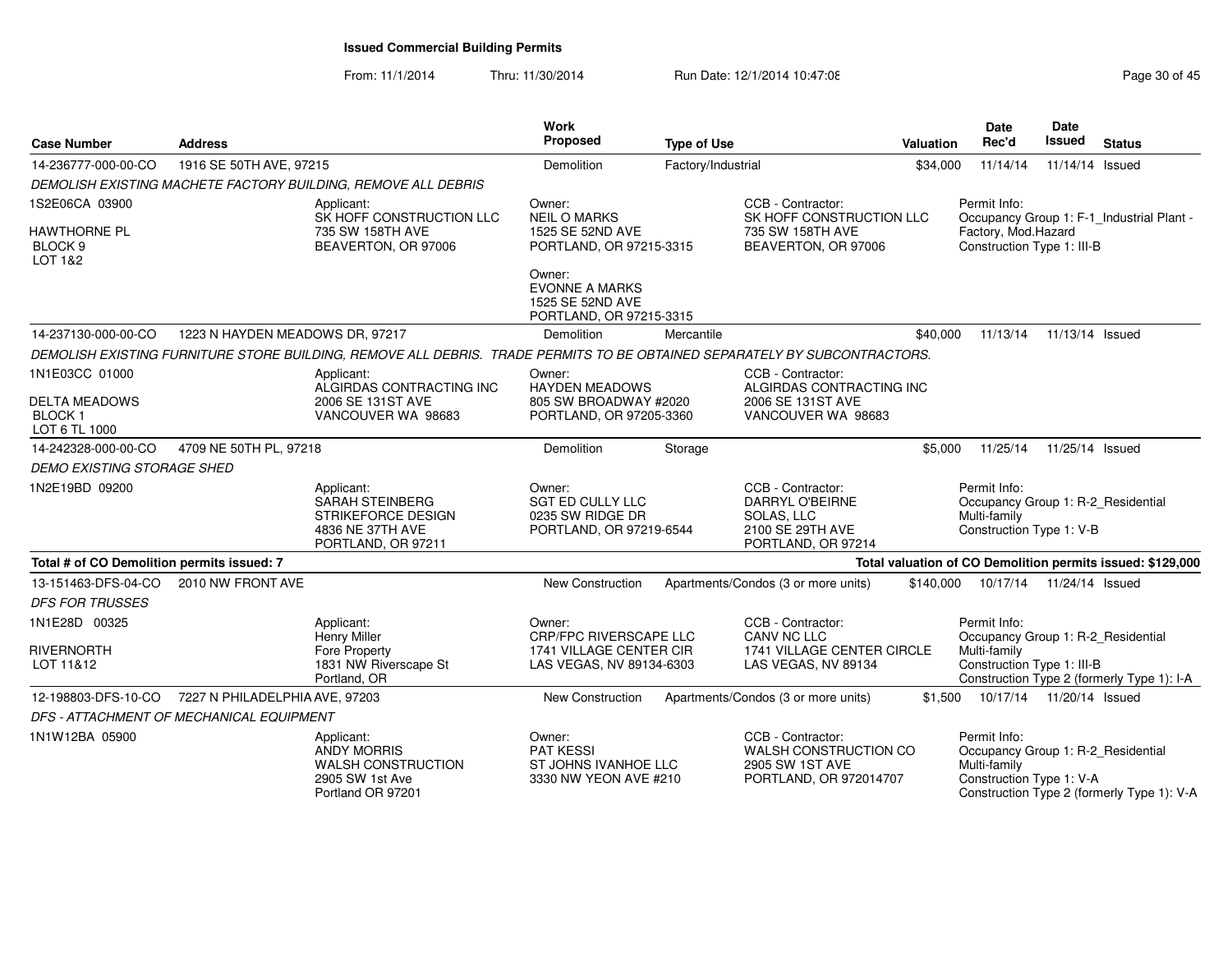From: 11/1/2014Thru: 11/30/2014 Run Date: 12/1/2014 10:47:08 Research 20 and 20 of 45

| <b>Case Number</b>                                       | <b>Address</b>                           |                                                                                                                           | <b>Work</b><br><b>Proposed</b>                                                   | <b>Type of Use</b> |                                                                                                     | <b>Valuation</b> | <b>Date</b><br>Rec'd                                                                           | Date<br>Issued             | <b>Status</b>                                              |
|----------------------------------------------------------|------------------------------------------|---------------------------------------------------------------------------------------------------------------------------|----------------------------------------------------------------------------------|--------------------|-----------------------------------------------------------------------------------------------------|------------------|------------------------------------------------------------------------------------------------|----------------------------|------------------------------------------------------------|
| 14-236777-000-00-CO                                      | 1916 SE 50TH AVE, 97215                  |                                                                                                                           | Demolition                                                                       | Factory/Industrial |                                                                                                     | \$34,000         | 11/14/14                                                                                       | 11/14/14 Issued            |                                                            |
|                                                          |                                          | DEMOLISH EXISTING MACHETE FACTORY BUILDING, REMOVE ALL DEBRIS                                                             |                                                                                  |                    |                                                                                                     |                  |                                                                                                |                            |                                                            |
| 1S2E06CA 03900                                           |                                          | Applicant:<br>SK HOFF CONSTRUCTION LLC                                                                                    | Owner:<br><b>NEIL O MARKS</b>                                                    |                    | CCB - Contractor:<br>SK HOFF CONSTRUCTION LLC                                                       |                  | Permit Info:                                                                                   |                            | Occupancy Group 1: F-1_Industrial Plant -                  |
| HAWTHORNE PL<br>BLOCK <sub>9</sub><br><b>LOT 1&amp;2</b> |                                          | 735 SW 158TH AVE<br>BEAVERTON, OR 97006                                                                                   | 1525 SE 52ND AVE<br>PORTLAND, OR 97215-3315                                      |                    | 735 SW 158TH AVE<br>BEAVERTON, OR 97006                                                             |                  | Factory, Mod.Hazard<br>Construction Type 1: III-B                                              |                            |                                                            |
|                                                          |                                          |                                                                                                                           | Owner:<br><b>EVONNE A MARKS</b><br>1525 SE 52ND AVE<br>PORTLAND, OR 97215-3315   |                    |                                                                                                     |                  |                                                                                                |                            |                                                            |
| 14-237130-000-00-CO                                      | 1223 N HAYDEN MEADOWS DR, 97217          |                                                                                                                           | Demolition                                                                       | Mercantile         |                                                                                                     | \$40,000         | 11/13/14                                                                                       | 11/13/14 Issued            |                                                            |
|                                                          |                                          | DEMOLISH EXISTING FURNITURE STORE BUILDING, REMOVE ALL DEBRIS. TRADE PERMITS TO BE OBTAINED SEPARATELY BY SUBCONTRACTORS. |                                                                                  |                    |                                                                                                     |                  |                                                                                                |                            |                                                            |
| 1N1E03CC 01000                                           |                                          | Applicant:<br>ALGIRDAS CONTRACTING INC                                                                                    | Owner:<br><b>HAYDEN MEADOWS</b>                                                  |                    | CCB - Contractor:<br>ALGIRDAS CONTRACTING INC                                                       |                  |                                                                                                |                            |                                                            |
| <b>DELTA MEADOWS</b><br><b>BLOCK1</b><br>LOT 6 TL 1000   |                                          | 2006 SE 131ST AVE<br>VANCOUVER WA 98683                                                                                   | 805 SW BROADWAY #2020<br>PORTLAND, OR 97205-3360                                 |                    | 2006 SE 131ST AVE<br>VANCOUVER WA 98683                                                             |                  |                                                                                                |                            |                                                            |
| 14-242328-000-00-CO                                      | 4709 NE 50TH PL, 97218                   |                                                                                                                           | Demolition                                                                       | Storage            |                                                                                                     | \$5,000          | 11/25/14                                                                                       | 11/25/14 Issued            |                                                            |
| <b>DEMO EXISTING STORAGE SHED</b>                        |                                          |                                                                                                                           |                                                                                  |                    |                                                                                                     |                  |                                                                                                |                            |                                                            |
| 1N2E19BD 09200                                           |                                          | Applicant:<br><b>SARAH STEINBERG</b><br>STRIKEFORCE DESIGN<br>4836 NE 37TH AVE<br>PORTLAND, OR 97211                      | Owner:<br><b>SGT ED CULLY LLC</b><br>0235 SW RIDGE DR<br>PORTLAND, OR 97219-6544 |                    | CCB - Contractor:<br><b>DARRYL O'BEIRNE</b><br>SOLAS, LLC<br>2100 SE 29TH AVE<br>PORTLAND, OR 97214 |                  | Permit Info:<br>Occupancy Group 1: R-2_Residential<br>Multi-family<br>Construction Type 1: V-B |                            |                                                            |
| Total # of CO Demolition permits issued: 7               |                                          |                                                                                                                           |                                                                                  |                    |                                                                                                     |                  |                                                                                                |                            | Total valuation of CO Demolition permits issued: \$129,000 |
| 13-151463-DFS-04-CO<br><b>DFS FOR TRUSSES</b>            | 2010 NW FRONT AVE                        |                                                                                                                           | New Construction                                                                 |                    | Apartments/Condos (3 or more units)                                                                 |                  | \$140,000 10/17/14                                                                             | 11/24/14 Issued            |                                                            |
| 1N1E28D 00325                                            |                                          | Applicant:<br><b>Henry Miller</b>                                                                                         | Owner:<br>CRP/FPC RIVERSCAPE LLC                                                 |                    | CCB - Contractor:<br>CANV NC LLC                                                                    |                  | Permit Info:<br>Occupancy Group 1: R-2 Residential                                             |                            |                                                            |
| RIVERNORTH<br>LOT 11&12                                  |                                          | Fore Property<br>1831 NW Riverscape St<br>Portland, OR                                                                    | 1741 VILLAGE CENTER CIR<br>LAS VEGAS, NV 89134-6303                              |                    | 1741 VILLAGE CENTER CIRCLE<br>LAS VEGAS, NV 89134                                                   |                  | Multi-family<br>Construction Type 1: III-B                                                     |                            | Construction Type 2 (formerly Type 1): I-A                 |
| 12-198803-DFS-10-CO                                      | 7227 N PHILADELPHIA AVE, 97203           |                                                                                                                           | <b>New Construction</b>                                                          |                    | Apartments/Condos (3 or more units)                                                                 | \$1.500          |                                                                                                | 10/17/14  11/20/14  Issued |                                                            |
|                                                          | DFS - ATTACHMENT OF MECHANICAL EQUIPMENT |                                                                                                                           |                                                                                  |                    |                                                                                                     |                  |                                                                                                |                            |                                                            |
| 1N1W12BA 05900                                           |                                          | Applicant:<br><b>ANDY MORRIS</b><br><b>WALSH CONSTRUCTION</b><br>2905 SW 1st Ave<br>Portland OR 97201                     | Owner:<br><b>PAT KESSI</b><br>ST JOHNS IVANHOE LLC<br>3330 NW YEON AVE #210      |                    | CCB - Contractor:<br>WALSH CONSTRUCTION CO<br>2905 SW 1ST AVE<br>PORTLAND, OR 972014707             |                  | Permit Info:<br>Occupancy Group 1: R-2_Residential<br>Multi-family<br>Construction Type 1: V-A |                            | Construction Type 2 (formerly Type 1): V-A                 |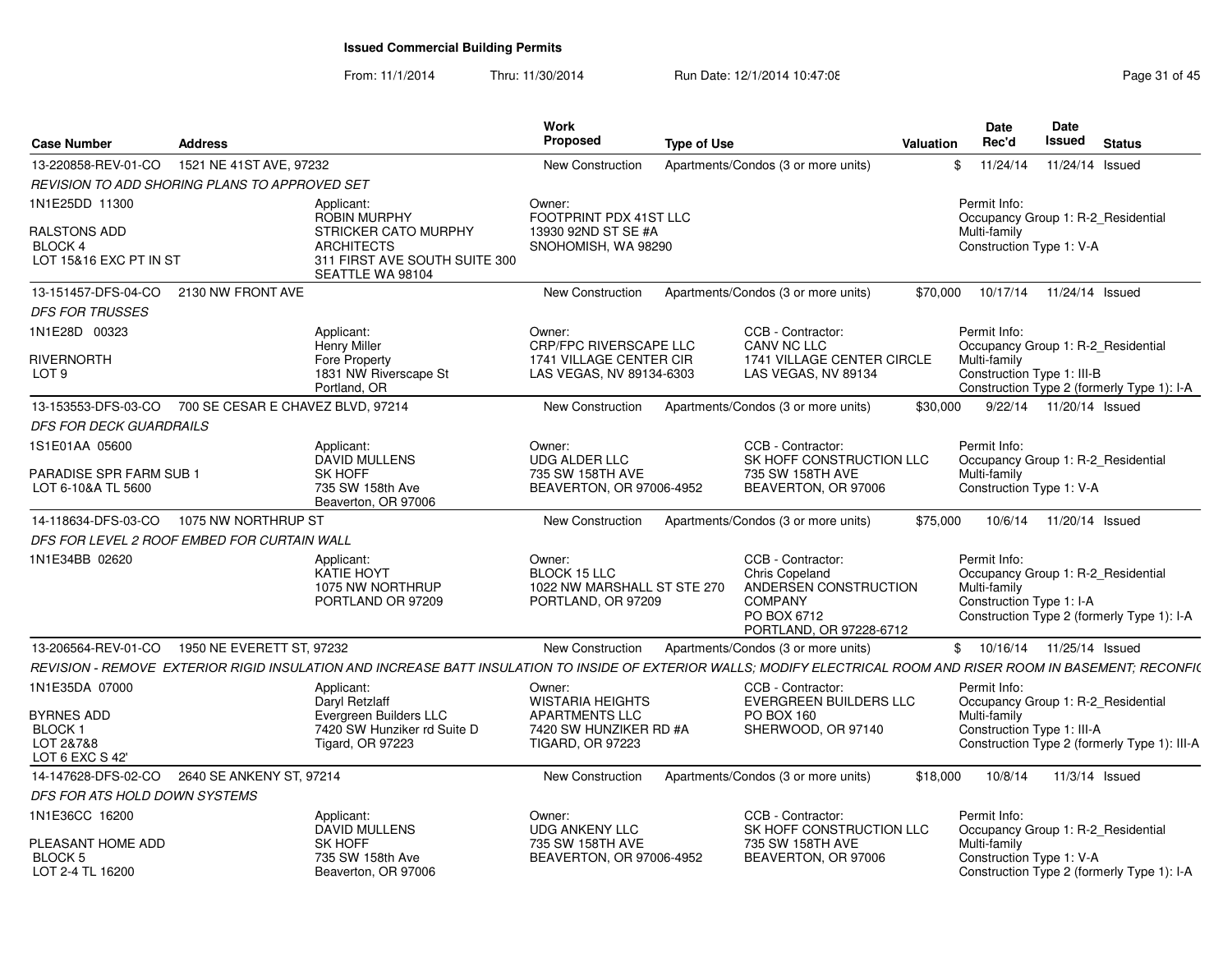From: 11/1/2014Thru: 11/30/2014 Run Date: 12/1/2014 10:47:08 Research 2010 12:47:08

| <b>Case Number</b>                                                 | <b>Address</b>                    |                                                                                                                                                                   | <b>Work</b><br><b>Proposed</b>                                                     | <b>Type of Use</b> |                                                                                                                                 | Valuation | <b>Date</b><br>Rec'd                                     | Date<br>Issued            | <b>Status</b>                                                                    |  |
|--------------------------------------------------------------------|-----------------------------------|-------------------------------------------------------------------------------------------------------------------------------------------------------------------|------------------------------------------------------------------------------------|--------------------|---------------------------------------------------------------------------------------------------------------------------------|-----------|----------------------------------------------------------|---------------------------|----------------------------------------------------------------------------------|--|
| 13-220858-REV-01-CO                                                | 1521 NE 41ST AVE, 97232           |                                                                                                                                                                   | New Construction                                                                   |                    | Apartments/Condos (3 or more units)                                                                                             |           | 11/24/14<br>\$                                           |                           | 11/24/14 Issued                                                                  |  |
| REVISION TO ADD SHORING PLANS TO APPROVED SET                      |                                   |                                                                                                                                                                   |                                                                                    |                    |                                                                                                                                 |           |                                                          |                           |                                                                                  |  |
| 1N1E25DD 11300                                                     |                                   | Applicant:<br><b>ROBIN MURPHY</b>                                                                                                                                 | Owner:<br>FOOTPRINT PDX 41ST LLC                                                   |                    |                                                                                                                                 |           | Permit Info:                                             |                           | Occupancy Group 1: R-2 Residential                                               |  |
| <b>RALSTONS ADD</b><br><b>BLOCK4</b><br>LOT 15&16 EXC PT IN ST     |                                   | <b>STRICKER CATO MURPHY</b><br><b>ARCHITECTS</b><br>311 FIRST AVE SOUTH SUITE 300<br>SEATTLE WA 98104                                                             | 13930 92ND ST SE #A<br>SNOHOMISH, WA 98290                                         |                    |                                                                                                                                 |           | Multi-family<br>Construction Type 1: V-A                 |                           |                                                                                  |  |
| 13-151457-DFS-04-CO                                                | 2130 NW FRONT AVE                 |                                                                                                                                                                   | New Construction                                                                   |                    | Apartments/Condos (3 or more units)                                                                                             | \$70,000  | 10/17/14                                                 |                           | 11/24/14 Issued                                                                  |  |
| <b>DFS FOR TRUSSES</b>                                             |                                   |                                                                                                                                                                   |                                                                                    |                    |                                                                                                                                 |           |                                                          |                           |                                                                                  |  |
| 1N1E28D 00323                                                      |                                   | Applicant:<br><b>Henry Miller</b>                                                                                                                                 | Owner:<br><b>CRP/FPC RIVERSCAPE LLC</b>                                            |                    | CCB - Contractor:<br>CANV NC LLC                                                                                                |           | Permit Info:                                             |                           | Occupancy Group 1: R-2 Residential                                               |  |
| <b>RIVERNORTH</b><br>LOT <sub>9</sub>                              |                                   | Fore Property<br>1831 NW Riverscape St<br>Portland, OR                                                                                                            | <b>1741 VILLAGE CENTER CIR</b><br>LAS VEGAS, NV 89134-6303                         |                    | 1741 VILLAGE CENTER CIRCLE<br>LAS VEGAS, NV 89134                                                                               |           | Multi-family<br>Construction Type 1: III-B               |                           | Construction Type 2 (formerly Type 1): I-A                                       |  |
| 13-153553-DFS-03-CO                                                | 700 SE CESAR E CHAVEZ BLVD, 97214 |                                                                                                                                                                   | New Construction                                                                   |                    | Apartments/Condos (3 or more units)                                                                                             | \$30,000  |                                                          | 9/22/14  11/20/14  Issued |                                                                                  |  |
| <b>DFS FOR DECK GUARDRAILS</b>                                     |                                   |                                                                                                                                                                   |                                                                                    |                    |                                                                                                                                 |           |                                                          |                           |                                                                                  |  |
| 1S1E01AA 05600                                                     |                                   | Applicant:<br><b>DAVID MULLENS</b>                                                                                                                                | Owner:<br><b>UDG ALDER LLC</b>                                                     |                    | CCB - Contractor:<br>SK HOFF CONSTRUCTION LLC                                                                                   |           | Permit Info:                                             |                           | Occupancy Group 1: R-2 Residential                                               |  |
| <b>PARADISE SPR FARM SUB 1</b><br>LOT 6-10&A TL 5600               |                                   | SK HOFF<br>735 SW 158th Ave<br>Beaverton, OR 97006                                                                                                                | 735 SW 158TH AVE<br>BEAVERTON, OR 97006-4952                                       |                    | 735 SW 158TH AVE<br>BEAVERTON, OR 97006                                                                                         |           | Multi-family<br>Construction Type 1: V-A                 |                           |                                                                                  |  |
| 14-118634-DFS-03-CO                                                | 1075 NW NORTHRUP ST               |                                                                                                                                                                   | New Construction                                                                   |                    | Apartments/Condos (3 or more units)                                                                                             | \$75,000  |                                                          | 10/6/14  11/20/14  Issued |                                                                                  |  |
| DFS FOR LEVEL 2 ROOF EMBED FOR CURTAIN WALL                        |                                   |                                                                                                                                                                   |                                                                                    |                    |                                                                                                                                 |           |                                                          |                           |                                                                                  |  |
| 1N1E34BB 02620                                                     |                                   | Applicant:<br>KATIE HOYT<br>1075 NW NORTHRUP<br>PORTLAND OR 97209                                                                                                 | Owner:<br><b>BLOCK 15 LLC</b><br>1022 NW MARSHALL ST STE 270<br>PORTLAND, OR 97209 |                    | CCB - Contractor:<br><b>Chris Copeland</b><br>ANDERSEN CONSTRUCTION<br><b>COMPANY</b><br>PO BOX 6712<br>PORTLAND, OR 97228-6712 |           | Permit Info:<br>Multi-family<br>Construction Type 1: I-A |                           | Occupancy Group 1: R-2 Residential<br>Construction Type 2 (formerly Type 1): I-A |  |
| 13-206564-REV-01-CO                                                | 1950 NE EVERETT ST, 97232         |                                                                                                                                                                   | New Construction                                                                   |                    | Apartments/Condos (3 or more units)                                                                                             |           | \$ 10/16/14 11/25/14 Issued                              |                           |                                                                                  |  |
|                                                                    |                                   | REVISION - REMOVE EXTERIOR RIGID INSULATION AND INCREASE BATT INSULATION TO INSIDE OF EXTERIOR WALLS: MODIFY ELECTRICAL ROOM AND RISER ROOM IN BASEMENT: RECONFI( |                                                                                    |                    |                                                                                                                                 |           |                                                          |                           |                                                                                  |  |
| 1N1E35DA 07000                                                     |                                   | Applicant:<br>Daryl Retzlaff                                                                                                                                      | Owner:<br><b>WISTARIA HEIGHTS</b>                                                  |                    | CCB - Contractor:<br><b>EVERGREEN BUILDERS LLC</b>                                                                              |           | Permit Info:                                             |                           | Occupancy Group 1: R-2 Residential                                               |  |
| <b>BYRNES ADD</b><br><b>BLOCK1</b><br>LOT 2&7&8<br>LOT 6 EXC S 42' |                                   | Evergreen Builders LLC<br>7420 SW Hunziker rd Suite D<br><b>Tigard, OR 97223</b>                                                                                  | <b>APARTMENTS LLC</b><br>7420 SW HUNZIKER RD #A<br><b>TIGARD, OR 97223</b>         |                    | PO BOX 160<br>SHERWOOD, OR 97140                                                                                                |           | Multi-family<br>Construction Type 1: III-A               |                           | Construction Type 2 (formerly Type 1): III-A                                     |  |
| 14-147628-DFS-02-CO                                                | 2640 SE ANKENY ST, 97214          |                                                                                                                                                                   | New Construction                                                                   |                    | Apartments/Condos (3 or more units)                                                                                             | \$18,000  | 10/8/14                                                  |                           | 11/3/14 Issued                                                                   |  |
| DFS FOR ATS HOLD DOWN SYSTEMS                                      |                                   |                                                                                                                                                                   |                                                                                    |                    |                                                                                                                                 |           |                                                          |                           |                                                                                  |  |
| 1N1E36CC 16200                                                     |                                   | Applicant:<br><b>DAVID MULLENS</b>                                                                                                                                | Owner:<br><b>UDG ANKENY LLC</b>                                                    |                    | CCB - Contractor:<br>SK HOFF CONSTRUCTION LLC                                                                                   |           | Permit Info:                                             |                           | Occupancy Group 1: R-2 Residential                                               |  |
| PLEASANT HOME ADD<br>BLOCK 5<br>LOT 2-4 TL 16200                   |                                   | <b>SK HOFF</b><br>735 SW 158th Ave<br>Beaverton, OR 97006                                                                                                         | 735 SW 158TH AVE<br>BEAVERTON, OR 97006-4952                                       |                    | 735 SW 158TH AVE<br>BEAVERTON, OR 97006                                                                                         |           | Multi-family<br>Construction Type 1: V-A                 |                           | Construction Type 2 (formerly Type 1): I-A                                       |  |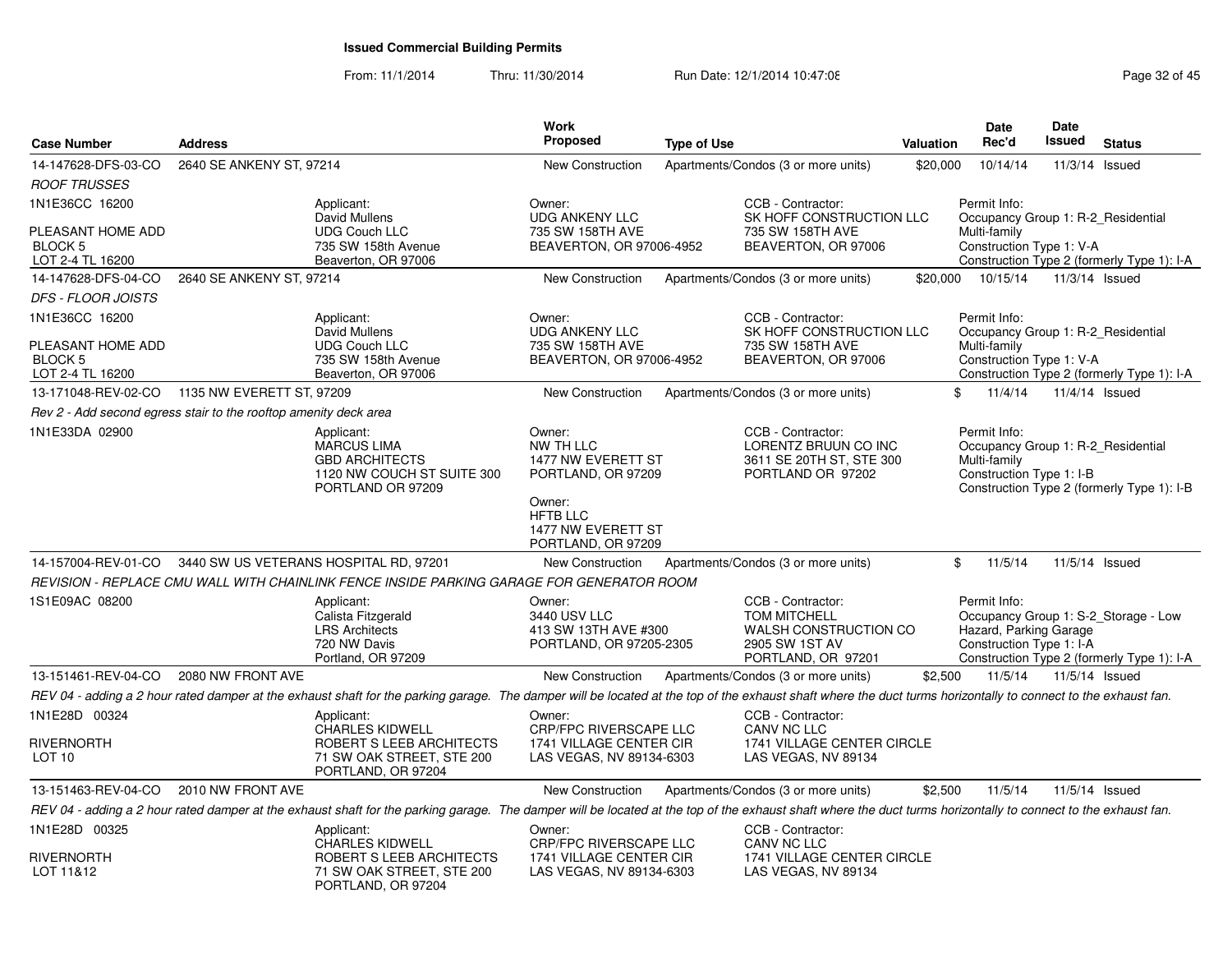From: 11/1/2014Thru: 11/30/2014 Run Date: 12/1/2014 10:47:08 Research 2010 Rage 32 of 45

| <b>Case Number</b>                                               | <b>Address</b>            |                                                                                                                                                                                                                | <b>Work</b><br>Proposed                                                              | <b>Type of Use</b> |                                                                                                           | Valuation | <b>Date</b><br>Rec'd                                                                           | <b>Date</b><br>Issued | <b>Status</b>                                                                      |
|------------------------------------------------------------------|---------------------------|----------------------------------------------------------------------------------------------------------------------------------------------------------------------------------------------------------------|--------------------------------------------------------------------------------------|--------------------|-----------------------------------------------------------------------------------------------------------|-----------|------------------------------------------------------------------------------------------------|-----------------------|------------------------------------------------------------------------------------|
| 14-147628-DFS-03-CO                                              | 2640 SE ANKENY ST, 97214  |                                                                                                                                                                                                                | <b>New Construction</b>                                                              |                    | Apartments/Condos (3 or more units)                                                                       | \$20,000  | 10/14/14                                                                                       | 11/3/14 Issued        |                                                                                    |
| <b>ROOF TRUSSES</b>                                              |                           |                                                                                                                                                                                                                |                                                                                      |                    |                                                                                                           |           |                                                                                                |                       |                                                                                    |
| 1N1E36CC 16200<br>PLEASANT HOME ADD                              |                           | Applicant:<br>David Mullens<br><b>UDG Couch LLC</b>                                                                                                                                                            | Owner:<br><b>UDG ANKENY LLC</b><br>735 SW 158TH AVE                                  |                    | CCB - Contractor:<br>SK HOFF CONSTRUCTION LLC<br>735 SW 158TH AVE                                         |           | Permit Info:<br>Occupancy Group 1: R-2 Residential<br>Multi-family                             |                       |                                                                                    |
| <b>BLOCK 5</b><br>LOT 2-4 TL 16200                               |                           | 735 SW 158th Avenue<br>Beaverton, OR 97006                                                                                                                                                                     | BEAVERTON, OR 97006-4952                                                             |                    | BEAVERTON, OR 97006                                                                                       |           | Construction Type 1: V-A                                                                       |                       | Construction Type 2 (formerly Type 1): I-A                                         |
| 14-147628-DFS-04-CO                                              | 2640 SE ANKENY ST, 97214  |                                                                                                                                                                                                                | <b>New Construction</b>                                                              |                    | Apartments/Condos (3 or more units)                                                                       | \$20,000  | 10/15/14                                                                                       | 11/3/14 Issued        |                                                                                    |
| <i>DFS - FLOOR JOISTS</i>                                        |                           |                                                                                                                                                                                                                |                                                                                      |                    |                                                                                                           |           |                                                                                                |                       |                                                                                    |
| 1N1E36CC 16200<br>PLEASANT HOME ADD                              |                           | Applicant:<br>David Mullens<br><b>UDG Couch LLC</b>                                                                                                                                                            | Owner:<br><b>UDG ANKENY LLC</b><br>735 SW 158TH AVE                                  |                    | CCB - Contractor:<br>SK HOFF CONSTRUCTION LLC<br>735 SW 158TH AVE                                         |           | Permit Info:<br>Occupancy Group 1: R-2 Residential<br>Multi-family                             |                       |                                                                                    |
| BLOCK <sub>5</sub><br>LOT 2-4 TL 16200                           |                           | 735 SW 158th Avenue<br>Beaverton, OR 97006                                                                                                                                                                     | BEAVERTON, OR 97006-4952                                                             |                    | BEAVERTON, OR 97006                                                                                       |           | Construction Type 1: V-A                                                                       |                       | Construction Type 2 (formerly Type 1): I-A                                         |
| 13-171048-REV-02-CO                                              | 1135 NW EVERETT ST, 97209 |                                                                                                                                                                                                                | <b>New Construction</b>                                                              |                    | Apartments/Condos (3 or more units)                                                                       |           | \$<br>11/4/14                                                                                  | 11/4/14 Issued        |                                                                                    |
| Rev 2 - Add second egress stair to the rooftop amenity deck area |                           |                                                                                                                                                                                                                |                                                                                      |                    |                                                                                                           |           |                                                                                                |                       |                                                                                    |
| 1N1E33DA 02900                                                   |                           | Applicant:<br><b>MARCUS LIMA</b><br><b>GBD ARCHITECTS</b><br>1120 NW COUCH ST SUITE 300<br>PORTLAND OR 97209                                                                                                   | Owner:<br>NW TH LLC<br>1477 NW EVERETT ST<br>PORTLAND, OR 97209<br>Owner:            |                    | CCB - Contractor:<br>LORENTZ BRUUN CO INC<br>3611 SE 20TH ST, STE 300<br>PORTLAND OR 97202                |           | Permit Info:<br>Occupancy Group 1: R-2 Residential<br>Multi-family<br>Construction Type 1: I-B |                       | Construction Type 2 (formerly Type 1): I-B                                         |
|                                                                  |                           |                                                                                                                                                                                                                | <b>HFTB LLC</b><br>1477 NW EVERETT ST<br>PORTLAND, OR 97209                          |                    |                                                                                                           |           |                                                                                                |                       |                                                                                    |
|                                                                  |                           | 14-157004-REV-01-CO 3440 SW US VETERANS HOSPITAL RD, 97201                                                                                                                                                     | <b>New Construction</b>                                                              |                    | Apartments/Condos (3 or more units)                                                                       |           | 11/5/14<br>\$                                                                                  | 11/5/14 Issued        |                                                                                    |
|                                                                  |                           | REVISION - REPLACE CMU WALL WITH CHAINLINK FENCE INSIDE PARKING GARAGE FOR GENERATOR ROOM                                                                                                                      |                                                                                      |                    |                                                                                                           |           |                                                                                                |                       |                                                                                    |
| 1S1E09AC 08200                                                   |                           | Applicant:<br>Calista Fitzgerald<br><b>LRS Architects</b><br>720 NW Davis<br>Portland, OR 97209                                                                                                                | Owner:<br>3440 USV LLC<br>413 SW 13TH AVE #300<br>PORTLAND, OR 97205-2305            |                    | CCB - Contractor:<br><b>TOM MITCHELL</b><br>WALSH CONSTRUCTION CO<br>2905 SW 1ST AV<br>PORTLAND, OR 97201 |           | Permit Info:<br>Hazard, Parking Garage<br>Construction Type 1: I-A                             |                       | Occupancy Group 1: S-2_Storage - Low<br>Construction Type 2 (formerly Type 1): I-A |
| 13-151461-REV-04-CO                                              | 2080 NW FRONT AVE         |                                                                                                                                                                                                                | <b>New Construction</b>                                                              |                    | Apartments/Condos (3 or more units)                                                                       | \$2,500   | 11/5/14                                                                                        | 11/5/14 Issued        |                                                                                    |
|                                                                  |                           | REV 04 - adding a 2 hour rated damper at the exhaust shaft for the parking garage. The damper will be located at the top of the exhaust shaft where the duct turms horizontally to connect to the exhaust fan. |                                                                                      |                    |                                                                                                           |           |                                                                                                |                       |                                                                                    |
| 1N1E28D 00324                                                    |                           | Applicant:                                                                                                                                                                                                     | Owner:                                                                               |                    | CCB - Contractor:                                                                                         |           |                                                                                                |                       |                                                                                    |
| <b>RIVERNORTH</b><br>LOT 10                                      |                           | <b>CHARLES KIDWELL</b><br>ROBERT S LEEB ARCHITECTS<br>71 SW OAK STREET, STE 200<br>PORTLAND, OR 97204                                                                                                          | <b>CRP/FPC RIVERSCAPE LLC</b><br>1741 VILLAGE CENTER CIR<br>LAS VEGAS, NV 89134-6303 |                    | CANV NC LLC<br>1741 VILLAGE CENTER CIRCLE<br>LAS VEGAS, NV 89134                                          |           |                                                                                                |                       |                                                                                    |
| 13-151463-REV-04-CO 2010 NW FRONT AVE                            |                           |                                                                                                                                                                                                                | New Construction                                                                     |                    | Apartments/Condos (3 or more units)                                                                       | \$2,500   | 11/5/14                                                                                        | 11/5/14 Issued        |                                                                                    |
|                                                                  |                           | REV 04 - adding a 2 hour rated damper at the exhaust shaft for the parking garage. The damper will be located at the top of the exhaust shaft where the duct turms horizontally to connect to the exhaust fan. |                                                                                      |                    |                                                                                                           |           |                                                                                                |                       |                                                                                    |
| 1N1E28D 00325                                                    |                           | Applicant:<br><b>CHARLES KIDWELL</b>                                                                                                                                                                           | Owner:<br><b>CRP/FPC RIVERSCAPE LLC</b>                                              |                    | CCB - Contractor:<br>CANV NC LLC                                                                          |           |                                                                                                |                       |                                                                                    |
| <b>RIVERNORTH</b><br>LOT 11&12                                   |                           | ROBERT S LEEB ARCHITECTS<br>71 SW OAK STREET, STE 200<br>PORTLAND, OR 97204                                                                                                                                    | 1741 VILLAGE CENTER CIR<br>LAS VEGAS, NV 89134-6303                                  |                    | 1741 VILLAGE CENTER CIRCLE<br>LAS VEGAS, NV 89134                                                         |           |                                                                                                |                       |                                                                                    |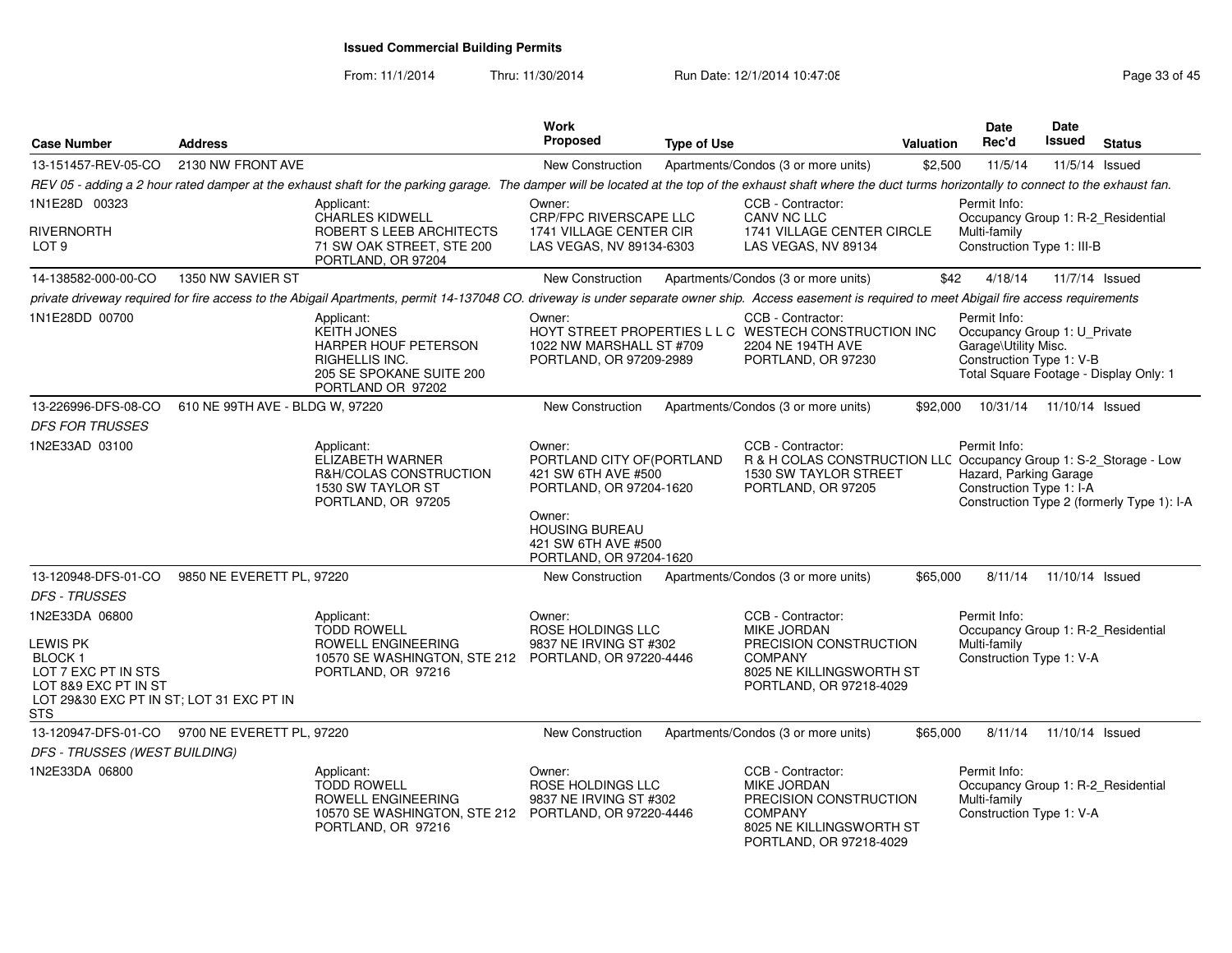From: 11/1/2014Thru: 11/30/2014 Run Date: 12/1/2014 10:47:08 Research 2010 Rage 33 of 45

| <b>Case Number</b>                                                                                                                                   | <b>Address</b>                  |                                                                                                                                                                                                                | Work<br><b>Proposed</b>                                                                                                                                                     | <b>Type of Use</b> |                                                                                                                                            | Valuation | Date<br>Rec'd                                                                                    | Date<br>Issued  | <b>Status</b>                              |
|------------------------------------------------------------------------------------------------------------------------------------------------------|---------------------------------|----------------------------------------------------------------------------------------------------------------------------------------------------------------------------------------------------------------|-----------------------------------------------------------------------------------------------------------------------------------------------------------------------------|--------------------|--------------------------------------------------------------------------------------------------------------------------------------------|-----------|--------------------------------------------------------------------------------------------------|-----------------|--------------------------------------------|
| 13-151457-REV-05-CO                                                                                                                                  | 2130 NW FRONT AVE               |                                                                                                                                                                                                                | New Construction                                                                                                                                                            |                    | Apartments/Condos (3 or more units)                                                                                                        | \$2,500   | 11/5/14                                                                                          | 11/5/14 Issued  |                                            |
|                                                                                                                                                      |                                 | REV 05 - adding a 2 hour rated damper at the exhaust shaft for the parking garage. The damper will be located at the top of the exhaust shaft where the duct turms horizontally to connect to the exhaust fan. |                                                                                                                                                                             |                    |                                                                                                                                            |           |                                                                                                  |                 |                                            |
| 1N1E28D 00323                                                                                                                                        |                                 | Applicant:                                                                                                                                                                                                     | Owner:                                                                                                                                                                      |                    | CCB - Contractor:                                                                                                                          |           | Permit Info:                                                                                     |                 |                                            |
| RIVERNORTH<br>LOT <sub>9</sub>                                                                                                                       |                                 | <b>CHARLES KIDWELL</b><br>ROBERT S LEEB ARCHITECTS<br>71 SW OAK STREET, STE 200<br>PORTLAND, OR 97204                                                                                                          | <b>CRP/FPC RIVERSCAPE LLC</b><br>1741 VILLAGE CENTER CIR<br>LAS VEGAS, NV 89134-6303                                                                                        |                    | CANV NC LLC<br>1741 VILLAGE CENTER CIRCLE<br>LAS VEGAS, NV 89134                                                                           |           | Occupancy Group 1: R-2_Residential<br>Multi-family<br>Construction Type 1: III-B                 |                 |                                            |
| 14-138582-000-00-CO                                                                                                                                  | 1350 NW SAVIER ST               |                                                                                                                                                                                                                | <b>New Construction</b>                                                                                                                                                     |                    | Apartments/Condos (3 or more units)                                                                                                        | \$42      | 4/18/14                                                                                          | 11/7/14 Issued  |                                            |
|                                                                                                                                                      |                                 | private driveway required for fire access to the Abigail Apartments, permit 14-137048 CO. driveway is under separate owner ship. Access easement is required to meet Abigail fire access requirements          |                                                                                                                                                                             |                    |                                                                                                                                            |           |                                                                                                  |                 |                                            |
| 1N1E28DD 00700                                                                                                                                       |                                 | Applicant:<br><b>KEITH JONES</b><br>HARPER HOUF PETERSON<br>RIGHELLIS INC.<br>205 SE SPOKANE SUITE 200<br>PORTLAND OR 97202                                                                                    | Owner:<br>1022 NW MARSHALL ST #709<br>PORTLAND, OR 97209-2989                                                                                                               |                    | CCB - Contractor:<br>HOYT STREET PROPERTIES L L C WESTECH CONSTRUCTION INC<br>2204 NE 194TH AVE<br>PORTLAND, OR 97230                      |           | Permit Info:<br>Occupancy Group 1: U_Private<br>Garage\Utility Misc.<br>Construction Type 1: V-B |                 | Total Square Footage - Display Only: 1     |
| 13-226996-DFS-08-CO                                                                                                                                  | 610 NE 99TH AVE - BLDG W, 97220 |                                                                                                                                                                                                                | New Construction                                                                                                                                                            |                    | Apartments/Condos (3 or more units)                                                                                                        | \$92,000  | 10/31/14  11/10/14  Issued                                                                       |                 |                                            |
| <b>DFS FOR TRUSSES</b>                                                                                                                               |                                 |                                                                                                                                                                                                                |                                                                                                                                                                             |                    |                                                                                                                                            |           |                                                                                                  |                 |                                            |
| 1N2E33AD 03100                                                                                                                                       |                                 | Applicant:<br><b>ELIZABETH WARNER</b><br>R&H/COLAS CONSTRUCTION<br>1530 SW TAYLOR ST<br>PORTLAND, OR 97205                                                                                                     | Owner:<br>PORTLAND CITY OF (PORTLAND<br>421 SW 6TH AVE #500<br>PORTLAND, OR 97204-1620<br>Owner:<br><b>HOUSING BUREAU</b><br>421 SW 6TH AVE #500<br>PORTLAND, OR 97204-1620 |                    | CCB - Contractor:<br>R & H COLAS CONSTRUCTION LLC Occupancy Group 1: S-2_Storage - Low<br>1530 SW TAYLOR STREET<br>PORTLAND, OR 97205      |           | Permit Info:<br>Hazard, Parking Garage<br>Construction Type 1: I-A                               |                 | Construction Type 2 (formerly Type 1): I-A |
| 13-120948-DFS-01-CO                                                                                                                                  | 9850 NE EVERETT PL, 97220       |                                                                                                                                                                                                                | New Construction                                                                                                                                                            |                    | Apartments/Condos (3 or more units)                                                                                                        | \$65,000  | 8/11/14                                                                                          | 11/10/14 Issued |                                            |
| <b>DFS - TRUSSES</b>                                                                                                                                 |                                 |                                                                                                                                                                                                                |                                                                                                                                                                             |                    |                                                                                                                                            |           |                                                                                                  |                 |                                            |
| 1N2E33DA 06800<br>LEWIS PK<br><b>BLOCK1</b><br>LOT 7 EXC PT IN STS<br>LOT 8&9 EXC PT IN ST<br>LOT 29&30 EXC PT IN ST; LOT 31 EXC PT IN<br><b>STS</b> |                                 | Applicant:<br><b>TODD ROWELL</b><br>ROWELL ENGINEERING<br>10570 SE WASHINGTON, STE 212 PORTLAND, OR 97220-4446<br>PORTLAND, OR 97216                                                                           | Owner:<br>ROSE HOLDINGS LLC<br>9837 NE IRVING ST #302                                                                                                                       |                    | CCB - Contractor:<br><b>MIKE JORDAN</b><br>PRECISION CONSTRUCTION<br><b>COMPANY</b><br>8025 NE KILLINGSWORTH ST<br>PORTLAND, OR 97218-4029 |           | Permit Info:<br>Occupancy Group 1: R-2_Residential<br>Multi-family<br>Construction Type 1: V-A   |                 |                                            |
| 13-120947-DFS-01-CO 9700 NE EVERETT PL, 97220                                                                                                        |                                 |                                                                                                                                                                                                                | New Construction                                                                                                                                                            |                    | Apartments/Condos (3 or more units)                                                                                                        | \$65,000  | 8/11/14                                                                                          | 11/10/14 Issued |                                            |
| DFS - TRUSSES (WEST BUILDING)                                                                                                                        |                                 |                                                                                                                                                                                                                |                                                                                                                                                                             |                    |                                                                                                                                            |           |                                                                                                  |                 |                                            |
| 1N2E33DA 06800                                                                                                                                       |                                 | Applicant:<br><b>TODD ROWELL</b><br>ROWELL ENGINEERING<br>10570 SE WASHINGTON, STE 212<br>PORTLAND, OR 97216                                                                                                   | Owner:<br>ROSE HOLDINGS LLC<br>9837 NE IRVING ST #302<br>PORTLAND, OR 97220-4446                                                                                            |                    | CCB - Contractor:<br>MIKE JORDAN<br>PRECISION CONSTRUCTION<br><b>COMPANY</b><br>8025 NE KILLINGSWORTH ST<br>PORTLAND, OR 97218-4029        |           | Permit Info:<br>Occupancy Group 1: R-2_Residential<br>Multi-family<br>Construction Type 1: V-A   |                 |                                            |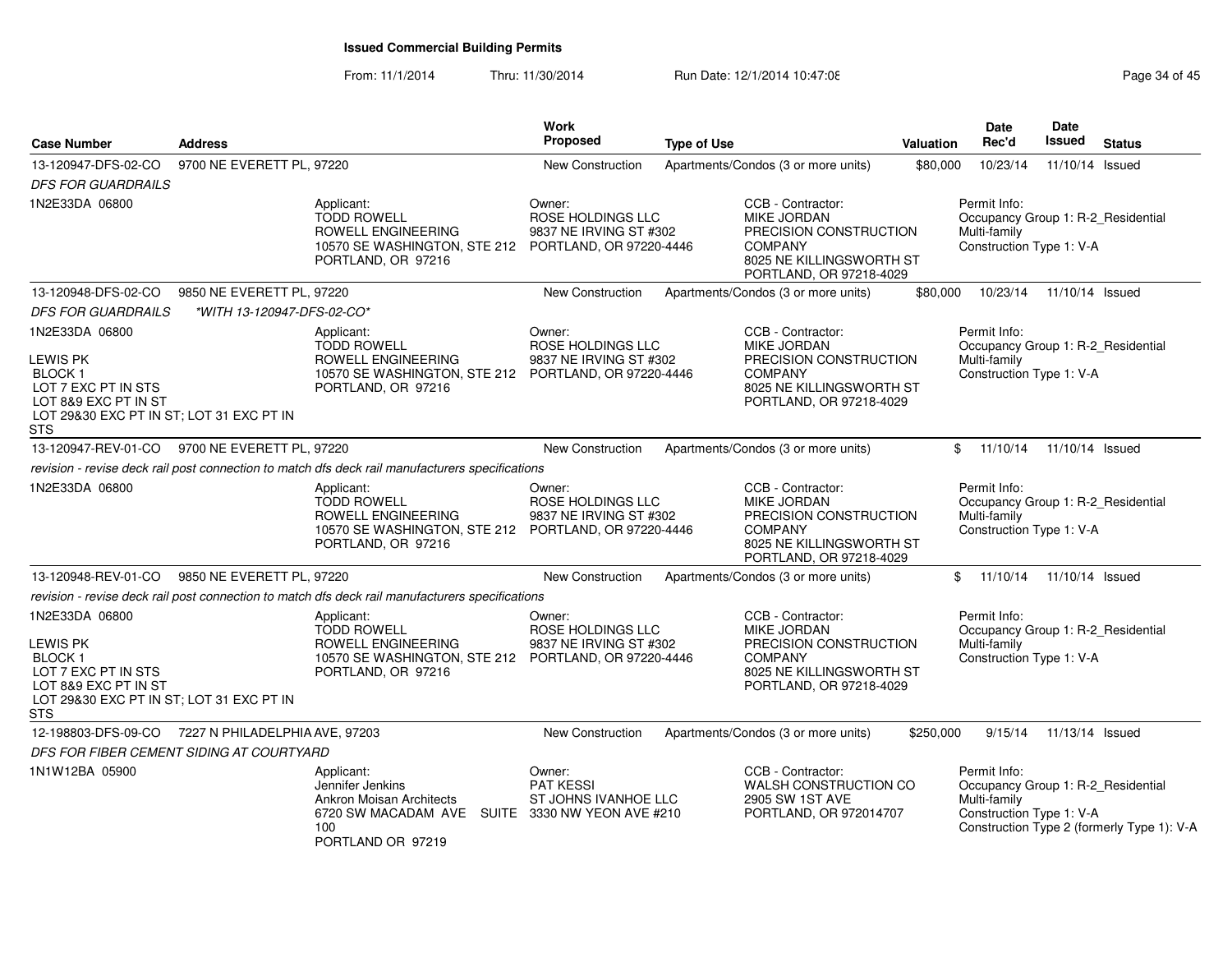From: 11/1/2014Thru: 11/30/2014 Run Date: 12/1/2014 10:47:08 Research 2010 Rage 34 of 45

| <b>Case Number</b>                                                                                                                                   | <b>Address</b>             |                                                                                                                                                  | Work<br><b>Proposed</b>                               | <b>Type of Use</b> |                                                                                                                                            | Valuation | Date<br>Rec'd                                                                                  | Date<br><b>Issued</b> | <b>Status</b>                              |
|------------------------------------------------------------------------------------------------------------------------------------------------------|----------------------------|--------------------------------------------------------------------------------------------------------------------------------------------------|-------------------------------------------------------|--------------------|--------------------------------------------------------------------------------------------------------------------------------------------|-----------|------------------------------------------------------------------------------------------------|-----------------------|--------------------------------------------|
| 13-120947-DFS-02-CO                                                                                                                                  | 9700 NE EVERETT PL, 97220  |                                                                                                                                                  | New Construction                                      |                    | Apartments/Condos (3 or more units)                                                                                                        | \$80,000  | 10/23/14                                                                                       | 11/10/14 Issued       |                                            |
| <b>DFS FOR GUARDRAILS</b>                                                                                                                            |                            |                                                                                                                                                  |                                                       |                    |                                                                                                                                            |           |                                                                                                |                       |                                            |
| 1N2E33DA 06800                                                                                                                                       |                            | Applicant:<br><b>TODD ROWELL</b><br>ROWELL ENGINEERING<br>10570 SE WASHINGTON, STE 212 PORTLAND, OR 97220-4446<br>PORTLAND, OR 97216             | Owner:<br>ROSE HOLDINGS LLC<br>9837 NE IRVING ST #302 |                    | CCB - Contractor:<br><b>MIKE JORDAN</b><br>PRECISION CONSTRUCTION<br><b>COMPANY</b><br>8025 NE KILLINGSWORTH ST<br>PORTLAND, OR 97218-4029 |           | Permit Info:<br>Occupancy Group 1: R-2_Residential<br>Multi-family<br>Construction Type 1: V-A |                       |                                            |
| 13-120948-DFS-02-CO                                                                                                                                  | 9850 NE EVERETT PL, 97220  |                                                                                                                                                  | <b>New Construction</b>                               |                    | Apartments/Condos (3 or more units)                                                                                                        | \$80,000  | 10/23/14                                                                                       | 11/10/14 Issued       |                                            |
| <b>DFS FOR GUARDRAILS</b>                                                                                                                            | *WITH 13-120947-DFS-02-CO* |                                                                                                                                                  |                                                       |                    |                                                                                                                                            |           |                                                                                                |                       |                                            |
| 1N2E33DA 06800                                                                                                                                       |                            | Applicant:                                                                                                                                       | Owner:                                                |                    | CCB - Contractor:                                                                                                                          |           | Permit Info:                                                                                   |                       |                                            |
| LEWIS PK<br><b>BLOCK1</b><br>LOT 7 EXC PT IN STS<br>LOT 8&9 EXC PT IN ST<br>LOT 29&30 EXC PT IN ST; LOT 31 EXC PT IN<br><b>STS</b>                   |                            | <b>TODD ROWELL</b><br>ROWELL ENGINEERING<br>10570 SE WASHINGTON, STE 212 PORTLAND, OR 97220-4446<br>PORTLAND, OR 97216                           | ROSE HOLDINGS LLC<br>9837 NE IRVING ST #302           |                    | <b>MIKE JORDAN</b><br>PRECISION CONSTRUCTION<br><b>COMPANY</b><br>8025 NE KILLINGSWORTH ST<br>PORTLAND, OR 97218-4029                      |           | Occupancy Group 1: R-2 Residential<br>Multi-family<br>Construction Type 1: V-A                 |                       |                                            |
| 13-120947-REV-01-CO                                                                                                                                  | 9700 NE EVERETT PL, 97220  |                                                                                                                                                  | <b>New Construction</b>                               |                    | Apartments/Condos (3 or more units)                                                                                                        |           | \$11/10/14                                                                                     | 11/10/14 Issued       |                                            |
|                                                                                                                                                      |                            | revision - revise deck rail post connection to match dfs deck rail manufacturers specifications                                                  |                                                       |                    |                                                                                                                                            |           |                                                                                                |                       |                                            |
| 1N2E33DA 06800                                                                                                                                       |                            | Applicant:<br><b>TODD ROWELL</b><br><b>ROWELL ENGINEERING</b><br>10570 SE WASHINGTON, STE 212 PORTLAND, OR 97220-4446<br>PORTLAND, OR 97216      | Owner:<br>ROSE HOLDINGS LLC<br>9837 NE IRVING ST #302 |                    | CCB - Contractor:<br>MIKE JORDAN<br>PRECISION CONSTRUCTION<br><b>COMPANY</b><br>8025 NE KILLINGSWORTH ST<br>PORTLAND, OR 97218-4029        |           | Permit Info:<br>Occupancy Group 1: R-2_Residential<br>Multi-family<br>Construction Type 1: V-A |                       |                                            |
| 13-120948-REV-01-CO                                                                                                                                  | 9850 NE EVERETT PL, 97220  |                                                                                                                                                  | <b>New Construction</b>                               |                    | Apartments/Condos (3 or more units)                                                                                                        |           | \$11/10/14                                                                                     | 11/10/14 Issued       |                                            |
|                                                                                                                                                      |                            | revision - revise deck rail post connection to match dfs deck rail manufacturers specifications                                                  |                                                       |                    |                                                                                                                                            |           |                                                                                                |                       |                                            |
| 1N2E33DA 06800<br>LEWIS PK<br><b>BLOCK1</b><br>LOT 7 EXC PT IN STS<br>LOT 8&9 EXC PT IN ST<br>LOT 29&30 EXC PT IN ST; LOT 31 EXC PT IN<br><b>STS</b> |                            | Applicant:<br><b>TODD ROWELL</b><br>ROWELL ENGINEERING<br>10570 SE WASHINGTON, STE 212 PORTLAND, OR 97220-4446<br>PORTLAND, OR 97216             | Owner:<br>ROSE HOLDINGS LLC<br>9837 NE IRVING ST #302 |                    | CCB - Contractor:<br><b>MIKE JORDAN</b><br>PRECISION CONSTRUCTION<br><b>COMPANY</b><br>8025 NE KILLINGSWORTH ST<br>PORTLAND, OR 97218-4029 |           | Permit Info:<br>Occupancy Group 1: R-2_Residential<br>Multi-family<br>Construction Type 1: V-A |                       |                                            |
| 12-198803-DFS-09-CO 7227 N PHILADELPHIA AVE, 97203                                                                                                   |                            |                                                                                                                                                  | <b>New Construction</b>                               |                    | Apartments/Condos (3 or more units)                                                                                                        | \$250,000 | 9/15/14                                                                                        | 11/13/14 Issued       |                                            |
| DFS FOR FIBER CEMENT SIDING AT COURTYARD                                                                                                             |                            |                                                                                                                                                  |                                                       |                    |                                                                                                                                            |           |                                                                                                |                       |                                            |
| 1N1W12BA 05900                                                                                                                                       |                            | Applicant:<br>Jennifer Jenkins<br><b>Ankron Moisan Architects</b><br>6720 SW MACADAM AVE SUITE 3330 NW YEON AVE #210<br>100<br>PORTLAND OR 97219 | Owner:<br>PAT KESSI<br>ST JOHNS IVANHOE LLC           |                    | CCB - Contractor:<br>WALSH CONSTRUCTION CO<br>2905 SW 1ST AVE<br>PORTLAND, OR 972014707                                                    |           | Permit Info:<br>Occupancy Group 1: R-2_Residential<br>Multi-family<br>Construction Type 1: V-A |                       | Construction Type 2 (formerly Type 1): V-A |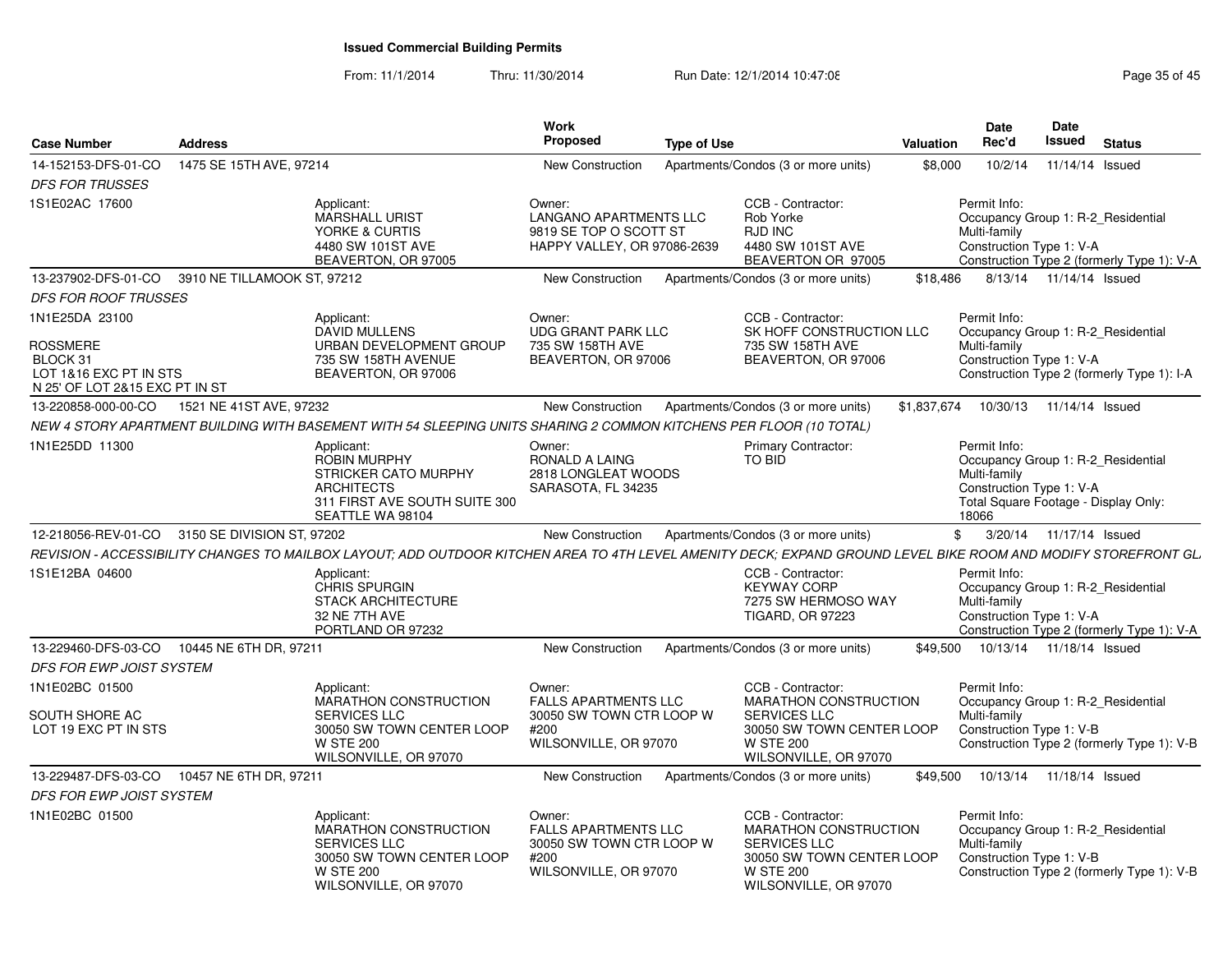From: 11/1/2014Thru: 11/30/2014 Run Date: 12/1/2014 10:47:08 Research 2010 Rage 35 of 45

| 14-152153-DFS-01-CO<br>1475 SE 15TH AVE, 97214<br>10/2/14<br>11/14/14 Issued<br>New Construction<br>Apartments/Condos (3 or more units)<br>\$8,000<br><b>DFS FOR TRUSSES</b><br>1S1E02AC 17600<br>CCB - Contractor:<br>Applicant:<br>Permit Info:<br>Owner:<br><b>MARSHALL URIST</b><br>LANGANO APARTMENTS LLC<br>Rob Yorke<br>Occupancy Group 1: R-2 Residential<br>9819 SE TOP O SCOTT ST<br>RJD INC<br>Multi-family<br>YORKE & CURTIS<br>HAPPY VALLEY, OR 97086-2639<br>4480 SW 101ST AVE<br>4480 SW 101ST AVE<br>Construction Type 1: V-A<br>BEAVERTON, OR 97005<br>BEAVERTON OR 97005<br>Construction Type 2 (formerly Type 1): V-A<br>13-237902-DFS-01-CO 3910 NE TILLAMOOK ST, 97212<br>New Construction<br>Apartments/Condos (3 or more units)<br>\$18,486<br>8/13/14  11/14/14  Issued<br><b>DFS FOR ROOF TRUSSES</b><br>1N1E25DA 23100<br>Applicant:<br>Owner:<br>CCB - Contractor:<br>Permit Info:<br><b>DAVID MULLENS</b><br><b>UDG GRANT PARK LLC</b><br>SK HOFF CONSTRUCTION LLC<br>Occupancy Group 1: R-2 Residential<br><b>ROSSMERE</b><br>URBAN DEVELOPMENT GROUP<br>Multi-family<br>735 SW 158TH AVE<br>735 SW 158TH AVE<br>735 SW 158TH AVENUE<br>BEAVERTON, OR 97006<br>Construction Type 1: V-A<br>BLOCK 31<br>BEAVERTON, OR 97006<br>LOT 1&16 EXC PT IN STS<br>BEAVERTON, OR 97006<br>Construction Type 2 (formerly Type 1): I-A<br>N 25' OF LOT 2&15 EXC PT IN ST<br>1521 NE 41ST AVE, 97232<br>Apartments/Condos (3 or more units)<br>13-220858-000-00-CO<br>New Construction<br>\$1.837.674<br>10/30/13  11/14/14  Issued<br>NEW 4 STORY APARTMENT BUILDING WITH BASEMENT WITH 54 SLEEPING UNITS SHARING 2 COMMON KITCHENS PER FLOOR (10 TOTAL)<br>1N1E25DD 11300<br><b>Primary Contractor:</b><br>Permit Info:<br>Applicant:<br>Owner:<br><b>ROBIN MURPHY</b><br>TO BID<br>RONALD A LAING<br>Occupancy Group 1: R-2 Residential<br>Multi-family<br>2818 LONGLEAT WOODS<br><b>STRICKER CATO MURPHY</b><br>Construction Type 1: V-A<br><b>ARCHITECTS</b><br>SARASOTA, FL 34235<br>311 FIRST AVE SOUTH SUITE 300<br>Total Square Footage - Display Only:<br>SEATTLE WA 98104<br>18066<br>12-218056-REV-01-CO 3150 SE DIVISION ST, 97202<br>Apartments/Condos (3 or more units)<br>\$ 3/20/14 11/17/14 Issued<br>New Construction<br>REVISION - ACCESSIBILITY CHANGES TO MAILBOX LAYOUT; ADD OUTDOOR KITCHEN AREA TO 4TH LEVEL AMENITY DECK; EXPAND GROUND LEVEL BIKE ROOM AND MODIFY STOREFRONT GL.<br>1S1E12BA 04600<br>CCB - Contractor:<br>Permit Info:<br>Applicant:<br><b>CHRIS SPURGIN</b><br><b>KEYWAY CORP</b><br>Occupancy Group 1: R-2 Residential<br><b>STACK ARCHITECTURE</b><br>7275 SW HERMOSO WAY<br>Multi-family<br>32 NE 7TH AVE<br><b>TIGARD, OR 97223</b><br>Construction Type 1: V-A<br>PORTLAND OR 97232<br>Construction Type 2 (formerly Type 1): V-A<br>\$49,500<br>13-229460-DFS-03-CO<br>10445 NE 6TH DR, 97211<br>New Construction<br>Apartments/Condos (3 or more units)<br>10/13/14  11/18/14  Issued<br><b>DFS FOR EWP JOIST SYSTEM</b><br>1N1E02BC 01500<br>CCB - Contractor:<br>Permit Info:<br>Applicant:<br>Owner:<br><b>MARATHON CONSTRUCTION</b><br><b>FALLS APARTMENTS LLC</b><br><b>MARATHON CONSTRUCTION</b><br>Occupancy Group 1: R-2 Residential<br>SOUTH SHORE AC<br><b>SERVICES LLC</b><br>30050 SW TOWN CTR LOOP W<br><b>SERVICES LLC</b><br>Multi-family<br>30050 SW TOWN CENTER LOOP<br>30050 SW TOWN CENTER LOOP<br>Construction Type 1: V-B<br>LOT 19 EXC PT IN STS<br>#200<br>WILSONVILLE, OR 97070<br><b>W STE 200</b><br><b>W STE 200</b><br>Construction Type 2 (formerly Type 1): V-B<br>WILSONVILLE, OR 97070<br>WILSONVILLE, OR 97070<br>\$49.500<br>10/13/14  11/18/14  Issued<br>13-229487-DFS-03-CO<br>10457 NE 6TH DR, 97211<br>New Construction<br>Apartments/Condos (3 or more units)<br><b>DFS FOR EWP JOIST SYSTEM</b><br>1N1E02BC 01500<br>Applicant:<br>Owner:<br>CCB - Contractor:<br>Permit Info:<br>MARATHON CONSTRUCTION<br><b>FALLS APARTMENTS LLC</b><br>MARATHON CONSTRUCTION<br>Occupancy Group 1: R-2 Residential<br><b>SERVICES LLC</b><br>30050 SW TOWN CTR LOOP W<br>Multi-family<br><b>SERVICES LLC</b><br>30050 SW TOWN CENTER LOOP<br>30050 SW TOWN CENTER LOOP<br>Construction Type 1: V-B<br>#200<br>WILSONVILLE, OR 97070<br><b>W STE 200</b><br><b>W STE 200</b><br>Construction Type 2 (formerly Type 1): V-B | <b>Case Number</b> | <b>Address</b> | Work<br><b>Proposed</b> | Type of Use | Valuation | <b>Date</b><br>Rec'd | <b>Date</b><br><b>Issued</b> | <b>Status</b> |
|--------------------------------------------------------------------------------------------------------------------------------------------------------------------------------------------------------------------------------------------------------------------------------------------------------------------------------------------------------------------------------------------------------------------------------------------------------------------------------------------------------------------------------------------------------------------------------------------------------------------------------------------------------------------------------------------------------------------------------------------------------------------------------------------------------------------------------------------------------------------------------------------------------------------------------------------------------------------------------------------------------------------------------------------------------------------------------------------------------------------------------------------------------------------------------------------------------------------------------------------------------------------------------------------------------------------------------------------------------------------------------------------------------------------------------------------------------------------------------------------------------------------------------------------------------------------------------------------------------------------------------------------------------------------------------------------------------------------------------------------------------------------------------------------------------------------------------------------------------------------------------------------------------------------------------------------------------------------------------------------------------------------------------------------------------------------------------------------------------------------------------------------------------------------------------------------------------------------------------------------------------------------------------------------------------------------------------------------------------------------------------------------------------------------------------------------------------------------------------------------------------------------------------------------------------------------------------------------------------------------------------------------------------------------------------------------------------------------------------------------------------------------------------------------------------------------------------------------------------------------------------------------------------------------------------------------------------------------------------------------------------------------------------------------------------------------------------------------------------------------------------------------------------------------------------------------------------------------------------------------------------------------------------------------------------------------------------------------------------------------------------------------------------------------------------------------------------------------------------------------------------------------------------------------------------------------------------------------------------------------------------------------------------------------------------------------------------------------------------------------------------------------------------------------------------------------------------------------------------------------------------------------------------------------------------------------------------------------------------------------------------------------------------------------------------------------------------------------------------------------------------------------------------------------------------------------------------------------------------------------------------------------------------------------------------------------------|--------------------|----------------|-------------------------|-------------|-----------|----------------------|------------------------------|---------------|
|                                                                                                                                                                                                                                                                                                                                                                                                                                                                                                                                                                                                                                                                                                                                                                                                                                                                                                                                                                                                                                                                                                                                                                                                                                                                                                                                                                                                                                                                                                                                                                                                                                                                                                                                                                                                                                                                                                                                                                                                                                                                                                                                                                                                                                                                                                                                                                                                                                                                                                                                                                                                                                                                                                                                                                                                                                                                                                                                                                                                                                                                                                                                                                                                                                                                                                                                                                                                                                                                                                                                                                                                                                                                                                                                                                                                                                                                                                                                                                                                                                                                                                                                                                                                                                                                                                                          |                    |                |                         |             |           |                      |                              |               |
|                                                                                                                                                                                                                                                                                                                                                                                                                                                                                                                                                                                                                                                                                                                                                                                                                                                                                                                                                                                                                                                                                                                                                                                                                                                                                                                                                                                                                                                                                                                                                                                                                                                                                                                                                                                                                                                                                                                                                                                                                                                                                                                                                                                                                                                                                                                                                                                                                                                                                                                                                                                                                                                                                                                                                                                                                                                                                                                                                                                                                                                                                                                                                                                                                                                                                                                                                                                                                                                                                                                                                                                                                                                                                                                                                                                                                                                                                                                                                                                                                                                                                                                                                                                                                                                                                                                          |                    |                |                         |             |           |                      |                              |               |
|                                                                                                                                                                                                                                                                                                                                                                                                                                                                                                                                                                                                                                                                                                                                                                                                                                                                                                                                                                                                                                                                                                                                                                                                                                                                                                                                                                                                                                                                                                                                                                                                                                                                                                                                                                                                                                                                                                                                                                                                                                                                                                                                                                                                                                                                                                                                                                                                                                                                                                                                                                                                                                                                                                                                                                                                                                                                                                                                                                                                                                                                                                                                                                                                                                                                                                                                                                                                                                                                                                                                                                                                                                                                                                                                                                                                                                                                                                                                                                                                                                                                                                                                                                                                                                                                                                                          |                    |                |                         |             |           |                      |                              |               |
|                                                                                                                                                                                                                                                                                                                                                                                                                                                                                                                                                                                                                                                                                                                                                                                                                                                                                                                                                                                                                                                                                                                                                                                                                                                                                                                                                                                                                                                                                                                                                                                                                                                                                                                                                                                                                                                                                                                                                                                                                                                                                                                                                                                                                                                                                                                                                                                                                                                                                                                                                                                                                                                                                                                                                                                                                                                                                                                                                                                                                                                                                                                                                                                                                                                                                                                                                                                                                                                                                                                                                                                                                                                                                                                                                                                                                                                                                                                                                                                                                                                                                                                                                                                                                                                                                                                          |                    |                |                         |             |           |                      |                              |               |
|                                                                                                                                                                                                                                                                                                                                                                                                                                                                                                                                                                                                                                                                                                                                                                                                                                                                                                                                                                                                                                                                                                                                                                                                                                                                                                                                                                                                                                                                                                                                                                                                                                                                                                                                                                                                                                                                                                                                                                                                                                                                                                                                                                                                                                                                                                                                                                                                                                                                                                                                                                                                                                                                                                                                                                                                                                                                                                                                                                                                                                                                                                                                                                                                                                                                                                                                                                                                                                                                                                                                                                                                                                                                                                                                                                                                                                                                                                                                                                                                                                                                                                                                                                                                                                                                                                                          |                    |                |                         |             |           |                      |                              |               |
|                                                                                                                                                                                                                                                                                                                                                                                                                                                                                                                                                                                                                                                                                                                                                                                                                                                                                                                                                                                                                                                                                                                                                                                                                                                                                                                                                                                                                                                                                                                                                                                                                                                                                                                                                                                                                                                                                                                                                                                                                                                                                                                                                                                                                                                                                                                                                                                                                                                                                                                                                                                                                                                                                                                                                                                                                                                                                                                                                                                                                                                                                                                                                                                                                                                                                                                                                                                                                                                                                                                                                                                                                                                                                                                                                                                                                                                                                                                                                                                                                                                                                                                                                                                                                                                                                                                          |                    |                |                         |             |           |                      |                              |               |
|                                                                                                                                                                                                                                                                                                                                                                                                                                                                                                                                                                                                                                                                                                                                                                                                                                                                                                                                                                                                                                                                                                                                                                                                                                                                                                                                                                                                                                                                                                                                                                                                                                                                                                                                                                                                                                                                                                                                                                                                                                                                                                                                                                                                                                                                                                                                                                                                                                                                                                                                                                                                                                                                                                                                                                                                                                                                                                                                                                                                                                                                                                                                                                                                                                                                                                                                                                                                                                                                                                                                                                                                                                                                                                                                                                                                                                                                                                                                                                                                                                                                                                                                                                                                                                                                                                                          |                    |                |                         |             |           |                      |                              |               |
|                                                                                                                                                                                                                                                                                                                                                                                                                                                                                                                                                                                                                                                                                                                                                                                                                                                                                                                                                                                                                                                                                                                                                                                                                                                                                                                                                                                                                                                                                                                                                                                                                                                                                                                                                                                                                                                                                                                                                                                                                                                                                                                                                                                                                                                                                                                                                                                                                                                                                                                                                                                                                                                                                                                                                                                                                                                                                                                                                                                                                                                                                                                                                                                                                                                                                                                                                                                                                                                                                                                                                                                                                                                                                                                                                                                                                                                                                                                                                                                                                                                                                                                                                                                                                                                                                                                          |                    |                |                         |             |           |                      |                              |               |
|                                                                                                                                                                                                                                                                                                                                                                                                                                                                                                                                                                                                                                                                                                                                                                                                                                                                                                                                                                                                                                                                                                                                                                                                                                                                                                                                                                                                                                                                                                                                                                                                                                                                                                                                                                                                                                                                                                                                                                                                                                                                                                                                                                                                                                                                                                                                                                                                                                                                                                                                                                                                                                                                                                                                                                                                                                                                                                                                                                                                                                                                                                                                                                                                                                                                                                                                                                                                                                                                                                                                                                                                                                                                                                                                                                                                                                                                                                                                                                                                                                                                                                                                                                                                                                                                                                                          |                    |                |                         |             |           |                      |                              |               |
|                                                                                                                                                                                                                                                                                                                                                                                                                                                                                                                                                                                                                                                                                                                                                                                                                                                                                                                                                                                                                                                                                                                                                                                                                                                                                                                                                                                                                                                                                                                                                                                                                                                                                                                                                                                                                                                                                                                                                                                                                                                                                                                                                                                                                                                                                                                                                                                                                                                                                                                                                                                                                                                                                                                                                                                                                                                                                                                                                                                                                                                                                                                                                                                                                                                                                                                                                                                                                                                                                                                                                                                                                                                                                                                                                                                                                                                                                                                                                                                                                                                                                                                                                                                                                                                                                                                          |                    |                |                         |             |           |                      |                              |               |
|                                                                                                                                                                                                                                                                                                                                                                                                                                                                                                                                                                                                                                                                                                                                                                                                                                                                                                                                                                                                                                                                                                                                                                                                                                                                                                                                                                                                                                                                                                                                                                                                                                                                                                                                                                                                                                                                                                                                                                                                                                                                                                                                                                                                                                                                                                                                                                                                                                                                                                                                                                                                                                                                                                                                                                                                                                                                                                                                                                                                                                                                                                                                                                                                                                                                                                                                                                                                                                                                                                                                                                                                                                                                                                                                                                                                                                                                                                                                                                                                                                                                                                                                                                                                                                                                                                                          |                    |                |                         |             |           |                      |                              |               |
|                                                                                                                                                                                                                                                                                                                                                                                                                                                                                                                                                                                                                                                                                                                                                                                                                                                                                                                                                                                                                                                                                                                                                                                                                                                                                                                                                                                                                                                                                                                                                                                                                                                                                                                                                                                                                                                                                                                                                                                                                                                                                                                                                                                                                                                                                                                                                                                                                                                                                                                                                                                                                                                                                                                                                                                                                                                                                                                                                                                                                                                                                                                                                                                                                                                                                                                                                                                                                                                                                                                                                                                                                                                                                                                                                                                                                                                                                                                                                                                                                                                                                                                                                                                                                                                                                                                          |                    |                |                         |             |           |                      |                              |               |
|                                                                                                                                                                                                                                                                                                                                                                                                                                                                                                                                                                                                                                                                                                                                                                                                                                                                                                                                                                                                                                                                                                                                                                                                                                                                                                                                                                                                                                                                                                                                                                                                                                                                                                                                                                                                                                                                                                                                                                                                                                                                                                                                                                                                                                                                                                                                                                                                                                                                                                                                                                                                                                                                                                                                                                                                                                                                                                                                                                                                                                                                                                                                                                                                                                                                                                                                                                                                                                                                                                                                                                                                                                                                                                                                                                                                                                                                                                                                                                                                                                                                                                                                                                                                                                                                                                                          |                    |                |                         |             |           |                      |                              |               |
|                                                                                                                                                                                                                                                                                                                                                                                                                                                                                                                                                                                                                                                                                                                                                                                                                                                                                                                                                                                                                                                                                                                                                                                                                                                                                                                                                                                                                                                                                                                                                                                                                                                                                                                                                                                                                                                                                                                                                                                                                                                                                                                                                                                                                                                                                                                                                                                                                                                                                                                                                                                                                                                                                                                                                                                                                                                                                                                                                                                                                                                                                                                                                                                                                                                                                                                                                                                                                                                                                                                                                                                                                                                                                                                                                                                                                                                                                                                                                                                                                                                                                                                                                                                                                                                                                                                          |                    |                |                         |             |           |                      |                              |               |
|                                                                                                                                                                                                                                                                                                                                                                                                                                                                                                                                                                                                                                                                                                                                                                                                                                                                                                                                                                                                                                                                                                                                                                                                                                                                                                                                                                                                                                                                                                                                                                                                                                                                                                                                                                                                                                                                                                                                                                                                                                                                                                                                                                                                                                                                                                                                                                                                                                                                                                                                                                                                                                                                                                                                                                                                                                                                                                                                                                                                                                                                                                                                                                                                                                                                                                                                                                                                                                                                                                                                                                                                                                                                                                                                                                                                                                                                                                                                                                                                                                                                                                                                                                                                                                                                                                                          |                    |                |                         |             |           |                      |                              |               |
|                                                                                                                                                                                                                                                                                                                                                                                                                                                                                                                                                                                                                                                                                                                                                                                                                                                                                                                                                                                                                                                                                                                                                                                                                                                                                                                                                                                                                                                                                                                                                                                                                                                                                                                                                                                                                                                                                                                                                                                                                                                                                                                                                                                                                                                                                                                                                                                                                                                                                                                                                                                                                                                                                                                                                                                                                                                                                                                                                                                                                                                                                                                                                                                                                                                                                                                                                                                                                                                                                                                                                                                                                                                                                                                                                                                                                                                                                                                                                                                                                                                                                                                                                                                                                                                                                                                          |                    |                |                         |             |           |                      |                              |               |
|                                                                                                                                                                                                                                                                                                                                                                                                                                                                                                                                                                                                                                                                                                                                                                                                                                                                                                                                                                                                                                                                                                                                                                                                                                                                                                                                                                                                                                                                                                                                                                                                                                                                                                                                                                                                                                                                                                                                                                                                                                                                                                                                                                                                                                                                                                                                                                                                                                                                                                                                                                                                                                                                                                                                                                                                                                                                                                                                                                                                                                                                                                                                                                                                                                                                                                                                                                                                                                                                                                                                                                                                                                                                                                                                                                                                                                                                                                                                                                                                                                                                                                                                                                                                                                                                                                                          |                    |                |                         |             |           |                      |                              |               |
|                                                                                                                                                                                                                                                                                                                                                                                                                                                                                                                                                                                                                                                                                                                                                                                                                                                                                                                                                                                                                                                                                                                                                                                                                                                                                                                                                                                                                                                                                                                                                                                                                                                                                                                                                                                                                                                                                                                                                                                                                                                                                                                                                                                                                                                                                                                                                                                                                                                                                                                                                                                                                                                                                                                                                                                                                                                                                                                                                                                                                                                                                                                                                                                                                                                                                                                                                                                                                                                                                                                                                                                                                                                                                                                                                                                                                                                                                                                                                                                                                                                                                                                                                                                                                                                                                                                          |                    |                |                         |             |           |                      |                              |               |
|                                                                                                                                                                                                                                                                                                                                                                                                                                                                                                                                                                                                                                                                                                                                                                                                                                                                                                                                                                                                                                                                                                                                                                                                                                                                                                                                                                                                                                                                                                                                                                                                                                                                                                                                                                                                                                                                                                                                                                                                                                                                                                                                                                                                                                                                                                                                                                                                                                                                                                                                                                                                                                                                                                                                                                                                                                                                                                                                                                                                                                                                                                                                                                                                                                                                                                                                                                                                                                                                                                                                                                                                                                                                                                                                                                                                                                                                                                                                                                                                                                                                                                                                                                                                                                                                                                                          |                    |                |                         |             |           |                      |                              |               |
| WILSONVILLE, OR 97070<br>WILSONVILLE, OR 97070                                                                                                                                                                                                                                                                                                                                                                                                                                                                                                                                                                                                                                                                                                                                                                                                                                                                                                                                                                                                                                                                                                                                                                                                                                                                                                                                                                                                                                                                                                                                                                                                                                                                                                                                                                                                                                                                                                                                                                                                                                                                                                                                                                                                                                                                                                                                                                                                                                                                                                                                                                                                                                                                                                                                                                                                                                                                                                                                                                                                                                                                                                                                                                                                                                                                                                                                                                                                                                                                                                                                                                                                                                                                                                                                                                                                                                                                                                                                                                                                                                                                                                                                                                                                                                                                           |                    |                |                         |             |           |                      |                              |               |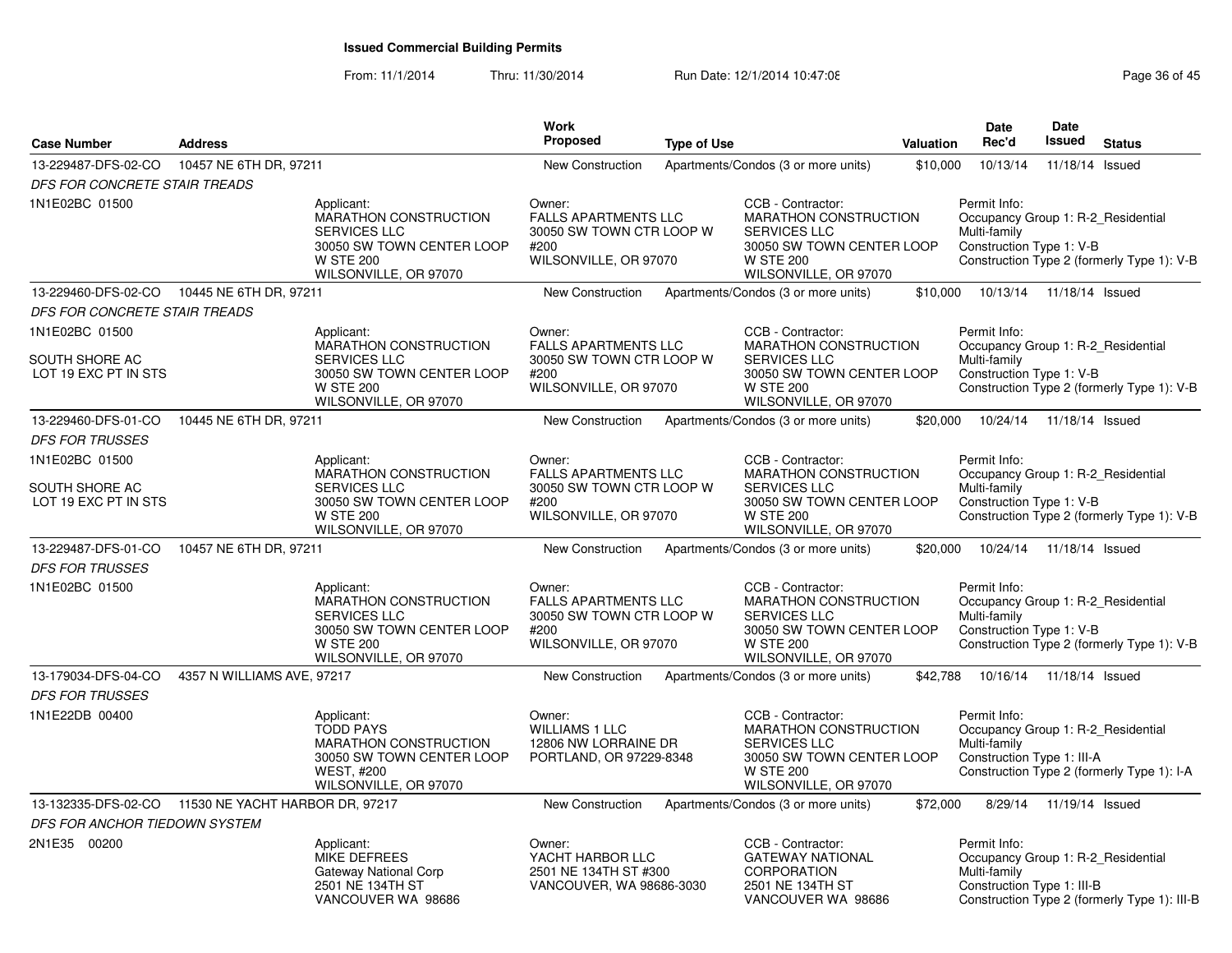From: 11/1/2014Thru: 11/30/2014 Run Date: 12/1/2014 10:47:08 Research 2010 Rage 36 of 45

| <b>Case Number</b>                                  | <b>Address</b>             |                                                                                                                                      | Work<br><b>Proposed</b>                                                                            | <b>Type of Use</b> |                                                                                                                                             | <b>Valuation</b> | <b>Date</b><br>Rec'd                                                                             | Date<br><b>Issued</b> | <b>Status</b>                                |
|-----------------------------------------------------|----------------------------|--------------------------------------------------------------------------------------------------------------------------------------|----------------------------------------------------------------------------------------------------|--------------------|---------------------------------------------------------------------------------------------------------------------------------------------|------------------|--------------------------------------------------------------------------------------------------|-----------------------|----------------------------------------------|
| 13-229487-DFS-02-CO                                 | 10457 NE 6TH DR, 97211     |                                                                                                                                      | <b>New Construction</b>                                                                            |                    | Apartments/Condos (3 or more units)                                                                                                         | \$10,000         | 10/13/14                                                                                         | 11/18/14 Issued       |                                              |
| DFS FOR CONCRETE STAIR TREADS                       |                            |                                                                                                                                      |                                                                                                    |                    |                                                                                                                                             |                  |                                                                                                  |                       |                                              |
| 1N1E02BC 01500                                      |                            | Applicant:<br>MARATHON CONSTRUCTION<br><b>SERVICES LLC</b><br>30050 SW TOWN CENTER LOOP<br><b>W STE 200</b><br>WILSONVILLE, OR 97070 | Owner:<br><b>FALLS APARTMENTS LLC</b><br>30050 SW TOWN CTR LOOP W<br>#200<br>WILSONVILLE, OR 97070 |                    | CCB - Contractor:<br>MARATHON CONSTRUCTION<br><b>SERVICES LLC</b><br>30050 SW TOWN CENTER LOOP<br><b>W STE 200</b><br>WILSONVILLE, OR 97070 |                  | Permit Info:<br>Occupancy Group 1: R-2 Residential<br>Multi-family<br>Construction Type 1: V-B   |                       | Construction Type 2 (formerly Type 1): V-B   |
| 13-229460-DFS-02-CO 10445 NE 6TH DR, 97211          |                            |                                                                                                                                      | New Construction                                                                                   |                    | Apartments/Condos (3 or more units)                                                                                                         | \$10,000         | 10/13/14                                                                                         | 11/18/14 Issued       |                                              |
| DFS FOR CONCRETE STAIR TREADS                       |                            |                                                                                                                                      |                                                                                                    |                    |                                                                                                                                             |                  |                                                                                                  |                       |                                              |
| 1N1E02BC 01500<br>SOUTH SHORE AC                    |                            | Applicant:<br>MARATHON CONSTRUCTION<br>SERVICES LLC                                                                                  | Owner:<br><b>FALLS APARTMENTS LLC</b><br>30050 SW TOWN CTR LOOP W                                  |                    | CCB - Contractor:<br><b>MARATHON CONSTRUCTION</b><br>SERVICES LLC                                                                           |                  | Permit Info:<br>Occupancy Group 1: R-2_Residential<br>Multi-family                               |                       |                                              |
| LOT 19 EXC PT IN STS                                |                            | 30050 SW TOWN CENTER LOOP<br><b>W STE 200</b><br>WILSONVILLE, OR 97070                                                               | #200<br>WILSONVILLE, OR 97070                                                                      |                    | 30050 SW TOWN CENTER LOOP<br><b>W STE 200</b><br>WILSONVILLE, OR 97070                                                                      |                  | Construction Type 1: V-B                                                                         |                       | Construction Type 2 (formerly Type 1): V-B   |
| 13-229460-DFS-01-CO                                 | 10445 NE 6TH DR, 97211     |                                                                                                                                      | New Construction                                                                                   |                    | Apartments/Condos (3 or more units)                                                                                                         | \$20,000         | 10/24/14                                                                                         | 11/18/14 Issued       |                                              |
| <b>DFS FOR TRUSSES</b>                              |                            |                                                                                                                                      |                                                                                                    |                    |                                                                                                                                             |                  |                                                                                                  |                       |                                              |
| 1N1E02BC 01500                                      |                            | Applicant:<br><b>MARATHON CONSTRUCTION</b>                                                                                           | Owner:<br><b>FALLS APARTMENTS LLC</b>                                                              |                    | CCB - Contractor:<br><b>MARATHON CONSTRUCTION</b>                                                                                           |                  | Permit Info:<br>Occupancy Group 1: R-2 Residential                                               |                       |                                              |
| SOUTH SHORE AC<br>LOT 19 EXC PT IN STS              |                            | <b>SERVICES LLC</b><br>30050 SW TOWN CENTER LOOP<br><b>W STE 200</b><br>WILSONVILLE, OR 97070                                        | 30050 SW TOWN CTR LOOP W<br>#200<br>WILSONVILLE, OR 97070                                          |                    | <b>SERVICES LLC</b><br>30050 SW TOWN CENTER LOOP<br><b>W STE 200</b><br>WILSONVILLE, OR 97070                                               |                  | Multi-family<br>Construction Type 1: V-B                                                         |                       | Construction Type 2 (formerly Type 1): V-B   |
| 13-229487-DFS-01-CO<br><b>DFS FOR TRUSSES</b>       | 10457 NE 6TH DR, 97211     |                                                                                                                                      | New Construction                                                                                   |                    | Apartments/Condos (3 or more units)                                                                                                         | \$20,000         | 10/24/14                                                                                         | 11/18/14 Issued       |                                              |
| 1N1E02BC 01500                                      |                            | Applicant:<br><b>MARATHON CONSTRUCTION</b><br>SERVICES LLC<br>30050 SW TOWN CENTER LOOP<br><b>W STE 200</b><br>WILSONVILLE, OR 97070 | Owner:<br><b>FALLS APARTMENTS LLC</b><br>30050 SW TOWN CTR LOOP W<br>#200<br>WILSONVILLE, OR 97070 |                    | CCB - Contractor:<br>MARATHON CONSTRUCTION<br>SERVICES LLC<br>30050 SW TOWN CENTER LOOP<br><b>W STE 200</b><br>WILSONVILLE, OR 97070        |                  | Permit Info:<br>Occupancy Group 1: R-2_Residential<br>Multi-family<br>Construction Type 1: V-B   |                       | Construction Type 2 (formerly Type 1): V-B   |
| 13-179034-DFS-04-CO                                 | 4357 N WILLIAMS AVE, 97217 |                                                                                                                                      | New Construction                                                                                   |                    | Apartments/Condos (3 or more units)                                                                                                         | \$42,788         | 10/16/14                                                                                         | 11/18/14 Issued       |                                              |
| <b>DFS FOR TRUSSES</b>                              |                            |                                                                                                                                      |                                                                                                    |                    |                                                                                                                                             |                  |                                                                                                  |                       |                                              |
| 1N1E22DB 00400                                      |                            | Applicant:<br><b>TODD PAYS</b><br>MARATHON CONSTRUCTION<br>30050 SW TOWN CENTER LOOP<br><b>WEST, #200</b><br>WILSONVILLE, OR 97070   | Owner:<br><b>WILLIAMS 1 LLC</b><br>12806 NW LORRAINE DR<br>PORTLAND, OR 97229-8348                 |                    | CCB - Contractor:<br>MARATHON CONSTRUCTION<br>SERVICES LLC<br>30050 SW TOWN CENTER LOOP<br><b>W STE 200</b><br>WILSONVILLE, OR 97070        |                  | Permit Info:<br>Occupancy Group 1: R-2 Residential<br>Multi-family<br>Construction Type 1: III-A |                       | Construction Type 2 (formerly Type 1): I-A   |
| 13-132335-DFS-02-CO 11530 NE YACHT HARBOR DR, 97217 |                            |                                                                                                                                      | New Construction                                                                                   |                    | Apartments/Condos (3 or more units)                                                                                                         | \$72,000         | 8/29/14                                                                                          | 11/19/14 Issued       |                                              |
| DFS FOR ANCHOR TIEDOWN SYSTEM                       |                            |                                                                                                                                      |                                                                                                    |                    |                                                                                                                                             |                  |                                                                                                  |                       |                                              |
| 2N1E35 00200                                        |                            | Applicant:<br><b>MIKE DEFREES</b><br>Gateway National Corp<br>2501 NE 134TH ST<br>VANCOUVER WA 98686                                 | Owner:<br>YACHT HARBOR LLC<br>2501 NE 134TH ST #300<br>VANCOUVER, WA 98686-3030                    |                    | CCB - Contractor:<br><b>GATEWAY NATIONAL</b><br>CORPORATION<br>2501 NE 134TH ST<br>VANCOUVER WA 98686                                       |                  | Permit Info:<br>Occupancy Group 1: R-2_Residential<br>Multi-family<br>Construction Type 1: III-B |                       | Construction Type 2 (formerly Type 1): III-B |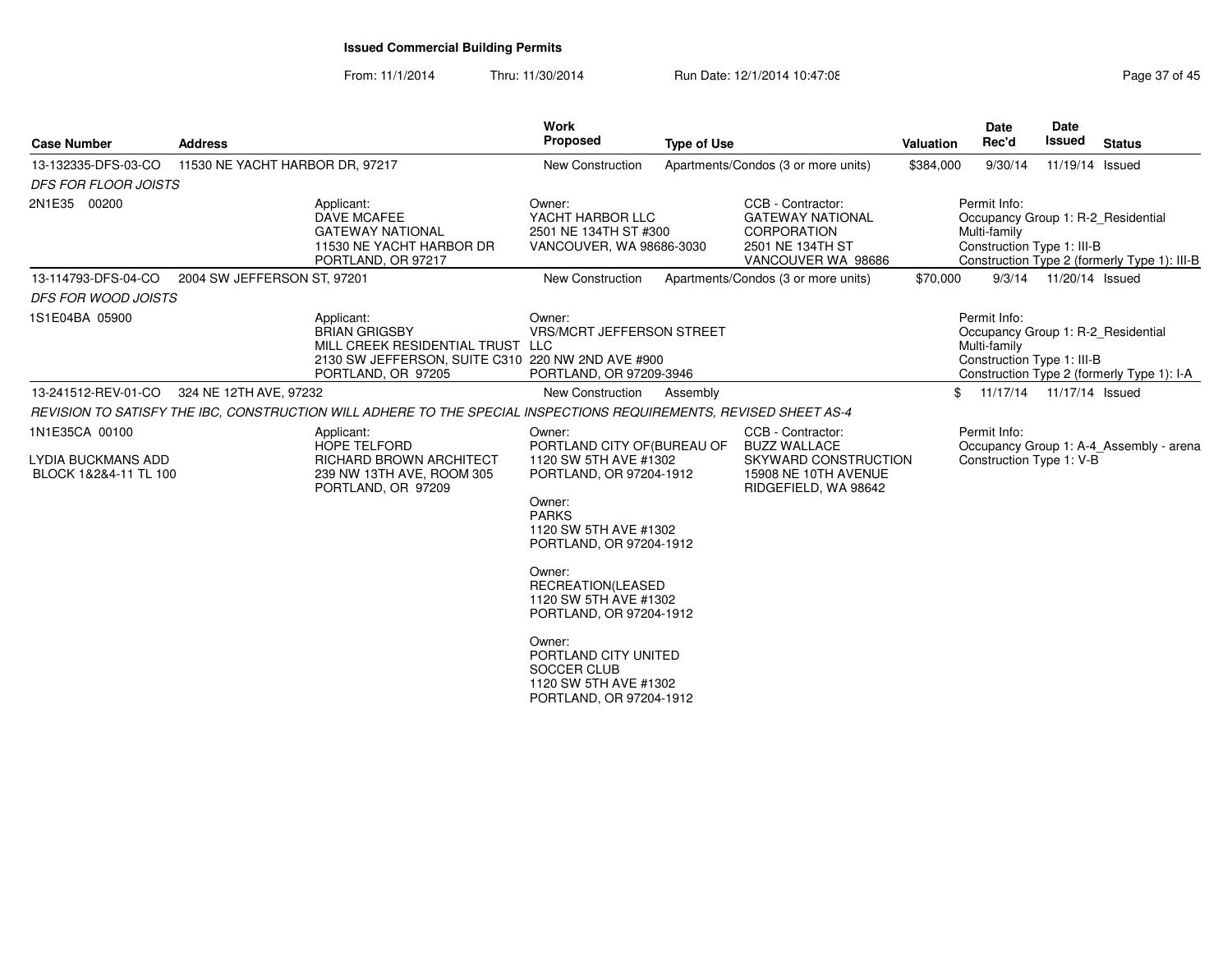From: 11/1/2014Thru: 11/30/2014 Run Date: 12/1/2014 10:47:08 Research 2010 Rage 37 of 45

| <b>Case Number</b>                                 | <b>Address</b>                  |                                                                                                                                                   | <b>Work</b><br><b>Proposed</b>                                                                    | <b>Type of Use</b> |                                                                                                              | Valuation | <b>Date</b><br>Rec'd                                                                             | <b>Date</b><br>Issued    | <b>Status</b>                                |
|----------------------------------------------------|---------------------------------|---------------------------------------------------------------------------------------------------------------------------------------------------|---------------------------------------------------------------------------------------------------|--------------------|--------------------------------------------------------------------------------------------------------------|-----------|--------------------------------------------------------------------------------------------------|--------------------------|----------------------------------------------|
| 13-132335-DFS-03-CO                                | 11530 NE YACHT HARBOR DR, 97217 |                                                                                                                                                   | <b>New Construction</b>                                                                           |                    | Apartments/Condos (3 or more units)                                                                          | \$384,000 | 9/30/14                                                                                          | 11/19/14 Issued          |                                              |
| <b>DFS FOR FLOOR JOISTS</b>                        |                                 |                                                                                                                                                   |                                                                                                   |                    |                                                                                                              |           |                                                                                                  |                          |                                              |
| 2N1E35 00200                                       |                                 | Applicant:<br>DAVE MCAFEE<br><b>GATEWAY NATIONAL</b><br>11530 NE YACHT HARBOR DR<br>PORTLAND, OR 97217                                            | Owner:<br>YACHT HARBOR LLC<br>2501 NE 134TH ST #300<br>VANCOUVER, WA 98686-3030                   |                    | CCB - Contractor:<br><b>GATEWAY NATIONAL</b><br><b>CORPORATION</b><br>2501 NE 134TH ST<br>VANCOUVER WA 98686 |           | Permit Info:<br>Occupancy Group 1: R-2 Residential<br>Multi-family<br>Construction Type 1: III-B |                          | Construction Type 2 (formerly Type 1): III-B |
| 13-114793-DFS-04-CO                                | 2004 SW JEFFERSON ST, 97201     |                                                                                                                                                   | New Construction                                                                                  |                    | Apartments/Condos (3 or more units)                                                                          | \$70,000  |                                                                                                  | 9/3/14  11/20/14  Issued |                                              |
| <b>DFS FOR WOOD JOISTS</b>                         |                                 |                                                                                                                                                   |                                                                                                   |                    |                                                                                                              |           |                                                                                                  |                          |                                              |
| 1S1E04BA 05900                                     |                                 | Applicant:<br><b>BRIAN GRIGSBY</b><br>MILL CREEK RESIDENTIAL TRUST LLC<br>2130 SW JEFFERSON, SUITE C310 220 NW 2ND AVE #900<br>PORTLAND, OR 97205 | Owner:<br><b>VRS/MCRT JEFFERSON STREET</b><br>PORTLAND, OR 97209-3946                             |                    |                                                                                                              |           | Permit Info:<br>Occupancy Group 1: R-2_Residential<br>Multi-family<br>Construction Type 1: III-B |                          | Construction Type 2 (formerly Type 1): I-A   |
| 13-241512-REV-01-CO                                | 324 NE 12TH AVE, 97232          |                                                                                                                                                   | New Construction                                                                                  | Assembly           |                                                                                                              | \$        | 11/17/14  11/17/14  Issued                                                                       |                          |                                              |
|                                                    |                                 | REVISION TO SATISFY THE IBC, CONSTRUCTION WILL ADHERE TO THE SPECIAL INSPECTIONS REQUIREMENTS, REVISED SHEET AS-4                                 |                                                                                                   |                    |                                                                                                              |           |                                                                                                  |                          |                                              |
| 1N1E35CA 00100                                     |                                 | Applicant:<br><b>HOPE TELFORD</b>                                                                                                                 | Owner:<br>PORTLAND CITY OF (BUREAU OF                                                             |                    | CCB - Contractor:<br><b>BUZZ WALLACE</b>                                                                     |           | Permit Info:                                                                                     |                          | Occupancy Group 1: A-4 Assembly - arena      |
| <b>LYDIA BUCKMANS ADD</b><br>BLOCK 1&2&4-11 TL 100 |                                 | RICHARD BROWN ARCHITECT<br>239 NW 13TH AVE, ROOM 305<br>PORTLAND, OR 97209                                                                        | 1120 SW 5TH AVE #1302<br>PORTLAND, OR 97204-1912                                                  |                    | SKYWARD CONSTRUCTION<br>15908 NE 10TH AVENUE<br>RIDGEFIELD, WA 98642                                         |           | Construction Type 1: V-B                                                                         |                          |                                              |
|                                                    |                                 |                                                                                                                                                   | Owner:<br><b>PARKS</b><br>1120 SW 5TH AVE #1302<br>PORTLAND, OR 97204-1912                        |                    |                                                                                                              |           |                                                                                                  |                          |                                              |
|                                                    |                                 |                                                                                                                                                   | Owner:<br>RECREATION(LEASED<br>1120 SW 5TH AVE #1302<br>PORTLAND, OR 97204-1912                   |                    |                                                                                                              |           |                                                                                                  |                          |                                              |
|                                                    |                                 |                                                                                                                                                   | Owner:<br>PORTLAND CITY UNITED<br>SOCCER CLUB<br>1120 SW 5TH AVE #1302<br>PORTLAND, OR 97204-1912 |                    |                                                                                                              |           |                                                                                                  |                          |                                              |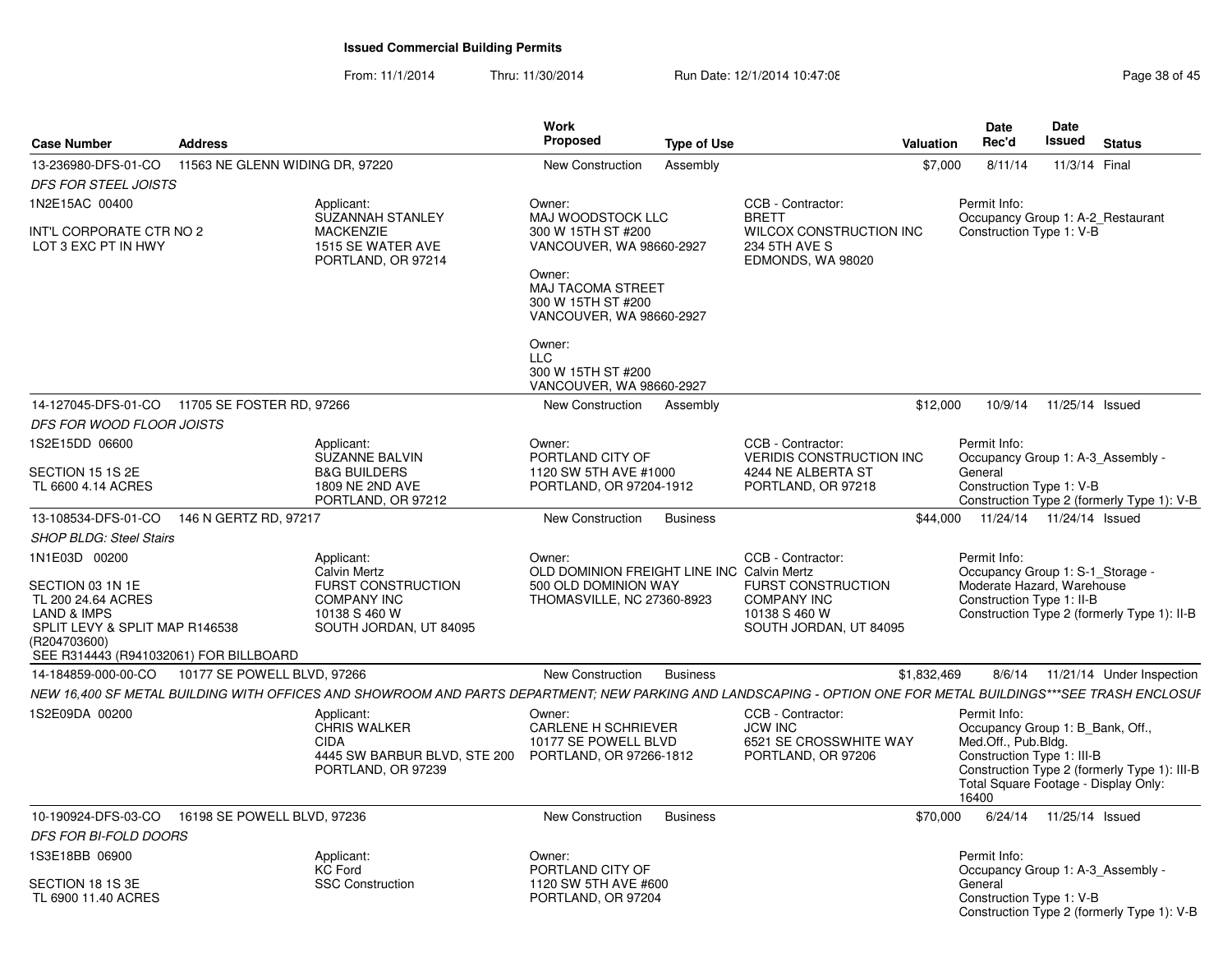From: 11/1/2014Thru: 11/30/2014 Run Date: 12/1/2014 10:47:08 Research 2010 Rage 38 of 45

| <b>Case Number</b>                                                                                                                                                            | <b>Address</b>                  |                                                                                                                                                                | Work<br>Proposed                                                                                                                                            | <b>Type of Use</b> |                                                                                                                 | <b>Valuation</b> | <b>Date</b><br>Rec'd                                                                                                                                   | Date<br>Issued            | <b>Status</b>                                |
|-------------------------------------------------------------------------------------------------------------------------------------------------------------------------------|---------------------------------|----------------------------------------------------------------------------------------------------------------------------------------------------------------|-------------------------------------------------------------------------------------------------------------------------------------------------------------|--------------------|-----------------------------------------------------------------------------------------------------------------|------------------|--------------------------------------------------------------------------------------------------------------------------------------------------------|---------------------------|----------------------------------------------|
| 13-236980-DFS-01-CO                                                                                                                                                           | 11563 NE GLENN WIDING DR, 97220 |                                                                                                                                                                | <b>New Construction</b>                                                                                                                                     | Assembly           |                                                                                                                 | \$7,000          | 8/11/14                                                                                                                                                | 11/3/14 Final             |                                              |
| <b>DFS FOR STEEL JOISTS</b>                                                                                                                                                   |                                 |                                                                                                                                                                |                                                                                                                                                             |                    |                                                                                                                 |                  |                                                                                                                                                        |                           |                                              |
| 1N2E15AC 00400                                                                                                                                                                |                                 | Applicant:                                                                                                                                                     | Owner:                                                                                                                                                      |                    | CCB - Contractor:                                                                                               |                  | Permit Info:                                                                                                                                           |                           |                                              |
| INT'L CORPORATE CTR NO 2<br>LOT 3 EXC PT IN HWY                                                                                                                               |                                 | <b>SUZANNAH STANLEY</b><br><b>MACKENZIE</b><br>1515 SE WATER AVE<br>PORTLAND, OR 97214                                                                         | MAJ WOODSTOCK LLC<br>300 W 15TH ST #200<br>VANCOUVER, WA 98660-2927<br>Owner:<br><b>MAJ TACOMA STREET</b><br>300 W 15TH ST #200<br>VANCOUVER, WA 98660-2927 |                    | <b>BRETT</b><br>WILCOX CONSTRUCTION INC<br>234 5TH AVE S<br>EDMONDS, WA 98020                                   |                  | Occupancy Group 1: A-2 Restaurant<br>Construction Type 1: V-B                                                                                          |                           |                                              |
|                                                                                                                                                                               |                                 |                                                                                                                                                                | Owner:<br><b>LLC</b><br>300 W 15TH ST #200<br>VANCOUVER, WA 98660-2927                                                                                      |                    |                                                                                                                 |                  |                                                                                                                                                        |                           |                                              |
| 14-127045-DFS-01-CO 11705 SE FOSTER RD, 97266                                                                                                                                 |                                 |                                                                                                                                                                | New Construction                                                                                                                                            | Assembly           |                                                                                                                 | \$12,000         | 10/9/14                                                                                                                                                | 11/25/14 Issued           |                                              |
| DFS FOR WOOD FLOOR JOISTS                                                                                                                                                     |                                 |                                                                                                                                                                |                                                                                                                                                             |                    |                                                                                                                 |                  |                                                                                                                                                        |                           |                                              |
| 1S2E15DD 06600                                                                                                                                                                |                                 | Applicant:<br><b>SUZANNE BALVIN</b>                                                                                                                            | Owner:<br>PORTLAND CITY OF                                                                                                                                  |                    | CCB - Contractor:<br>VERIDIS CONSTRUCTION INC                                                                   |                  | Permit Info:<br>Occupancy Group 1: A-3 Assembly -                                                                                                      |                           |                                              |
| SECTION 15 1S 2E<br>TL 6600 4.14 ACRES                                                                                                                                        |                                 | <b>B&amp;G BUILDERS</b><br>1809 NE 2ND AVE<br>PORTLAND, OR 97212                                                                                               | 1120 SW 5TH AVE #1000<br>PORTLAND, OR 97204-1912                                                                                                            |                    | 4244 NE ALBERTA ST<br>PORTLAND, OR 97218                                                                        |                  | General<br>Construction Type 1: V-B                                                                                                                    |                           | Construction Type 2 (formerly Type 1): V-B   |
| 13-108534-DFS-01-CO                                                                                                                                                           | 146 N GERTZ RD, 97217           |                                                                                                                                                                | <b>New Construction</b>                                                                                                                                     | <b>Business</b>    |                                                                                                                 | \$44.000         | 11/24/14  11/24/14  Issued                                                                                                                             |                           |                                              |
| <b>SHOP BLDG: Steel Stairs</b>                                                                                                                                                |                                 |                                                                                                                                                                |                                                                                                                                                             |                    |                                                                                                                 |                  |                                                                                                                                                        |                           |                                              |
| 1N1E03D 00200<br>SECTION 03 1N 1E<br>TL 200 24.64 ACRES<br><b>LAND &amp; IMPS</b><br>SPLIT LEVY & SPLIT MAP R146538<br>(R204703600)<br>SEE R314443 (R941032061) FOR BILLBOARD |                                 | Applicant:<br><b>Calvin Mertz</b><br><b>FURST CONSTRUCTION</b><br><b>COMPANY INC</b><br>10138 S 460 W<br>SOUTH JORDAN, UT 84095                                | Owner:<br>OLD DOMINION FREIGHT LINE INC Calvin Mertz<br>500 OLD DOMINION WAY<br>THOMASVILLE, NC 27360-8923                                                  |                    | CCB - Contractor:<br><b>FURST CONSTRUCTION</b><br><b>COMPANY INC</b><br>10138 S 460 W<br>SOUTH JORDAN, UT 84095 |                  | Permit Info:<br>Occupancy Group 1: S-1_Storage -<br>Moderate Hazard, Warehouse<br>Construction Type 1: II-B                                            |                           | Construction Type 2 (formerly Type 1): II-B  |
| 14-184859-000-00-CO                                                                                                                                                           | 10177 SE POWELL BLVD, 97266     |                                                                                                                                                                | <b>New Construction</b>                                                                                                                                     | <b>Business</b>    |                                                                                                                 | \$1,832,469      | 8/6/14                                                                                                                                                 |                           | 11/21/14 Under Inspection                    |
|                                                                                                                                                                               |                                 | NEW 16,400 SF METAL BUILDING WITH OFFICES AND SHOWROOM AND PARTS DEPARTMENT; NEW PARKING AND LANDSCAPING - OPTION ONE FOR METAL BUILDINGS***SEE TRASH ENCLOSUF |                                                                                                                                                             |                    |                                                                                                                 |                  |                                                                                                                                                        |                           |                                              |
| 1S2E09DA 00200                                                                                                                                                                |                                 | Applicant:<br><b>CHRIS WALKER</b><br><b>CIDA</b><br>4445 SW BARBUR BLVD, STE 200 PORTLAND, OR 97266-1812<br>PORTLAND, OR 97239                                 | Owner:<br><b>CARLENE H SCHRIEVER</b><br>10177 SE POWELL BLVD                                                                                                |                    | CCB - Contractor:<br><b>JCW INC</b><br>6521 SE CROSSWHITE WAY<br>PORTLAND, OR 97206                             |                  | Permit Info:<br>Occupancy Group 1: B_Bank, Off.,<br>Med.Off., Pub.Bldg.<br>Construction Type 1: III-B<br>Total Square Footage - Display Only:<br>16400 |                           | Construction Type 2 (formerly Type 1): III-B |
| 10-190924-DFS-03-CO  16198 SE POWELL BLVD, 97236                                                                                                                              |                                 |                                                                                                                                                                | New Construction                                                                                                                                            | <b>Business</b>    |                                                                                                                 | \$70,000         |                                                                                                                                                        | 6/24/14  11/25/14  Issued |                                              |
| <b>DFS FOR BI-FOLD DOORS</b>                                                                                                                                                  |                                 |                                                                                                                                                                |                                                                                                                                                             |                    |                                                                                                                 |                  |                                                                                                                                                        |                           |                                              |
| 1S3E18BB 06900<br>SECTION 18 1S 3E                                                                                                                                            |                                 | Applicant:<br><b>KC Ford</b>                                                                                                                                   | Owner:<br>PORTLAND CITY OF<br>1120 SW 5TH AVE #600                                                                                                          |                    |                                                                                                                 |                  | Permit Info:<br>Occupancy Group 1: A-3_Assembly -<br>General                                                                                           |                           |                                              |
| TL 6900 11.40 ACRES                                                                                                                                                           |                                 | <b>SSC Construction</b>                                                                                                                                        | PORTLAND, OR 97204                                                                                                                                          |                    |                                                                                                                 |                  | Construction Type 1: V-B                                                                                                                               |                           | Construction Type 2 (formerly Type 1): V-B   |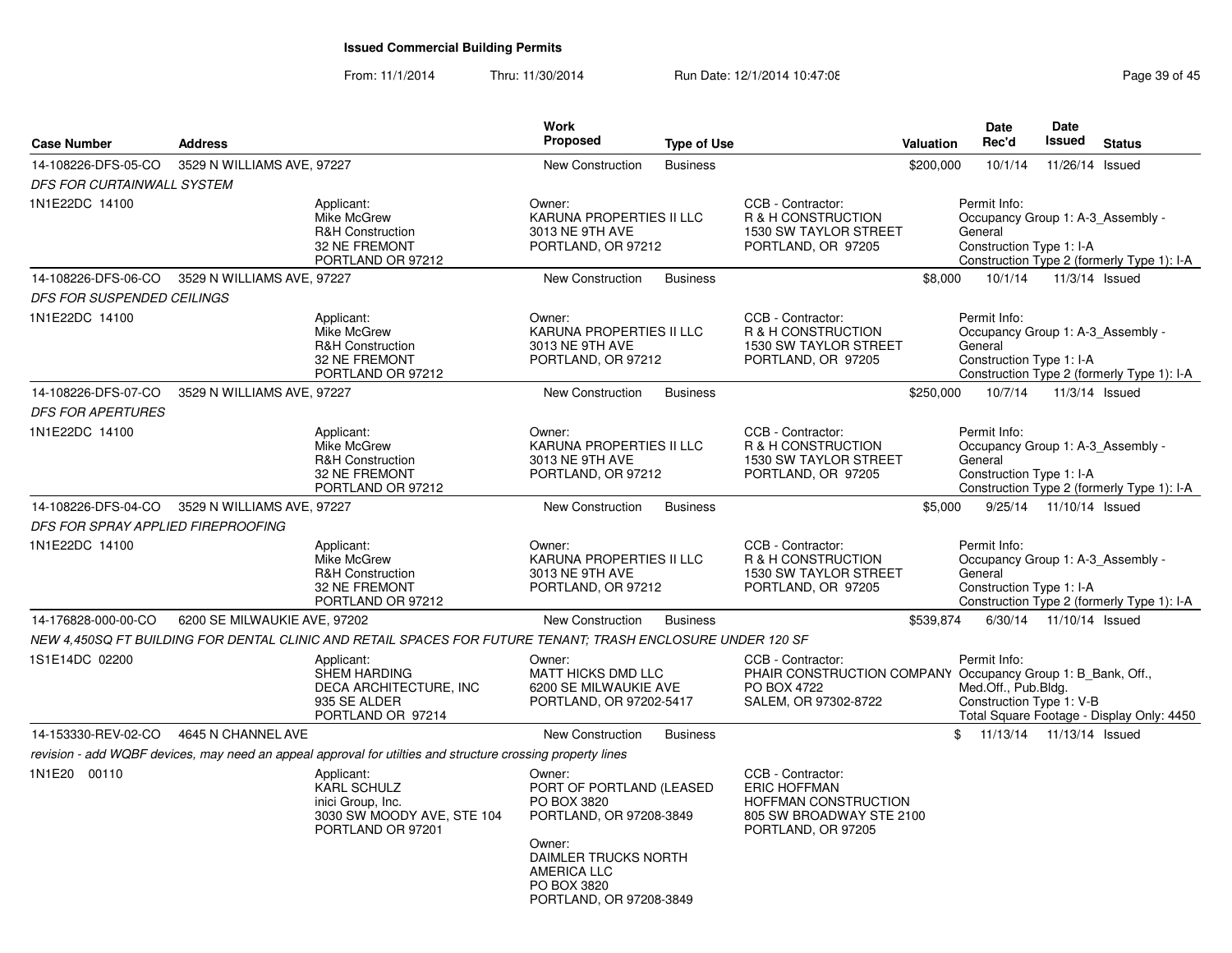From: 11/1/2014Thru: 11/30/2014 Run Date: 12/1/2014 10:47:08 Research 2010 Rage 39 of 45

| <b>Case Number</b>                 | <b>Address</b>               |                                                                                                             | <b>Work</b><br>Proposed                                                                                                                                                 | <b>Type of Use</b> |                                                                                                                           | Valuation | Date<br>Rec'd                                                                            | Date<br>Issued            | <b>Status</b>                              |
|------------------------------------|------------------------------|-------------------------------------------------------------------------------------------------------------|-------------------------------------------------------------------------------------------------------------------------------------------------------------------------|--------------------|---------------------------------------------------------------------------------------------------------------------------|-----------|------------------------------------------------------------------------------------------|---------------------------|--------------------------------------------|
| 14-108226-DFS-05-CO                | 3529 N WILLIAMS AVE, 97227   |                                                                                                             | <b>New Construction</b>                                                                                                                                                 | <b>Business</b>    |                                                                                                                           | \$200,000 | 10/1/14                                                                                  | 11/26/14 Issued           |                                            |
| DFS FOR CURTAINWALL SYSTEM         |                              |                                                                                                             |                                                                                                                                                                         |                    |                                                                                                                           |           |                                                                                          |                           |                                            |
| 1N1E22DC 14100                     |                              | Applicant:<br>Mike McGrew<br><b>R&amp;H Construction</b><br>32 NE FREMONT<br>PORTLAND OR 97212              | Owner:<br>KARUNA PROPERTIES II LLC<br>3013 NE 9TH AVE<br>PORTLAND, OR 97212                                                                                             |                    | CCB - Contractor:<br>R & H CONSTRUCTION<br><b>1530 SW TAYLOR STREET</b><br>PORTLAND, OR 97205                             |           | Permit Info:<br>Occupancy Group 1: A-3_Assembly -<br>General<br>Construction Type 1: I-A |                           | Construction Type 2 (formerly Type 1): I-A |
| 14-108226-DFS-06-CO                | 3529 N WILLIAMS AVE, 97227   |                                                                                                             | New Construction                                                                                                                                                        | <b>Business</b>    |                                                                                                                           | \$8,000   | 10/1/14                                                                                  | 11/3/14 Issued            |                                            |
| DFS FOR SUSPENDED CEILINGS         |                              |                                                                                                             |                                                                                                                                                                         |                    |                                                                                                                           |           |                                                                                          |                           |                                            |
| 1N1E22DC 14100                     |                              | Applicant:<br>Mike McGrew<br><b>R&amp;H Construction</b><br><b>32 NE FREMONT</b><br>PORTLAND OR 97212       | Owner:<br>KARUNA PROPERTIES II LLC<br>3013 NE 9TH AVE<br>PORTLAND, OR 97212                                                                                             |                    | CCB - Contractor:<br>R & H CONSTRUCTION<br><b>1530 SW TAYLOR STREET</b><br>PORTLAND, OR 97205                             |           | Permit Info:<br>Occupancy Group 1: A-3 Assembly -<br>General<br>Construction Type 1: I-A |                           | Construction Type 2 (formerly Type 1): I-A |
| 14-108226-DFS-07-CO                | 3529 N WILLIAMS AVE, 97227   |                                                                                                             | <b>New Construction</b>                                                                                                                                                 | <b>Business</b>    |                                                                                                                           | \$250,000 | 10/7/14                                                                                  | 11/3/14 Issued            |                                            |
| <b>DFS FOR APERTURES</b>           |                              |                                                                                                             |                                                                                                                                                                         |                    |                                                                                                                           |           |                                                                                          |                           |                                            |
| 1N1E22DC 14100                     |                              | Applicant:<br>Mike McGrew<br><b>R&amp;H Construction</b><br>32 NE FREMONT<br>PORTLAND OR 97212              | Owner:<br>KARUNA PROPERTIES II LLC<br>3013 NE 9TH AVE<br>PORTLAND, OR 97212                                                                                             |                    | CCB - Contractor:<br>R & H CONSTRUCTION<br>1530 SW TAYLOR STREET<br>PORTLAND, OR 97205                                    |           | Permit Info:<br>Occupancy Group 1: A-3 Assembly -<br>General<br>Construction Type 1: I-A |                           | Construction Type 2 (formerly Type 1): I-A |
| 14-108226-DFS-04-CO                | 3529 N WILLIAMS AVE, 97227   |                                                                                                             | <b>New Construction</b>                                                                                                                                                 | <b>Business</b>    |                                                                                                                           | \$5,000   |                                                                                          | 9/25/14  11/10/14  Issued |                                            |
| DFS FOR SPRAY APPLIED FIREPROOFING |                              |                                                                                                             |                                                                                                                                                                         |                    |                                                                                                                           |           |                                                                                          |                           |                                            |
| 1N1E22DC 14100                     |                              | Applicant:<br>Mike McGrew<br><b>R&amp;H Construction</b><br><b>32 NE FREMONT</b><br>PORTLAND OR 97212       | Owner:<br>KARUNA PROPERTIES II LLC<br>3013 NE 9TH AVE<br>PORTLAND, OR 97212                                                                                             |                    | CCB - Contractor:<br>R & H CONSTRUCTION<br>1530 SW TAYLOR STREET<br>PORTLAND, OR 97205                                    |           | Permit Info:<br>Occupancy Group 1: A-3_Assembly -<br>General<br>Construction Type 1: I-A |                           | Construction Type 2 (formerly Type 1): I-A |
| 14-176828-000-00-CO                | 6200 SE MILWAUKIE AVE, 97202 |                                                                                                             | <b>New Construction</b>                                                                                                                                                 | <b>Business</b>    |                                                                                                                           | \$539,874 |                                                                                          | 6/30/14 11/10/14 Issued   |                                            |
|                                    |                              | NEW 4,450SQ FT BUILDING FOR DENTAL CLINIC AND RETAIL SPACES FOR FUTURE TENANT; TRASH ENCLOSURE UNDER 120 SF |                                                                                                                                                                         |                    |                                                                                                                           |           |                                                                                          |                           |                                            |
| 1S1E14DC 02200                     |                              | Applicant:<br><b>SHEM HARDING</b><br>DECA ARCHITECTURE, INC<br>935 SE ALDER<br>PORTLAND OR 97214            | Owner:<br>MATT HICKS DMD LLC<br>6200 SE MILWAUKIE AVE<br>PORTLAND, OR 97202-5417                                                                                        |                    | CCB - Contractor:<br>PHAIR CONSTRUCTION COMPANY Occupancy Group 1: B_Bank, Off.,<br>PO BOX 4722<br>SALEM, OR 97302-8722   |           | Permit Info:<br>Med.Off., Pub.Bldg.<br>Construction Type 1: V-B                          |                           | Total Square Footage - Display Only: 4450  |
| 14-153330-REV-02-CO                | 4645 N CHANNEL AVE           |                                                                                                             | <b>New Construction</b>                                                                                                                                                 | <b>Business</b>    |                                                                                                                           |           | \$ 11/13/14 11/13/14 Issued                                                              |                           |                                            |
|                                    |                              | revision - add WQBF devices, may need an appeal approval for utilties and structure crossing property lines |                                                                                                                                                                         |                    |                                                                                                                           |           |                                                                                          |                           |                                            |
| 1N1E20 00110                       |                              | Applicant:<br>KARL SCHULZ<br>inici Group, Inc.<br>3030 SW MOODY AVE, STE 104<br>PORTLAND OR 97201           | Owner:<br>PORT OF PORTLAND (LEASED<br>PO BOX 3820<br>PORTLAND, OR 97208-3849<br>Owner:<br>DAIMLER TRUCKS NORTH<br>AMERICA LLC<br>PO BOX 3820<br>PORTLAND, OR 97208-3849 |                    | CCB - Contractor:<br><b>ERIC HOFFMAN</b><br><b>HOFFMAN CONSTRUCTION</b><br>805 SW BROADWAY STE 2100<br>PORTLAND, OR 97205 |           |                                                                                          |                           |                                            |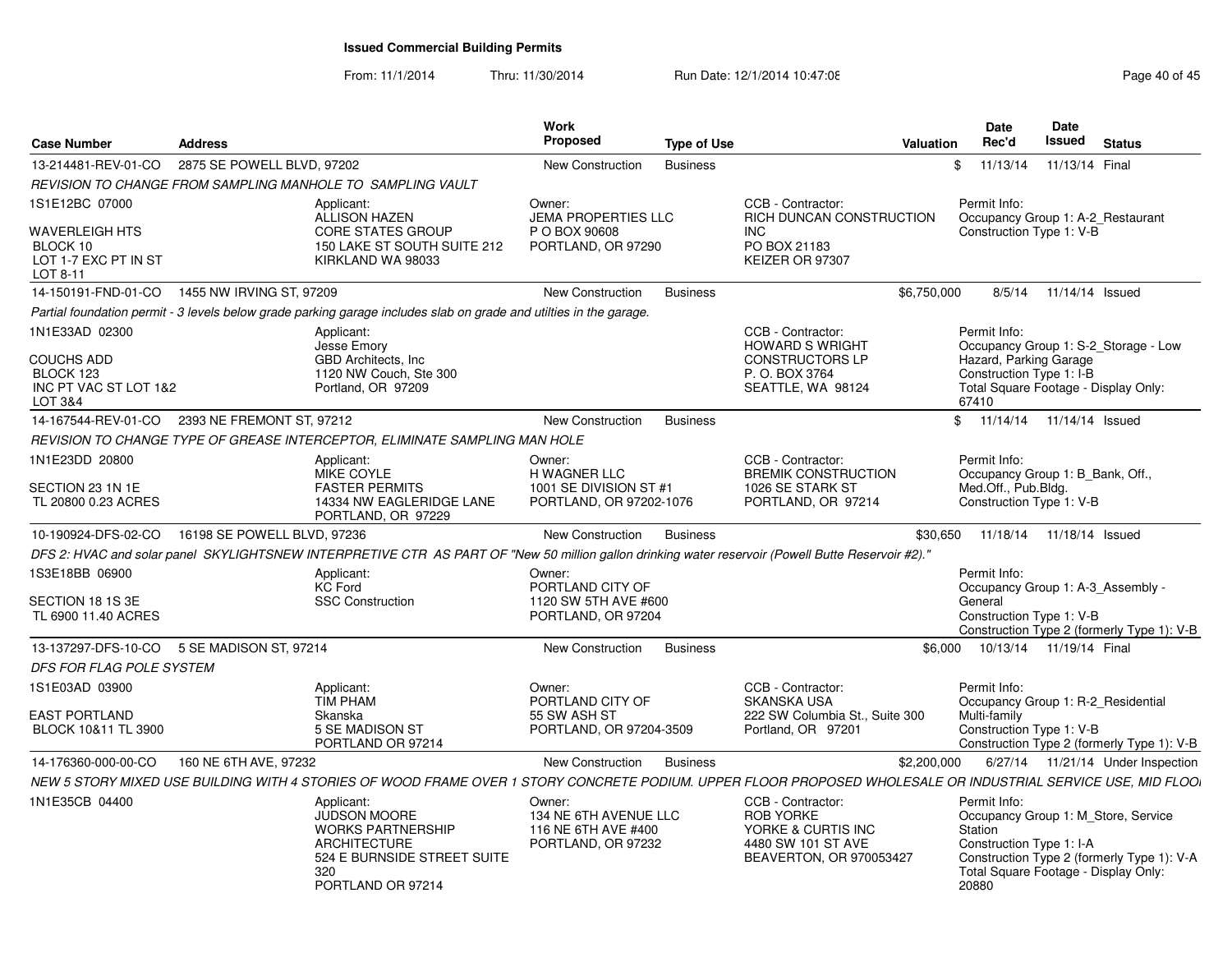From: 11/1/2014Thru: 11/30/2014 Run Date: 12/1/2014 10:47:08 Research 2010 145

| <b>Case Number</b>                                                    | <b>Address</b>                                                                                                                                     |                                                                              | Work<br><b>Proposed</b>                                                     | <b>Type of Use</b> | Valuation                                                                                                                                                     | <b>Date</b><br>Rec'd                                                                                                                                                      | Date<br>Issued           | <b>Status</b>                       |
|-----------------------------------------------------------------------|----------------------------------------------------------------------------------------------------------------------------------------------------|------------------------------------------------------------------------------|-----------------------------------------------------------------------------|--------------------|---------------------------------------------------------------------------------------------------------------------------------------------------------------|---------------------------------------------------------------------------------------------------------------------------------------------------------------------------|--------------------------|-------------------------------------|
| 13-214481-REV-01-CO                                                   | 2875 SE POWELL BLVD, 97202                                                                                                                         |                                                                              | New Construction                                                            | <b>Business</b>    |                                                                                                                                                               | 11/13/14<br>\$.                                                                                                                                                           | 11/13/14 Final           |                                     |
|                                                                       | REVISION TO CHANGE FROM SAMPLING MANHOLE TO SAMPLING VAULT                                                                                         |                                                                              |                                                                             |                    |                                                                                                                                                               |                                                                                                                                                                           |                          |                                     |
| 1S1E12BC 07000                                                        | Applicant:<br><b>ALLISON HAZEN</b>                                                                                                                 |                                                                              | Owner:<br><b>JEMA PROPERTIES LLC</b>                                        |                    | CCB - Contractor:<br>RICH DUNCAN CONSTRUCTION                                                                                                                 | Permit Info:<br>Occupancy Group 1: A-2 Restaurant                                                                                                                         |                          |                                     |
| <b>WAVERLEIGH HTS</b><br>BLOCK 10<br>LOT 1-7 EXC PT IN ST<br>LOT 8-11 |                                                                                                                                                    | <b>CORE STATES GROUP</b><br>150 LAKE ST SOUTH SUITE 212<br>KIRKLAND WA 98033 | P O BOX 90608<br>PORTLAND, OR 97290                                         |                    | <b>INC</b><br>PO BOX 21183<br>KEIZER OR 97307                                                                                                                 | Construction Type 1: V-B                                                                                                                                                  |                          |                                     |
| 14-150191-FND-01-CO                                                   | 1455 NW IRVING ST, 97209                                                                                                                           |                                                                              | New Construction                                                            | <b>Business</b>    | \$6.750.000                                                                                                                                                   |                                                                                                                                                                           | 8/5/14  11/14/14  Issued |                                     |
|                                                                       | Partial foundation permit - 3 levels below grade parking garage includes slab on grade and utilties in the garage.                                 |                                                                              |                                                                             |                    |                                                                                                                                                               |                                                                                                                                                                           |                          |                                     |
| 1N1E33AD 02300<br>COUCHS ADD<br>BLOCK 123<br>INC PT VAC ST LOT 1&2    | Applicant:<br>Jesse Emory<br>GBD Architects, Inc.<br>Portland, OR 97209                                                                            | 1120 NW Couch, Ste 300                                                       |                                                                             |                    | CCB - Contractor:<br><b>HOWARD S WRIGHT</b><br><b>CONSTRUCTORS LP</b><br>P. O. BOX 3764<br>SEATTLE, WA 98124                                                  | Permit Info:<br>Occupancy Group 1: S-2_Storage - Low<br>Hazard, Parking Garage<br>Construction Type 1: I-B<br>Total Square Footage - Display Only:                        |                          |                                     |
| LOT 3&4                                                               |                                                                                                                                                    |                                                                              |                                                                             |                    |                                                                                                                                                               | 67410                                                                                                                                                                     |                          |                                     |
|                                                                       | 14-167544-REV-01-CO 2393 NE FREMONT ST, 97212                                                                                                      |                                                                              | New Construction                                                            | <b>Business</b>    |                                                                                                                                                               | 11/14/14  11/14/14  Issued<br>$\mathbb{S}$                                                                                                                                |                          |                                     |
|                                                                       | REVISION TO CHANGE TYPE OF GREASE INTERCEPTOR. ELIMINATE SAMPLING MAN HOLE                                                                         |                                                                              |                                                                             |                    |                                                                                                                                                               |                                                                                                                                                                           |                          |                                     |
| 1N1E23DD 20800<br>SECTION 23 1N 1E<br>TL 20800 0.23 ACRES             | Applicant:<br><b>MIKE COYLE</b><br><b>FASTER PERMITS</b>                                                                                           | 14334 NW EAGLERIDGE LANE                                                     | Owner:<br>H WAGNER LLC<br>1001 SE DIVISION ST #1<br>PORTLAND, OR 97202-1076 |                    | CCB - Contractor:<br><b>BREMIK CONSTRUCTION</b><br>1026 SE STARK ST<br>PORTLAND, OR 97214                                                                     | Permit Info:<br>Occupancy Group 1: B Bank, Off.,<br>Med.Off., Pub.Bldg.<br>Construction Type 1: V-B                                                                       |                          |                                     |
|                                                                       |                                                                                                                                                    | PORTLAND, OR 97229                                                           |                                                                             |                    |                                                                                                                                                               |                                                                                                                                                                           |                          |                                     |
| 10-190924-DFS-02-CO                                                   | 16198 SE POWELL BLVD, 97236                                                                                                                        |                                                                              | New Construction                                                            | <b>Business</b>    | \$30,650                                                                                                                                                      | 11/18/14  11/18/14  Issued                                                                                                                                                |                          |                                     |
|                                                                       | DFS 2: HVAC and solar panel SKYLIGHTSNEW INTERPRETIVE CTR AS PART OF "New 50 million gallon drinking water reservoir (Powell Butte Reservoir #2)." |                                                                              |                                                                             |                    |                                                                                                                                                               |                                                                                                                                                                           |                          |                                     |
| 1S3E18BB 06900                                                        | Applicant:                                                                                                                                         |                                                                              | Owner:                                                                      |                    |                                                                                                                                                               | Permit Info:                                                                                                                                                              |                          |                                     |
| SECTION 18 1S 3E<br>TL 6900 11.40 ACRES                               | <b>KC Ford</b><br><b>SSC Construction</b>                                                                                                          |                                                                              | PORTLAND CITY OF<br>1120 SW 5TH AVE #600<br>PORTLAND, OR 97204              |                    |                                                                                                                                                               | Occupancy Group 1: A-3 Assembly -<br>General<br>Construction Type 1: V-B<br>Construction Type 2 (formerly Type 1): V-B                                                    |                          |                                     |
|                                                                       | 13-137297-DFS-10-CO 5 SE MADISON ST. 97214                                                                                                         |                                                                              | New Construction                                                            | <b>Business</b>    | \$6.000                                                                                                                                                       | 10/13/14  11/19/14  Final                                                                                                                                                 |                          |                                     |
| <b>DFS FOR FLAG POLE SYSTEM</b>                                       |                                                                                                                                                    |                                                                              |                                                                             |                    |                                                                                                                                                               |                                                                                                                                                                           |                          |                                     |
| 1S1E03AD 03900                                                        | Applicant:<br><b>TIM PHAM</b>                                                                                                                      |                                                                              | Owner:<br>PORTLAND CITY OF                                                  |                    | CCB - Contractor:<br><b>SKANSKA USA</b>                                                                                                                       | Permit Info:<br>Occupancy Group 1: R-2 Residential                                                                                                                        |                          |                                     |
| <b>EAST PORTLAND</b><br>BLOCK 10&11 TL 3900                           | Skanska<br>5 SE MADISON ST                                                                                                                         | PORTLAND OR 97214                                                            | 55 SW ASH ST<br>PORTLAND, OR 97204-3509                                     |                    | 222 SW Columbia St., Suite 300<br>Portland, OR 97201                                                                                                          | Multi-family<br>Construction Type 1: V-B<br>Construction Type 2 (formerly Type 1): V-B                                                                                    |                          |                                     |
| 14-176360-000-00-CO                                                   | 160 NE 6TH AVE, 97232                                                                                                                              |                                                                              | New Construction                                                            | <b>Business</b>    | \$2,200,000                                                                                                                                                   |                                                                                                                                                                           |                          | 6/27/14  11/21/14  Under Inspection |
|                                                                       |                                                                                                                                                    |                                                                              |                                                                             |                    | NEW 5 STORY MIXED USE BUILDING WITH 4 STORIES OF WOOD FRAME OVER 1 STORY CONCRETE PODIUM. UPPER FLOOR PROPOSED WHOLESALE OR INDUSTRIAL SERVICE USE, MID FLOOI |                                                                                                                                                                           |                          |                                     |
| 1N1E35CB 04400                                                        | Applicant:                                                                                                                                         |                                                                              | Owner:                                                                      |                    | CCB - Contractor:                                                                                                                                             | Permit Info:                                                                                                                                                              |                          |                                     |
|                                                                       | <b>JUDSON MOORE</b><br><b>ARCHITECTURE</b><br>320                                                                                                  | <b>WORKS PARTNERSHIP</b><br>524 E BURNSIDE STREET SUITE<br>PORTLAND OR 97214 | 134 NE 6TH AVENUE LLC<br>116 NE 6TH AVE #400<br>PORTLAND, OR 97232          |                    | <b>ROB YORKE</b><br>YORKE & CURTIS INC<br>4480 SW 101 ST AVE<br>BEAVERTON, OR 970053427                                                                       | Occupancy Group 1: M Store, Service<br>Station<br>Construction Type 1: I-A<br>Construction Type 2 (formerly Type 1): V-A<br>Total Square Footage - Display Only:<br>20880 |                          |                                     |
|                                                                       |                                                                                                                                                    |                                                                              |                                                                             |                    |                                                                                                                                                               |                                                                                                                                                                           |                          |                                     |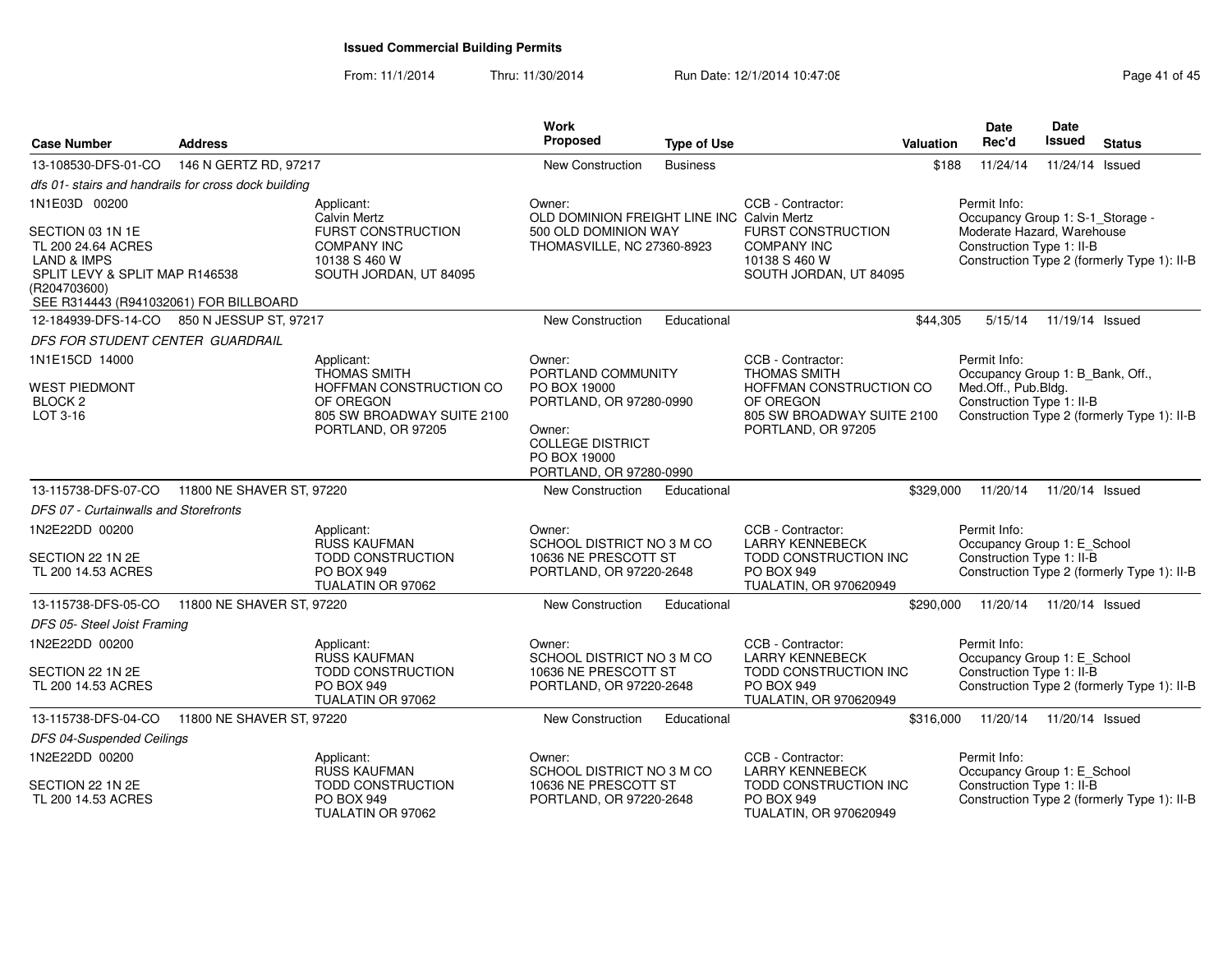From: 11/1/2014

Thru: 11/30/2014 Run Date: 12/1/2014 10:47:08 Research 2010 12:47:08

| <b>Case Number</b>                                                                                                                                | <b>Address</b>            |                                                                                                         | Work<br><b>Proposed</b>                                                                | <b>Type of Use</b> |                                                                                                                            | Valuation | <b>Date</b><br>Rec'd                                                                                 | <b>Date</b><br><b>Issued</b> | <b>Status</b>                               |
|---------------------------------------------------------------------------------------------------------------------------------------------------|---------------------------|---------------------------------------------------------------------------------------------------------|----------------------------------------------------------------------------------------|--------------------|----------------------------------------------------------------------------------------------------------------------------|-----------|------------------------------------------------------------------------------------------------------|------------------------------|---------------------------------------------|
| 13-108530-DFS-01-CO                                                                                                                               | 146 N GERTZ RD, 97217     |                                                                                                         | New Construction                                                                       | <b>Business</b>    |                                                                                                                            | \$188     | 11/24/14                                                                                             | 11/24/14 Issued              |                                             |
| dfs 01- stairs and handrails for cross dock building                                                                                              |                           |                                                                                                         |                                                                                        |                    |                                                                                                                            |           |                                                                                                      |                              |                                             |
| 1N1E03D 00200                                                                                                                                     |                           | Applicant:<br><b>Calvin Mertz</b>                                                                       | Owner:<br>OLD DOMINION FREIGHT LINE INC Calvin Mertz                                   |                    | CCB - Contractor:                                                                                                          |           | Permit Info:<br>Occupancy Group 1: S-1_Storage -                                                     |                              |                                             |
| SECTION 03 1N 1E<br>TL 200 24.64 ACRES<br>LAND & IMPS<br>SPLIT LEVY & SPLIT MAP R146538<br>(R204703600)<br>SEE R314443 (R941032061) FOR BILLBOARD |                           | FURST CONSTRUCTION<br><b>COMPANY INC</b><br>10138 S 460 W<br>SOUTH JORDAN, UT 84095                     | 500 OLD DOMINION WAY<br>THOMASVILLE, NC 27360-8923                                     |                    | FURST CONSTRUCTION<br><b>COMPANY INC</b><br>10138 S 460 W<br>SOUTH JORDAN, UT 84095                                        |           | Moderate Hazard, Warehouse<br>Construction Type 1: II-B                                              |                              | Construction Type 2 (formerly Type 1): II-B |
| 12-184939-DFS-14-CO 850 N JESSUP ST, 97217                                                                                                        |                           |                                                                                                         | <b>New Construction</b>                                                                | Educational        |                                                                                                                            | \$44,305  | 5/15/14                                                                                              | 11/19/14 Issued              |                                             |
| DFS FOR STUDENT CENTER GUARDRAIL                                                                                                                  |                           |                                                                                                         |                                                                                        |                    |                                                                                                                            |           |                                                                                                      |                              |                                             |
| 1N1E15CD 14000<br><b>WEST PIEDMONT</b><br>BLOCK <sub>2</sub><br>LOT 3-16                                                                          |                           | Applicant:<br><b>THOMAS SMITH</b><br>HOFFMAN CONSTRUCTION CO<br>OF OREGON<br>805 SW BROADWAY SUITE 2100 | Owner:<br>PORTLAND COMMUNITY<br>PO BOX 19000<br>PORTLAND, OR 97280-0990                |                    | CCB - Contractor:<br><b>THOMAS SMITH</b><br>HOFFMAN CONSTRUCTION CO<br>OF OREGON<br>805 SW BROADWAY SUITE 2100             |           | Permit Info:<br>Occupancy Group 1: B_Bank, Off.,<br>Med.Off., Pub.Bldg.<br>Construction Type 1: II-B |                              | Construction Type 2 (formerly Type 1): II-B |
|                                                                                                                                                   |                           | PORTLAND, OR 97205                                                                                      | Owner:<br><b>COLLEGE DISTRICT</b><br>PO BOX 19000<br>PORTLAND, OR 97280-0990           |                    | PORTLAND, OR 97205                                                                                                         |           |                                                                                                      |                              |                                             |
| 13-115738-DFS-07-CO                                                                                                                               | 11800 NE SHAVER ST, 97220 |                                                                                                         | <b>New Construction</b>                                                                | Educational        |                                                                                                                            | \$329,000 | 11/20/14                                                                                             | 11/20/14 Issued              |                                             |
| DFS 07 - Curtainwalls and Storefronts                                                                                                             |                           |                                                                                                         |                                                                                        |                    |                                                                                                                            |           |                                                                                                      |                              |                                             |
| 1N2E22DD 00200<br>SECTION 22 1N 2E<br>TL 200 14.53 ACRES                                                                                          |                           | Applicant:<br><b>RUSS KAUFMAN</b><br>TODD CONSTRUCTION<br><b>PO BOX 949</b><br>TUALATIN OR 97062        | Owner:<br>SCHOOL DISTRICT NO 3 M CO<br>10636 NE PRESCOTT ST<br>PORTLAND, OR 97220-2648 |                    | CCB - Contractor:<br><b>LARRY KENNEBECK</b><br>TODD CONSTRUCTION INC<br><b>PO BOX 949</b><br><b>TUALATIN, OR 970620949</b> |           | Permit Info:<br>Occupancy Group 1: E_School<br>Construction Type 1: II-B                             |                              | Construction Type 2 (formerly Type 1): II-B |
| 13-115738-DFS-05-CO                                                                                                                               | 11800 NE SHAVER ST, 97220 |                                                                                                         | <b>New Construction</b>                                                                | Educational        |                                                                                                                            | \$290,000 | 11/20/14                                                                                             | 11/20/14 Issued              |                                             |
| DFS 05- Steel Joist Framing                                                                                                                       |                           |                                                                                                         |                                                                                        |                    |                                                                                                                            |           |                                                                                                      |                              |                                             |
| 1N2E22DD 00200                                                                                                                                    |                           | Applicant:<br><b>RUSS KAUFMAN</b>                                                                       | Owner:<br>SCHOOL DISTRICT NO 3 M CO                                                    |                    | CCB - Contractor:<br><b>LARRY KENNEBECK</b>                                                                                |           | Permit Info:<br>Occupancy Group 1: E_School                                                          |                              |                                             |
| SECTION 22 1N 2E<br>TL 200 14.53 ACRES                                                                                                            |                           | <b>TODD CONSTRUCTION</b><br><b>PO BOX 949</b><br>TUALATIN OR 97062                                      | 10636 NE PRESCOTT ST<br>PORTLAND, OR 97220-2648                                        |                    | TODD CONSTRUCTION INC<br><b>PO BOX 949</b><br>TUALATIN, OR 970620949                                                       |           | Construction Type 1: II-B                                                                            |                              | Construction Type 2 (formerly Type 1): II-B |
| 13-115738-DFS-04-CO                                                                                                                               | 11800 NE SHAVER ST, 97220 |                                                                                                         | <b>New Construction</b>                                                                | Educational        |                                                                                                                            | \$316,000 | 11/20/14                                                                                             | 11/20/14 Issued              |                                             |
| DFS 04-Suspended Ceilings                                                                                                                         |                           |                                                                                                         |                                                                                        |                    |                                                                                                                            |           |                                                                                                      |                              |                                             |
| 1N2E22DD 00200                                                                                                                                    |                           | Applicant:<br><b>RUSS KAUFMAN</b>                                                                       | Owner:<br>SCHOOL DISTRICT NO 3 M CO                                                    |                    | CCB - Contractor:<br><b>LARRY KENNEBECK</b>                                                                                |           | Permit Info:<br>Occupancy Group 1: E_School                                                          |                              |                                             |
| SECTION 22 1N 2E<br>TL 200 14.53 ACRES                                                                                                            |                           | <b>TODD CONSTRUCTION</b><br><b>PO BOX 949</b><br>TUALATIN OR 97062                                      | 10636 NE PRESCOTT ST<br>PORTLAND, OR 97220-2648                                        |                    | TODD CONSTRUCTION INC<br><b>PO BOX 949</b><br>TUALATIN, OR 970620949                                                       |           | Construction Type 1: II-B                                                                            |                              | Construction Type 2 (formerly Type 1): II-B |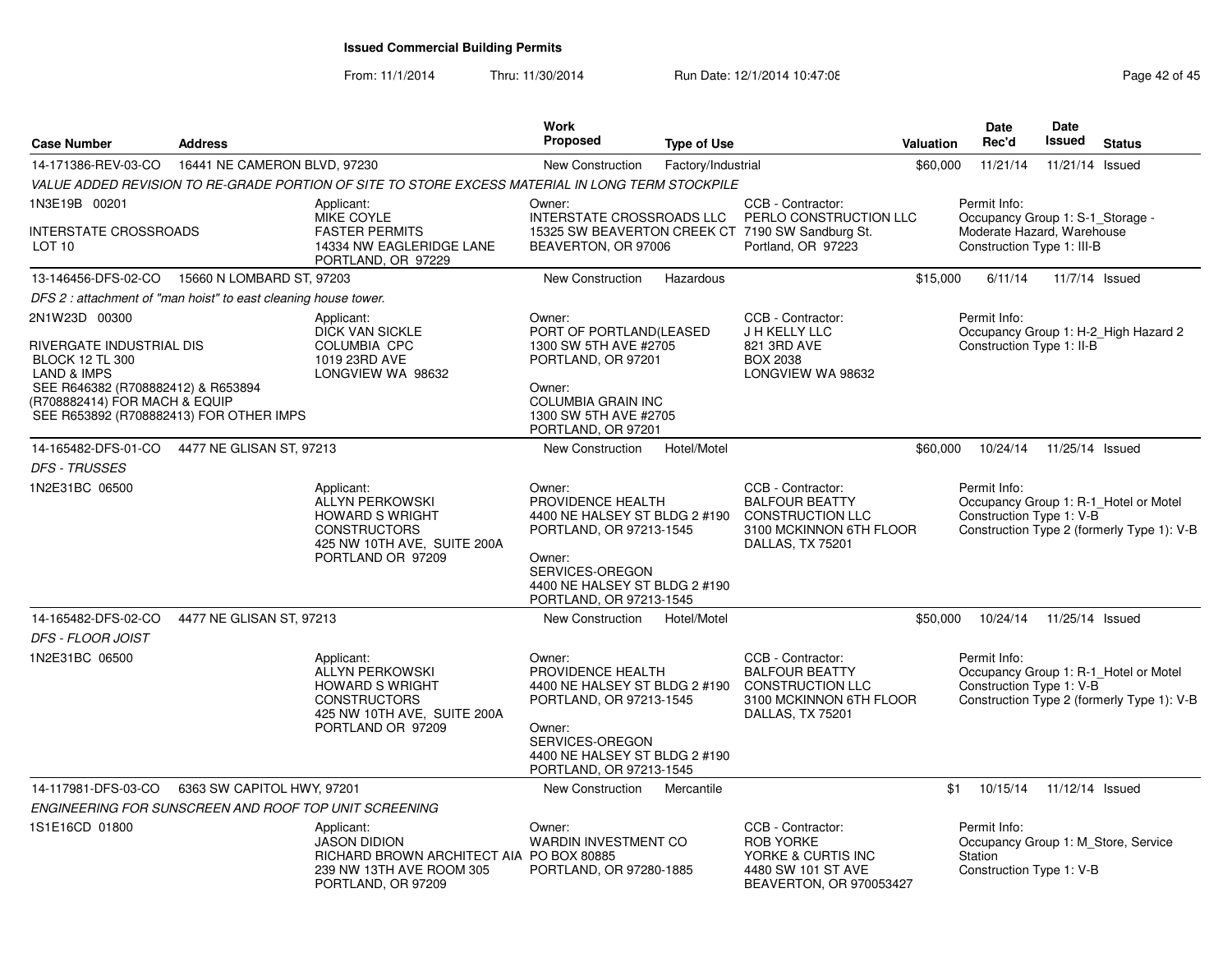From: 11/1/2014

Thru: 11/30/2014 Run Date: 12/1/2014 10:47:08 Research 2014 10:47:08

| <b>Case Number</b>                                                                                                                                                                                              | <b>Address</b>               |                                                                                                                                           | <b>Work</b><br><b>Proposed</b>                                                                                                                                                   | <b>Type of Use</b> |                                                                                                                       | Valuation | <b>Date</b><br>Rec'd                                                                                         | <b>Date</b><br><b>Issued</b> | <b>Status</b>                                                                       |
|-----------------------------------------------------------------------------------------------------------------------------------------------------------------------------------------------------------------|------------------------------|-------------------------------------------------------------------------------------------------------------------------------------------|----------------------------------------------------------------------------------------------------------------------------------------------------------------------------------|--------------------|-----------------------------------------------------------------------------------------------------------------------|-----------|--------------------------------------------------------------------------------------------------------------|------------------------------|-------------------------------------------------------------------------------------|
| 14-171386-REV-03-CO                                                                                                                                                                                             | 16441 NE CAMERON BLVD, 97230 |                                                                                                                                           | <b>New Construction</b>                                                                                                                                                          | Factory/Industrial |                                                                                                                       | \$60,000  | 11/21/14                                                                                                     | 11/21/14 Issued              |                                                                                     |
|                                                                                                                                                                                                                 |                              | VALUE ADDED REVISION TO RE-GRADE PORTION OF SITE TO STORE EXCESS MATERIAL IN LONG TERM STOCKPILE                                          |                                                                                                                                                                                  |                    |                                                                                                                       |           |                                                                                                              |                              |                                                                                     |
| 1N3E19B 00201<br><b>INTERSTATE CROSSROADS</b><br>LOT <sub>10</sub>                                                                                                                                              |                              | Applicant:<br>MIKE COYLE<br><b>FASTER PERMITS</b><br>14334 NW EAGLERIDGE LANE<br>PORTLAND, OR 97229                                       | Owner:<br>INTERSTATE CROSSROADS LLC<br>BEAVERTON, OR 97006                                                                                                                       |                    | CCB - Contractor:<br>PERLO CONSTRUCTION LLC<br>15325 SW BEAVERTON CREEK CT 7190 SW Sandburg St.<br>Portland, OR 97223 |           | Permit Info:<br>Occupancy Group 1: S-1_Storage -<br>Moderate Hazard, Warehouse<br>Construction Type 1: III-B |                              |                                                                                     |
| 13-146456-DFS-02-CO 15660 N LOMBARD ST, 97203                                                                                                                                                                   |                              |                                                                                                                                           | New Construction                                                                                                                                                                 | Hazardous          |                                                                                                                       | \$15,000  | 6/11/14                                                                                                      |                              | 11/7/14 Issued                                                                      |
| DFS 2 : attachment of "man hoist" to east cleaning house tower.                                                                                                                                                 |                              |                                                                                                                                           |                                                                                                                                                                                  |                    |                                                                                                                       |           |                                                                                                              |                              |                                                                                     |
| 2N1W23D 00300<br>RIVERGATE INDUSTRIAL DIS<br><b>BLOCK 12 TL 300</b><br><b>LAND &amp; IMPS</b><br>SEE R646382 (R708882412) & R653894<br>(R708882414) FOR MACH & EQUIP<br>SEE R653892 (R708882413) FOR OTHER IMPS |                              | Applicant:<br><b>DICK VAN SICKLE</b><br><b>COLUMBIA CPC</b><br>1019 23RD AVE<br>LONGVIEW WA 98632                                         | Owner:<br>PORT OF PORTLAND(LEASED<br>1300 SW 5TH AVE #2705<br>PORTLAND, OR 97201<br>Owner:<br><b>COLUMBIA GRAIN INC</b><br>1300 SW 5TH AVE #2705<br>PORTLAND, OR 97201           |                    | CCB - Contractor:<br>J H KELLY LLC<br>821 3RD AVE<br><b>BOX 2038</b><br>LONGVIEW WA 98632                             |           | Permit Info:<br>Construction Type 1: II-B                                                                    |                              | Occupancy Group 1: H-2_High Hazard 2                                                |
| 14-165482-DFS-01-CO                                                                                                                                                                                             | 4477 NE GLISAN ST, 97213     |                                                                                                                                           | New Construction                                                                                                                                                                 | Hotel/Motel        |                                                                                                                       | \$60,000  | 10/24/14                                                                                                     | 11/25/14 Issued              |                                                                                     |
| <b>DFS - TRUSSES</b><br>1N2E31BC 06500                                                                                                                                                                          |                              | Applicant:<br><b>ALLYN PERKOWSKI</b><br><b>HOWARD S WRIGHT</b><br><b>CONSTRUCTORS</b><br>425 NW 10TH AVE, SUITE 200A<br>PORTLAND OR 97209 | Owner:<br>PROVIDENCE HEALTH<br>4400 NE HALSEY ST BLDG 2 #190<br>PORTLAND, OR 97213-1545<br>Owner:<br>SERVICES-OREGON<br>4400 NE HALSEY ST BLDG 2 #190<br>PORTLAND, OR 97213-1545 |                    | CCB - Contractor:<br><b>BALFOUR BEATTY</b><br><b>CONSTRUCTION LLC</b><br>3100 MCKINNON 6TH FLOOR<br>DALLAS, TX 75201  |           | Permit Info:<br>Construction Type 1: V-B                                                                     |                              | Occupancy Group 1: R-1 Hotel or Motel<br>Construction Type 2 (formerly Type 1): V-B |
| 14-165482-DFS-02-CO                                                                                                                                                                                             | 4477 NE GLISAN ST, 97213     |                                                                                                                                           | New Construction                                                                                                                                                                 | Hotel/Motel        |                                                                                                                       | \$50,000  | 10/24/14                                                                                                     | 11/25/14 Issued              |                                                                                     |
| DFS - FLOOR JOIST<br>1N2E31BC 06500                                                                                                                                                                             |                              | Applicant:<br>ALLYN PERKOWSKI<br><b>HOWARD S WRIGHT</b><br><b>CONSTRUCTORS</b><br>425 NW 10TH AVE, SUITE 200A<br>PORTLAND OR 97209        | Owner:<br>PROVIDENCE HEALTH<br>4400 NE HALSEY ST BLDG 2 #190<br>PORTLAND, OR 97213-1545<br>Owner:<br>SERVICES-OREGON<br>4400 NE HALSEY ST BLDG 2 #190<br>PORTLAND, OR 97213-1545 |                    | CCB - Contractor:<br><b>BALFOUR BEATTY</b><br><b>CONSTRUCTION LLC</b><br>3100 MCKINNON 6TH FLOOR<br>DALLAS, TX 75201  |           | Permit Info:<br>Construction Type 1: V-B                                                                     |                              | Occupancy Group 1: R-1_Hotel or Motel<br>Construction Type 2 (formerly Type 1): V-B |
| 14-117981-DFS-03-CO                                                                                                                                                                                             | 6363 SW CAPITOL HWY, 97201   |                                                                                                                                           | New Construction                                                                                                                                                                 | Mercantile         |                                                                                                                       | \$1       | 10/15/14                                                                                                     | 11/12/14 Issued              |                                                                                     |
| ENGINEERING FOR SUNSCREEN AND ROOF TOP UNIT SCREENING                                                                                                                                                           |                              |                                                                                                                                           |                                                                                                                                                                                  |                    |                                                                                                                       |           |                                                                                                              |                              |                                                                                     |
| 1S1E16CD 01800                                                                                                                                                                                                  |                              | Applicant:<br><b>JASON DIDION</b><br>RICHARD BROWN ARCHITECT AIA PO BOX 80885<br>239 NW 13TH AVE ROOM 305<br>PORTLAND, OR 97209           | Owner:<br><b>WARDIN INVESTMENT CO</b><br>PORTLAND, OR 97280-1885                                                                                                                 |                    | CCB - Contractor:<br><b>ROB YORKE</b><br>YORKE & CURTIS INC<br>4480 SW 101 ST AVE<br>BEAVERTON, OR 970053427          |           | Permit Info:<br>Station<br>Construction Type 1: V-B                                                          |                              | Occupancy Group 1: M_Store, Service                                                 |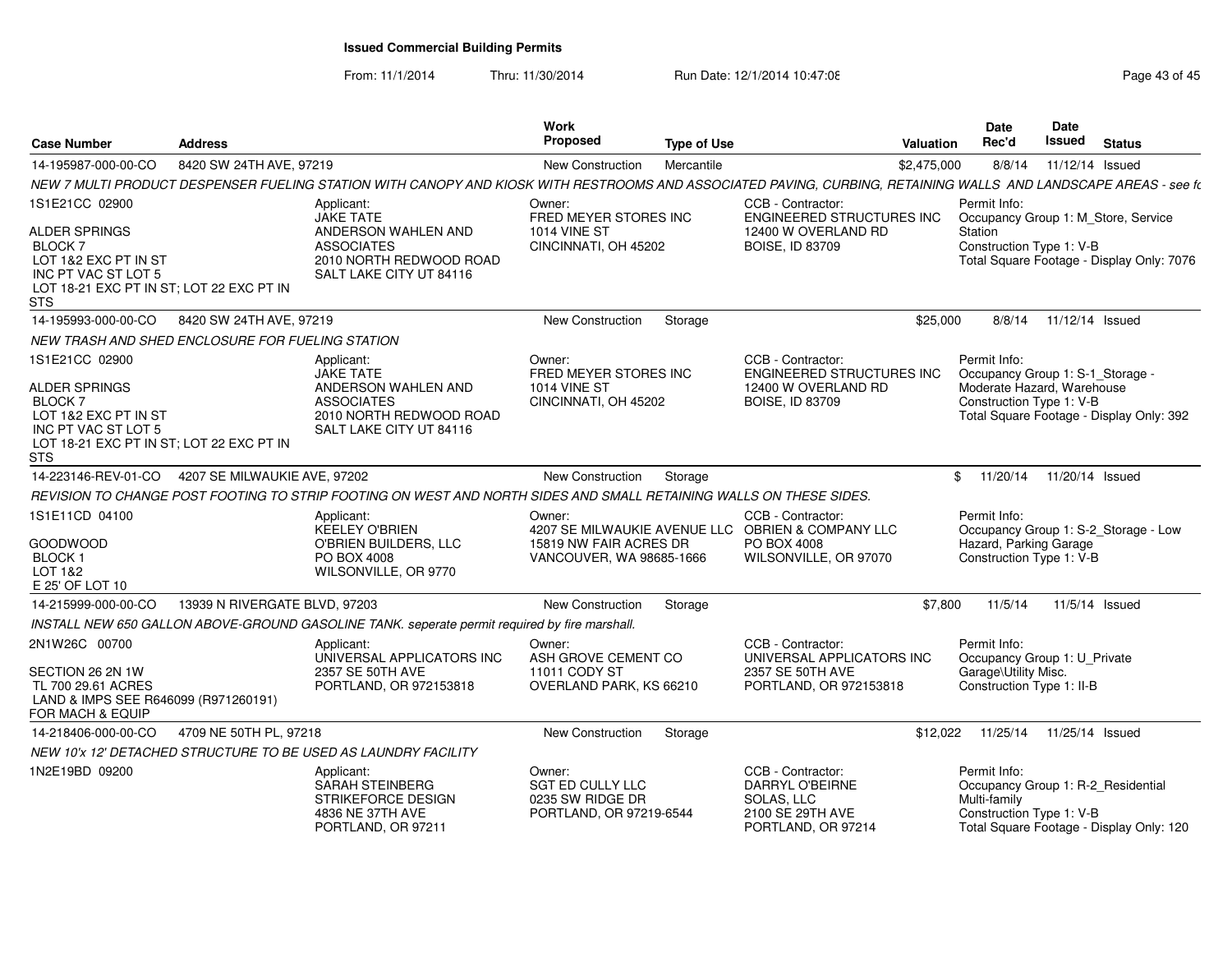From: 11/1/2014

Thru: 11/30/2014 Run Date: 12/1/2014 10:47:08 Research 2010 Rage 43 of 45

| <b>Case Number</b>                                                                                                                                        | <b>Address</b>                |                                                                                                                                                                  | <b>Work</b><br>Proposed                                                        | <b>Type of Use</b> |                                                                                                                | <b>Valuation</b> | <b>Date</b><br>Rec'd                                                                                       | Date<br><b>Issued</b> | <b>Status</b>                                                                    |
|-----------------------------------------------------------------------------------------------------------------------------------------------------------|-------------------------------|------------------------------------------------------------------------------------------------------------------------------------------------------------------|--------------------------------------------------------------------------------|--------------------|----------------------------------------------------------------------------------------------------------------|------------------|------------------------------------------------------------------------------------------------------------|-----------------------|----------------------------------------------------------------------------------|
| 14-195987-000-00-CO                                                                                                                                       | 8420 SW 24TH AVE, 97219       |                                                                                                                                                                  | <b>New Construction</b>                                                        | Mercantile         |                                                                                                                | \$2,475,000      | 8/8/14                                                                                                     | 11/12/14 Issued       |                                                                                  |
|                                                                                                                                                           |                               | NEW 7 MULTI PRODUCT DESPENSER FUELING STATION WITH CANOPY AND KIOSK WITH RESTROOMS AND ASSOCIATED PAVING, CURBING, RETAINING WALLS AND LANDSCAPE AREAS - see ft. |                                                                                |                    |                                                                                                                |                  |                                                                                                            |                       |                                                                                  |
| 1S1E21CC 02900<br>ALDER SPRINGS<br>BLOCK 7<br>LOT 1&2 EXC PT IN ST<br>INC PT VAC ST LOT 5<br>LOT 18-21 EXC PT IN ST; LOT 22 EXC PT IN<br>STS              |                               | Applicant:<br><b>JAKE TATE</b><br>ANDERSON WAHLEN AND<br><b>ASSOCIATES</b><br>2010 NORTH REDWOOD ROAD<br>SALT LAKE CITY UT 84116                                 | Owner:<br>FRED MEYER STORES INC<br><b>1014 VINE ST</b><br>CINCINNATI, OH 45202 |                    | CCB - Contractor:<br>ENGINEERED STRUCTURES INC<br>12400 W OVERLAND RD<br><b>BOISE, ID 83709</b>                |                  | Permit Info:<br>Station<br>Construction Type 1: V-B                                                        |                       | Occupancy Group 1: M_Store, Service<br>Total Square Footage - Display Only: 7076 |
| 14-195993-000-00-CO                                                                                                                                       | 8420 SW 24TH AVE, 97219       |                                                                                                                                                                  | New Construction                                                               | Storage            |                                                                                                                | \$25,000         | 8/8/14                                                                                                     | 11/12/14 Issued       |                                                                                  |
| NEW TRASH AND SHED ENCLOSURE FOR FUELING STATION                                                                                                          |                               |                                                                                                                                                                  |                                                                                |                    |                                                                                                                |                  |                                                                                                            |                       |                                                                                  |
| 1S1E21CC 02900<br>ALDER SPRINGS<br><b>BLOCK7</b><br>LOT 1&2 EXC PT IN ST<br>INC PT VAC ST LOT 5<br>LOT 18-21 EXC PT IN ST; LOT 22 EXC PT IN<br><b>STS</b> |                               | Applicant:<br>JAKE TATE<br>ANDERSON WAHLEN AND<br><b>ASSOCIATES</b><br>2010 NORTH REDWOOD ROAD<br>SALT LAKE CITY UT 84116                                        | Owner:<br>FRED MEYER STORES INC<br><b>1014 VINE ST</b><br>CINCINNATI, OH 45202 |                    | CCB - Contractor:<br>ENGINEERED STRUCTURES INC<br>12400 W OVERLAND RD<br><b>BOISE, ID 83709</b>                |                  | Permit Info:<br>Occupancy Group 1: S-1 Storage -<br>Moderate Hazard, Warehouse<br>Construction Type 1: V-B |                       | Total Square Footage - Display Only: 392                                         |
| 14-223146-REV-01-CO                                                                                                                                       | 4207 SE MILWAUKIE AVE, 97202  |                                                                                                                                                                  | New Construction                                                               | Storage            |                                                                                                                |                  | \$<br>11/20/14                                                                                             | 11/20/14 Issued       |                                                                                  |
|                                                                                                                                                           |                               | REVISION TO CHANGE POST FOOTING TO STRIP FOOTING ON WEST AND NORTH SIDES AND SMALL RETAINING WALLS ON THESE SIDES.                                               |                                                                                |                    |                                                                                                                |                  |                                                                                                            |                       |                                                                                  |
| 1S1E11CD 04100<br>GOODWOOD<br><b>BLOCK1</b><br>LOT 1&2<br>E 25' OF LOT 10                                                                                 |                               | Applicant:<br><b>KEELEY O'BRIEN</b><br>O'BRIEN BUILDERS, LLC<br>PO BOX 4008<br>WILSONVILLE, OR 9770                                                              | Owner:<br>15819 NW FAIR ACRES DR<br>VANCOUVER, WA 98685-1666                   |                    | CCB - Contractor:<br>4207 SE MILWAUKIE AVENUE LLC OBRIEN & COMPANY LLC<br>PO BOX 4008<br>WILSONVILLE, OR 97070 |                  | Permit Info:<br>Hazard, Parking Garage<br>Construction Type 1: V-B                                         |                       | Occupancy Group 1: S-2_Storage - Low                                             |
| 14-215999-000-00-CO                                                                                                                                       | 13939 N RIVERGATE BLVD, 97203 |                                                                                                                                                                  | New Construction                                                               | Storage            |                                                                                                                | \$7,800          | 11/5/14                                                                                                    |                       | 11/5/14 Issued                                                                   |
|                                                                                                                                                           |                               | INSTALL NEW 650 GALLON ABOVE-GROUND GASOLINE TANK. seperate permit required by fire marshall.                                                                    |                                                                                |                    |                                                                                                                |                  |                                                                                                            |                       |                                                                                  |
| 2N1W26C 00700<br>SECTION 26 2N 1W<br>TL 700 29.61 ACRES<br>LAND & IMPS SEE R646099 (R971260191)<br>FOR MACH & EQUIP                                       |                               | Applicant:<br>UNIVERSAL APPLICATORS INC<br>2357 SE 50TH AVE<br>PORTLAND, OR 972153818                                                                            | Owner:<br>ASH GROVE CEMENT CO<br>11011 CODY ST<br>OVERLAND PARK, KS 66210      |                    | CCB - Contractor:<br>UNIVERSAL APPLICATORS INC<br>2357 SE 50TH AVE<br>PORTLAND, OR 972153818                   |                  | Permit Info:<br>Occupancy Group 1: U_Private<br>Garage\Utility Misc.<br>Construction Type 1: II-B          |                       |                                                                                  |
| 14-218406-000-00-CO                                                                                                                                       | 4709 NE 50TH PL, 97218        |                                                                                                                                                                  | New Construction                                                               | Storage            |                                                                                                                | \$12.022         | 11/25/14                                                                                                   | 11/25/14 Issued       |                                                                                  |
|                                                                                                                                                           |                               | NEW 10'x 12' DETACHED STRUCTURE TO BE USED AS LAUNDRY FACILITY                                                                                                   |                                                                                |                    |                                                                                                                |                  |                                                                                                            |                       |                                                                                  |
| 1N2E19BD 09200                                                                                                                                            |                               | Applicant:<br>SARAH STEINBERG<br>STRIKEFORCE DESIGN<br>4836 NE 37TH AVE<br>PORTLAND, OR 97211                                                                    | Owner:<br>SGT ED CULLY LLC<br>0235 SW RIDGE DR<br>PORTLAND, OR 97219-6544      |                    | CCB - Contractor:<br>DARRYL O'BEIRNE<br>SOLAS, LLC<br>2100 SE 29TH AVE<br>PORTLAND, OR 97214                   |                  | Permit Info:<br>Occupancy Group 1: R-2_Residential<br>Multi-family<br>Construction Type 1: V-B             |                       | Total Square Footage - Display Only: 120                                         |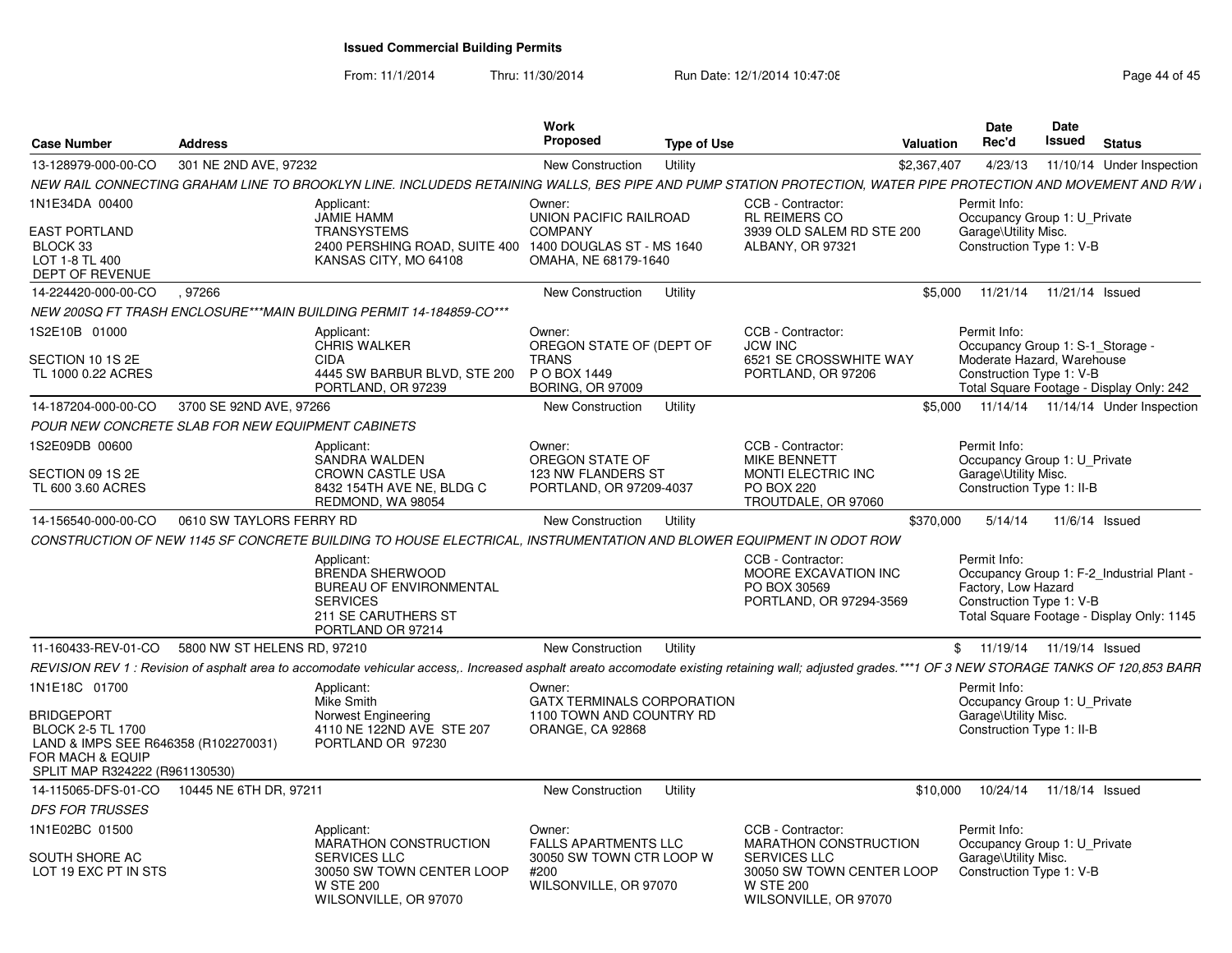From: 11/1/2014

Thru: 11/30/2014 Run Date: 12/1/2014 10:47:08 Research 2010 Rage 44 of 45

| <b>Case Number</b>                                                                                                                                    | <b>Address</b>              |                                                                                                                                                                                                    | <b>Work</b><br>Proposed                                                                     | <b>Type of Use</b> |                                                                                               | <b>Valuation</b> | Date<br>Rec'd                                                                                     | Date<br>Issued  | <b>Status</b>                                                                          |
|-------------------------------------------------------------------------------------------------------------------------------------------------------|-----------------------------|----------------------------------------------------------------------------------------------------------------------------------------------------------------------------------------------------|---------------------------------------------------------------------------------------------|--------------------|-----------------------------------------------------------------------------------------------|------------------|---------------------------------------------------------------------------------------------------|-----------------|----------------------------------------------------------------------------------------|
| 13-128979-000-00-CO                                                                                                                                   | 301 NE 2ND AVE, 97232       |                                                                                                                                                                                                    | New Construction                                                                            | Utility            |                                                                                               | \$2,367,407      | 4/23/13                                                                                           |                 | 11/10/14 Under Inspection                                                              |
|                                                                                                                                                       |                             | NEW RAIL CONNECTING GRAHAM LINE TO BROOKLYN LINE. INCLUDEDS RETAINING WALLS, BES PIPE AND PUMP STATION PROTECTION, WATER PIPE PROTECTION AND MOVEMENT AND R/W i                                    |                                                                                             |                    |                                                                                               |                  |                                                                                                   |                 |                                                                                        |
| 1N1E34DA 00400                                                                                                                                        |                             | Applicant:<br><b>JAMIE HAMM</b>                                                                                                                                                                    | Owner:<br>UNION PACIFIC RAILROAD                                                            |                    | CCB - Contractor:<br>RL REIMERS CO                                                            |                  | Permit Info:<br>Occupancy Group 1: U_Private                                                      |                 |                                                                                        |
| <b>EAST PORTLAND</b><br>BLOCK 33<br>LOT 1-8 TL 400<br>DEPT OF REVENUE                                                                                 |                             | <b>TRANSYSTEMS</b><br>2400 PERSHING ROAD, SUITE 400 1400 DOUGLAS ST - MS 1640<br>KANSAS CITY, MO 64108                                                                                             | <b>COMPANY</b><br>OMAHA, NE 68179-1640                                                      |                    | 3939 OLD SALEM RD STE 200<br>ALBANY, OR 97321                                                 |                  | Garage\Utility Misc.<br>Construction Type 1: V-B                                                  |                 |                                                                                        |
| 14-224420-000-00-CO                                                                                                                                   | 97266                       |                                                                                                                                                                                                    | <b>New Construction</b>                                                                     | Utility            |                                                                                               | \$5,000          | 11/21/14                                                                                          | 11/21/14 Issued |                                                                                        |
|                                                                                                                                                       |                             | NEW 200SQ FT TRASH ENCLOSURE***MAIN BUILDING PERMIT 14-184859-CO***                                                                                                                                |                                                                                             |                    |                                                                                               |                  |                                                                                                   |                 |                                                                                        |
| 1S2E10B 01000                                                                                                                                         |                             | Applicant:<br><b>CHRIS WALKER</b>                                                                                                                                                                  | Owner:<br>OREGON STATE OF (DEPT OF                                                          |                    | CCB - Contractor:<br><b>JCW INC</b>                                                           |                  | Permit Info:<br>Occupancy Group 1: S-1_Storage -                                                  |                 |                                                                                        |
| SECTION 10 1S 2E<br>TL 1000 0.22 ACRES                                                                                                                |                             | <b>CIDA</b><br>4445 SW BARBUR BLVD, STE 200<br>PORTLAND, OR 97239                                                                                                                                  | <b>TRANS</b><br>P O BOX 1449<br><b>BORING, OR 97009</b>                                     |                    | 6521 SE CROSSWHITE WAY<br>PORTLAND, OR 97206                                                  |                  | Moderate Hazard, Warehouse<br>Construction Type 1: V-B                                            |                 | Total Square Footage - Display Only: 242                                               |
| 14-187204-000-00-CO                                                                                                                                   | 3700 SE 92ND AVE, 97266     |                                                                                                                                                                                                    | New Construction                                                                            | Utility            |                                                                                               | \$5,000          |                                                                                                   |                 | 11/14/14  11/14/14  Under Inspection                                                   |
| POUR NEW CONCRETE SLAB FOR NEW EQUIPMENT CABINETS                                                                                                     |                             |                                                                                                                                                                                                    |                                                                                             |                    |                                                                                               |                  |                                                                                                   |                 |                                                                                        |
| 1S2E09DB 00600                                                                                                                                        |                             | Applicant:<br>SANDRA WALDEN                                                                                                                                                                        | Owner:<br>OREGON STATE OF                                                                   |                    | CCB - Contractor:<br><b>MIKE BENNETT</b>                                                      |                  | Permit Info:<br>Occupancy Group 1: U_Private                                                      |                 |                                                                                        |
| SECTION 09 1S 2E<br>TL 600 3.60 ACRES                                                                                                                 |                             | <b>CROWN CASTLE USA</b><br>8432 154TH AVE NE, BLDG C<br>REDMOND, WA 98054                                                                                                                          | 123 NW FLANDERS ST<br>PORTLAND, OR 97209-4037                                               |                    | <b>MONTI ELECTRIC INC</b><br><b>PO BOX 220</b><br>TROUTDALE, OR 97060                         |                  | Garage\Utility Misc.<br>Construction Type 1: II-B                                                 |                 |                                                                                        |
| 14-156540-000-00-CO                                                                                                                                   | 0610 SW TAYLORS FERRY RD    |                                                                                                                                                                                                    | New Construction                                                                            | Utility            |                                                                                               | \$370,000        | 5/14/14                                                                                           |                 | 11/6/14 Issued                                                                         |
|                                                                                                                                                       |                             | CONSTRUCTION OF NEW 1145 SF CONCRETE BUILDING TO HOUSE ELECTRICAL, INSTRUMENTATION AND BLOWER EQUIPMENT IN ODOT ROW                                                                                |                                                                                             |                    |                                                                                               |                  |                                                                                                   |                 |                                                                                        |
|                                                                                                                                                       |                             | Applicant:<br><b>BRENDA SHERWOOD</b><br><b>BUREAU OF ENVIRONMENTAL</b><br><b>SERVICES</b><br>211 SE CARUTHERS ST<br>PORTLAND OR 97214                                                              |                                                                                             |                    | CCB - Contractor:<br>MOORE EXCAVATION INC<br>PO BOX 30569<br>PORTLAND, OR 97294-3569          |                  | Permit Info:<br>Factory, Low Hazard<br>Construction Type 1: V-B                                   |                 | Occupancy Group 1: F-2_Industrial Plant -<br>Total Square Footage - Display Only: 1145 |
| 11-160433-REV-01-CO                                                                                                                                   | 5800 NW ST HELENS RD, 97210 |                                                                                                                                                                                                    | New Construction                                                                            | Utility            |                                                                                               |                  | \$11/19/14                                                                                        | 11/19/14 Issued |                                                                                        |
|                                                                                                                                                       |                             | REVISION REV 1: Revision of asphalt area to accomodate vehicular access,. Increased asphalt areato accomodate existing retaining wall; adjusted grades.***1 OF 3 NEW STORAGE TANKS OF 120,853 BARR |                                                                                             |                    |                                                                                               |                  |                                                                                                   |                 |                                                                                        |
| 1N1E18C 01700<br><b>BRIDGEPORT</b><br>BLOCK 2-5 TL 1700<br>LAND & IMPS SEE R646358 (R102270031)<br>FOR MACH & EQUIP<br>SPLIT MAP R324222 (R961130530) |                             | Applicant:<br>Mike Smith<br>Norwest Engineering<br>4110 NE 122ND AVE STE 207<br>PORTLAND OR 97230                                                                                                  | Owner:<br><b>GATX TERMINALS CORPORATION</b><br>1100 TOWN AND COUNTRY RD<br>ORANGE, CA 92868 |                    |                                                                                               |                  | Permit Info:<br>Occupancy Group 1: U_Private<br>Garage\Utility Misc.<br>Construction Type 1: II-B |                 |                                                                                        |
| 14-115065-DFS-01-CO                                                                                                                                   | 10445 NE 6TH DR, 97211      |                                                                                                                                                                                                    | <b>New Construction</b>                                                                     | Utility            |                                                                                               | \$10,000         | 10/24/14                                                                                          | 11/18/14 Issued |                                                                                        |
| <b>DFS FOR TRUSSES</b>                                                                                                                                |                             |                                                                                                                                                                                                    |                                                                                             |                    |                                                                                               |                  |                                                                                                   |                 |                                                                                        |
| 1N1E02BC 01500                                                                                                                                        |                             | Applicant:<br>MARATHON CONSTRUCTION                                                                                                                                                                | Owner:<br><b>FALLS APARTMENTS LLC</b>                                                       |                    | CCB - Contractor:<br>MARATHON CONSTRUCTION                                                    |                  | Permit Info:<br>Occupancy Group 1: U_Private                                                      |                 |                                                                                        |
| SOUTH SHORE AC<br>LOT 19 EXC PT IN STS                                                                                                                |                             | <b>SERVICES LLC</b><br>30050 SW TOWN CENTER LOOP<br><b>W STE 200</b><br>WILSONVILLE, OR 97070                                                                                                      | 30050 SW TOWN CTR LOOP W<br>#200<br>WILSONVILLE, OR 97070                                   |                    | <b>SERVICES LLC</b><br>30050 SW TOWN CENTER LOOP<br><b>W STE 200</b><br>WILSONVILLE, OR 97070 |                  | Garage\Utility Misc.<br>Construction Type 1: V-B                                                  |                 |                                                                                        |